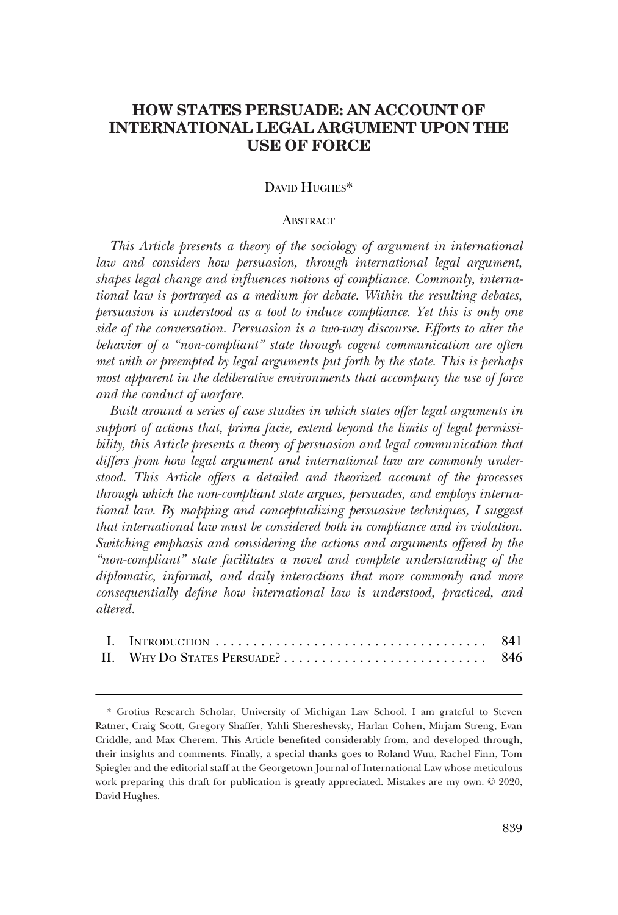# **HOW STATES PERSUADE: AN ACCOUNT OF INTERNATIONAL LEGAL ARGUMENT UPON THE USE OF FORCE**

### DAVID HUGHES\*

### **ABSTRACT**

*This Article presents a theory of the sociology of argument in international law and considers how persuasion, through international legal argument, shapes legal change and infuences notions of compliance. Commonly, international law is portrayed as a medium for debate. Within the resulting debates, persuasion is understood as a tool to induce compliance. Yet this is only one side of the conversation. Persuasion is a two-way discourse. Efforts to alter the behavior of a "non-compliant" state through cogent communication are often met with or preempted by legal arguments put forth by the state. This is perhaps most apparent in the deliberative environments that accompany the use of force and the conduct of warfare.* 

*Built around a series of case studies in which states offer legal arguments in support of actions that, prima facie, extend beyond the limits of legal permissibility, this Article presents a theory of persuasion and legal communication that differs from how legal argument and international law are commonly understood. This Article offers a detailed and theorized account of the processes through which the non-compliant state argues, persuades, and employs international law. By mapping and conceptualizing persuasive techniques, I suggest that international law must be considered both in compliance and in violation. Switching emphasis and considering the actions and arguments offered by the "non-compliant" state facilitates a novel and complete understanding of the diplomatic, informal, and daily interactions that more commonly and more consequentially defne how international law is understood, practiced, and altered.* 

<sup>\*</sup> Grotius Research Scholar, University of Michigan Law School. I am grateful to Steven Ratner, Craig Scott, Gregory Shaffer, Yahli Shereshevsky, Harlan Cohen, Mirjam Streng, Evan Criddle, and Max Cherem. This Article benefted considerably from, and developed through, their insights and comments. Finally, a special thanks goes to Roland Wuu, Rachel Finn, Tom Spiegler and the editorial staff at the Georgetown Journal of International Law whose meticulous work preparing this draft for publication is greatly appreciated. Mistakes are my own.  $© 2020$ , David Hughes.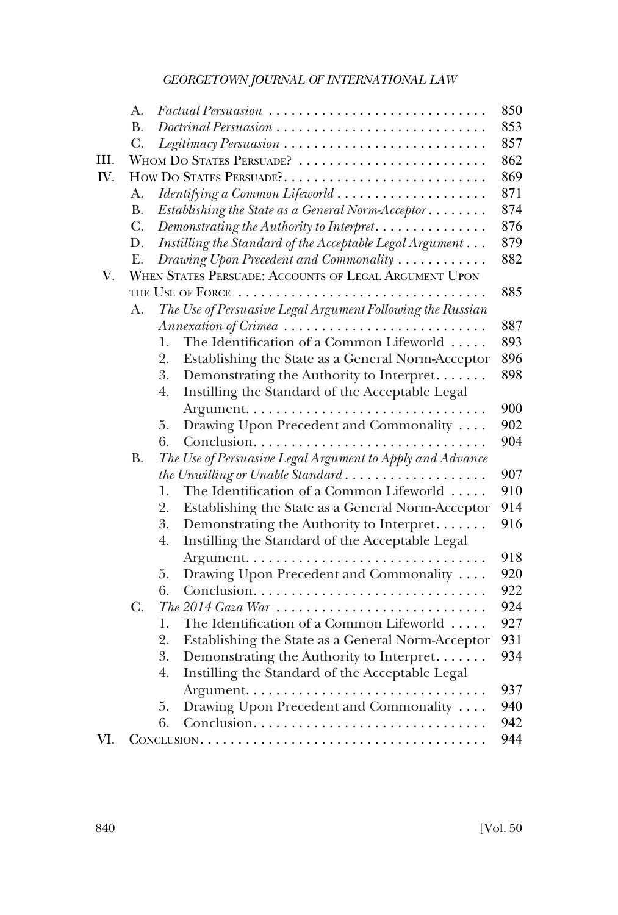|      | A.        | $\textit{Factual } \textit{Personasion} \dots \dots \dots \dots \dots \dots \dots \dots \dots \dots$ | 850 |
|------|-----------|------------------------------------------------------------------------------------------------------|-----|
|      | <b>B.</b> | $Dotrinal \textit{Personusion}\dots \dots \dots \dots \dots \dots \dots \dots \dots \dots$           | 853 |
|      | C.        | Legitimacy Persuasion                                                                                | 857 |
| III. |           | WHOM DO STATES PERSUADE?                                                                             | 862 |
| IV.  |           | HOW DO STATES PERSUADE ?                                                                             | 869 |
|      | A.        | Identifying a Common Lifeworld                                                                       | 871 |
|      | <b>B.</b> | Establishing the State as a General Norm-Acceptor                                                    | 874 |
|      | C.        | Demonstrating the Authority to Interpret                                                             | 876 |
|      | D.        | Instilling the Standard of the Acceptable Legal Argument                                             | 879 |
|      | E.        | Drawing Upon Precedent and Commonality                                                               | 882 |
| V.   |           | WHEN STATES PERSUADE: ACCOUNTS OF LEGAL ARGUMENT UPON                                                |     |
|      |           | THE USE OF FORCE                                                                                     | 885 |
|      | A.        | The Use of Persuasive Legal Argument Following the Russian                                           |     |
|      |           | Annexation of Crimea                                                                                 | 887 |
|      |           | The Identification of a Common Lifeworld<br>1.                                                       | 893 |
|      |           | 2.<br>Establishing the State as a General Norm-Acceptor                                              | 896 |
|      |           | 3.<br>Demonstrating the Authority to Interpret                                                       | 898 |
|      |           | Instilling the Standard of the Acceptable Legal<br>4.                                                |     |
|      |           |                                                                                                      | 900 |
|      |           | Drawing Upon Precedent and Commonality<br>5.                                                         | 902 |
|      |           | 6.<br>Conclusion                                                                                     | 904 |
|      | <b>B.</b> | The Use of Persuasive Legal Argument to Apply and Advance                                            |     |
|      |           | the Unwilling or Unable Standard                                                                     | 907 |
|      |           | The Identification of a Common Lifeworld<br>1.                                                       | 910 |
|      |           | 2.<br>Establishing the State as a General Norm-Acceptor                                              | 914 |
|      |           | 3.<br>Demonstrating the Authority to Interpret                                                       | 916 |
|      |           | 4.<br>Instilling the Standard of the Acceptable Legal                                                |     |
|      |           |                                                                                                      | 918 |
|      |           | 5.<br>Drawing Upon Precedent and Commonality                                                         | 920 |
|      |           | Conclusion<br>6.                                                                                     | 922 |
|      | C.        | The 2014 Gaza War                                                                                    | 924 |
|      |           | The Identification of a Common Lifeworld<br>1.                                                       | 927 |
|      |           | 2.<br>Establishing the State as a General Norm-Acceptor                                              | 931 |
|      |           | 3.<br>Demonstrating the Authority to Interpret                                                       | 934 |
|      |           | Instilling the Standard of the Acceptable Legal<br>4.                                                |     |
|      |           |                                                                                                      | 937 |
|      |           | Drawing Upon Precedent and Commonality<br>5.                                                         | 940 |
|      |           | 6.<br>Conclusion                                                                                     | 942 |
| VI.  |           |                                                                                                      | 944 |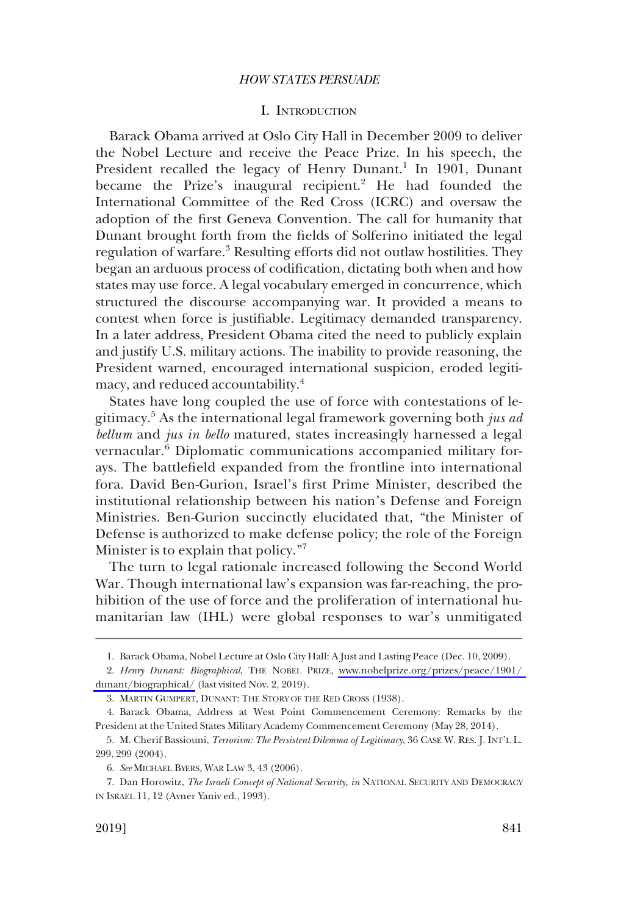### I. INTRODUCTION

<span id="page-2-0"></span>Barack Obama arrived at Oslo City Hall in December 2009 to deliver the Nobel Lecture and receive the Peace Prize. In his speech, the President recalled the legacy of Henry Dunant.<sup>1</sup> In 1901, Dunant became the Prize's inaugural recipient.<sup>2</sup> He had founded the International Committee of the Red Cross (ICRC) and oversaw the adoption of the frst Geneva Convention. The call for humanity that Dunant brought forth from the felds of Solferino initiated the legal regulation of warfare.<sup>3</sup> Resulting efforts did not outlaw hostilities. They began an arduous process of codifcation, dictating both when and how states may use force. A legal vocabulary emerged in concurrence, which structured the discourse accompanying war. It provided a means to contest when force is justifable. Legitimacy demanded transparency. In a later address, President Obama cited the need to publicly explain and justify U.S. military actions. The inability to provide reasoning, the President warned, encouraged international suspicion, eroded legitimacy, and reduced accountability.<sup>4</sup>

States have long coupled the use of force with contestations of legitimacy.5 As the international legal framework governing both *jus ad bellum* and *jus in bello* matured, states increasingly harnessed a legal vernacular.<sup>6</sup> Diplomatic communications accompanied military forays. The battlefeld expanded from the frontline into international fora. David Ben-Gurion, Israel's frst Prime Minister, described the institutional relationship between his nation's Defense and Foreign Ministries. Ben-Gurion succinctly elucidated that, "the Minister of Defense is authorized to make defense policy; the role of the Foreign Minister is to explain that policy."<sup>7</sup>

The turn to legal rationale increased following the Second World War. Though international law's expansion was far-reaching, the prohibition of the use of force and the proliferation of international humanitarian law (IHL) were global responses to war's unmitigated

<sup>1.</sup> Barack Obama, Nobel Lecture at Oslo City Hall: A Just and Lasting Peace (Dec. 10, 2009).

*Henry Dunant: Biographical*, THE NOBEL PRIZE, [www.nobelprize.org/prizes/peace/1901/](http://www.nobelprize.org/prizes/peace/1901/dunant/biographical/)  2. [dunant/biographical/](http://www.nobelprize.org/prizes/peace/1901/dunant/biographical/) (last visited Nov. 2, 2019).

<sup>3.</sup> MARTIN GUMPERT, DUNANT: THE STORY OF THE RED CROSS (1938).

<sup>4.</sup> Barack Obama, Address at West Point Commencement Ceremony: Remarks by the President at the United States Military Academy Commencement Ceremony (May 28, 2014).

<sup>5.</sup> M. Cherif Bassiouni, *Terrorism: The Persistent Dilemma of Legitimacy*, 36 CASE W. RES. J. INT'L L. 299, 299 (2004).

<sup>6.</sup> *See* MICHAEL BYERS, WAR LAW 3, 43 (2006).

<sup>7.</sup> Dan Horowitz, *The Israeli Concept of National Security, in* NATIONAL SECURITY AND DEMOCRACY IN ISRAEL 11, 12 (Avner Yaniv ed., 1993).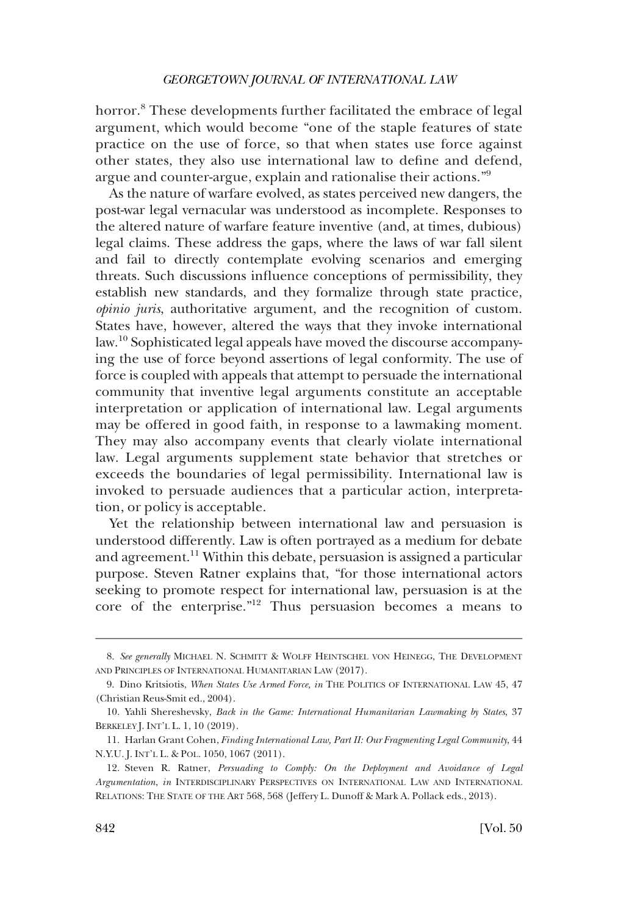horror.<sup>8</sup> These developments further facilitated the embrace of legal argument, which would become "one of the staple features of state practice on the use of force, so that when states use force against other states, they also use international law to defne and defend, argue and counter-argue, explain and rationalise their actions."<sup>9</sup>

As the nature of warfare evolved, as states perceived new dangers, the post-war legal vernacular was understood as incomplete. Responses to the altered nature of warfare feature inventive (and, at times, dubious) legal claims. These address the gaps, where the laws of war fall silent and fail to directly contemplate evolving scenarios and emerging threats. Such discussions infuence conceptions of permissibility, they establish new standards, and they formalize through state practice, *opinio juris*, authoritative argument, and the recognition of custom. States have, however, altered the ways that they invoke international law.10 Sophisticated legal appeals have moved the discourse accompanying the use of force beyond assertions of legal conformity. The use of force is coupled with appeals that attempt to persuade the international community that inventive legal arguments constitute an acceptable interpretation or application of international law. Legal arguments may be offered in good faith, in response to a lawmaking moment. They may also accompany events that clearly violate international law. Legal arguments supplement state behavior that stretches or exceeds the boundaries of legal permissibility. International law is invoked to persuade audiences that a particular action, interpretation, or policy is acceptable.

Yet the relationship between international law and persuasion is understood differently. Law is often portrayed as a medium for debate and agreement.<sup>11</sup> Within this debate, persuasion is assigned a particular purpose. Steven Ratner explains that, "for those international actors seeking to promote respect for international law, persuasion is at the core of the enterprise."12 Thus persuasion becomes a means to

<sup>8.</sup> *See generally* MICHAEL N. SCHMITT & WOLFF HEINTSCHEL VON HEINEGG, THE DEVELOPMENT AND PRINCIPLES OF INTERNATIONAL HUMANITARIAN LAW (2017).

<sup>9.</sup> Dino Kritsiotis, *When States Use Armed Force, in* THE POLITICS OF INTERNATIONAL LAW 45, 47 (Christian Reus-Smit ed., 2004).

<sup>10.</sup> Yahli Shereshevsky, *Back in the Game: International Humanitarian Lawmaking by States*, 37 BERKELEY J. INT'L L. 1, 10 (2019).

<sup>11.</sup> Harlan Grant Cohen, *Finding International Law, Part II: Our Fragmenting Legal Community*, 44 N.Y.U. J. INT'L L. & POL. 1050, 1067 (2011).

<sup>12.</sup> Steven R. Ratner, *Persuading to Comply: On the Deployment and Avoidance of Legal Argumentation*, *in* INTERDISCIPLINARY PERSPECTIVES ON INTERNATIONAL LAW AND INTERNATIONAL RELATIONS: THE STATE OF THE ART 568, 568 (Jeffery L. Dunoff & Mark A. Pollack eds., 2013).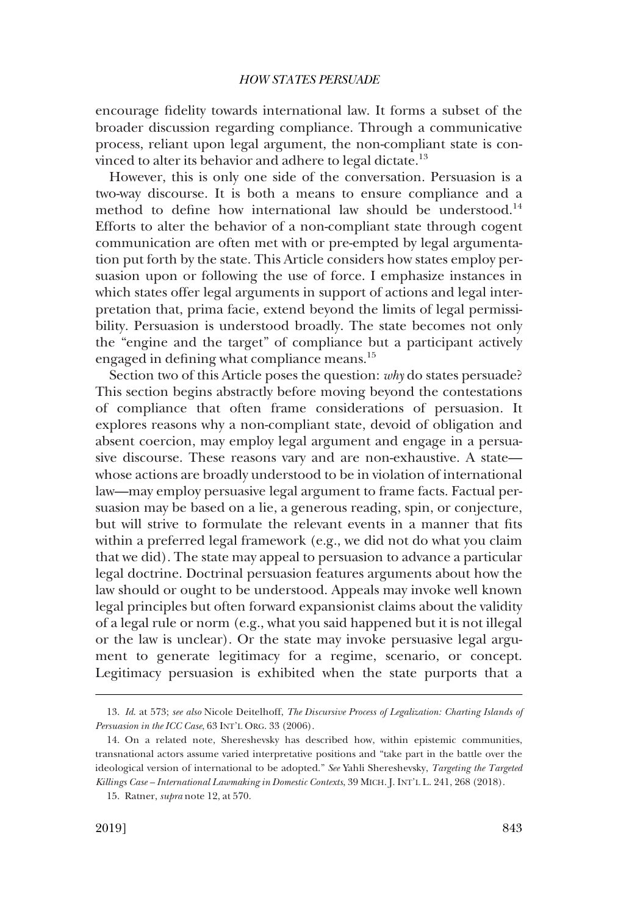encourage fdelity towards international law. It forms a subset of the broader discussion regarding compliance. Through a communicative process, reliant upon legal argument, the non-compliant state is convinced to alter its behavior and adhere to legal dictate.<sup>13</sup>

However, this is only one side of the conversation. Persuasion is a two-way discourse. It is both a means to ensure compliance and a method to define how international law should be understood.<sup>14</sup> Efforts to alter the behavior of a non-compliant state through cogent communication are often met with or pre-empted by legal argumentation put forth by the state. This Article considers how states employ persuasion upon or following the use of force. I emphasize instances in which states offer legal arguments in support of actions and legal interpretation that, prima facie, extend beyond the limits of legal permissibility. Persuasion is understood broadly. The state becomes not only the "engine and the target" of compliance but a participant actively engaged in defining what compliance means.<sup>15</sup>

Section two of this Article poses the question: *why* do states persuade? This section begins abstractly before moving beyond the contestations of compliance that often frame considerations of persuasion. It explores reasons why a non-compliant state, devoid of obligation and absent coercion, may employ legal argument and engage in a persuasive discourse. These reasons vary and are non-exhaustive. A state whose actions are broadly understood to be in violation of international law—may employ persuasive legal argument to frame facts. Factual persuasion may be based on a lie, a generous reading, spin, or conjecture, but will strive to formulate the relevant events in a manner that fts within a preferred legal framework (e.g., we did not do what you claim that we did). The state may appeal to persuasion to advance a particular legal doctrine. Doctrinal persuasion features arguments about how the law should or ought to be understood. Appeals may invoke well known legal principles but often forward expansionist claims about the validity of a legal rule or norm (e.g., what you said happened but it is not illegal or the law is unclear). Or the state may invoke persuasive legal argument to generate legitimacy for a regime, scenario, or concept. Legitimacy persuasion is exhibited when the state purports that a

<sup>13.</sup> *Id*. at 573; *see also* Nicole Deitelhoff, *The Discursive Process of Legalization: Charting Islands of Persuasion in the ICC Case*, 63 INT'L ORG. 33 (2006).

<sup>14.</sup> On a related note, Shereshevsky has described how, within epistemic communities, transnational actors assume varied interpretative positions and "take part in the battle over the ideological version of international to be adopted." *See* Yahli Shereshevsky, *Targeting the Targeted Killings Case – International Lawmaking in Domestic Contexts*, 39 MICH. J. INT'L L. 241, 268 (2018).

<sup>15.</sup> Ratner, *supra* note 12, at 570.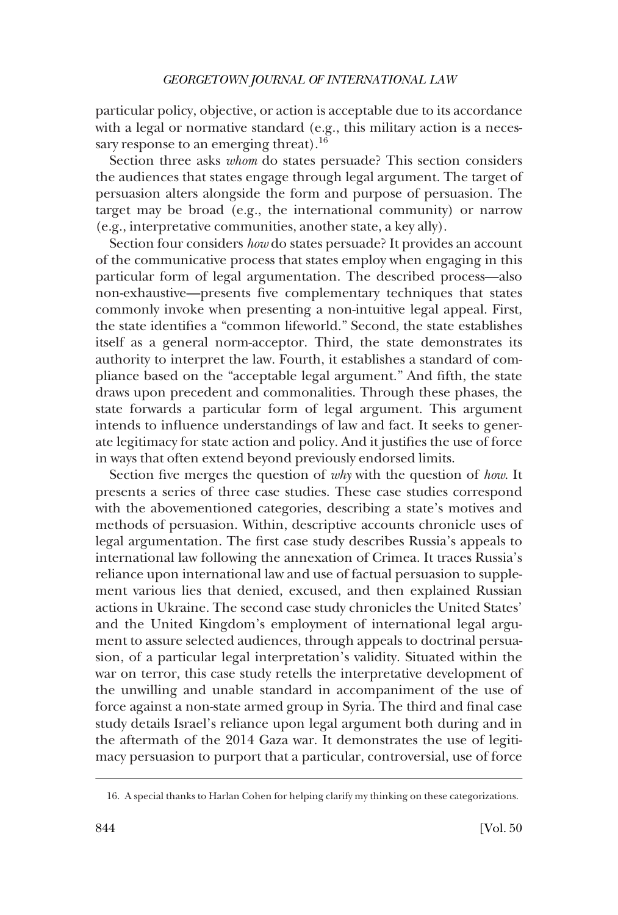particular policy, objective, or action is acceptable due to its accordance with a legal or normative standard (e.g., this military action is a necessary response to an emerging threat). $16$ 

Section three asks *whom* do states persuade? This section considers the audiences that states engage through legal argument. The target of persuasion alters alongside the form and purpose of persuasion. The target may be broad (e.g., the international community) or narrow (e.g., interpretative communities, another state, a key ally).

Section four considers *how* do states persuade? It provides an account of the communicative process that states employ when engaging in this particular form of legal argumentation. The described process—also non-exhaustive—presents fve complementary techniques that states commonly invoke when presenting a non-intuitive legal appeal. First, the state identifes a "common lifeworld." Second, the state establishes itself as a general norm-acceptor. Third, the state demonstrates its authority to interpret the law. Fourth, it establishes a standard of compliance based on the "acceptable legal argument." And ffth, the state draws upon precedent and commonalities. Through these phases, the state forwards a particular form of legal argument. This argument intends to infuence understandings of law and fact. It seeks to generate legitimacy for state action and policy. And it justifes the use of force in ways that often extend beyond previously endorsed limits.

Section fve merges the question of *why* with the question of *how*. It presents a series of three case studies. These case studies correspond with the abovementioned categories, describing a state's motives and methods of persuasion. Within, descriptive accounts chronicle uses of legal argumentation. The frst case study describes Russia's appeals to international law following the annexation of Crimea. It traces Russia's reliance upon international law and use of factual persuasion to supplement various lies that denied, excused, and then explained Russian actions in Ukraine. The second case study chronicles the United States' and the United Kingdom's employment of international legal argument to assure selected audiences, through appeals to doctrinal persuasion, of a particular legal interpretation's validity. Situated within the war on terror, this case study retells the interpretative development of the unwilling and unable standard in accompaniment of the use of force against a non-state armed group in Syria. The third and fnal case study details Israel's reliance upon legal argument both during and in the aftermath of the 2014 Gaza war. It demonstrates the use of legitimacy persuasion to purport that a particular, controversial, use of force

<sup>16.</sup> A special thanks to Harlan Cohen for helping clarify my thinking on these categorizations.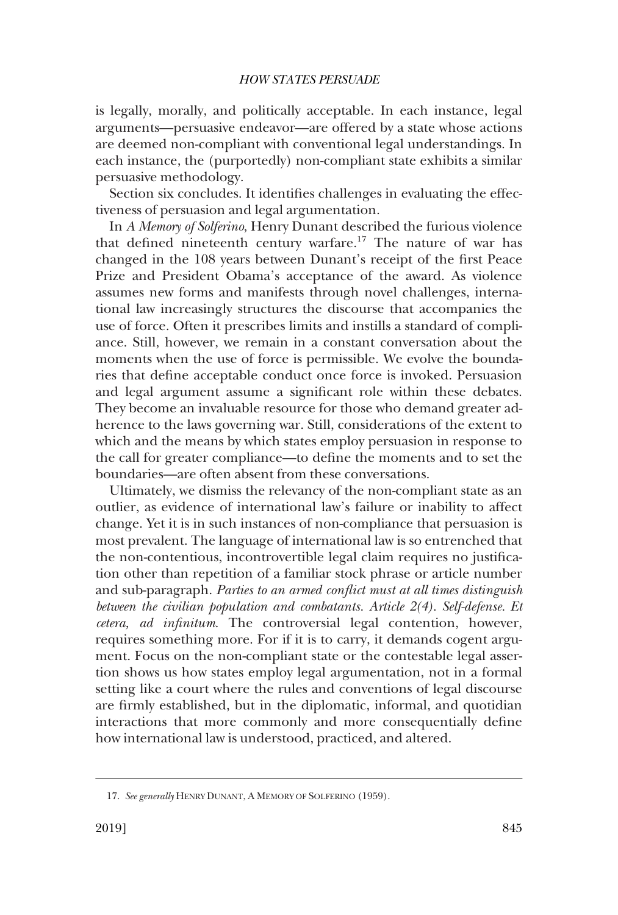is legally, morally, and politically acceptable. In each instance, legal arguments—persuasive endeavor—are offered by a state whose actions are deemed non-compliant with conventional legal understandings. In each instance, the (purportedly) non-compliant state exhibits a similar persuasive methodology.

Section six concludes. It identifes challenges in evaluating the effectiveness of persuasion and legal argumentation.

In *A Memory of Solferino*, Henry Dunant described the furious violence that defined nineteenth century warfare.<sup>17</sup> The nature of war has changed in the 108 years between Dunant's receipt of the frst Peace Prize and President Obama's acceptance of the award. As violence assumes new forms and manifests through novel challenges, international law increasingly structures the discourse that accompanies the use of force. Often it prescribes limits and instills a standard of compliance. Still, however, we remain in a constant conversation about the moments when the use of force is permissible. We evolve the boundaries that defne acceptable conduct once force is invoked. Persuasion and legal argument assume a signifcant role within these debates. They become an invaluable resource for those who demand greater adherence to the laws governing war. Still, considerations of the extent to which and the means by which states employ persuasion in response to the call for greater compliance—to defne the moments and to set the boundaries—are often absent from these conversations.

Ultimately, we dismiss the relevancy of the non-compliant state as an outlier, as evidence of international law's failure or inability to affect change. Yet it is in such instances of non-compliance that persuasion is most prevalent. The language of international law is so entrenched that the non-contentious, incontrovertible legal claim requires no justifcation other than repetition of a familiar stock phrase or article number and sub-paragraph. *Parties to an armed confict must at all times distinguish between the civilian population and combatants. Article 2(4). Self-defense. Et cetera, ad infnitum*. The controversial legal contention, however, requires something more. For if it is to carry, it demands cogent argument. Focus on the non-compliant state or the contestable legal assertion shows us how states employ legal argumentation, not in a formal setting like a court where the rules and conventions of legal discourse are frmly established, but in the diplomatic, informal, and quotidian interactions that more commonly and more consequentially defne how international law is understood, practiced, and altered.

<sup>17.</sup> *See generally* HENRY DUNANT, A MEMORY OF SOLFERINO (1959).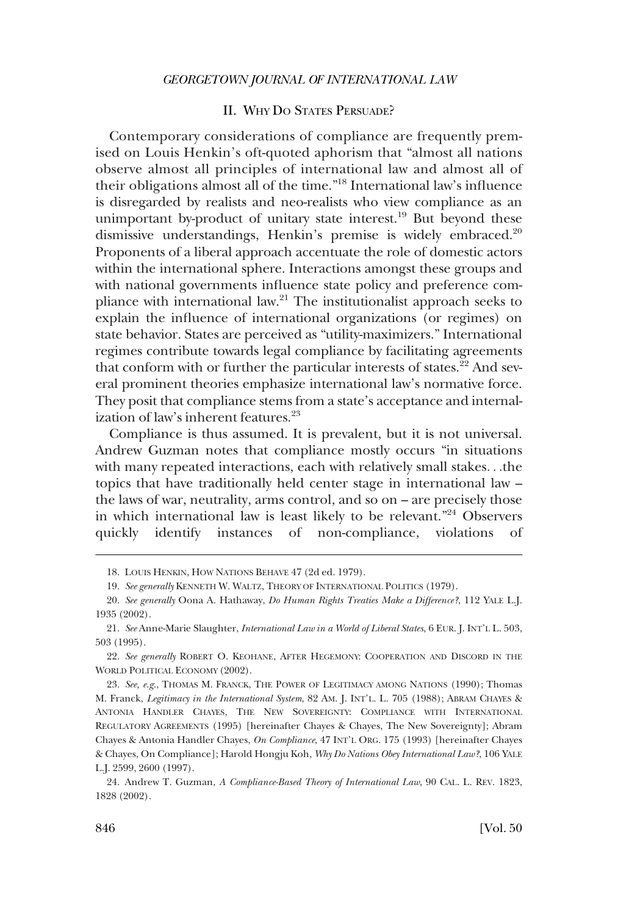### II. WHY DO STATES PERSUADE?

<span id="page-7-0"></span>Contemporary considerations of compliance are frequently premised on Louis Henkin's oft-quoted aphorism that "almost all nations observe almost all principles of international law and almost all of their obligations almost all of the time."18 International law's infuence is disregarded by realists and neo-realists who view compliance as an unimportant by-product of unitary state interest.<sup>19</sup> But beyond these dismissive understandings, Henkin's premise is widely embraced.<sup>20</sup> Proponents of a liberal approach accentuate the role of domestic actors within the international sphere. Interactions amongst these groups and with national governments infuence state policy and preference compliance with international law.21 The institutionalist approach seeks to explain the infuence of international organizations (or regimes) on state behavior. States are perceived as "utility-maximizers." International regimes contribute towards legal compliance by facilitating agreements that conform with or further the particular interests of states. $22$  And several prominent theories emphasize international law's normative force. They posit that compliance stems from a state's acceptance and internalization of law's inherent features. $^{23}$ 

Compliance is thus assumed. It is prevalent, but it is not universal. Andrew Guzman notes that compliance mostly occurs "in situations with many repeated interactions, each with relatively small stakes. . .the topics that have traditionally held center stage in international law – the laws of war, neutrality, arms control, and so on – are precisely those in which international law is least likely to be relevant."24 Observers quickly identify instances of non-compliance, violations of

<sup>18.</sup> LOUIS HENKIN, HOW NATIONS BEHAVE 47 (2d ed. 1979).

<sup>19.</sup> *See generally* KENNETH W. WALTZ, THEORY OF INTERNATIONAL POLITICS (1979).

<sup>20.</sup> *See generally* Oona A. Hathaway, *Do Human Rights Treaties Make a Difference?*, 112 YALE L.J. 1935 (2002).

<sup>21.</sup> *See* Anne-Marie Slaughter, *International Law in a World of Liberal States*, 6 EUR. J. INT'L L. 503, 503 (1995).

<sup>22.</sup> *See generally* ROBERT O. KEOHANE, AFTER HEGEMONY: COOPERATION AND DISCORD IN THE WORLD POLITICAL ECONOMY (2002).

<sup>23.</sup> *See, e.g*., THOMAS M. FRANCK, THE POWER OF LEGITIMACY AMONG NATIONS (1990); Thomas M. Franck, *Legitimacy in the International System*, 82 AM. J. INT'L. L. 705 (1988); ABRAM CHAYES & ANTONIA HANDLER CHAYES, THE NEW SOVEREIGNTY: COMPLIANCE WITH INTERNATIONAL REGULATORY AGREEMENTS (1995) [hereinafter Chayes & Chayes, The New Sovereignty]; Abram Chayes & Antonia Handler Chayes, *On Compliance*, 47 INT'L ORG. 175 (1993) [hereinafter Chayes & Chayes, On Compliance]; Harold Hongju Koh, *Why Do Nations Obey International Law?*, 106 YALE L.J. 2599, 2600 (1997).

<sup>24.</sup> Andrew T. Guzman, *A Compliance-Based Theory of International Law*, 90 CAL. L. REV. 1823, 1828 (2002).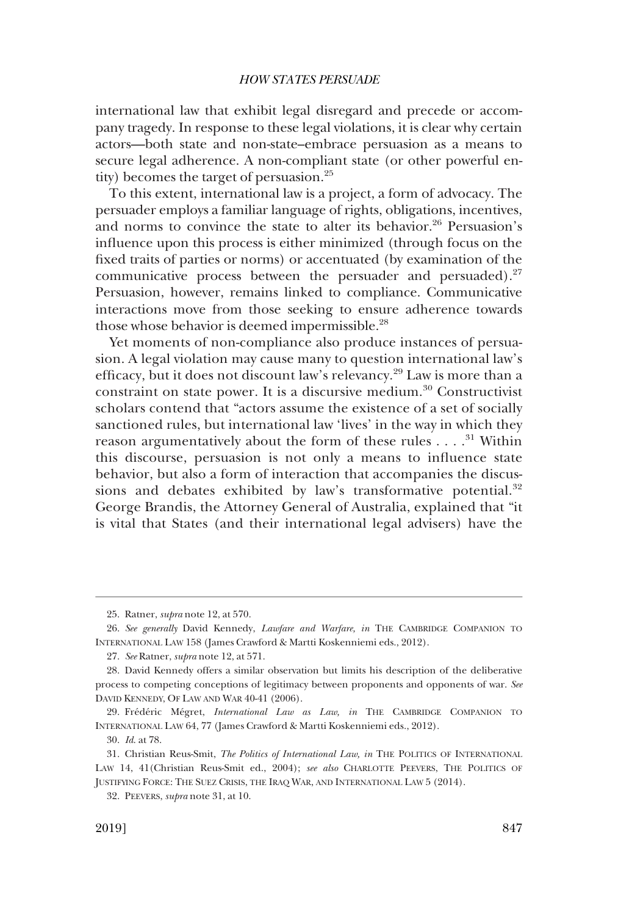international law that exhibit legal disregard and precede or accompany tragedy. In response to these legal violations, it is clear why certain actors—both state and non-state–embrace persuasion as a means to secure legal adherence. A non-compliant state (or other powerful entity) becomes the target of persuasion.<sup>25</sup>

To this extent, international law is a project, a form of advocacy. The persuader employs a familiar language of rights, obligations, incentives, and norms to convince the state to alter its behavior.<sup>26</sup> Persuasion's infuence upon this process is either minimized (through focus on the fxed traits of parties or norms) or accentuated (by examination of the communicative process between the persuader and persuaded). $27$ Persuasion, however, remains linked to compliance. Communicative interactions move from those seeking to ensure adherence towards those whose behavior is deemed impermissible.<sup>28</sup>

Yet moments of non-compliance also produce instances of persuasion. A legal violation may cause many to question international law's effcacy, but it does not discount law's relevancy.29 Law is more than a constraint on state power. It is a discursive medium.<sup>30</sup> Constructivist scholars contend that "actors assume the existence of a set of socially sanctioned rules, but international law 'lives' in the way in which they reason argumentatively about the form of these rules  $\dots$ .<sup>31</sup> Within this discourse, persuasion is not only a means to infuence state behavior, but also a form of interaction that accompanies the discussions and debates exhibited by law's transformative potential.<sup>32</sup> George Brandis, the Attorney General of Australia, explained that "it is vital that States (and their international legal advisers) have the

<sup>25.</sup> Ratner, *supra* note 12, at 570.

<sup>26.</sup> *See generally* David Kennedy, *Lawfare and Warfare, in* THE CAMBRIDGE COMPANION TO INTERNATIONAL LAW 158 (James Crawford & Martti Koskenniemi eds., 2012).

<sup>27.</sup> *See* Ratner, *supra* note 12, at 571.

<sup>28.</sup> David Kennedy offers a similar observation but limits his description of the deliberative process to competing conceptions of legitimacy between proponents and opponents of war. *See*  DAVID KENNEDY, OF LAW AND WAR 40-41 (2006).

<sup>29.</sup> Frédéric Mégret, *International Law as Law, in* THE CAMBRIDGE COMPANION TO INTERNATIONAL LAW 64, 77 (James Crawford & Martti Koskenniemi eds., 2012).

<sup>30.</sup> *Id*. at 78.

<sup>31.</sup> Christian Reus-Smit, *The Politics of International Law, in* THE POLITICS OF INTERNATIONAL LAW 14, 41(Christian Reus-Smit ed., 2004); *see also* CHARLOTTE PEEVERS, THE POLITICS OF JUSTIFYING FORCE: THE SUEZ CRISIS, THE IRAQ WAR, AND INTERNATIONAL LAW 5 (2014).

<sup>32.</sup> PEEVERS, *supra* note 31, at 10.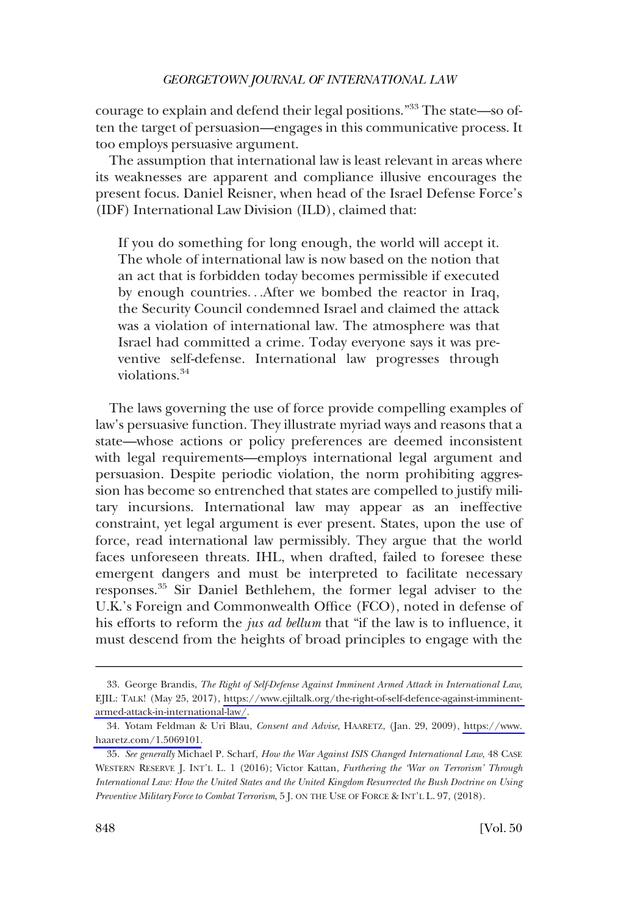courage to explain and defend their legal positions."33 The state—so often the target of persuasion—engages in this communicative process. It too employs persuasive argument.

The assumption that international law is least relevant in areas where its weaknesses are apparent and compliance illusive encourages the present focus. Daniel Reisner, when head of the Israel Defense Force's (IDF) International Law Division (ILD), claimed that:

If you do something for long enough, the world will accept it. The whole of international law is now based on the notion that an act that is forbidden today becomes permissible if executed by enough countries. . .After we bombed the reactor in Iraq, the Security Council condemned Israel and claimed the attack was a violation of international law. The atmosphere was that Israel had committed a crime. Today everyone says it was preventive self-defense. International law progresses through violations.<sup>34</sup>

The laws governing the use of force provide compelling examples of law's persuasive function. They illustrate myriad ways and reasons that a state—whose actions or policy preferences are deemed inconsistent with legal requirements—employs international legal argument and persuasion. Despite periodic violation, the norm prohibiting aggression has become so entrenched that states are compelled to justify military incursions. International law may appear as an ineffective constraint, yet legal argument is ever present. States, upon the use of force, read international law permissibly. They argue that the world faces unforeseen threats. IHL, when drafted, failed to foresee these emergent dangers and must be interpreted to facilitate necessary responses.35 Sir Daniel Bethlehem, the former legal adviser to the U.K.'s Foreign and Commonwealth Office (FCO), noted in defense of his efforts to reform the *jus ad bellum* that "if the law is to infuence, it must descend from the heights of broad principles to engage with the

George Brandis, *The Right of Self-Defense Against Imminent Armed Attack in International Law*, 33. EJIL: TALK! (May 25, 2017), [https://www.ejiltalk.org/the-right-of-self-defence-against-imminent](https://www.ejiltalk.org/the-right-of-self-defence-against-imminent-armed-attack-in-international-law/)[armed-attack-in-international-law/](https://www.ejiltalk.org/the-right-of-self-defence-against-imminent-armed-attack-in-international-law/).

Yotam Feldman & Uri Blau, *Consent and Advise*, HAARETZ, (Jan. 29, 2009), [https://www.](https://www.haaretz.com/1.5069101)  34. [haaretz.com/1.5069101.](https://www.haaretz.com/1.5069101)

<sup>35.</sup> *See generally* Michael P. Scharf, *How the War Against ISIS Changed International Law*, 48 CASE WESTERN RESERVE J. INT'L L. 1 (2016); Victor Kattan, *Furthering the 'War on Terrorism' Through International Law: How the United States and the United Kingdom Resurrected the Bush Doctrine on Using Preventive Military Force to Combat Terrorism*, 5 J. ON THE USE OF FORCE & INT'L L. 97, (2018).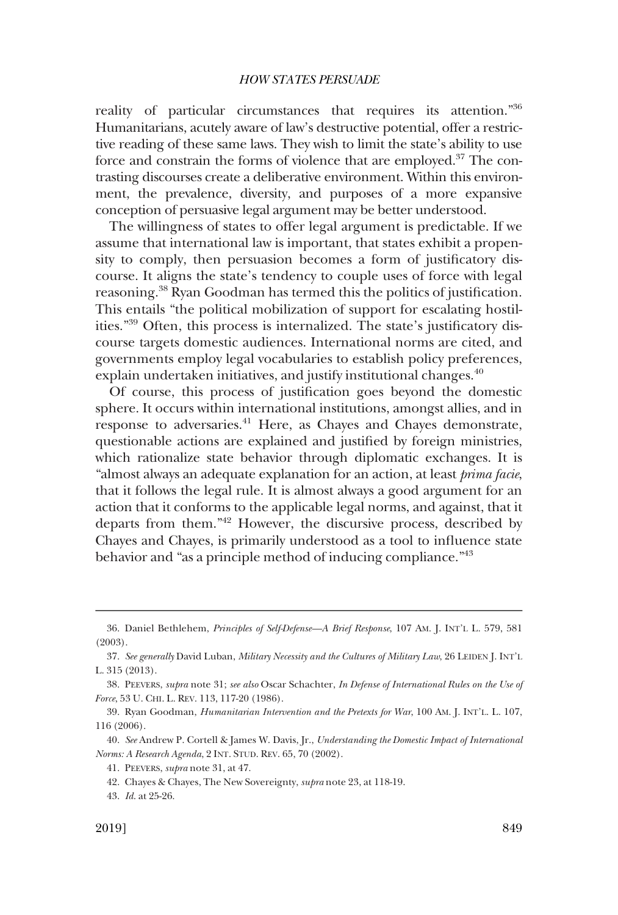reality of particular circumstances that requires its attention."36 Humanitarians, acutely aware of law's destructive potential, offer a restrictive reading of these same laws. They wish to limit the state's ability to use force and constrain the forms of violence that are employed.<sup>37</sup> The contrasting discourses create a deliberative environment. Within this environment, the prevalence, diversity, and purposes of a more expansive conception of persuasive legal argument may be better understood.

The willingness of states to offer legal argument is predictable. If we assume that international law is important, that states exhibit a propensity to comply, then persuasion becomes a form of justifcatory discourse. It aligns the state's tendency to couple uses of force with legal reasoning.38 Ryan Goodman has termed this the politics of justifcation. This entails "the political mobilization of support for escalating hostilities."39 Often, this process is internalized. The state's justifcatory discourse targets domestic audiences. International norms are cited, and governments employ legal vocabularies to establish policy preferences, explain undertaken initiatives, and justify institutional changes.<sup>40</sup>

Of course, this process of justifcation goes beyond the domestic sphere. It occurs within international institutions, amongst allies, and in response to adversaries.<sup>41</sup> Here, as Chayes and Chayes demonstrate, questionable actions are explained and justifed by foreign ministries, which rationalize state behavior through diplomatic exchanges. It is "almost always an adequate explanation for an action, at least *prima facie*, that it follows the legal rule. It is almost always a good argument for an action that it conforms to the applicable legal norms, and against, that it departs from them."42 However, the discursive process, described by Chayes and Chayes, is primarily understood as a tool to infuence state behavior and "as a principle method of inducing compliance."<sup>43</sup>

<sup>36.</sup> Daniel Bethlehem, *Principles of Self-Defense—A Brief Response*, 107 AM. J. INT'L L. 579, 581 (2003).

<sup>37.</sup> *See generally* David Luban, *Military Necessity and the Cultures of Military Law*, 26 LEIDEN J. INT'L L. 315 (2013).

<sup>38.</sup> PEEVERS, *supra* note 31; *see also* Oscar Schachter, *In Defense of International Rules on the Use of Force*, 53 U. CHI. L. REV. 113, 117-20 (1986).

<sup>39.</sup> Ryan Goodman, *Humanitarian Intervention and the Pretexts for War*, 100 AM. J. INT'L. L. 107, 116 (2006).

<sup>40.</sup> *See* Andrew P. Cortell & James W. Davis, Jr., *Understanding the Domestic Impact of International Norms: A Research Agenda*, 2 INT. STUD. REV. 65, 70 (2002).

<sup>41.</sup> PEEVERS, *supra* note 31, at 47.

<sup>42.</sup> Chayes & Chayes, The New Sovereignty, *supra* note 23, at 118-19.

<sup>43.</sup> *Id*. at 25-26.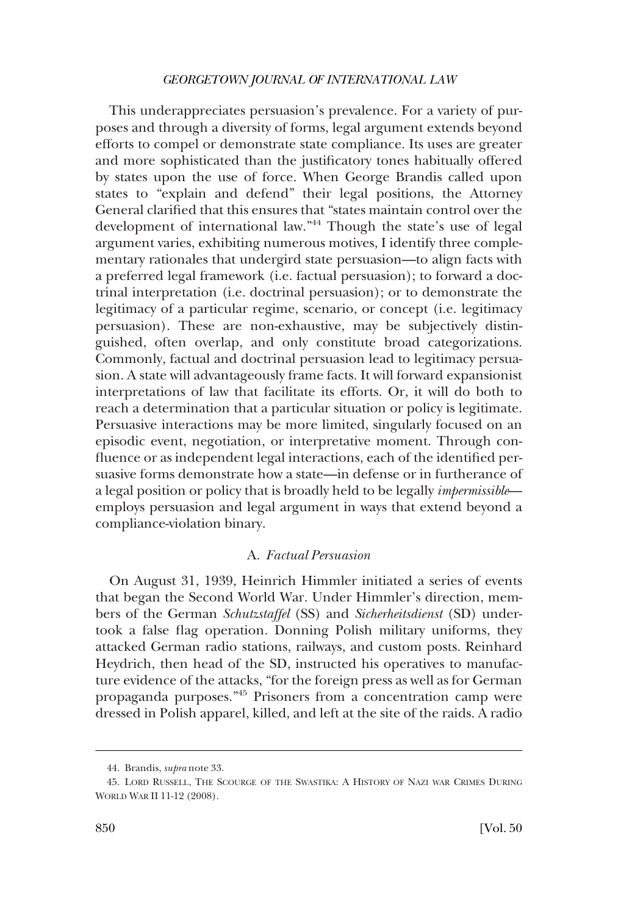<span id="page-11-0"></span>This underappreciates persuasion's prevalence. For a variety of purposes and through a diversity of forms, legal argument extends beyond efforts to compel or demonstrate state compliance. Its uses are greater and more sophisticated than the justifcatory tones habitually offered by states upon the use of force. When George Brandis called upon states to "explain and defend" their legal positions, the Attorney General clarifed that this ensures that "states maintain control over the development of international law."44 Though the state's use of legal argument varies, exhibiting numerous motives, I identify three complementary rationales that undergird state persuasion—to align facts with a preferred legal framework (i.e. factual persuasion); to forward a doctrinal interpretation (i.e. doctrinal persuasion); or to demonstrate the legitimacy of a particular regime, scenario, or concept (i.e. legitimacy persuasion). These are non-exhaustive, may be subjectively distinguished, often overlap, and only constitute broad categorizations. Commonly, factual and doctrinal persuasion lead to legitimacy persuasion. A state will advantageously frame facts. It will forward expansionist interpretations of law that facilitate its efforts. Or, it will do both to reach a determination that a particular situation or policy is legitimate. Persuasive interactions may be more limited, singularly focused on an episodic event, negotiation, or interpretative moment. Through confuence or as independent legal interactions, each of the identifed persuasive forms demonstrate how a state—in defense or in furtherance of a legal position or policy that is broadly held to be legally *impermissible* employs persuasion and legal argument in ways that extend beyond a compliance-violation binary.

### A. *Factual Persuasion*

On August 31, 1939, Heinrich Himmler initiated a series of events that began the Second World War. Under Himmler's direction, members of the German *Schutzstaffel* (SS) and *Sicherheitsdienst* (SD) undertook a false fag operation. Donning Polish military uniforms, they attacked German radio stations, railways, and custom posts. Reinhard Heydrich, then head of the SD, instructed his operatives to manufacture evidence of the attacks, "for the foreign press as well as for German propaganda purposes."45 Prisoners from a concentration camp were dressed in Polish apparel, killed, and left at the site of the raids. A radio

<sup>44.</sup> Brandis, *supra* note 33.

<sup>45.</sup> LORD RUSSELL, THE SCOURGE OF THE SWASTIKA: A HISTORY OF NAZI WAR CRIMES DURING WORLD WAR II 11-12 (2008).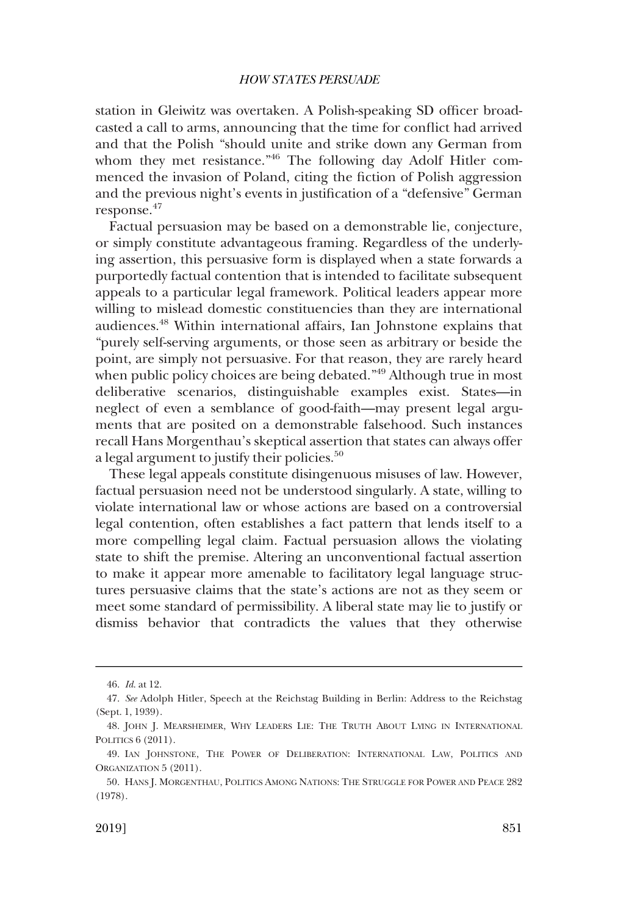station in Gleiwitz was overtaken. A Polish-speaking SD officer broadcasted a call to arms, announcing that the time for confict had arrived and that the Polish "should unite and strike down any German from whom they met resistance."46 The following day Adolf Hitler commenced the invasion of Poland, citing the fction of Polish aggression and the previous night's events in justifcation of a "defensive" German response.47

Factual persuasion may be based on a demonstrable lie, conjecture, or simply constitute advantageous framing. Regardless of the underlying assertion, this persuasive form is displayed when a state forwards a purportedly factual contention that is intended to facilitate subsequent appeals to a particular legal framework. Political leaders appear more willing to mislead domestic constituencies than they are international audiences.48 Within international affairs, Ian Johnstone explains that "purely self-serving arguments, or those seen as arbitrary or beside the point, are simply not persuasive. For that reason, they are rarely heard when public policy choices are being debated."<sup>49</sup> Although true in most deliberative scenarios, distinguishable examples exist. States—in neglect of even a semblance of good-faith—may present legal arguments that are posited on a demonstrable falsehood. Such instances recall Hans Morgenthau's skeptical assertion that states can always offer a legal argument to justify their policies.<sup>50</sup>

These legal appeals constitute disingenuous misuses of law. However, factual persuasion need not be understood singularly. A state, willing to violate international law or whose actions are based on a controversial legal contention, often establishes a fact pattern that lends itself to a more compelling legal claim. Factual persuasion allows the violating state to shift the premise. Altering an unconventional factual assertion to make it appear more amenable to facilitatory legal language structures persuasive claims that the state's actions are not as they seem or meet some standard of permissibility. A liberal state may lie to justify or dismiss behavior that contradicts the values that they otherwise

<sup>46.</sup> *Id*. at 12.

<sup>47.</sup> *See* Adolph Hitler, Speech at the Reichstag Building in Berlin: Address to the Reichstag (Sept. 1, 1939).

<sup>48.</sup> JOHN J. MEARSHEIMER, WHY LEADERS LIE: THE TRUTH ABOUT LYING IN INTERNATIONAL POLITICS 6 (2011).

<sup>49.</sup> IAN JOHNSTONE, THE POWER OF DELIBERATION: INTERNATIONAL LAW, POLITICS AND ORGANIZATION 5 (2011).

<sup>50.</sup> HANS J. MORGENTHAU, POLITICS AMONG NATIONS: THE STRUGGLE FOR POWER AND PEACE 282 (1978).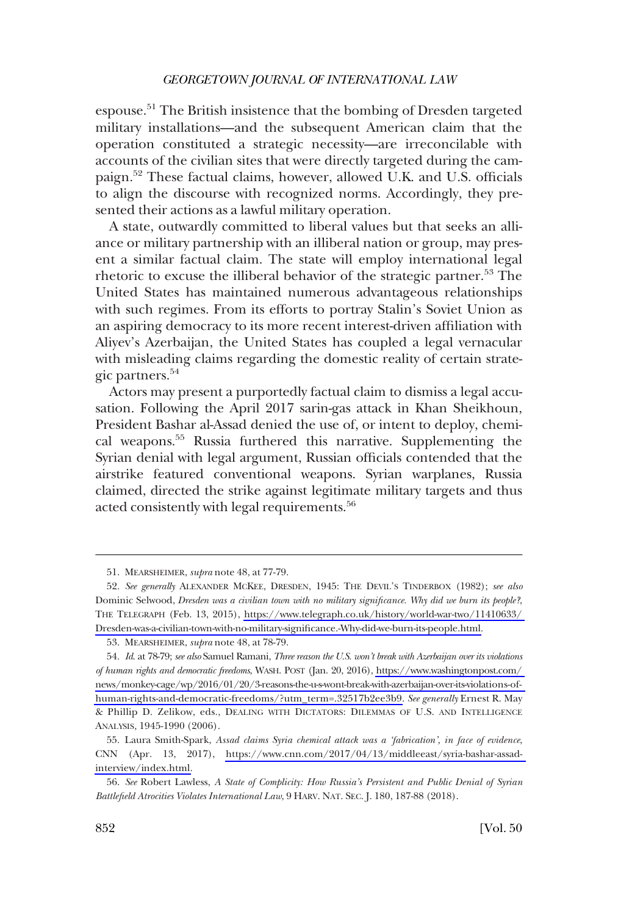espouse.51 The British insistence that the bombing of Dresden targeted military installations—and the subsequent American claim that the operation constituted a strategic necessity—are irreconcilable with accounts of the civilian sites that were directly targeted during the campaign.<sup>52</sup> These factual claims, however, allowed U.K. and U.S. officials to align the discourse with recognized norms. Accordingly, they presented their actions as a lawful military operation.

A state, outwardly committed to liberal values but that seeks an alliance or military partnership with an illiberal nation or group, may present a similar factual claim. The state will employ international legal rhetoric to excuse the illiberal behavior of the strategic partner.<sup>53</sup> The United States has maintained numerous advantageous relationships with such regimes. From its efforts to portray Stalin's Soviet Union as an aspiring democracy to its more recent interest-driven affliation with Aliyev's Azerbaijan, the United States has coupled a legal vernacular with misleading claims regarding the domestic reality of certain strategic partners.<sup>54</sup>

Actors may present a purportedly factual claim to dismiss a legal accusation. Following the April 2017 sarin-gas attack in Khan Sheikhoun, President Bashar al-Assad denied the use of, or intent to deploy, chemical weapons.55 Russia furthered this narrative. Supplementing the Syrian denial with legal argument, Russian officials contended that the airstrike featured conventional weapons. Syrian warplanes, Russia claimed, directed the strike against legitimate military targets and thus acted consistently with legal requirements.<sup>56</sup>

<sup>51.</sup> MEARSHEIMER, *supra* note 48, at 77-79.

*See generally* ALEXANDER MCKEE, DRESDEN, 1945: THE DEVIL'S TINDERBOX (1982); *see also*  52. Dominic Selwood, *Dresden was a civilian town with no military signifcance. Why did we burn its people?*, THE TELEGRAPH (Feb. 13, 2015), [https://www.telegraph.co.uk/history/world-war-two/11410633/](https://www.telegraph.co.uk/history/world-war-two/11410633/Dresden-was-a-civilian-town-with-no-military-significance.-Why-did-we-burn-its-people.html)  [Dresden-was-a-civilian-town-with-no-military-signifcance.-Why-did-we-burn-its-people.html.](https://www.telegraph.co.uk/history/world-war-two/11410633/Dresden-was-a-civilian-town-with-no-military-significance.-Why-did-we-burn-its-people.html)

<sup>53.</sup> MEARSHEIMER, *supra* note 48, at 78-79.

*Id*. at 78-79; *see also* Samuel Ramani, *Three reason the U.S. won't break with Azerbaijan over its violations*  54. *of human rights and democratic freedoms*, WASH. POST (Jan. 20, 2016), [https://www.washingtonpost.com/](https://www.washingtonpost.com/news/monkey-cage/wp/2016/01/20/3-reasons-the-u-s-wont-break-with-azerbaijan-over-its-violations-of-human-rights-and-democratic-freedoms/?utm_term=.32517b2ee3b9)  [news/monkey-cage/wp/2016/01/20/3-reasons-the-u-s-wont-break-with-azerbaijan-over-its-violations-of](https://www.washingtonpost.com/news/monkey-cage/wp/2016/01/20/3-reasons-the-u-s-wont-break-with-azerbaijan-over-its-violations-of-human-rights-and-democratic-freedoms/?utm_term=.32517b2ee3b9)[human-rights-and-democratic-freedoms/?utm\\_term=.32517b2ee3b9.](https://www.washingtonpost.com/news/monkey-cage/wp/2016/01/20/3-reasons-the-u-s-wont-break-with-azerbaijan-over-its-violations-of-human-rights-and-democratic-freedoms/?utm_term=.32517b2ee3b9) *See generally* Ernest R. May & Phillip D. Zelikow, eds., DEALING WITH DICTATORS: DILEMMAS OF U.S. AND INTELLIGENCE ANALYSIS, 1945-1990 (2006).

<sup>55.</sup> Laura Smith-Spark, Assad claims Syria chemical attack was a 'fabrication', in face of evidence, CNN (Apr. 13, 2017), [https://www.cnn.com/2017/04/13/middleeast/syria-bashar-assad](https://www.cnn.com/2017/04/13/middleeast/syria-bashar-assad-interview/index.html)[interview/index.html.](https://www.cnn.com/2017/04/13/middleeast/syria-bashar-assad-interview/index.html)

<sup>56.</sup> *See* Robert Lawless, *A State of Complicity: How Russia's Persistent and Public Denial of Syrian Battlefeld Atrocities Violates International Law*, 9 HARV. NAT. SEC. J. 180, 187-88 (2018).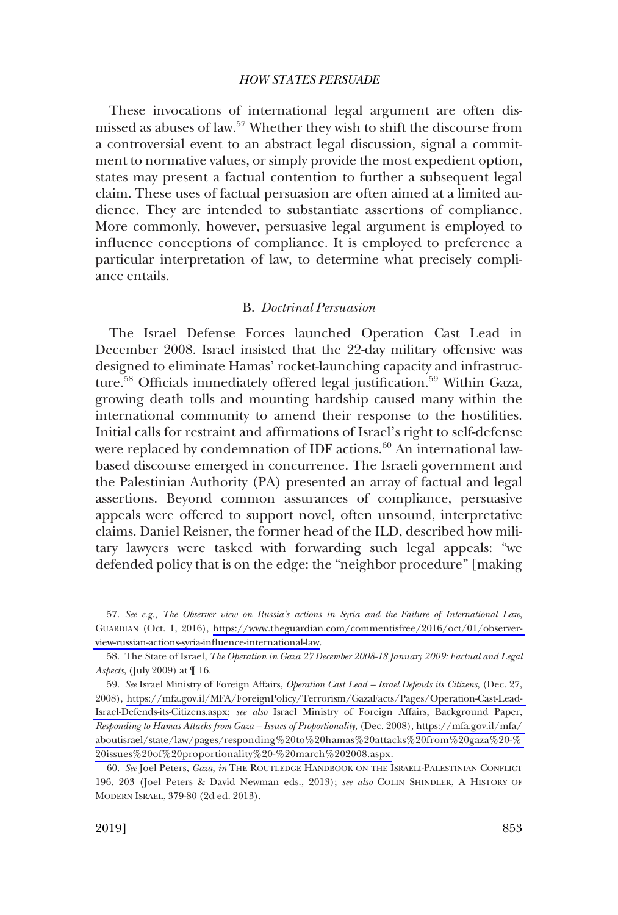<span id="page-14-0"></span>These invocations of international legal argument are often dismissed as abuses of law.<sup>57</sup> Whether they wish to shift the discourse from a controversial event to an abstract legal discussion, signal a commitment to normative values, or simply provide the most expedient option, states may present a factual contention to further a subsequent legal claim. These uses of factual persuasion are often aimed at a limited audience. They are intended to substantiate assertions of compliance. More commonly, however, persuasive legal argument is employed to infuence conceptions of compliance. It is employed to preference a particular interpretation of law, to determine what precisely compliance entails.

### B. *Doctrinal Persuasion*

The Israel Defense Forces launched Operation Cast Lead in December 2008. Israel insisted that the 22-day military offensive was designed to eliminate Hamas' rocket-launching capacity and infrastructure.<sup>58</sup> Officials immediately offered legal justification.<sup>59</sup> Within Gaza, growing death tolls and mounting hardship caused many within the international community to amend their response to the hostilities. Initial calls for restraint and affrmations of Israel's right to self-defense were replaced by condemnation of IDF actions.<sup>60</sup> An international lawbased discourse emerged in concurrence. The Israeli government and the Palestinian Authority (PA) presented an array of factual and legal assertions. Beyond common assurances of compliance, persuasive appeals were offered to support novel, often unsound, interpretative claims. Daniel Reisner, the former head of the ILD, described how military lawyers were tasked with forwarding such legal appeals: "we defended policy that is on the edge: the "neighbor procedure" [making

*See e.g., The Observer view on Russia's actions in Syria and the Failure of International Law*, 57. GUARDIAN (Oct. 1, 2016), [https://www.theguardian.com/commentisfree/2016/oct/01/observer](https://www.theguardian.com/commentisfree/2016/oct/01/observer-view-russian-actions-syria-influence-international-law)[view-russian-actions-syria-infuence-international-law.](https://www.theguardian.com/commentisfree/2016/oct/01/observer-view-russian-actions-syria-influence-international-law)

<sup>58.</sup> The State of Israel, *The Operation in Gaza 27 December 2008-18 January 2009: Factual and Legal Aspects*, (July 2009) at ¶ 16.

*See* Israel Ministry of Foreign Affairs, *Operation Cast Lead – Israel Defends its Citizens*, (Dec. 27, 59. 2008), [https://mfa.gov.il/MFA/ForeignPolicy/Terrorism/GazaFacts/Pages/Operation-Cast-Lead-](https://mfa.gov.il/MFA/ForeignPolicy/Terrorism/GazaFacts/Pages/Operation-Cast-Lead-Israel-Defends-its-Citizens.aspx)[Israel-Defends-its-Citizens.aspx;](https://mfa.gov.il/MFA/ForeignPolicy/Terrorism/GazaFacts/Pages/Operation-Cast-Lead-Israel-Defends-its-Citizens.aspx) *see also* Israel Ministry of Foreign Affairs, Background Paper, *Responding to Hamas Attacks from Gaza – Issues of Proportionality*, (Dec. 2008), [https://mfa.gov.il/mfa/](https://mfa.gov.il/mfa/aboutisrael/state/law/pages/responding%20to%20hamas%20attacks%20from%20gaza%20-%20issues%20of%20proportionality%20-%20march%202008.aspx)  [aboutisrael/state/law/pages/responding%20to%20hamas%20attacks%20from%20gaza%20-%](https://mfa.gov.il/mfa/aboutisrael/state/law/pages/responding%20to%20hamas%20attacks%20from%20gaza%20-%20issues%20of%20proportionality%20-%20march%202008.aspx)  [20issues%20of%20proportionality%20-%20march%202008.aspx.](https://mfa.gov.il/mfa/aboutisrael/state/law/pages/responding%20to%20hamas%20attacks%20from%20gaza%20-%20issues%20of%20proportionality%20-%20march%202008.aspx)

<sup>60.</sup> *See* Joel Peters, *Gaza*, *in* THE ROUTLEDGE HANDBOOK ON THE ISRAELI-PALESTINIAN CONFLICT 196, 203 (Joel Peters & David Newman eds., 2013); *see also* COLIN SHINDLER, A HISTORY OF MODERN ISRAEL, 379-80 (2d ed. 2013).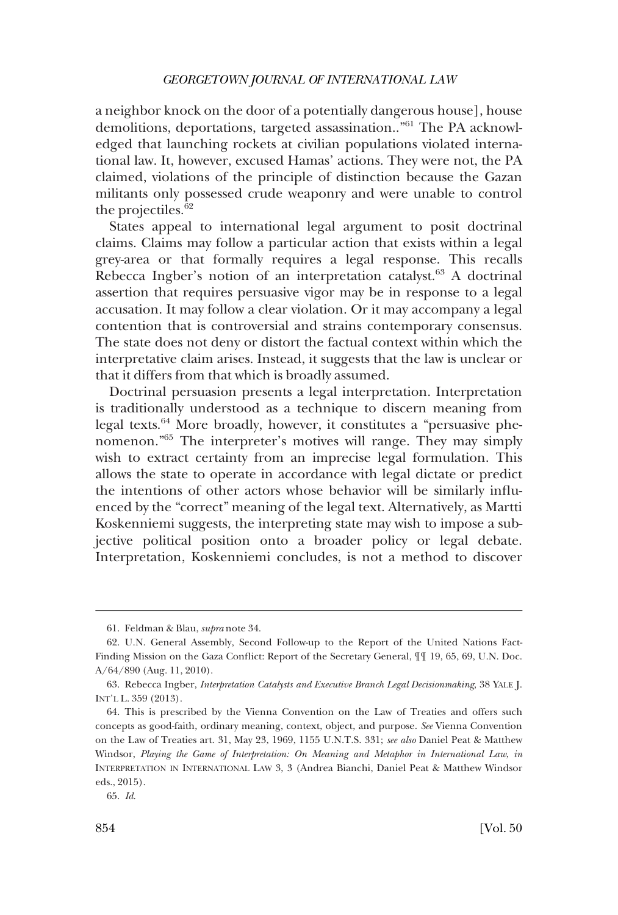a neighbor knock on the door of a potentially dangerous house], house demolitions, deportations, targeted assassination.."61 The PA acknowledged that launching rockets at civilian populations violated international law. It, however, excused Hamas' actions. They were not, the PA claimed, violations of the principle of distinction because the Gazan militants only possessed crude weaponry and were unable to control the projectiles. $62$ 

States appeal to international legal argument to posit doctrinal claims. Claims may follow a particular action that exists within a legal grey-area or that formally requires a legal response. This recalls Rebecca Ingber's notion of an interpretation catalyst.<sup>63</sup> A doctrinal assertion that requires persuasive vigor may be in response to a legal accusation. It may follow a clear violation. Or it may accompany a legal contention that is controversial and strains contemporary consensus. The state does not deny or distort the factual context within which the interpretative claim arises. Instead, it suggests that the law is unclear or that it differs from that which is broadly assumed.

Doctrinal persuasion presents a legal interpretation. Interpretation is traditionally understood as a technique to discern meaning from legal texts.64 More broadly, however, it constitutes a "persuasive phenomenon."65 The interpreter's motives will range. They may simply wish to extract certainty from an imprecise legal formulation. This allows the state to operate in accordance with legal dictate or predict the intentions of other actors whose behavior will be similarly infuenced by the "correct" meaning of the legal text. Alternatively, as Martti Koskenniemi suggests, the interpreting state may wish to impose a subjective political position onto a broader policy or legal debate. Interpretation, Koskenniemi concludes, is not a method to discover

<sup>61.</sup> Feldman & Blau, *supra* note 34.

<sup>62.</sup> U.N. General Assembly, Second Follow-up to the Report of the United Nations Fact-Finding Mission on the Gaza Confict: Report of the Secretary General, ¶¶ 19, 65, 69, U.N. Doc. A/64/890 (Aug. 11, 2010).

<sup>63.</sup> Rebecca Ingber, *Interpretation Catalysts and Executive Branch Legal Decisionmaking*, 38 YALE J. INT'L L. 359 (2013).

<sup>64.</sup> This is prescribed by the Vienna Convention on the Law of Treaties and offers such concepts as good-faith, ordinary meaning, context, object, and purpose. *See* Vienna Convention on the Law of Treaties art. 31, May 23, 1969, 1155 U.N.T.S. 331; *see also* Daniel Peat & Matthew Windsor, *Playing the Game of Interpretation: On Meaning and Metaphor in International Law*, *in*  INTERPRETATION IN INTERNATIONAL LAW 3, 3 (Andrea Bianchi, Daniel Peat & Matthew Windsor eds., 2015).

<sup>65.</sup> *Id*.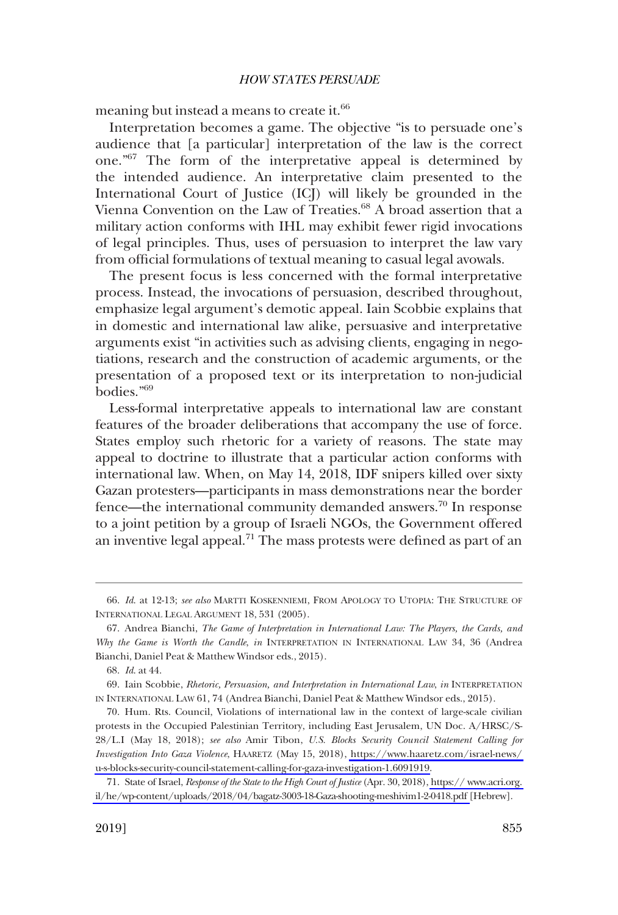meaning but instead a means to create it.<sup>66</sup>

Interpretation becomes a game. The objective "is to persuade one's audience that [a particular] interpretation of the law is the correct one."67 The form of the interpretative appeal is determined by the intended audience. An interpretative claim presented to the International Court of Justice (ICJ) will likely be grounded in the Vienna Convention on the Law of Treaties.<sup>68</sup> A broad assertion that a military action conforms with IHL may exhibit fewer rigid invocations of legal principles. Thus, uses of persuasion to interpret the law vary from official formulations of textual meaning to casual legal avowals.

The present focus is less concerned with the formal interpretative process. Instead, the invocations of persuasion, described throughout, emphasize legal argument's demotic appeal. Iain Scobbie explains that in domestic and international law alike, persuasive and interpretative arguments exist "in activities such as advising clients, engaging in negotiations, research and the construction of academic arguments, or the presentation of a proposed text or its interpretation to non-judicial bodies."69

Less-formal interpretative appeals to international law are constant features of the broader deliberations that accompany the use of force. States employ such rhetoric for a variety of reasons. The state may appeal to doctrine to illustrate that a particular action conforms with international law. When, on May 14, 2018, IDF snipers killed over sixty Gazan protesters—participants in mass demonstrations near the border fence—the international community demanded answers.<sup>70</sup> In response to a joint petition by a group of Israeli NGOs, the Government offered an inventive legal appeal.<sup>71</sup> The mass protests were defined as part of an

<sup>66.</sup> *Id*. at 12-13; *see also* MARTTI KOSKENNIEMI, FROM APOLOGY TO UTOPIA: THE STRUCTURE OF INTERNATIONAL LEGAL ARGUMENT 18, 531 (2005).

<sup>67.</sup> Andrea Bianchi, *The Game of Interpretation in International Law: The Players, the Cards, and Why the Game is Worth the Candle*, *in* INTERPRETATION IN INTERNATIONAL LAW 34, 36 (Andrea Bianchi, Daniel Peat & Matthew Windsor eds., 2015).

<sup>68.</sup> *Id*. at 44.

<sup>69.</sup> Iain Scobbie, *Rhetoric, Persuasion, and Interpretation in International Law*, *in* INTERPRETATION IN INTERNATIONAL LAW 61, 74 (Andrea Bianchi, Daniel Peat & Matthew Windsor eds., 2015).

<sup>70.</sup> Hum. Rts. Council, Violations of international law in the context of large-scale civilian protests in the Occupied Palestinian Territory, including East Jerusalem, UN Doc. A/HRSC/S-28/L.I (May 18, 2018); *see also* Amir Tibon, *U.S. Blocks Security Council Statement Calling for Investigation Into Gaza Violence*, HAARETZ (May 15, 2018), [https://www.haaretz.com/israel-news/](https://www.haaretz.com/israel-news/u-s-blocks-security-council-statement-calling-for-gaza-investigation-1.6091919)  [u-s-blocks-security-council-statement-calling-for-gaza-investigation-1.6091919](https://www.haaretz.com/israel-news/u-s-blocks-security-council-statement-calling-for-gaza-investigation-1.6091919).

<sup>71.</sup> State of Israel, *Response of the State to the High Court of Justice* (Apr. 30, 2018), [https:// www.acri.org.](http://www.acri.org.il/he/wp-content/uploads/2018/04/bagatz-3003-18-Gaza-shooting-meshivim1-2-0418.pdf)  [il/he/wp-content/uploads/2018/04/bagatz-3003-18-Gaza-shooting-meshivim1-2-0418.pdf \[](http://www.acri.org.il/he/wp-content/uploads/2018/04/bagatz-3003-18-Gaza-shooting-meshivim1-2-0418.pdf)Hebrew].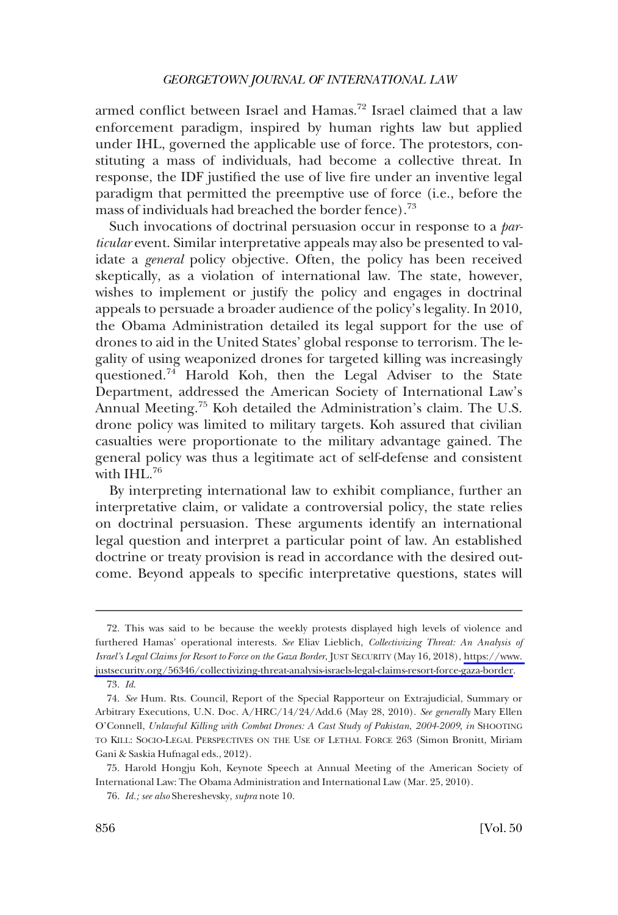armed conflict between Israel and Hamas.<sup>72</sup> Israel claimed that a law enforcement paradigm, inspired by human rights law but applied under IHL, governed the applicable use of force. The protestors, constituting a mass of individuals, had become a collective threat. In response, the IDF justifed the use of live fre under an inventive legal paradigm that permitted the preemptive use of force (i.e., before the mass of individuals had breached the border fence).<sup>73</sup>

Such invocations of doctrinal persuasion occur in response to a *particular* event. Similar interpretative appeals may also be presented to validate a *general* policy objective. Often, the policy has been received skeptically, as a violation of international law. The state, however, wishes to implement or justify the policy and engages in doctrinal appeals to persuade a broader audience of the policy's legality. In 2010, the Obama Administration detailed its legal support for the use of drones to aid in the United States' global response to terrorism. The legality of using weaponized drones for targeted killing was increasingly questioned.74 Harold Koh, then the Legal Adviser to the State Department, addressed the American Society of International Law's Annual Meeting.75 Koh detailed the Administration's claim. The U.S. drone policy was limited to military targets. Koh assured that civilian casualties were proportionate to the military advantage gained. The general policy was thus a legitimate act of self-defense and consistent with IHL.<sup>76</sup>

By interpreting international law to exhibit compliance, further an interpretative claim, or validate a controversial policy, the state relies on doctrinal persuasion. These arguments identify an international legal question and interpret a particular point of law. An established doctrine or treaty provision is read in accordance with the desired outcome. Beyond appeals to specifc interpretative questions, states will

This was said to be because the weekly protests displayed high levels of violence and 72. furthered Hamas' operational interests. *See* Eliav Lieblich, *Collectivizing Threat: An Analysis of Israel's Legal Claims for Resort to Force on the Gaza Border*, JUST SECURITY (May 16, 2018), [https://www.](https://www.justsecurity.org/56346/collectivizing-threat-analysis-israels-legal-claims-resort-force-gaza-border)  [justsecurity.org/56346/collectivizing-threat-analysis-israels-legal-claims-resort-force-gaza-border.](https://www.justsecurity.org/56346/collectivizing-threat-analysis-israels-legal-claims-resort-force-gaza-border) 73. *Id*.

<sup>74.</sup> *See* Hum. Rts. Council, Report of the Special Rapporteur on Extrajudicial, Summary or Arbitrary Executions, U.N. Doc. A/HRC/14/24/Add.6 (May 28, 2010). *See generally* Mary Ellen O'Connell, *Unlawful Killing with Combat Drones: A Cast Study of Pakistan*, *2004-2009*, *in* SHOOTING TO KILL: SOCIO-LEGAL PERSPECTIVES ON THE USE OF LETHAL FORCE 263 (Simon Bronitt, Miriam Gani & Saskia Hufnagal eds., 2012).

<sup>75.</sup> Harold Hongju Koh, Keynote Speech at Annual Meeting of the American Society of International Law: The Obama Administration and International Law (Mar. 25, 2010).

<sup>76.</sup> *Id.; see also* Shereshevsky, *supra* note 10.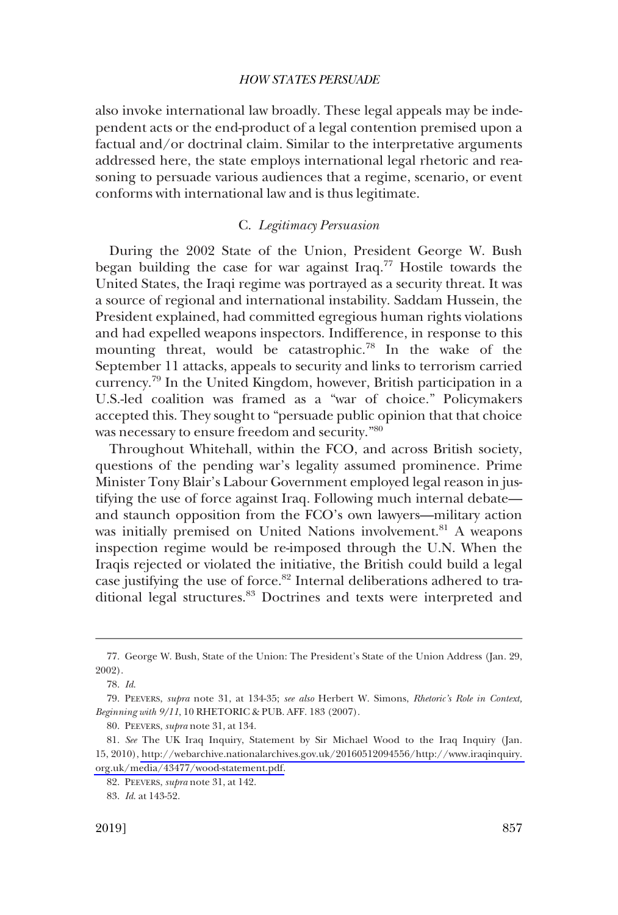<span id="page-18-0"></span>also invoke international law broadly. These legal appeals may be independent acts or the end-product of a legal contention premised upon a factual and/or doctrinal claim. Similar to the interpretative arguments addressed here, the state employs international legal rhetoric and reasoning to persuade various audiences that a regime, scenario, or event conforms with international law and is thus legitimate.

### C. *Legitimacy Persuasion*

During the 2002 State of the Union, President George W. Bush began building the case for war against Iraq.<sup>77</sup> Hostile towards the United States, the Iraqi regime was portrayed as a security threat. It was a source of regional and international instability. Saddam Hussein, the President explained, had committed egregious human rights violations and had expelled weapons inspectors. Indifference, in response to this mounting threat, would be catastrophic.<sup>78</sup> In the wake of the September 11 attacks, appeals to security and links to terrorism carried currency.79 In the United Kingdom, however, British participation in a U.S.-led coalition was framed as a "war of choice." Policymakers accepted this. They sought to "persuade public opinion that that choice was necessary to ensure freedom and security."80

Throughout Whitehall, within the FCO, and across British society, questions of the pending war's legality assumed prominence. Prime Minister Tony Blair's Labour Government employed legal reason in justifying the use of force against Iraq. Following much internal debate and staunch opposition from the FCO's own lawyers—military action was initially premised on United Nations involvement.<sup>81</sup> A weapons inspection regime would be re-imposed through the U.N. When the Iraqis rejected or violated the initiative, the British could build a legal case justifying the use of force.<sup>82</sup> Internal deliberations adhered to traditional legal structures.<sup>83</sup> Doctrines and texts were interpreted and

<sup>77.</sup> George W. Bush, State of the Union: The President's State of the Union Address (Jan. 29, 2002).

<sup>78.</sup> *Id*.

<sup>79.</sup> PEEVERS, *supra* note 31, at 134-35; *see also* Herbert W. Simons, *Rhetoric's Role in Context, Beginning with 9/11*, 10 RHETORIC & PUB. AFF. 183 (2007).

<sup>80.</sup> PEEVERS, *supra* note 31, at 134.

*See* The UK Iraq Inquiry, Statement by Sir Michael Wood to the Iraq Inquiry (Jan. 81. 15, 2010), [http://webarchive.nationalarchives.gov.uk/20160512094556/http://www.iraqinquiry.](http://webarchive.nationalarchives.gov.uk/20160512094556/http://www.iraqinquiry.org.uk/media/43477/wood-statement.pdf)  [org.uk/media/43477/wood-statement.pdf.](http://webarchive.nationalarchives.gov.uk/20160512094556/http://www.iraqinquiry.org.uk/media/43477/wood-statement.pdf)

<sup>82.</sup> PEEVERS, *supra* note 31, at 142.

<sup>83.</sup> *Id*. at 143-52.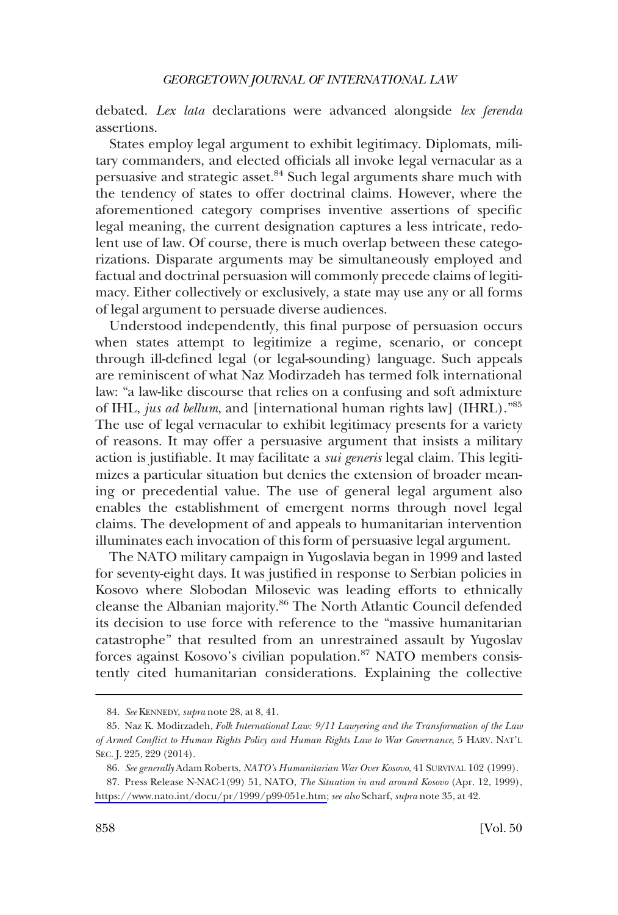debated. *Lex lata* declarations were advanced alongside *lex ferenda*  assertions.

States employ legal argument to exhibit legitimacy. Diplomats, military commanders, and elected officials all invoke legal vernacular as a persuasive and strategic asset.84 Such legal arguments share much with the tendency of states to offer doctrinal claims. However, where the aforementioned category comprises inventive assertions of specifc legal meaning, the current designation captures a less intricate, redolent use of law. Of course, there is much overlap between these categorizations. Disparate arguments may be simultaneously employed and factual and doctrinal persuasion will commonly precede claims of legitimacy. Either collectively or exclusively, a state may use any or all forms of legal argument to persuade diverse audiences.

Understood independently, this fnal purpose of persuasion occurs when states attempt to legitimize a regime, scenario, or concept through ill-defned legal (or legal-sounding) language. Such appeals are reminiscent of what Naz Modirzadeh has termed folk international law: "a law-like discourse that relies on a confusing and soft admixture of IHL, *jus ad bellum*, and [international human rights law] (IHRL)."85 The use of legal vernacular to exhibit legitimacy presents for a variety of reasons. It may offer a persuasive argument that insists a military action is justifable. It may facilitate a *sui generis* legal claim. This legitimizes a particular situation but denies the extension of broader meaning or precedential value. The use of general legal argument also enables the establishment of emergent norms through novel legal claims. The development of and appeals to humanitarian intervention illuminates each invocation of this form of persuasive legal argument.

The NATO military campaign in Yugoslavia began in 1999 and lasted for seventy-eight days. It was justifed in response to Serbian policies in Kosovo where Slobodan Milosevic was leading efforts to ethnically cleanse the Albanian majority.<sup>86</sup> The North Atlantic Council defended its decision to use force with reference to the "massive humanitarian catastrophe" that resulted from an unrestrained assault by Yugoslav forces against Kosovo's civilian population.<sup>87</sup> NATO members consistently cited humanitarian considerations. Explaining the collective

<sup>84.</sup> *See* KENNEDY, *supra* note 28, at 8, 41.

<sup>85.</sup> Naz K. Modirzadeh, *Folk International Law: 9/11 Lawyering and the Transformation of the Law of Armed Confict to Human Rights Policy and Human Rights Law to War Governance*, 5 HARV. NAT'L SEC. J. 225, 229 (2014).

<sup>86.</sup> *See generally* Adam Roberts, *NATO's Humanitarian War Over Kosovo*, 41 SURVIVAL 102 (1999).

<sup>87.</sup> Press Release N-NAC-1(99) 51, NATO, *The Situation in and around Kosovo* (Apr. 12, 1999), [https://www.nato.int/docu/pr/1999/p99-051e.htm;](https://www.nato.int/docu/pr/1999/p99-051e.htm) *see also* Scharf, *supra* note 35, at 42.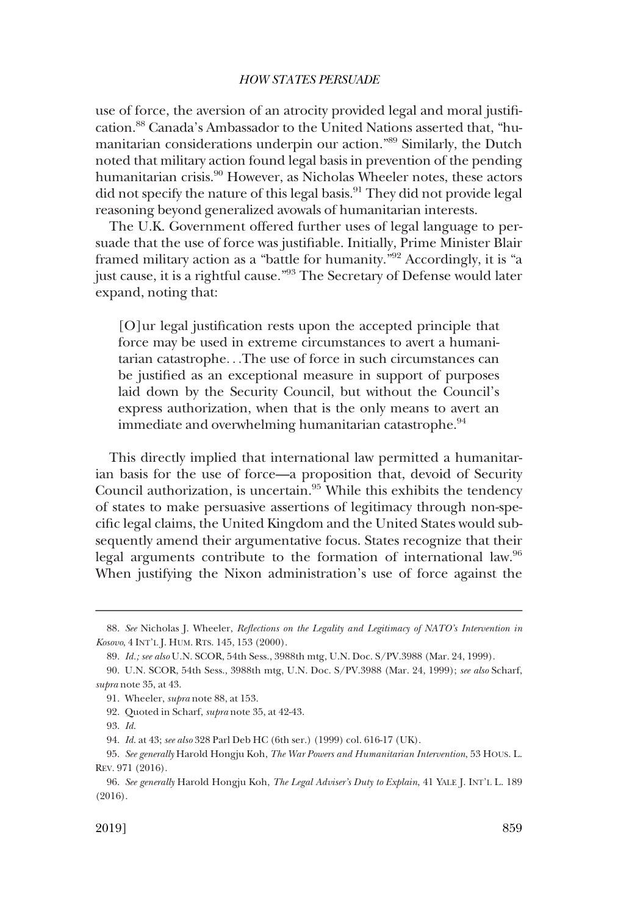use of force, the aversion of an atrocity provided legal and moral justifcation.88 Canada's Ambassador to the United Nations asserted that, "humanitarian considerations underpin our action."89 Similarly, the Dutch noted that military action found legal basis in prevention of the pending humanitarian crisis.<sup>90</sup> However, as Nicholas Wheeler notes, these actors did not specify the nature of this legal basis.<sup>91</sup> They did not provide legal reasoning beyond generalized avowals of humanitarian interests.

The U.K. Government offered further uses of legal language to persuade that the use of force was justifable. Initially, Prime Minister Blair framed military action as a "battle for humanity."92 Accordingly, it is "a just cause, it is a rightful cause."93 The Secretary of Defense would later expand, noting that:

[O]ur legal justifcation rests upon the accepted principle that force may be used in extreme circumstances to avert a humanitarian catastrophe. . .The use of force in such circumstances can be justifed as an exceptional measure in support of purposes laid down by the Security Council, but without the Council's express authorization, when that is the only means to avert an immediate and overwhelming humanitarian catastrophe.<sup>94</sup>

This directly implied that international law permitted a humanitarian basis for the use of force—a proposition that, devoid of Security Council authorization, is uncertain.<sup>95</sup> While this exhibits the tendency of states to make persuasive assertions of legitimacy through non-specifc legal claims, the United Kingdom and the United States would subsequently amend their argumentative focus. States recognize that their legal arguments contribute to the formation of international law.96 When justifying the Nixon administration's use of force against the

<sup>88.</sup> *See* Nicholas J. Wheeler, *Refections on the Legality and Legitimacy of NATO's Intervention in Kosovo*, 4 INT'L J. HUM. RTS. 145, 153 (2000).

<sup>89.</sup> *Id.; see also* U.N. SCOR, 54th Sess., 3988th mtg, U.N. Doc. S/PV.3988 (Mar. 24, 1999).

<sup>90.</sup> U.N. SCOR, 54th Sess., 3988th mtg, U.N. Doc. S/PV.3988 (Mar. 24, 1999); *see also* Scharf, *supra* note 35, at 43.

<sup>91.</sup> Wheeler, *supra* note 88, at 153.

<sup>92.</sup> Quoted in Scharf, *supra* note 35, at 42-43.

<sup>93.</sup> *Id*.

<sup>94.</sup> *Id*. at 43; *see also* 328 Parl Deb HC (6th ser.) (1999) col. 616-17 (UK).

<sup>95.</sup> *See generally* Harold Hongju Koh, *The War Powers and Humanitarian Intervention*, 53 HOUS. L. REV. 971 (2016).

<sup>96.</sup> *See generally* Harold Hongju Koh, *The Legal Adviser's Duty to Explain*, 41 YALE J. INT'L L. 189 (2016).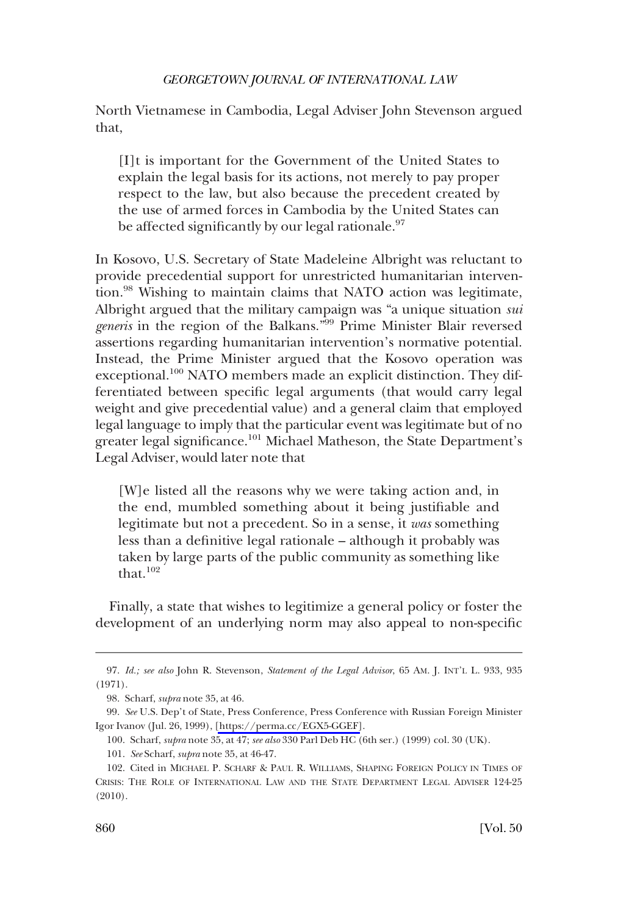North Vietnamese in Cambodia, Legal Adviser John Stevenson argued that,

[I]t is important for the Government of the United States to explain the legal basis for its actions, not merely to pay proper respect to the law, but also because the precedent created by the use of armed forces in Cambodia by the United States can be affected significantly by our legal rationale.<sup>97</sup>

In Kosovo, U.S. Secretary of State Madeleine Albright was reluctant to provide precedential support for unrestricted humanitarian intervention.98 Wishing to maintain claims that NATO action was legitimate, Albright argued that the military campaign was "a unique situation *sui generis* in the region of the Balkans."99 Prime Minister Blair reversed assertions regarding humanitarian intervention's normative potential. Instead, the Prime Minister argued that the Kosovo operation was exceptional.<sup>100</sup> NATO members made an explicit distinction. They differentiated between specifc legal arguments (that would carry legal weight and give precedential value) and a general claim that employed legal language to imply that the particular event was legitimate but of no greater legal significance.<sup>101</sup> Michael Matheson, the State Department's Legal Adviser, would later note that

[W]e listed all the reasons why we were taking action and, in the end, mumbled something about it being justifable and legitimate but not a precedent. So in a sense, it *was* something less than a defnitive legal rationale – although it probably was taken by large parts of the public community as something like that. $102$ 

Finally, a state that wishes to legitimize a general policy or foster the development of an underlying norm may also appeal to non-specifc

<sup>97.</sup> *Id.; see also* John R. Stevenson, *Statement of the Legal Advisor*, 65 AM. J. INT'L L. 933, 935 (1971).

<sup>98.</sup> Scharf, *supra* note 35, at 46.

*See* U.S. Dep't of State, Press Conference, Press Conference with Russian Foreign Minister 99. Igor Ivanov (Jul. 26, 1999), [\[https://perma.cc/EGX5-GGEF\]](https://perma.cc/EGX5-GGEF).

<sup>100.</sup> Scharf, *supra* note 35, at 47; *see also* 330 Parl Deb HC (6th ser.) (1999) col. 30 (UK).

<sup>101.</sup> *See* Scharf, *supra* note 35, at 46-47.

<sup>102.</sup> Cited in MICHAEL P. SCHARF & PAUL R. WILLIAMS, SHAPING FOREIGN POLICY IN TIMES OF CRISIS: THE ROLE OF INTERNATIONAL LAW AND THE STATE DEPARTMENT LEGAL ADVISER 124-25 (2010).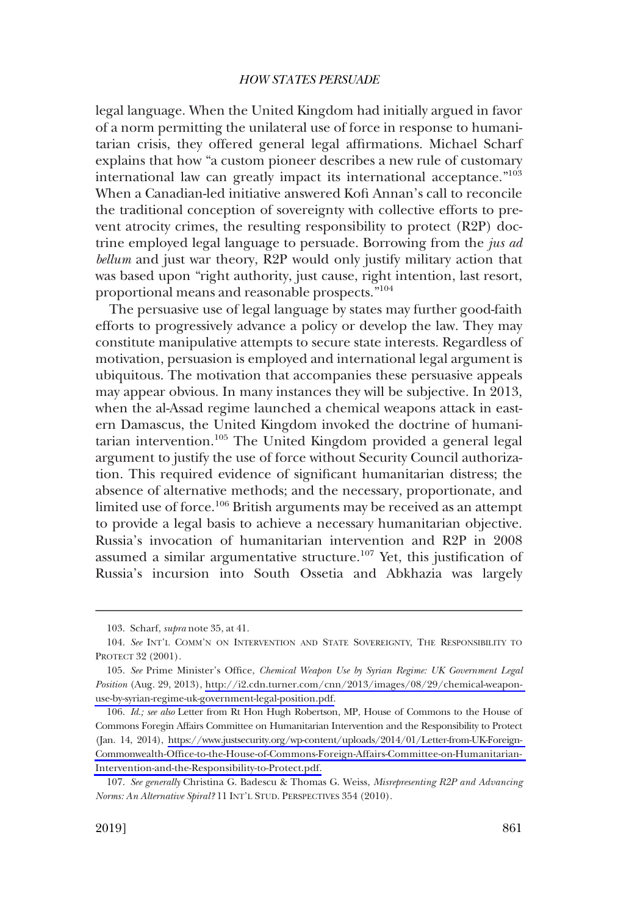legal language. When the United Kingdom had initially argued in favor of a norm permitting the unilateral use of force in response to humanitarian crisis, they offered general legal affrmations. Michael Scharf explains that how "a custom pioneer describes a new rule of customary international law can greatly impact its international acceptance."<sup>103</sup> When a Canadian-led initiative answered Kofi Annan's call to reconcile the traditional conception of sovereignty with collective efforts to prevent atrocity crimes, the resulting responsibility to protect (R2P) doctrine employed legal language to persuade. Borrowing from the *jus ad bellum* and just war theory, R2P would only justify military action that was based upon "right authority, just cause, right intention, last resort, proportional means and reasonable prospects."<sup>104</sup>

The persuasive use of legal language by states may further good-faith efforts to progressively advance a policy or develop the law. They may constitute manipulative attempts to secure state interests. Regardless of motivation, persuasion is employed and international legal argument is ubiquitous. The motivation that accompanies these persuasive appeals may appear obvious. In many instances they will be subjective. In 2013, when the al-Assad regime launched a chemical weapons attack in eastern Damascus, the United Kingdom invoked the doctrine of humanitarian intervention.<sup>105</sup> The United Kingdom provided a general legal argument to justify the use of force without Security Council authorization. This required evidence of signifcant humanitarian distress; the absence of alternative methods; and the necessary, proportionate, and limited use of force.<sup>106</sup> British arguments may be received as an attempt to provide a legal basis to achieve a necessary humanitarian objective. Russia's invocation of humanitarian intervention and R2P in 2008 assumed a similar argumentative structure.<sup>107</sup> Yet, this justification of Russia's incursion into South Ossetia and Abkhazia was largely

<sup>103.</sup> Scharf, *supra* note 35, at 41.

<sup>104.</sup> *See* INT'L COMM'N ON INTERVENTION AND STATE SOVEREIGNTY, THE RESPONSIBILITY TO PROTECT 32 (2001).

<sup>105.</sup> See Prime Minister's Office, *Chemical Weapon Use by Syrian Regime: UK Government Legal Position* (Aug. 29, 2013), [http://i2.cdn.turner.com/cnn/2013/images/08/29/chemical-weapon](http://i2.cdn.turner.com/cnn/2013/images/08/29/chemical-weapon-use-by-syrian-regime-uk-government-legal-position.pdf)[use-by-syrian-regime-uk-government-legal-position.pdf.](http://i2.cdn.turner.com/cnn/2013/images/08/29/chemical-weapon-use-by-syrian-regime-uk-government-legal-position.pdf)

<sup>106.</sup> *Id.; see also* Letter from Rt Hon Hugh Robertson, MP, House of Commons to the House of Commons Foregin Affairs Committee on Humanitarian Intervention and the Responsibility to Protect (Jan. 14, 2014), [https://www.justsecurity.org/wp-content/uploads/2014/01/Letter-from-UK-Foreign-](https://www.justsecurity.org/wp-content/uploads/2014/01/Letter-from-UK-Foreign-Commonwealth-Office-to-the-House-of-Commons-Foreign-Affairs-Committee-on-Humanitarian-Intervention-and-the-Responsibility-to-Protect.pdf)[Commonwealth-Offce-to-the-House-of-Commons-Foreign-Affairs-Committee-on-Humanitarian-](https://www.justsecurity.org/wp-content/uploads/2014/01/Letter-from-UK-Foreign-Commonwealth-Office-to-the-House-of-Commons-Foreign-Affairs-Committee-on-Humanitarian-Intervention-and-the-Responsibility-to-Protect.pdf)[Intervention-and-the-Responsibility-to-Protect.pdf.](https://www.justsecurity.org/wp-content/uploads/2014/01/Letter-from-UK-Foreign-Commonwealth-Office-to-the-House-of-Commons-Foreign-Affairs-Committee-on-Humanitarian-Intervention-and-the-Responsibility-to-Protect.pdf)

<sup>107.</sup> *See generally* Christina G. Badescu & Thomas G. Weiss, *Misrepresenting R2P and Advancing Norms: An Alternative Spiral?* 11 INT'L STUD. PERSPECTIVES 354 (2010).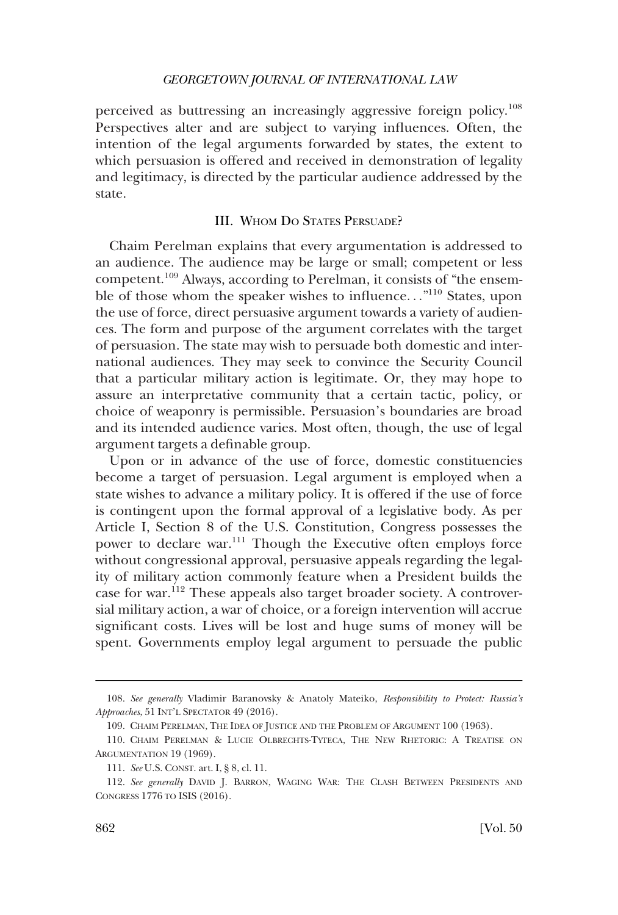<span id="page-23-0"></span>perceived as buttressing an increasingly aggressive foreign policy.<sup>108</sup> Perspectives alter and are subject to varying infuences. Often, the intention of the legal arguments forwarded by states, the extent to which persuasion is offered and received in demonstration of legality and legitimacy, is directed by the particular audience addressed by the state.

### III. WHOM DO STATES PERSUADE?

Chaim Perelman explains that every argumentation is addressed to an audience. The audience may be large or small; competent or less competent.109 Always, according to Perelman, it consists of "the ensemble of those whom the speaker wishes to influence..."<sup>110</sup> States, upon the use of force, direct persuasive argument towards a variety of audiences. The form and purpose of the argument correlates with the target of persuasion. The state may wish to persuade both domestic and international audiences. They may seek to convince the Security Council that a particular military action is legitimate. Or, they may hope to assure an interpretative community that a certain tactic, policy, or choice of weaponry is permissible. Persuasion's boundaries are broad and its intended audience varies. Most often, though, the use of legal argument targets a defnable group.

Upon or in advance of the use of force, domestic constituencies become a target of persuasion. Legal argument is employed when a state wishes to advance a military policy. It is offered if the use of force is contingent upon the formal approval of a legislative body. As per Article I, Section 8 of the U.S. Constitution, Congress possesses the power to declare war.<sup>111</sup> Though the Executive often employs force without congressional approval, persuasive appeals regarding the legality of military action commonly feature when a President builds the case for war.112 These appeals also target broader society. A controversial military action, a war of choice, or a foreign intervention will accrue signifcant costs. Lives will be lost and huge sums of money will be spent. Governments employ legal argument to persuade the public

<sup>108.</sup> *See generally* Vladimir Baranovsky & Anatoly Mateiko, *Responsibility to Protect: Russia's Approaches*, 51 INT'L SPECTATOR 49 (2016).

<sup>109.</sup> CHAIM PERELMAN, THE IDEA OF JUSTICE AND THE PROBLEM OF ARGUMENT 100 (1963).

<sup>110.</sup> CHAIM PERELMAN & LUCIE OLBRECHTS-TYTECA, THE NEW RHETORIC: A TREATISE ON ARGUMENTATION 19 (1969).

<sup>111.</sup> *See* U.S. CONST. art. I, § 8, cl. 11.

<sup>112.</sup> *See generally* DAVID J. BARRON, WAGING WAR: THE CLASH BETWEEN PRESIDENTS AND CONGRESS 1776 TO ISIS (2016).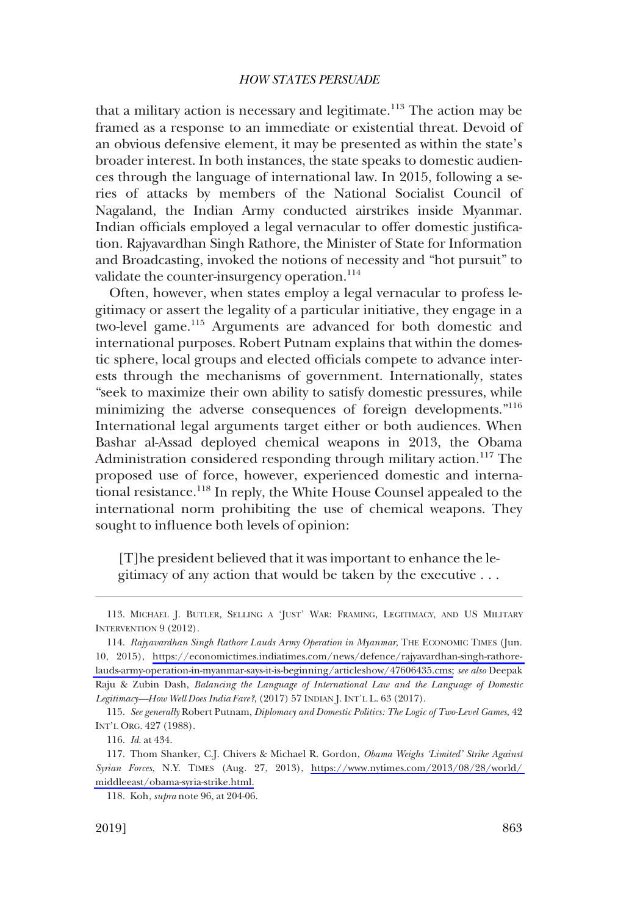that a military action is necessary and legitimate.<sup>113</sup> The action may be framed as a response to an immediate or existential threat. Devoid of an obvious defensive element, it may be presented as within the state's broader interest. In both instances, the state speaks to domestic audiences through the language of international law. In 2015, following a series of attacks by members of the National Socialist Council of Nagaland, the Indian Army conducted airstrikes inside Myanmar. Indian officials employed a legal vernacular to offer domestic justification. Rajyavardhan Singh Rathore, the Minister of State for Information and Broadcasting, invoked the notions of necessity and "hot pursuit" to validate the counter-insurgency operation.<sup>114</sup>

Often, however, when states employ a legal vernacular to profess legitimacy or assert the legality of a particular initiative, they engage in a two-level game.115 Arguments are advanced for both domestic and international purposes. Robert Putnam explains that within the domestic sphere, local groups and elected officials compete to advance interests through the mechanisms of government. Internationally, states "seek to maximize their own ability to satisfy domestic pressures, while minimizing the adverse consequences of foreign developments."<sup>116</sup> International legal arguments target either or both audiences. When Bashar al-Assad deployed chemical weapons in 2013, the Obama Administration considered responding through military action.<sup>117</sup> The proposed use of force, however, experienced domestic and international resistance.118 In reply, the White House Counsel appealed to the international norm prohibiting the use of chemical weapons. They sought to infuence both levels of opinion:

[T]he president believed that it was important to enhance the legitimacy of any action that would be taken by the executive . . .

<sup>113.</sup> MICHAEL J. BUTLER, SELLING A 'JUST' WAR: FRAMING, LEGITIMACY, AND US MILITARY INTERVENTION 9 (2012).

*Rajyavardhan Singh Rathore Lauds Army Operation in Myanmar*, THE ECONOMIC TIMES (Jun. 114. 10, 2015), [https://economictimes.indiatimes.com/news/defence/rajyavardhan-singh-rathore](https://economictimes.indiatimes.com/news/defence/rajyavardhan-singh-rathore-lauds-army-operation-in-myanmar-says-it-is-beginning/articleshow/47606435.cms)[lauds-army-operation-in-myanmar-says-it-is-beginning/articleshow/47606435.cms;](https://economictimes.indiatimes.com/news/defence/rajyavardhan-singh-rathore-lauds-army-operation-in-myanmar-says-it-is-beginning/articleshow/47606435.cms) *see also* Deepak Raju & Zubin Dash, *Balancing the Language of International Law and the Language of Domestic Legitimacy—How Well Does India Fare?*, (2017) 57 INDIAN J. INT'L L. 63 (2017).

<sup>115.</sup> *See generally* Robert Putnam, *Diplomacy and Domestic Politics: The Logic of Two-Level Games*, 42 INT'L ORG. 427 (1988).

<sup>116.</sup> *Id*. at 434.

<sup>117.</sup> Thom Shanker, C.J. Chivers & Michael R. Gordon, *Obama Weighs 'Limited' Strike Against Syrian Forces*, N.Y. TIMES (Aug. 27, 2013), [https://www.nytimes.com/2013/08/28/world/](https://www.nytimes.com/2013/08/28/world/middleeast/obama-syria-strike.html)  [middleeast/obama-syria-strike.html.](https://www.nytimes.com/2013/08/28/world/middleeast/obama-syria-strike.html)

<sup>118.</sup> Koh, *supra* note 96, at 204-06.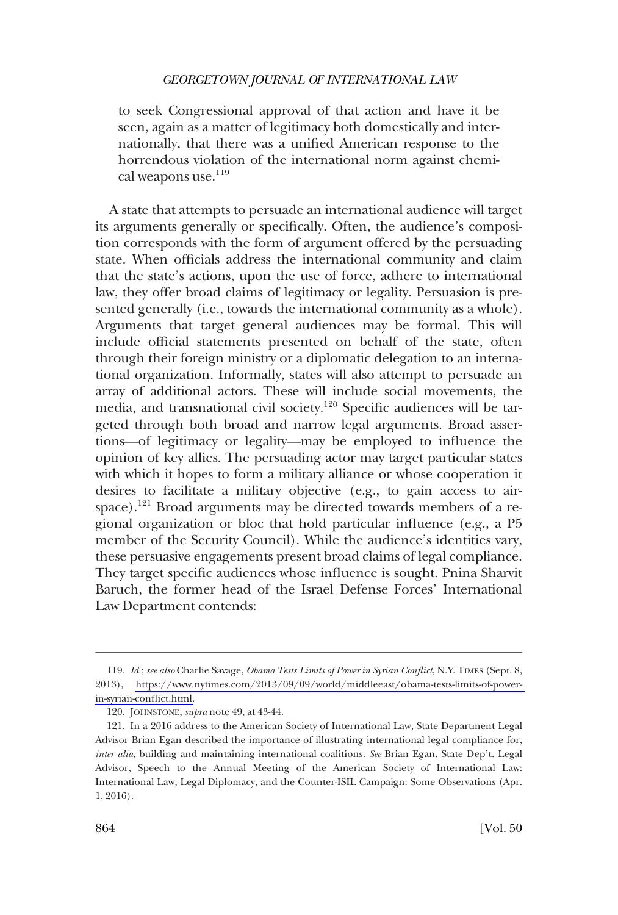to seek Congressional approval of that action and have it be seen, again as a matter of legitimacy both domestically and internationally, that there was a unifed American response to the horrendous violation of the international norm against chemical weapons use.<sup>119</sup>

A state that attempts to persuade an international audience will target its arguments generally or specifcally. Often, the audience's composition corresponds with the form of argument offered by the persuading state. When officials address the international community and claim that the state's actions, upon the use of force, adhere to international law, they offer broad claims of legitimacy or legality. Persuasion is presented generally (i.e., towards the international community as a whole). Arguments that target general audiences may be formal. This will include official statements presented on behalf of the state, often through their foreign ministry or a diplomatic delegation to an international organization. Informally, states will also attempt to persuade an array of additional actors. These will include social movements, the media, and transnational civil society.120 Specifc audiences will be targeted through both broad and narrow legal arguments. Broad assertions—of legitimacy or legality—may be employed to infuence the opinion of key allies. The persuading actor may target particular states with which it hopes to form a military alliance or whose cooperation it desires to facilitate a military objective (e.g., to gain access to airspace).<sup>121</sup> Broad arguments may be directed towards members of a regional organization or bloc that hold particular infuence (e.g., a P5 member of the Security Council). While the audience's identities vary, these persuasive engagements present broad claims of legal compliance. They target specifc audiences whose infuence is sought. Pnina Sharvit Baruch, the former head of the Israel Defense Forces' International Law Department contends:

*Id*.; *see also* Charlie Savage, *Obama Tests Limits of Power in Syrian Confict*, N.Y. TIMES (Sept. 8, 119. 2013), [https://www.nytimes.com/2013/09/09/world/middleeast/obama-tests-limits-of-power](https://www.nytimes.com/2013/09/09/world/middleeast/obama-tests-limits-of-power-in-syrian-conflict.html)[in-syrian-confict.html.](https://www.nytimes.com/2013/09/09/world/middleeast/obama-tests-limits-of-power-in-syrian-conflict.html)

<sup>120.</sup> JOHNSTONE, *supra* note 49, at 43-44.

<sup>121.</sup> In a 2016 address to the American Society of International Law, State Department Legal Advisor Brian Egan described the importance of illustrating international legal compliance for, *inter alia*, building and maintaining international coalitions. *See* Brian Egan, State Dep't. Legal Advisor, Speech to the Annual Meeting of the American Society of International Law: International Law, Legal Diplomacy, and the Counter-ISIL Campaign: Some Observations (Apr. 1, 2016).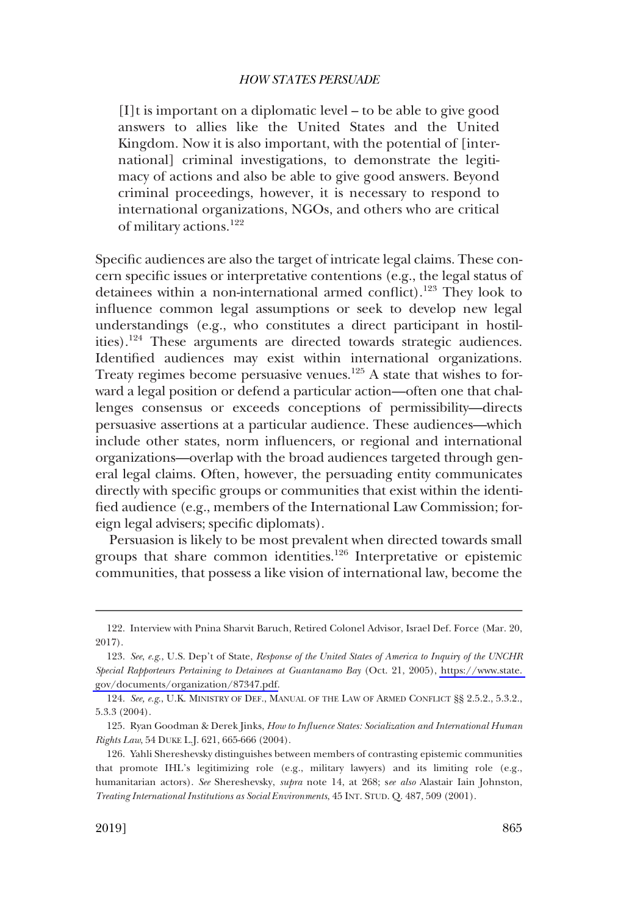[I]t is important on a diplomatic level – to be able to give good answers to allies like the United States and the United Kingdom. Now it is also important, with the potential of [international] criminal investigations, to demonstrate the legitimacy of actions and also be able to give good answers. Beyond criminal proceedings, however, it is necessary to respond to international organizations, NGOs, and others who are critical of military actions.<sup>122</sup>

Specifc audiences are also the target of intricate legal claims. These concern specifc issues or interpretative contentions (e.g., the legal status of detainees within a non-international armed conflict).<sup>123</sup> They look to infuence common legal assumptions or seek to develop new legal understandings (e.g., who constitutes a direct participant in hostilities).124 These arguments are directed towards strategic audiences. Identifed audiences may exist within international organizations. Treaty regimes become persuasive venues.<sup>125</sup> A state that wishes to forward a legal position or defend a particular action—often one that challenges consensus or exceeds conceptions of permissibility—directs persuasive assertions at a particular audience. These audiences—which include other states, norm infuencers, or regional and international organizations—overlap with the broad audiences targeted through general legal claims. Often, however, the persuading entity communicates directly with specifc groups or communities that exist within the identifed audience (e.g., members of the International Law Commission; foreign legal advisers; specifc diplomats).

Persuasion is likely to be most prevalent when directed towards small groups that share common identities.126 Interpretative or epistemic communities, that possess a like vision of international law, become the

<sup>122.</sup> Interview with Pnina Sharvit Baruch, Retired Colonel Advisor, Israel Def. Force (Mar. 20, 2017).

*See*, *e.g*., U.S. Dep't of State, *Response of the United States of America to Inquiry of the UNCHR*  123. *Special Rapporteurs Pertaining to Detainees at Guantanamo Bay* (Oct. 21, 2005), [https://www.state.](https://www.state.gov/documents/organization/87347.pdf)  [gov/documents/organization/87347.pdf.](https://www.state.gov/documents/organization/87347.pdf)

<sup>124.</sup> *See, e.g*., U.K. MINISTRY OF DEF., MANUAL OF THE LAW OF ARMED CONFLICT §§ 2.5.2., 5.3.2., 5.3.3 (2004).

<sup>125.</sup> Ryan Goodman & Derek Jinks, *How to Infuence States: Socialization and International Human Rights Law*, 54 DUKE L.J. 621, 665-666 (2004).

<sup>126.</sup> Yahli Shereshevsky distinguishes between members of contrasting epistemic communities that promote IHL's legitimizing role (e.g., military lawyers) and its limiting role (e.g., humanitarian actors). *See* Shereshevsky, *supra* note 14, at 268; s*ee also* Alastair Iain Johnston, *Treating International Institutions as Social Environments*, 45 INT. STUD. Q. 487, 509 (2001).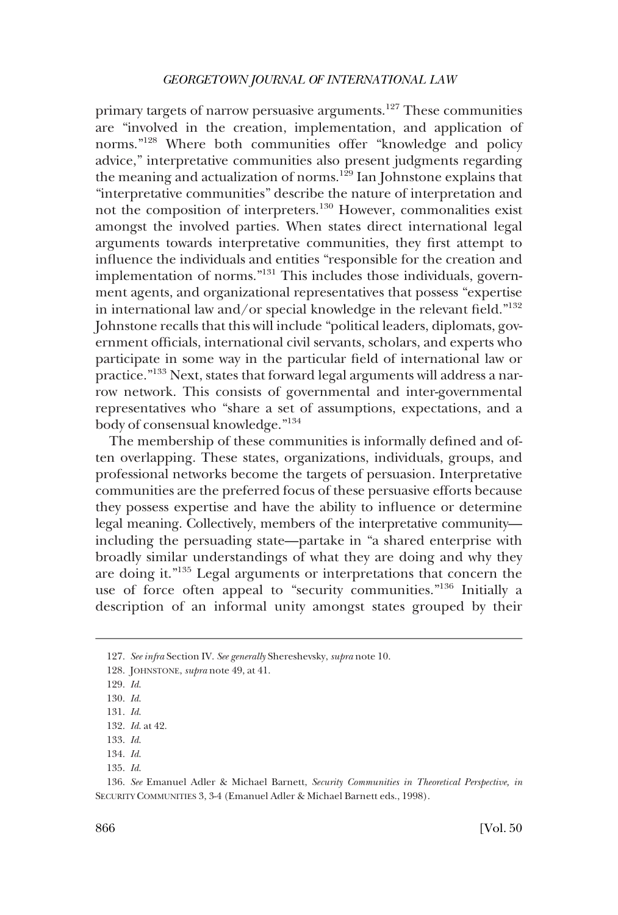primary targets of narrow persuasive arguments.<sup>127</sup> These communities are "involved in the creation, implementation, and application of norms."128 Where both communities offer "knowledge and policy advice," interpretative communities also present judgments regarding the meaning and actualization of norms.<sup>129</sup> Ian Johnstone explains that "interpretative communities" describe the nature of interpretation and not the composition of interpreters.<sup>130</sup> However, commonalities exist amongst the involved parties. When states direct international legal arguments towards interpretative communities, they frst attempt to infuence the individuals and entities "responsible for the creation and implementation of norms."131 This includes those individuals, government agents, and organizational representatives that possess "expertise in international law and/or special knowledge in the relevant feld."132 Johnstone recalls that this will include "political leaders, diplomats, government officials, international civil servants, scholars, and experts who participate in some way in the particular feld of international law or practice."133 Next, states that forward legal arguments will address a narrow network. This consists of governmental and inter-governmental representatives who "share a set of assumptions, expectations, and a body of consensual knowledge."<sup>134</sup>

The membership of these communities is informally defned and often overlapping. These states, organizations, individuals, groups, and professional networks become the targets of persuasion. Interpretative communities are the preferred focus of these persuasive efforts because they possess expertise and have the ability to infuence or determine legal meaning. Collectively, members of the interpretative community including the persuading state—partake in "a shared enterprise with broadly similar understandings of what they are doing and why they are doing it."135 Legal arguments or interpretations that concern the use of force often appeal to "security communities."136 Initially a description of an informal unity amongst states grouped by their

<sup>127.</sup> *See infra* Section IV. *See generally* Shereshevsky, *supra* note 10.

<sup>128.</sup> JOHNSTONE, *supra* note 49, at 41.

<sup>129.</sup> *Id*.

<sup>130.</sup> *Id*.

<sup>131.</sup> *Id*.

<sup>132.</sup> *Id*. at 42.

<sup>133.</sup> *Id*.

<sup>134.</sup> *Id*.

<sup>135.</sup> *Id*.

<sup>136.</sup> *See* Emanuel Adler & Michael Barnett, *Security Communities in Theoretical Perspective, in*  SECURITY COMMUNITIES 3, 3-4 (Emanuel Adler & Michael Barnett eds., 1998).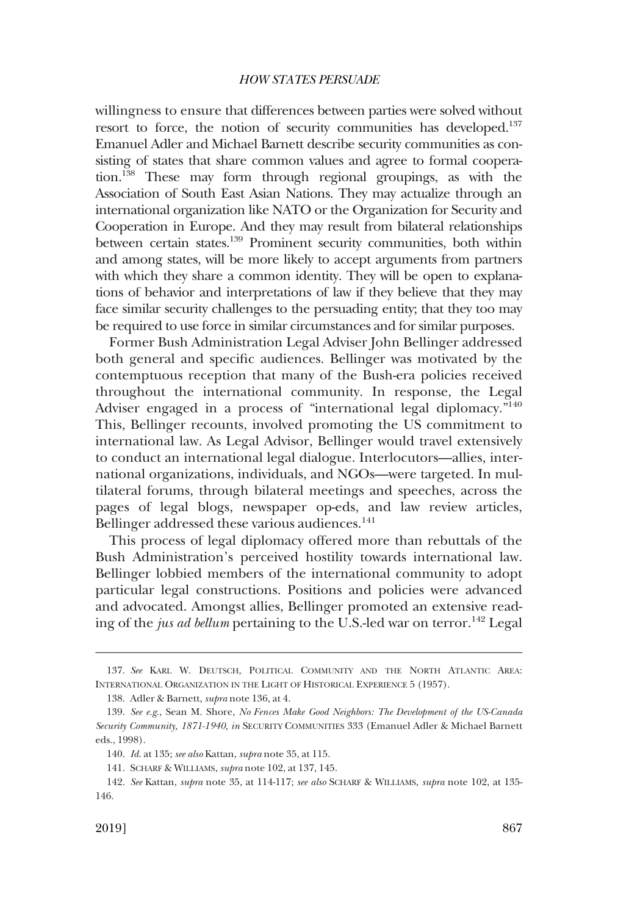willingness to ensure that differences between parties were solved without resort to force, the notion of security communities has developed.<sup>137</sup> Emanuel Adler and Michael Barnett describe security communities as consisting of states that share common values and agree to formal cooperation.<sup>138</sup> These may form through regional groupings, as with the Association of South East Asian Nations. They may actualize through an international organization like NATO or the Organization for Security and Cooperation in Europe. And they may result from bilateral relationships between certain states.139 Prominent security communities, both within and among states, will be more likely to accept arguments from partners with which they share a common identity. They will be open to explanations of behavior and interpretations of law if they believe that they may face similar security challenges to the persuading entity; that they too may be required to use force in similar circumstances and for similar purposes.

Former Bush Administration Legal Adviser John Bellinger addressed both general and specifc audiences. Bellinger was motivated by the contemptuous reception that many of the Bush-era policies received throughout the international community. In response, the Legal Adviser engaged in a process of "international legal diplomacy."<sup>140</sup> This, Bellinger recounts, involved promoting the US commitment to international law. As Legal Advisor, Bellinger would travel extensively to conduct an international legal dialogue. Interlocutors—allies, international organizations, individuals, and NGOs—were targeted. In multilateral forums, through bilateral meetings and speeches, across the pages of legal blogs, newspaper op-eds, and law review articles, Bellinger addressed these various audiences.<sup>141</sup>

This process of legal diplomacy offered more than rebuttals of the Bush Administration's perceived hostility towards international law. Bellinger lobbied members of the international community to adopt particular legal constructions. Positions and policies were advanced and advocated. Amongst allies, Bellinger promoted an extensive reading of the *jus ad bellum* pertaining to the U.S.-led war on terror.<sup>142</sup> Legal

<sup>137.</sup> *See* KARL W. DEUTSCH, POLITICAL COMMUNITY AND THE NORTH ATLANTIC AREA: INTERNATIONAL ORGANIZATION IN THE LIGHT OF HISTORICAL EXPERIENCE 5 (1957).

<sup>138.</sup> Adler & Barnett, *supra* note 136, at 4.

<sup>139.</sup> *See e.g*., Sean M. Shore, *No Fences Make Good Neighbors: The Development of the US-Canada Security Community, 1871-1940, in* SECURITY COMMUNITIES 333 (Emanuel Adler & Michael Barnett eds., 1998).

<sup>140.</sup> *Id*. at 135; *see also* Kattan, *supra* note 35, at 115.

<sup>141.</sup> SCHARF & WILLIAMS, *supra* note 102, at 137, 145.

<sup>142.</sup> *See* Kattan, *supra* note 35, at 114-117; *see also* SCHARF & WILLIAMS, *supra* note 102, at 135- 146.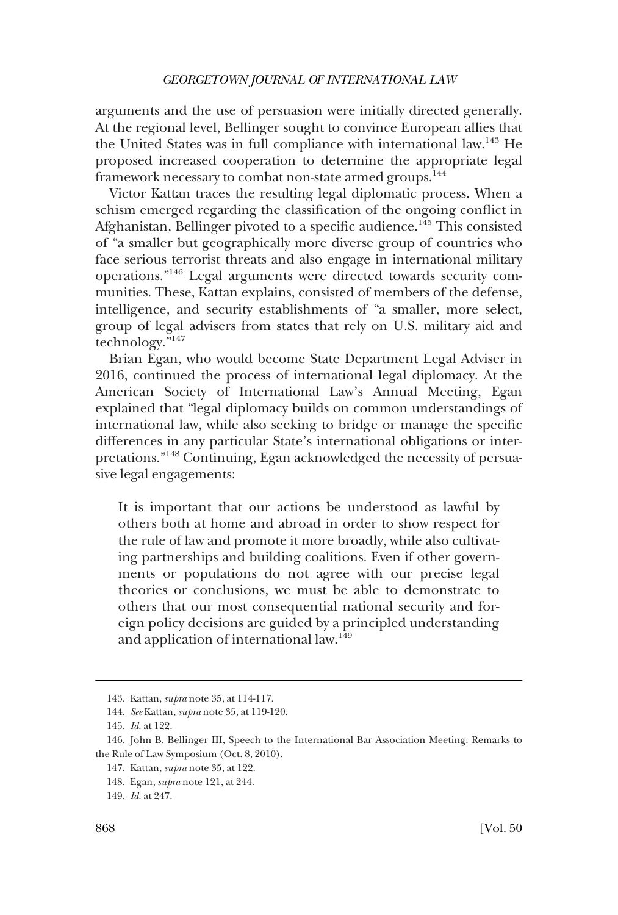arguments and the use of persuasion were initially directed generally. At the regional level, Bellinger sought to convince European allies that the United States was in full compliance with international law.143 He proposed increased cooperation to determine the appropriate legal framework necessary to combat non-state armed groups.<sup>144</sup>

Victor Kattan traces the resulting legal diplomatic process. When a schism emerged regarding the classifcation of the ongoing confict in Afghanistan, Bellinger pivoted to a specific audience.<sup>145</sup> This consisted of "a smaller but geographically more diverse group of countries who face serious terrorist threats and also engage in international military operations."146 Legal arguments were directed towards security communities. These, Kattan explains, consisted of members of the defense, intelligence, and security establishments of "a smaller, more select, group of legal advisers from states that rely on U.S. military aid and technology."147

Brian Egan, who would become State Department Legal Adviser in 2016, continued the process of international legal diplomacy. At the American Society of International Law's Annual Meeting, Egan explained that "legal diplomacy builds on common understandings of international law, while also seeking to bridge or manage the specifc differences in any particular State's international obligations or interpretations."148 Continuing, Egan acknowledged the necessity of persuasive legal engagements:

It is important that our actions be understood as lawful by others both at home and abroad in order to show respect for the rule of law and promote it more broadly, while also cultivating partnerships and building coalitions. Even if other governments or populations do not agree with our precise legal theories or conclusions, we must be able to demonstrate to others that our most consequential national security and foreign policy decisions are guided by a principled understanding and application of international law.149

<sup>143.</sup> Kattan, *supra* note 35, at 114-117.

<sup>144.</sup> *See* Kattan, *supra* note 35, at 119-120.

<sup>145.</sup> *Id*. at 122.

<sup>146.</sup> John B. Bellinger III, Speech to the International Bar Association Meeting: Remarks to the Rule of Law Symposium (Oct. 8, 2010).

<sup>147.</sup> Kattan, *supra* note 35, at 122.

<sup>148.</sup> Egan, *supra* note 121, at 244.

<sup>149.</sup> *Id*. at 247.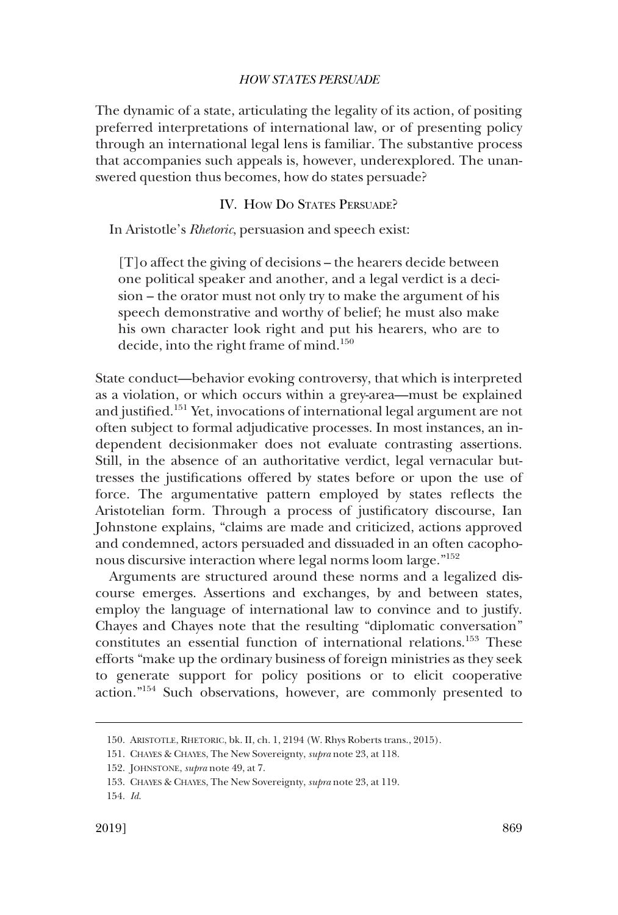<span id="page-30-0"></span>The dynamic of a state, articulating the legality of its action, of positing preferred interpretations of international law, or of presenting policy through an international legal lens is familiar. The substantive process that accompanies such appeals is, however, underexplored. The unanswered question thus becomes, how do states persuade?

### IV. HOW DO STATES PERSUADE?

In Aristotle's *Rhetoric*, persuasion and speech exist:

[T]o affect the giving of decisions – the hearers decide between one political speaker and another, and a legal verdict is a decision – the orator must not only try to make the argument of his speech demonstrative and worthy of belief; he must also make his own character look right and put his hearers, who are to decide, into the right frame of mind.<sup>150</sup>

State conduct—behavior evoking controversy, that which is interpreted as a violation, or which occurs within a grey-area—must be explained and justifed.151 Yet, invocations of international legal argument are not often subject to formal adjudicative processes. In most instances, an independent decisionmaker does not evaluate contrasting assertions. Still, in the absence of an authoritative verdict, legal vernacular buttresses the justifcations offered by states before or upon the use of force. The argumentative pattern employed by states refects the Aristotelian form. Through a process of justifcatory discourse, Ian Johnstone explains, "claims are made and criticized, actions approved and condemned, actors persuaded and dissuaded in an often cacophonous discursive interaction where legal norms loom large."<sup>152</sup>

Arguments are structured around these norms and a legalized discourse emerges. Assertions and exchanges, by and between states, employ the language of international law to convince and to justify. Chayes and Chayes note that the resulting "diplomatic conversation" constitutes an essential function of international relations.153 These efforts "make up the ordinary business of foreign ministries as they seek to generate support for policy positions or to elicit cooperative action."154 Such observations, however, are commonly presented to

<sup>150.</sup> ARISTOTLE, RHETORIC, bk. II, ch. 1, 2194 (W. Rhys Roberts trans., 2015).

<sup>151.</sup> CHAYES & CHAYES, The New Sovereignty, *supra* note 23, at 118.

<sup>152.</sup> JOHNSTONE, *supra* note 49, at 7.

<sup>153.</sup> CHAYES & CHAYES, The New Sovereignty, *supra* note 23, at 119.

<sup>154.</sup> *Id*.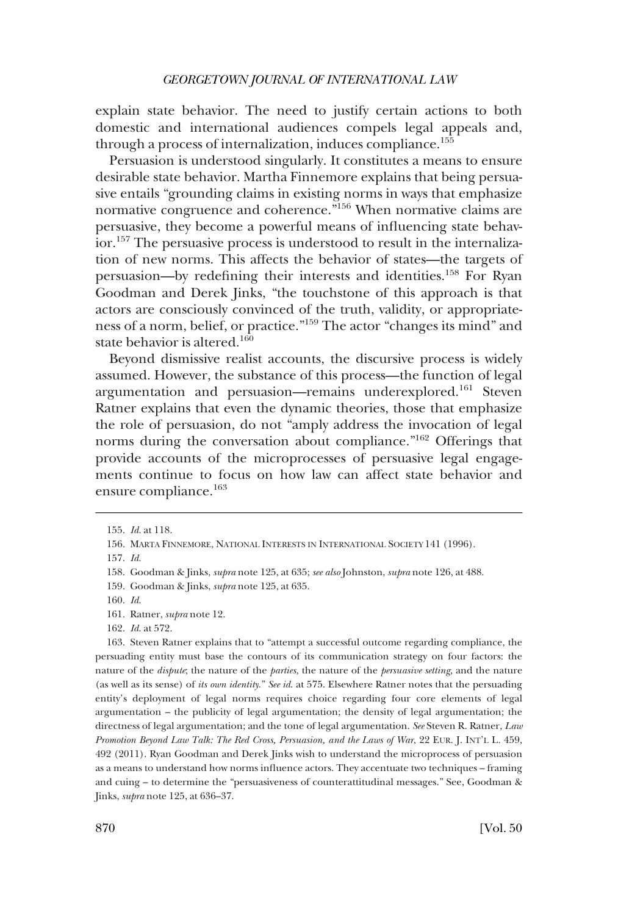explain state behavior. The need to justify certain actions to both domestic and international audiences compels legal appeals and, through a process of internalization, induces compliance.155

Persuasion is understood singularly. It constitutes a means to ensure desirable state behavior. Martha Finnemore explains that being persuasive entails "grounding claims in existing norms in ways that emphasize normative congruence and coherence."156 When normative claims are persuasive, they become a powerful means of infuencing state behavior.157 The persuasive process is understood to result in the internalization of new norms. This affects the behavior of states—the targets of persuasion—by redefning their interests and identities.158 For Ryan Goodman and Derek Jinks, "the touchstone of this approach is that actors are consciously convinced of the truth, validity, or appropriateness of a norm, belief, or practice."159 The actor "changes its mind" and state behavior is altered.<sup>160</sup>

Beyond dismissive realist accounts, the discursive process is widely assumed. However, the substance of this process—the function of legal argumentation and persuasion—remains underexplored.161 Steven Ratner explains that even the dynamic theories, those that emphasize the role of persuasion, do not "amply address the invocation of legal norms during the conversation about compliance."162 Offerings that provide accounts of the microprocesses of persuasive legal engagements continue to focus on how law can affect state behavior and ensure compliance.<sup>163</sup>

162. *Id*. at 572.

163. Steven Ratner explains that to "attempt a successful outcome regarding compliance, the persuading entity must base the contours of its communication strategy on four factors: the nature of the *dispute*; the nature of the *parties*, the nature of the *persuasive setting*, and the nature (as well as its sense) of *its own identity*." *See id*. at 575. Elsewhere Ratner notes that the persuading entity's deployment of legal norms requires choice regarding four core elements of legal argumentation – the publicity of legal argumentation; the density of legal argumentation; the directness of legal argumentation; and the tone of legal argumentation. *See* Steven R. Ratner, *Law Promotion Beyond Law Talk: The Red Cross, Persuasion, and the Laws of War*, 22 EUR. J. INT'L L. 459, 492 (2011). Ryan Goodman and Derek Jinks wish to understand the microprocess of persuasion as a means to understand how norms infuence actors. They accentuate two techniques – framing and cuing – to determine the "persuasiveness of counterattitudinal messages." See, Goodman & Jinks, *supra* note 125, at 636–37.

<sup>155.</sup> *Id*. at 118.

<sup>156.</sup> MARTA FINNEMORE, NATIONAL INTERESTS IN INTERNATIONAL SOCIETY 141 (1996).

<sup>157.</sup> *Id*.

<sup>158.</sup> Goodman & Jinks, *supra* note 125, at 635; *see also* Johnston, *supra* note 126, at 488.

<sup>159.</sup> Goodman & Jinks, *supra* note 125, at 635.

<sup>160.</sup> *Id*.

<sup>161.</sup> Ratner, *supra* note 12.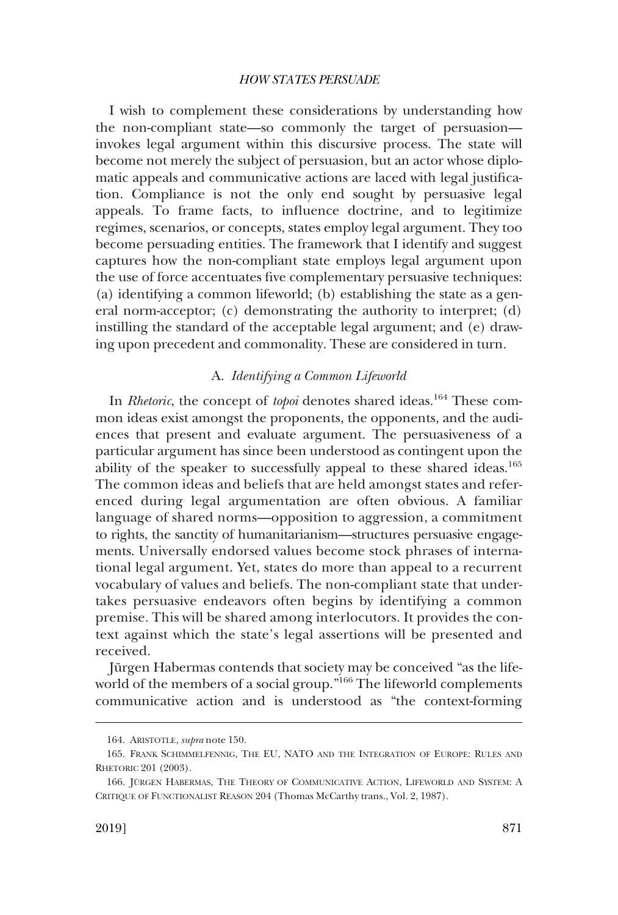<span id="page-32-0"></span>I wish to complement these considerations by understanding how the non-compliant state—so commonly the target of persuasion invokes legal argument within this discursive process. The state will become not merely the subject of persuasion, but an actor whose diplomatic appeals and communicative actions are laced with legal justifcation. Compliance is not the only end sought by persuasive legal appeals. To frame facts, to infuence doctrine, and to legitimize regimes, scenarios, or concepts, states employ legal argument. They too become persuading entities. The framework that I identify and suggest captures how the non-compliant state employs legal argument upon the use of force accentuates fve complementary persuasive techniques: (a) identifying a common lifeworld; (b) establishing the state as a general norm-acceptor; (c) demonstrating the authority to interpret; (d) instilling the standard of the acceptable legal argument; and (e) drawing upon precedent and commonality. These are considered in turn.

### A. *Identifying a Common Lifeworld*

In *Rhetoric*, the concept of *topoi* denotes shared ideas.<sup>164</sup> These common ideas exist amongst the proponents, the opponents, and the audiences that present and evaluate argument. The persuasiveness of a particular argument has since been understood as contingent upon the ability of the speaker to successfully appeal to these shared ideas.<sup>165</sup> The common ideas and beliefs that are held amongst states and referenced during legal argumentation are often obvious. A familiar language of shared norms—opposition to aggression, a commitment to rights, the sanctity of humanitarianism—structures persuasive engagements. Universally endorsed values become stock phrases of international legal argument. Yet, states do more than appeal to a recurrent vocabulary of values and beliefs. The non-compliant state that undertakes persuasive endeavors often begins by identifying a common premise. This will be shared among interlocutors. It provides the context against which the state's legal assertions will be presented and received.

Jürgen Habermas contends that society may be conceived "as the lifeworld of the members of a social group.<sup>"166</sup> The lifeworld complements communicative action and is understood as "the context-forming

<sup>164.</sup> ARISTOTLE, *supra* note 150.

<sup>165.</sup> FRANK SCHIMMELFENNIG, THE EU, NATO AND THE INTEGRATION OF EUROPE: RULES AND RHETORIC 201 (2003).

<sup>166.</sup> JÜRGEN HABERMAS, THE THEORY OF COMMUNICATIVE ACTION, LIFEWORLD AND SYSTEM: A CRITIQUE OF FUNCTIONALIST REASON 204 (Thomas McCarthy trans., Vol. 2, 1987).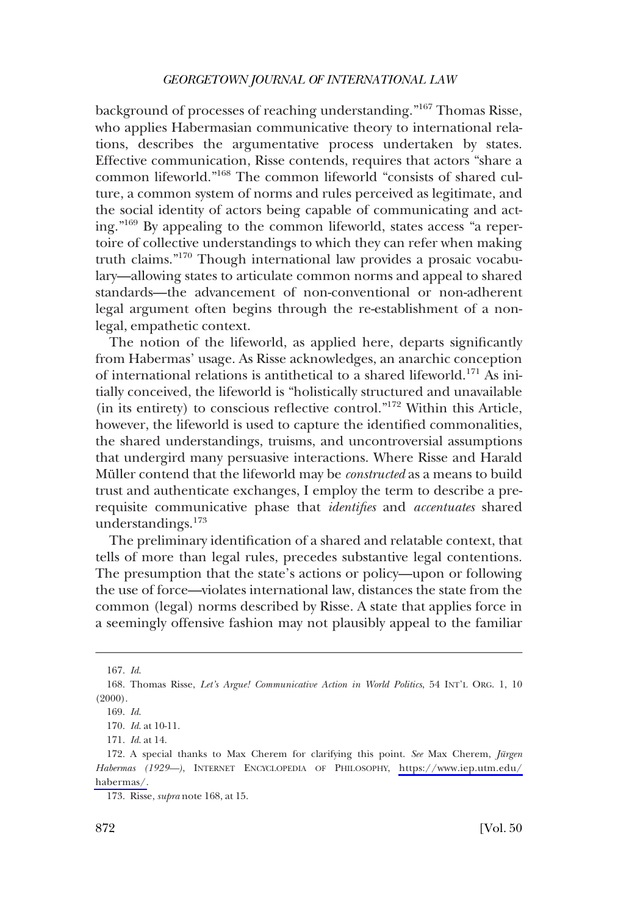background of processes of reaching understanding."167 Thomas Risse, who applies Habermasian communicative theory to international relations, describes the argumentative process undertaken by states. Effective communication, Risse contends, requires that actors "share a common lifeworld."168 The common lifeworld "consists of shared culture, a common system of norms and rules perceived as legitimate, and the social identity of actors being capable of communicating and acting."169 By appealing to the common lifeworld, states access "a repertoire of collective understandings to which they can refer when making truth claims."170 Though international law provides a prosaic vocabulary—allowing states to articulate common norms and appeal to shared standards—the advancement of non-conventional or non-adherent legal argument often begins through the re-establishment of a nonlegal, empathetic context.

The notion of the lifeworld, as applied here, departs signifcantly from Habermas' usage. As Risse acknowledges, an anarchic conception of international relations is antithetical to a shared lifeworld.<sup>171</sup> As initially conceived, the lifeworld is "holistically structured and unavailable (in its entirety) to conscious refective control."172 Within this Article, however, the lifeworld is used to capture the identifed commonalities, the shared understandings, truisms, and uncontroversial assumptions that undergird many persuasive interactions. Where Risse and Harald Müller contend that the lifeworld may be *constructed* as a means to build trust and authenticate exchanges, I employ the term to describe a prerequisite communicative phase that *identifes* and *accentuates* shared understandings.<sup>173</sup>

The preliminary identifcation of a shared and relatable context, that tells of more than legal rules, precedes substantive legal contentions. The presumption that the state's actions or policy—upon or following the use of force—violates international law, distances the state from the common (legal) norms described by Risse. A state that applies force in a seemingly offensive fashion may not plausibly appeal to the familiar

<sup>167.</sup> *Id*.

<sup>168.</sup> Thomas Risse, *Let's Argue! Communicative Action in World Politics*, 54 INT'L ORG. 1, 10  $(2000)$ .

<sup>169.</sup> *Id*.

<sup>170.</sup> *Id*. at 10-11.

<sup>171.</sup> *Id*. at 14.

<sup>172.</sup> A special thanks to Max Cherem for clarifying this point. See Max Cherem, *Jürgen Habermas (1929—)*, INTERNET ENCYCLOPEDIA OF PHILOSOPHY, [https://www.iep.utm.edu/](https://www.iep.utm.edu/habermas/) [habermas/.](https://www.iep.utm.edu/habermas/)

<sup>173.</sup> Risse, *supra* note 168, at 15.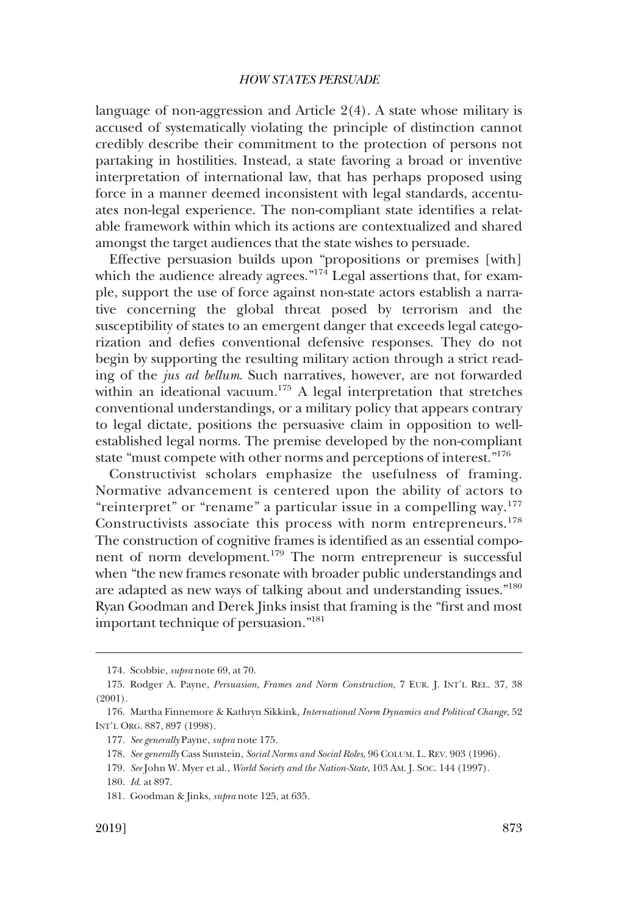language of non-aggression and Article 2(4). A state whose military is accused of systematically violating the principle of distinction cannot credibly describe their commitment to the protection of persons not partaking in hostilities. Instead, a state favoring a broad or inventive interpretation of international law, that has perhaps proposed using force in a manner deemed inconsistent with legal standards, accentuates non-legal experience. The non-compliant state identifes a relatable framework within which its actions are contextualized and shared amongst the target audiences that the state wishes to persuade.

Effective persuasion builds upon "propositions or premises [with] which the audience already agrees." $174$  Legal assertions that, for example, support the use of force against non-state actors establish a narrative concerning the global threat posed by terrorism and the susceptibility of states to an emergent danger that exceeds legal categorization and defes conventional defensive responses. They do not begin by supporting the resulting military action through a strict reading of the *jus ad bellum*. Such narratives, however, are not forwarded within an ideational vacuum.<sup>175</sup> A legal interpretation that stretches conventional understandings, or a military policy that appears contrary to legal dictate, positions the persuasive claim in opposition to wellestablished legal norms. The premise developed by the non-compliant state "must compete with other norms and perceptions of interest."<sup>176</sup>

Constructivist scholars emphasize the usefulness of framing. Normative advancement is centered upon the ability of actors to "reinterpret" or "rename" a particular issue in a compelling way.<sup>177</sup> Constructivists associate this process with norm entrepreneurs.<sup>178</sup> The construction of cognitive frames is identifed as an essential component of norm development.179 The norm entrepreneur is successful when "the new frames resonate with broader public understandings and are adapted as new ways of talking about and understanding issues."180 Ryan Goodman and Derek Jinks insist that framing is the "frst and most important technique of persuasion."181

<sup>174.</sup> Scobbie, *supra* note 69, at 70.

<sup>175.</sup> Rodger A. Payne, *Persuasion, Frames and Norm Construction*, 7 EUR. J. INT'L REL. 37, 38 (2001).

<sup>176.</sup> Martha Finnemore & Kathryn Sikkink, *International Norm Dynamics and Political Change*, 52 INT'L ORG. 887, 897 (1998).

<sup>177.</sup> *See generally* Payne, *supra* note 175.

<sup>178.</sup> *See generally* Cass Sunstein, *Social Norms and Social Roles*, 96 COLUM. L. REV. 903 (1996).

<sup>179.</sup> *See* John W. Myer et al., *World Society and the Nation-State*, 103 AM. J. SOC. 144 (1997).

<sup>180.</sup> *Id*. at 897.

<sup>181.</sup> Goodman & Jinks, *supra* note 125, at 635.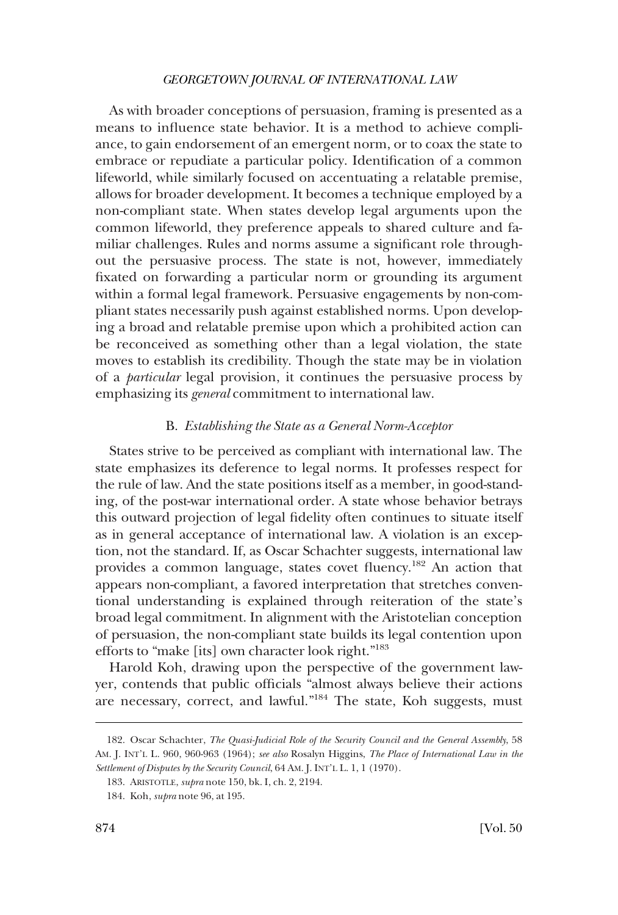<span id="page-35-0"></span>As with broader conceptions of persuasion, framing is presented as a means to infuence state behavior. It is a method to achieve compliance, to gain endorsement of an emergent norm, or to coax the state to embrace or repudiate a particular policy. Identifcation of a common lifeworld, while similarly focused on accentuating a relatable premise, allows for broader development. It becomes a technique employed by a non-compliant state. When states develop legal arguments upon the common lifeworld, they preference appeals to shared culture and familiar challenges. Rules and norms assume a signifcant role throughout the persuasive process. The state is not, however, immediately fxated on forwarding a particular norm or grounding its argument within a formal legal framework. Persuasive engagements by non-compliant states necessarily push against established norms. Upon developing a broad and relatable premise upon which a prohibited action can be reconceived as something other than a legal violation, the state moves to establish its credibility. Though the state may be in violation of a *particular* legal provision, it continues the persuasive process by emphasizing its *general* commitment to international law.

### B. *Establishing the State as a General Norm-Acceptor*

States strive to be perceived as compliant with international law. The state emphasizes its deference to legal norms. It professes respect for the rule of law. And the state positions itself as a member, in good-standing, of the post-war international order. A state whose behavior betrays this outward projection of legal fdelity often continues to situate itself as in general acceptance of international law. A violation is an exception, not the standard. If, as Oscar Schachter suggests, international law provides a common language, states covet fuency.182 An action that appears non-compliant, a favored interpretation that stretches conventional understanding is explained through reiteration of the state's broad legal commitment. In alignment with the Aristotelian conception of persuasion, the non-compliant state builds its legal contention upon efforts to "make [its] own character look right."183

Harold Koh, drawing upon the perspective of the government lawyer, contends that public officials "almost always believe their actions" are necessary, correct, and lawful."184 The state, Koh suggests, must

<sup>182.</sup> Oscar Schachter, *The Quasi-Judicial Role of the Security Council and the General Assembly*, 58 AM. J. INT'L L. 960, 960-963 (1964); *see also* Rosalyn Higgins, *The Place of International Law in the Settlement of Disputes by the Security Council*, 64 AM. J. INT'L L. 1, 1 (1970).

<sup>183.</sup> ARISTOTLE, *supra* note 150, bk. I, ch. 2, 2194.

<sup>184.</sup> Koh, *supra* note 96, at 195.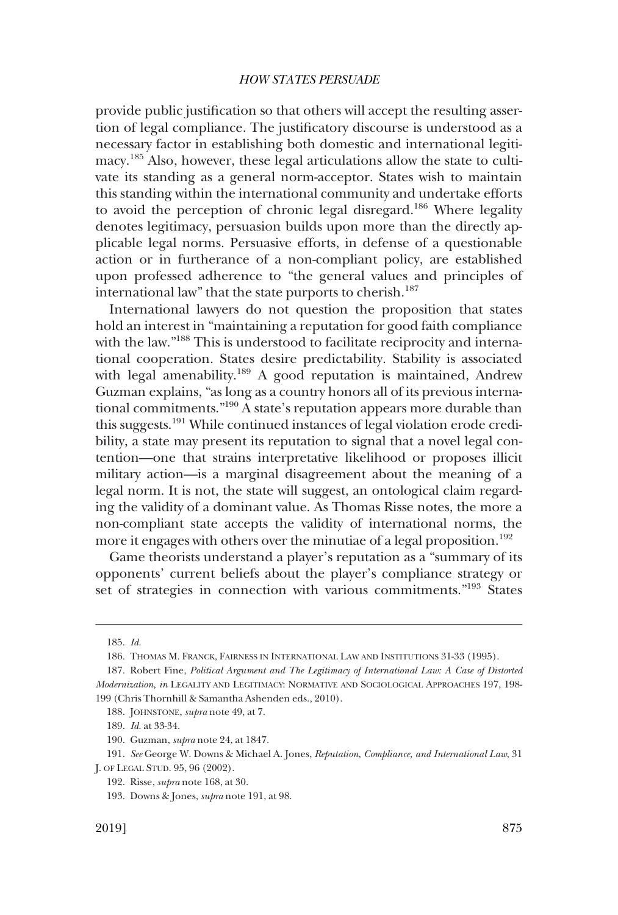provide public justifcation so that others will accept the resulting assertion of legal compliance. The justifcatory discourse is understood as a necessary factor in establishing both domestic and international legitimacy.185 Also, however, these legal articulations allow the state to cultivate its standing as a general norm-acceptor. States wish to maintain this standing within the international community and undertake efforts to avoid the perception of chronic legal disregard.<sup>186</sup> Where legality denotes legitimacy, persuasion builds upon more than the directly applicable legal norms. Persuasive efforts, in defense of a questionable action or in furtherance of a non-compliant policy, are established upon professed adherence to "the general values and principles of international law" that the state purports to cherish.<sup>187</sup>

International lawyers do not question the proposition that states hold an interest in "maintaining a reputation for good faith compliance with the law."<sup>188</sup> This is understood to facilitate reciprocity and international cooperation. States desire predictability. Stability is associated with legal amenability.<sup>189</sup> A good reputation is maintained, Andrew Guzman explains, "as long as a country honors all of its previous international commitments."190 A state's reputation appears more durable than this suggests.191 While continued instances of legal violation erode credibility, a state may present its reputation to signal that a novel legal contention—one that strains interpretative likelihood or proposes illicit military action—is a marginal disagreement about the meaning of a legal norm. It is not, the state will suggest, an ontological claim regarding the validity of a dominant value. As Thomas Risse notes, the more a non-compliant state accepts the validity of international norms, the more it engages with others over the minutiae of a legal proposition.<sup>192</sup>

Game theorists understand a player's reputation as a "summary of its opponents' current beliefs about the player's compliance strategy or set of strategies in connection with various commitments."193 States

189. *Id*. at 33-34.

<sup>185.</sup> *Id*.

<sup>186.</sup> THOMAS M. FRANCK, FAIRNESS IN INTERNATIONAL LAW AND INSTITUTIONS 31-33 (1995).

<sup>187.</sup> Robert Fine, *Political Argument and The Legitimacy of International Law: A Case of Distorted Modernization, in* LEGALITY AND LEGITIMACY: NORMATIVE AND SOCIOLOGICAL APPROACHES 197, 198- 199 (Chris Thornhill & Samantha Ashenden eds., 2010).

<sup>188.</sup> JOHNSTONE, *supra* note 49, at 7.

<sup>190.</sup> Guzman, *supra* note 24, at 1847.

<sup>191.</sup> *See* George W. Downs & Michael A. Jones, *Reputation, Compliance, and International Law*, 31 J. OF LEGAL STUD. 95, 96 (2002).

<sup>192.</sup> Risse, *supra* note 168, at 30.

<sup>193.</sup> Downs & Jones, *supra* note 191, at 98.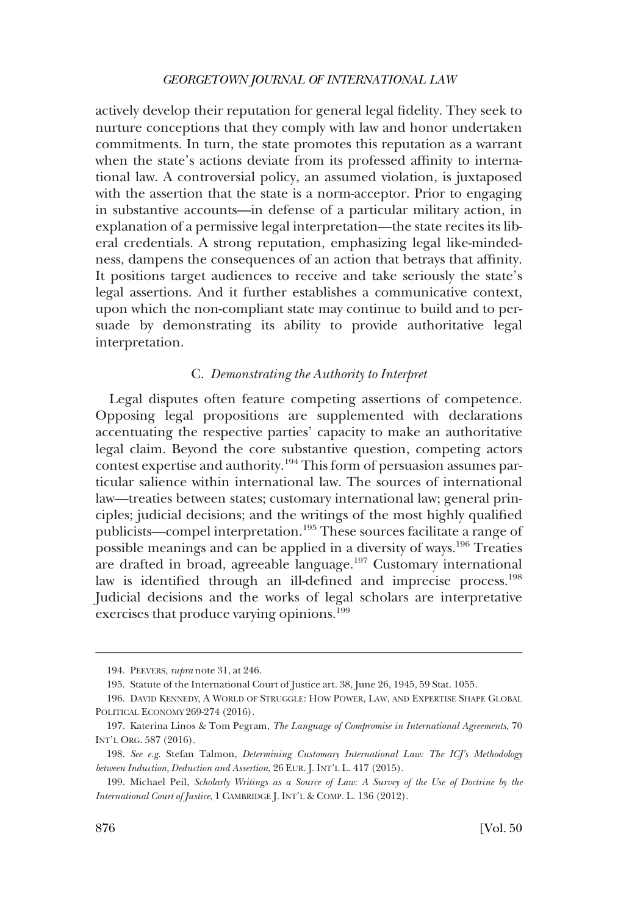actively develop their reputation for general legal fdelity. They seek to nurture conceptions that they comply with law and honor undertaken commitments. In turn, the state promotes this reputation as a warrant when the state's actions deviate from its professed affnity to international law. A controversial policy, an assumed violation, is juxtaposed with the assertion that the state is a norm-acceptor. Prior to engaging in substantive accounts—in defense of a particular military action, in explanation of a permissive legal interpretation—the state recites its liberal credentials. A strong reputation, emphasizing legal like-mindedness, dampens the consequences of an action that betrays that affnity. It positions target audiences to receive and take seriously the state's legal assertions. And it further establishes a communicative context, upon which the non-compliant state may continue to build and to persuade by demonstrating its ability to provide authoritative legal interpretation.

### C. *Demonstrating the Authority to Interpret*

Legal disputes often feature competing assertions of competence. Opposing legal propositions are supplemented with declarations accentuating the respective parties' capacity to make an authoritative legal claim. Beyond the core substantive question, competing actors contest expertise and authority.194 This form of persuasion assumes particular salience within international law. The sources of international law—treaties between states; customary international law; general principles; judicial decisions; and the writings of the most highly qualifed publicists—compel interpretation.195 These sources facilitate a range of possible meanings and can be applied in a diversity of ways.196 Treaties are drafted in broad, agreeable language.197 Customary international law is identified through an ill-defined and imprecise process.<sup>198</sup> Judicial decisions and the works of legal scholars are interpretative exercises that produce varying opinions.<sup>199</sup>

<sup>194.</sup> PEEVERS, *supra* note 31, at 246.

<sup>195.</sup> Statute of the International Court of Justice art. 38, June 26, 1945, 59 Stat. 1055.

<sup>196.</sup> DAVID KENNEDY, A WORLD OF STRUGGLE: HOW POWER, LAW, AND EXPERTISE SHAPE GLOBAL POLITICAL ECONOMY 269-274 (2016).

<sup>197.</sup> Katerina Linos & Tom Pegram, *The Language of Compromise in International Agreements*, 70 INT'L ORG. 587 (2016).

<sup>198.</sup> *See e.g*. Stefan Talmon, *Determining Customary International Law: The ICJ's Methodology between Induction, Deduction and Assertion*, 26 EUR. J. INT'L L. 417 (2015).

<sup>199.</sup> Michael Peil, *Scholarly Writings as a Source of Law: A Survey of the Use of Doctrine by the International Court of Justice*, 1 CAMBRIDGE J. INT'L & COMP. L. 136 (2012).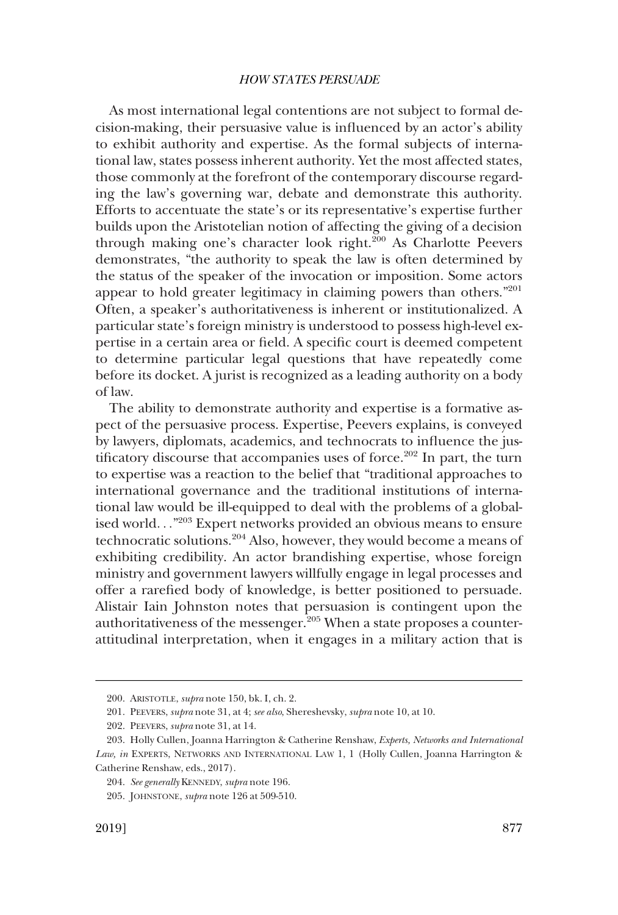As most international legal contentions are not subject to formal decision-making, their persuasive value is infuenced by an actor's ability to exhibit authority and expertise. As the formal subjects of international law, states possess inherent authority. Yet the most affected states, those commonly at the forefront of the contemporary discourse regarding the law's governing war, debate and demonstrate this authority. Efforts to accentuate the state's or its representative's expertise further builds upon the Aristotelian notion of affecting the giving of a decision through making one's character look right.<sup>200</sup> As Charlotte Peevers demonstrates, "the authority to speak the law is often determined by the status of the speaker of the invocation or imposition. Some actors appear to hold greater legitimacy in claiming powers than others."201 Often, a speaker's authoritativeness is inherent or institutionalized. A particular state's foreign ministry is understood to possess high-level expertise in a certain area or feld. A specifc court is deemed competent to determine particular legal questions that have repeatedly come before its docket. A jurist is recognized as a leading authority on a body of law.

The ability to demonstrate authority and expertise is a formative aspect of the persuasive process. Expertise, Peevers explains, is conveyed by lawyers, diplomats, academics, and technocrats to infuence the justificatory discourse that accompanies uses of force.<sup>202</sup> In part, the turn to expertise was a reaction to the belief that "traditional approaches to international governance and the traditional institutions of international law would be ill-equipped to deal with the problems of a globalised world. . ."203 Expert networks provided an obvious means to ensure technocratic solutions.204 Also, however, they would become a means of exhibiting credibility. An actor brandishing expertise, whose foreign ministry and government lawyers willfully engage in legal processes and offer a rarefed body of knowledge, is better positioned to persuade. Alistair Iain Johnston notes that persuasion is contingent upon the authoritativeness of the messenger. $205$  When a state proposes a counterattitudinal interpretation, when it engages in a military action that is

<sup>200.</sup> ARISTOTLE, *supra* note 150, bk. I, ch. 2.

<sup>201.</sup> PEEVERS, *supra* note 31, at 4; *see also*, Shereshevsky, *supra* note 10, at 10.

<sup>202.</sup> PEEVERS, *supra* note 31, at 14.

<sup>203.</sup> Holly Cullen, Joanna Harrington & Catherine Renshaw, *Experts, Networks and International Law, in* EXPERTS, NETWORKS AND INTERNATIONAL LAW 1, 1 (Holly Cullen, Joanna Harrington & Catherine Renshaw, eds., 2017).

<sup>204.</sup> *See generally* KENNEDY, *supra* note 196.

<sup>205.</sup> JOHNSTONE, *supra* note 126 at 509-510.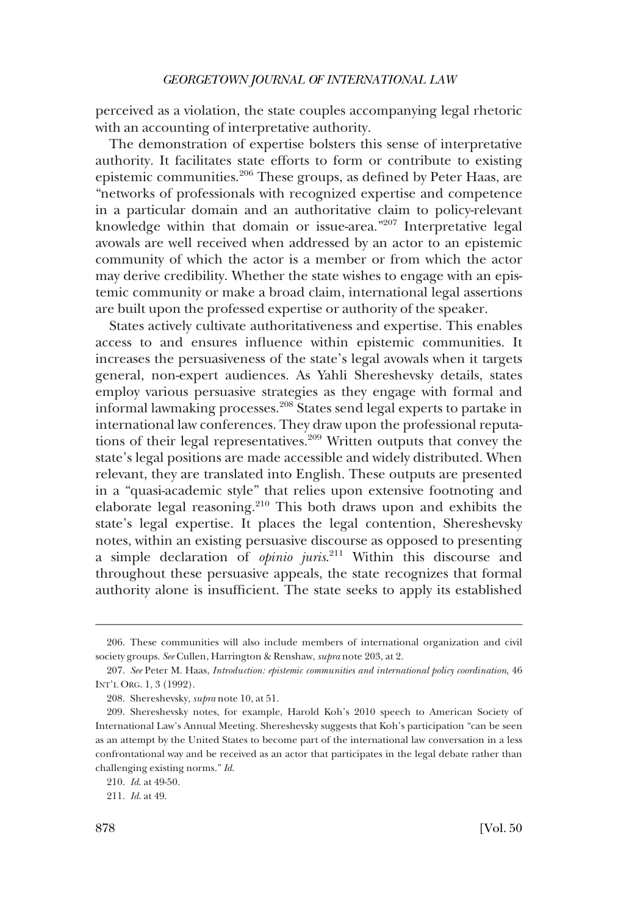perceived as a violation, the state couples accompanying legal rhetoric with an accounting of interpretative authority.

The demonstration of expertise bolsters this sense of interpretative authority. It facilitates state efforts to form or contribute to existing epistemic communities.206 These groups, as defned by Peter Haas, are "networks of professionals with recognized expertise and competence in a particular domain and an authoritative claim to policy-relevant knowledge within that domain or issue-area."207 Interpretative legal avowals are well received when addressed by an actor to an epistemic community of which the actor is a member or from which the actor may derive credibility. Whether the state wishes to engage with an epistemic community or make a broad claim, international legal assertions are built upon the professed expertise or authority of the speaker.

States actively cultivate authoritativeness and expertise. This enables access to and ensures infuence within epistemic communities. It increases the persuasiveness of the state's legal avowals when it targets general, non-expert audiences. As Yahli Shereshevsky details, states employ various persuasive strategies as they engage with formal and informal lawmaking processes.<sup>208</sup> States send legal experts to partake in international law conferences. They draw upon the professional reputations of their legal representatives.<sup>209</sup> Written outputs that convey the state's legal positions are made accessible and widely distributed. When relevant, they are translated into English. These outputs are presented in a "quasi-academic style" that relies upon extensive footnoting and elaborate legal reasoning.<sup>210</sup> This both draws upon and exhibits the state's legal expertise. It places the legal contention, Shereshevsky notes, within an existing persuasive discourse as opposed to presenting a simple declaration of *opinio juris*. 211 Within this discourse and throughout these persuasive appeals, the state recognizes that formal authority alone is insuffcient. The state seeks to apply its established

<sup>206.</sup> These communities will also include members of international organization and civil society groups. *See* Cullen, Harrington & Renshaw, *supra* note 203, at 2.

<sup>207.</sup> *See* Peter M. Haas, *Introduction: epistemic communities and international policy coordination*, 46 INT'L ORG. 1, 3 (1992).

<sup>208.</sup> Shereshevsky, *supra* note 10, at 51.

<sup>209.</sup> Shereshevsky notes, for example, Harold Koh's 2010 speech to American Society of International Law's Annual Meeting. Shereshevsky suggests that Koh's participation "can be seen as an attempt by the United States to become part of the international law conversation in a less confrontational way and be received as an actor that participates in the legal debate rather than challenging existing norms." *Id*.

<sup>210.</sup> *Id*. at 49-50.

<sup>211.</sup> *Id*. at 49.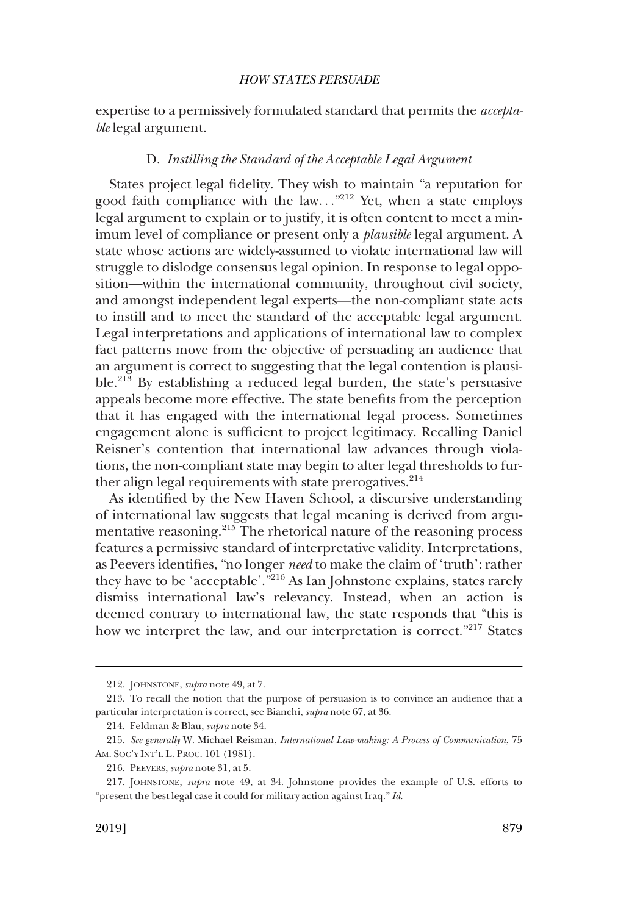expertise to a permissively formulated standard that permits the *acceptable* legal argument.

## D. *Instilling the Standard of the Acceptable Legal Argument*

States project legal fdelity. They wish to maintain "a reputation for good faith compliance with the law..."<sup>212</sup> Yet, when a state employs legal argument to explain or to justify, it is often content to meet a minimum level of compliance or present only a *plausible* legal argument. A state whose actions are widely-assumed to violate international law will struggle to dislodge consensus legal opinion. In response to legal opposition—within the international community, throughout civil society, and amongst independent legal experts—the non-compliant state acts to instill and to meet the standard of the acceptable legal argument. Legal interpretations and applications of international law to complex fact patterns move from the objective of persuading an audience that an argument is correct to suggesting that the legal contention is plausible.213 By establishing a reduced legal burden, the state's persuasive appeals become more effective. The state benefts from the perception that it has engaged with the international legal process. Sometimes engagement alone is sufficient to project legitimacy. Recalling Daniel Reisner's contention that international law advances through violations, the non-compliant state may begin to alter legal thresholds to further align legal requirements with state prerogatives. $2^{14}$ 

As identifed by the New Haven School, a discursive understanding of international law suggests that legal meaning is derived from argumentative reasoning.215 The rhetorical nature of the reasoning process features a permissive standard of interpretative validity. Interpretations, as Peevers identifes, "no longer *need* to make the claim of 'truth': rather they have to be 'acceptable'.<sup>"216</sup> As Ian Johnstone explains, states rarely dismiss international law's relevancy. Instead, when an action is deemed contrary to international law, the state responds that "this is how we interpret the law, and our interpretation is correct."<sup>217</sup> States

<sup>212.</sup> JOHNSTONE, *supra* note 49, at 7.

<sup>213.</sup> To recall the notion that the purpose of persuasion is to convince an audience that a particular interpretation is correct, see Bianchi, *supra* note 67, at 36.

<sup>214.</sup> Feldman & Blau, *supra* note 34.

<sup>215.</sup> *See generally* W. Michael Reisman, *International Law-making: A Process of Communication*, 75 AM. SOC'Y INT'L L. PROC. 101 (1981).

<sup>216.</sup> PEEVERS, *supra* note 31, at 5.

<sup>217.</sup> JOHNSTONE, *supra* note 49, at 34. Johnstone provides the example of U.S. efforts to "present the best legal case it could for military action against Iraq." *Id*.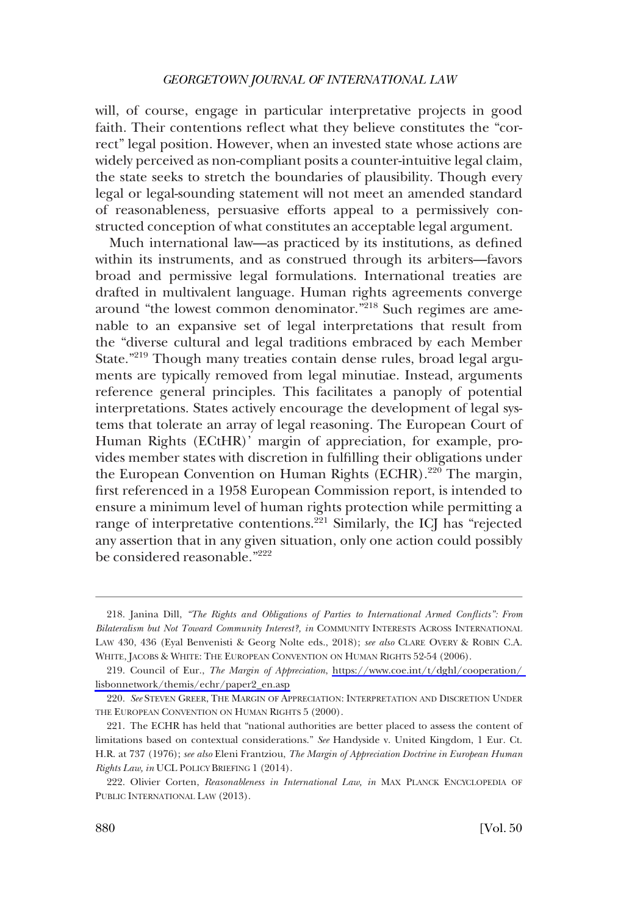will, of course, engage in particular interpretative projects in good faith. Their contentions refect what they believe constitutes the "correct" legal position. However, when an invested state whose actions are widely perceived as non-compliant posits a counter-intuitive legal claim, the state seeks to stretch the boundaries of plausibility. Though every legal or legal-sounding statement will not meet an amended standard of reasonableness, persuasive efforts appeal to a permissively constructed conception of what constitutes an acceptable legal argument.

Much international law—as practiced by its institutions, as defned within its instruments, and as construed through its arbiters—favors broad and permissive legal formulations. International treaties are drafted in multivalent language. Human rights agreements converge around "the lowest common denominator."<sup>218</sup> Such regimes are amenable to an expansive set of legal interpretations that result from the "diverse cultural and legal traditions embraced by each Member State."<sup>219</sup> Though many treaties contain dense rules, broad legal arguments are typically removed from legal minutiae. Instead, arguments reference general principles. This facilitates a panoply of potential interpretations. States actively encourage the development of legal systems that tolerate an array of legal reasoning. The European Court of Human Rights (ECtHR)' margin of appreciation, for example, provides member states with discretion in fulflling their obligations under the European Convention on Human Rights (ECHR).<sup>220</sup> The margin, frst referenced in a 1958 European Commission report, is intended to ensure a minimum level of human rights protection while permitting a range of interpretative contentions.<sup>221</sup> Similarly, the ICJ has "rejected any assertion that in any given situation, only one action could possibly be considered reasonable."222

<sup>218.</sup> Janina Dill, *"The Rights and Obligations of Parties to International Armed Conficts": From Bilateralism but Not Toward Community Interest?, in* COMMUNITY INTERESTS ACROSS INTERNATIONAL LAW 430, 436 (Eyal Benvenisti & Georg Nolte eds., 2018); *see also* CLARE OVERY & ROBIN C.A. WHITE, JACOBS & WHITE: THE EUROPEAN CONVENTION ON HUMAN RIGHTS 52-54 (2006).

<sup>219.</sup> Council of Eur., *The Margin of Appreciation*, https://www.coe.int/t/dghl/cooperation/ [lisbonnetwork/themis/echr/paper2\\_en.asp](https://www.coe.int/t/dghl/cooperation/lisbonnetwork/themis/echr/paper2_en.asp)

<sup>220.</sup> *See* STEVEN GREER, THE MARGIN OF APPRECIATION: INTERPRETATION AND DISCRETION UNDER THE EUROPEAN CONVENTION ON HUMAN RIGHTS 5 (2000).

<sup>221.</sup> The ECHR has held that "national authorities are better placed to assess the content of limitations based on contextual considerations." *See* Handyside v. United Kingdom, 1 Eur. Ct. H.R. at 737 (1976); *see also* Eleni Frantziou, *The Margin of Appreciation Doctrine in European Human Rights Law, in* UCL POLICY BRIEFING 1 (2014).

<sup>222.</sup> Olivier Corten, *Reasonableness in International Law, in* MAX PLANCK ENCYCLOPEDIA OF PUBLIC INTERNATIONAL LAW (2013).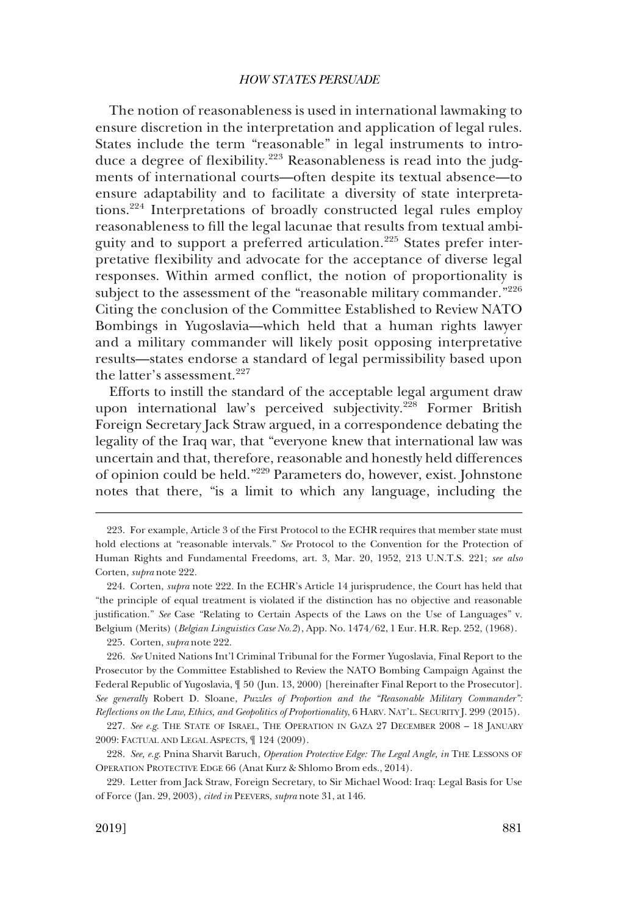The notion of reasonableness is used in international lawmaking to ensure discretion in the interpretation and application of legal rules. States include the term "reasonable" in legal instruments to introduce a degree of flexibility.<sup>223</sup> Reasonableness is read into the judgments of international courts—often despite its textual absence—to ensure adaptability and to facilitate a diversity of state interpretations.224 Interpretations of broadly constructed legal rules employ reasonableness to fll the legal lacunae that results from textual ambiguity and to support a preferred articulation.<sup>225</sup> States prefer interpretative fexibility and advocate for the acceptance of diverse legal responses. Within armed confict, the notion of proportionality is subject to the assessment of the "reasonable military commander."<sup>226</sup> Citing the conclusion of the Committee Established to Review NATO Bombings in Yugoslavia—which held that a human rights lawyer and a military commander will likely posit opposing interpretative results—states endorse a standard of legal permissibility based upon the latter's assessment. $227$ 

Efforts to instill the standard of the acceptable legal argument draw upon international law's perceived subjectivity.<sup>228</sup> Former British Foreign Secretary Jack Straw argued, in a correspondence debating the legality of the Iraq war, that "everyone knew that international law was uncertain and that, therefore, reasonable and honestly held differences of opinion could be held."229 Parameters do, however, exist. Johnstone notes that there, "is a limit to which any language, including the

225. Corten, *supra* note 222.

<sup>223.</sup> For example, Article 3 of the First Protocol to the ECHR requires that member state must hold elections at "reasonable intervals." *See* Protocol to the Convention for the Protection of Human Rights and Fundamental Freedoms, art. 3, Mar. 20, 1952, 213 U.N.T.S. 221; *see also*  Corten, *supra* note 222.

<sup>224.</sup> Corten, *supra* note 222. In the ECHR's Article 14 jurisprudence, the Court has held that "the principle of equal treatment is violated if the distinction has no objective and reasonable justifcation." *See* Case "Relating to Certain Aspects of the Laws on the Use of Languages" v. Belgium (Merits) (*Belgian Linguistics Case No.2*), App. No. 1474/62, 1 Eur. H.R. Rep. 252, (1968).

<sup>226.</sup> *See* United Nations Int'l Criminal Tribunal for the Former Yugoslavia, Final Report to the Prosecutor by the Committee Established to Review the NATO Bombing Campaign Against the Federal Republic of Yugoslavia, ¶ 50 (Jun. 13, 2000) [hereinafter Final Report to the Prosecutor]. *See generally* Robert D. Sloane, *Puzzles of Proportion and the "Reasonable Military Commander": Refections on the Law, Ethics, and Geopolitics of Proportionality*, 6 HARV. NAT'L. SECURITY J. 299 (2015).

<sup>227.</sup> *See e.g*. THE STATE OF ISRAEL, THE OPERATION IN GAZA 27 DECEMBER 2008 – 18 JANUARY 2009: FACTUAL AND LEGAL ASPECTS, ¶ 124 (2009).

<sup>228.</sup> *See, e.g*. Pnina Sharvit Baruch, *Operation Protective Edge: The Legal Angle, in* THE LESSONS OF OPERATION PROTECTIVE EDGE 66 (Anat Kurz & Shlomo Brom eds., 2014).

<sup>229.</sup> Letter from Jack Straw, Foreign Secretary, to Sir Michael Wood: Iraq: Legal Basis for Use of Force (Jan. 29, 2003), *cited in* PEEVERS, *supra* note 31, at 146.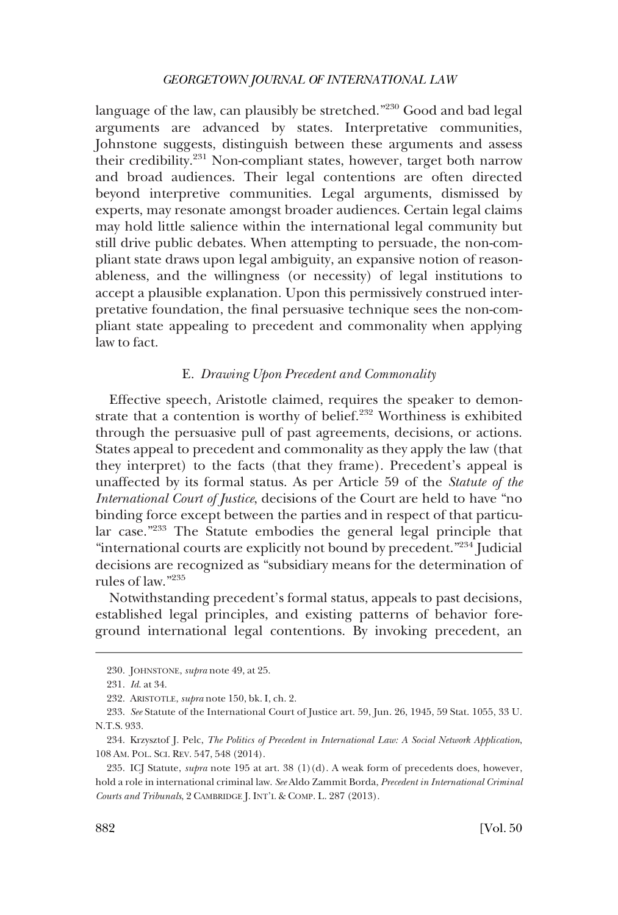language of the law, can plausibly be stretched."<sup>230</sup> Good and bad legal arguments are advanced by states. Interpretative communities, Johnstone suggests, distinguish between these arguments and assess their credibility.<sup>231</sup> Non-compliant states, however, target both narrow and broad audiences. Their legal contentions are often directed beyond interpretive communities. Legal arguments, dismissed by experts, may resonate amongst broader audiences. Certain legal claims may hold little salience within the international legal community but still drive public debates. When attempting to persuade, the non-compliant state draws upon legal ambiguity, an expansive notion of reasonableness, and the willingness (or necessity) of legal institutions to accept a plausible explanation. Upon this permissively construed interpretative foundation, the fnal persuasive technique sees the non-compliant state appealing to precedent and commonality when applying law to fact.

## E. *Drawing Upon Precedent and Commonality*

Effective speech, Aristotle claimed, requires the speaker to demonstrate that a contention is worthy of belief.<sup>232</sup> Worthiness is exhibited through the persuasive pull of past agreements, decisions, or actions. States appeal to precedent and commonality as they apply the law (that they interpret) to the facts (that they frame). Precedent's appeal is unaffected by its formal status. As per Article 59 of the *Statute of the International Court of Justice*, decisions of the Court are held to have "no binding force except between the parties and in respect of that particular case."233 The Statute embodies the general legal principle that "international courts are explicitly not bound by precedent."<sup>234</sup> Judicial decisions are recognized as "subsidiary means for the determination of rules of law."235

Notwithstanding precedent's formal status, appeals to past decisions, established legal principles, and existing patterns of behavior foreground international legal contentions. By invoking precedent, an

<sup>230.</sup> JOHNSTONE, *supra* note 49, at 25.

<sup>231.</sup> *Id*. at 34.

<sup>232.</sup> ARISTOTLE, *supra* note 150, bk. I, ch. 2.

<sup>233.</sup> *See* Statute of the International Court of Justice art. 59, Jun. 26, 1945, 59 Stat. 1055, 33 U. N.T.S. 933.

<sup>234.</sup> Krzysztof J. Pelc, *The Politics of Precedent in International Law: A Social Network Application*, 108 AM. POL. SCI. REV. 547, 548 (2014).

<sup>235.</sup> ICJ Statute, *supra* note 195 at art. 38 (1)(d). A weak form of precedents does, however, hold a role in international criminal law. *See* Aldo Zammit Borda, *Precedent in International Criminal Courts and Tribunals*, 2 CAMBRIDGE J. INT'L & COMP. L. 287 (2013).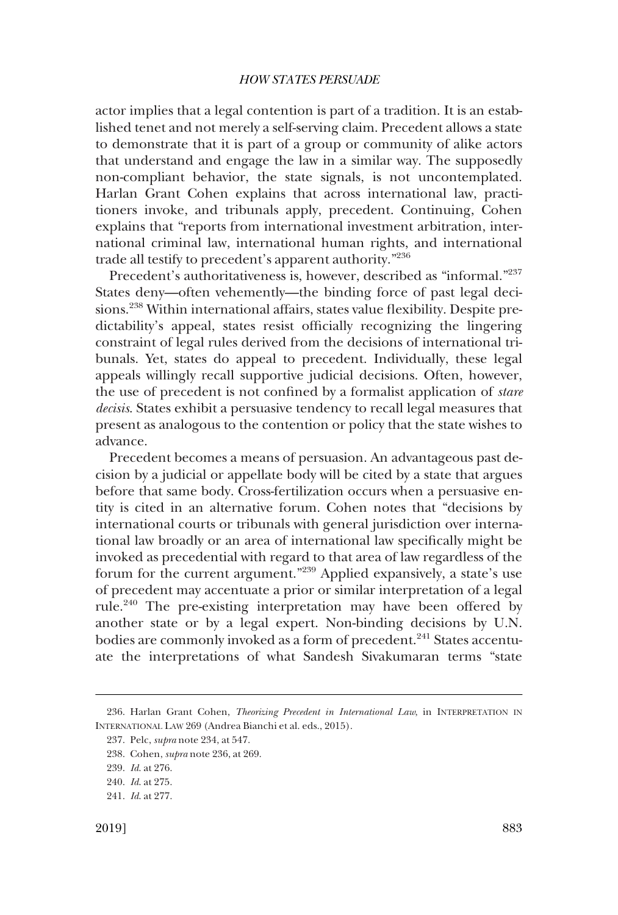actor implies that a legal contention is part of a tradition. It is an established tenet and not merely a self-serving claim. Precedent allows a state to demonstrate that it is part of a group or community of alike actors that understand and engage the law in a similar way. The supposedly non-compliant behavior, the state signals, is not uncontemplated. Harlan Grant Cohen explains that across international law, practitioners invoke, and tribunals apply, precedent. Continuing, Cohen explains that "reports from international investment arbitration, international criminal law, international human rights, and international trade all testify to precedent's apparent authority."<sup>236</sup>

Precedent's authoritativeness is, however, described as "informal."<sup>237</sup> States deny—often vehemently—the binding force of past legal decisions.<sup>238</sup> Within international affairs, states value flexibility. Despite predictability's appeal, states resist officially recognizing the lingering constraint of legal rules derived from the decisions of international tribunals. Yet, states do appeal to precedent. Individually, these legal appeals willingly recall supportive judicial decisions. Often, however, the use of precedent is not confned by a formalist application of *stare decisis*. States exhibit a persuasive tendency to recall legal measures that present as analogous to the contention or policy that the state wishes to advance.

Precedent becomes a means of persuasion. An advantageous past decision by a judicial or appellate body will be cited by a state that argues before that same body. Cross-fertilization occurs when a persuasive entity is cited in an alternative forum. Cohen notes that "decisions by international courts or tribunals with general jurisdiction over international law broadly or an area of international law specifcally might be invoked as precedential with regard to that area of law regardless of the forum for the current argument."239 Applied expansively, a state's use of precedent may accentuate a prior or similar interpretation of a legal rule.<sup>240</sup> The pre-existing interpretation may have been offered by another state or by a legal expert. Non-binding decisions by U.N. bodies are commonly invoked as a form of precedent.<sup>241</sup> States accentuate the interpretations of what Sandesh Sivakumaran terms "state

<sup>236.</sup> Harlan Grant Cohen, *Theorizing Precedent in International Law*, in INTERPRETATION IN INTERNATIONAL LAW 269 (Andrea Bianchi et al. eds., 2015).

<sup>237.</sup> Pelc, *supra* note 234, at 547.

<sup>238.</sup> Cohen, *supra* note 236, at 269.

<sup>239.</sup> *Id*. at 276.

<sup>240.</sup> *Id*. at 275.

<sup>241.</sup> *Id*. at 277.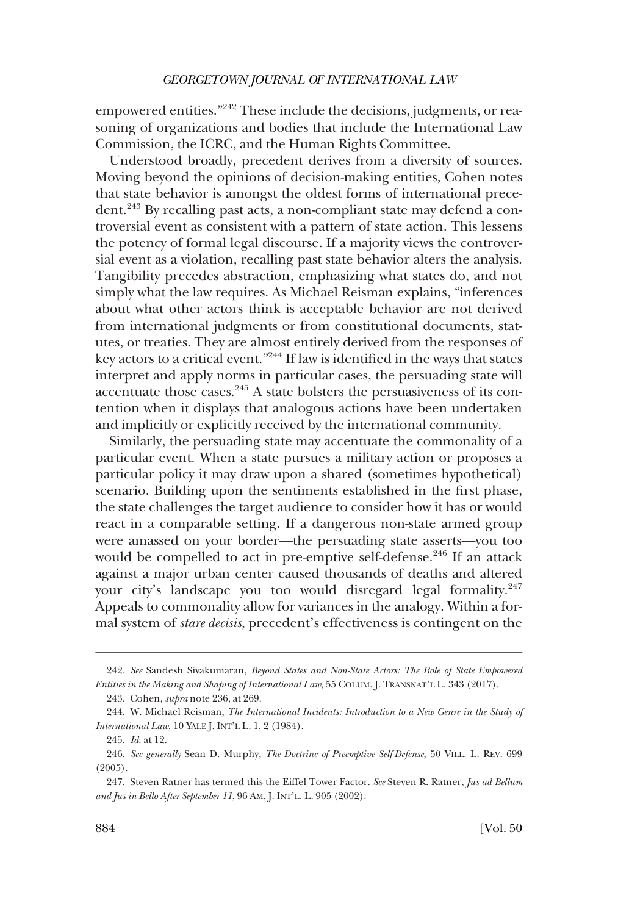empowered entities."<sup>242</sup> These include the decisions, judgments, or reasoning of organizations and bodies that include the International Law Commission, the ICRC, and the Human Rights Committee.

Understood broadly, precedent derives from a diversity of sources. Moving beyond the opinions of decision-making entities, Cohen notes that state behavior is amongst the oldest forms of international precedent.<sup>243</sup> By recalling past acts, a non-compliant state may defend a controversial event as consistent with a pattern of state action. This lessens the potency of formal legal discourse. If a majority views the controversial event as a violation, recalling past state behavior alters the analysis. Tangibility precedes abstraction, emphasizing what states do, and not simply what the law requires. As Michael Reisman explains, "inferences about what other actors think is acceptable behavior are not derived from international judgments or from constitutional documents, statutes, or treaties. They are almost entirely derived from the responses of key actors to a critical event."244 If law is identifed in the ways that states interpret and apply norms in particular cases, the persuading state will accentuate those cases. $245$  A state bolsters the persuasiveness of its contention when it displays that analogous actions have been undertaken and implicitly or explicitly received by the international community.

Similarly, the persuading state may accentuate the commonality of a particular event. When a state pursues a military action or proposes a particular policy it may draw upon a shared (sometimes hypothetical) scenario. Building upon the sentiments established in the frst phase, the state challenges the target audience to consider how it has or would react in a comparable setting. If a dangerous non-state armed group were amassed on your border—the persuading state asserts—you too would be compelled to act in pre-emptive self-defense.<sup>246</sup> If an attack against a major urban center caused thousands of deaths and altered your city's landscape you too would disregard legal formality.<sup>247</sup> Appeals to commonality allow for variances in the analogy. Within a formal system of *stare decisis*, precedent's effectiveness is contingent on the

<sup>242.</sup> *See* Sandesh Sivakumaran, *Beyond States and Non-State Actors: The Role of State Empowered Entities in the Making and Shaping of International Law*, 55 COLUM. J. TRANSNAT'L L. 343 (2017).

<sup>243.</sup> Cohen, *supra* note 236, at 269.

<sup>244.</sup> W. Michael Reisman, *The International Incidents: Introduction to a New Genre in the Study of International Law*, 10 YALE J. INT'L L. 1, 2 (1984).

<sup>245.</sup> *Id*. at 12.

<sup>246.</sup> *See generally* Sean D. Murphy, *The Doctrine of Preemptive Self-Defense*, 50 VILL. L. REV. 699 (2005).

<sup>247.</sup> Steven Ratner has termed this the Eiffel Tower Factor. *See* Steven R. Ratner, *Jus ad Bellum and Jus in Bello After September 11*, 96 AM. J. INT'L. L. 905 (2002).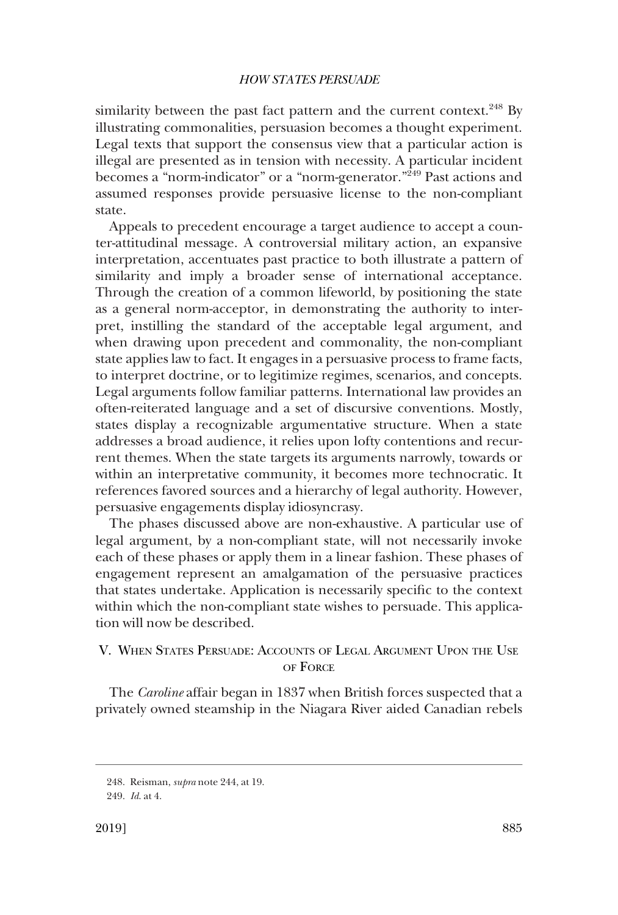similarity between the past fact pattern and the current context. $^{248}$  By illustrating commonalities, persuasion becomes a thought experiment. Legal texts that support the consensus view that a particular action is illegal are presented as in tension with necessity. A particular incident becomes a "norm-indicator" or a "norm-generator."<sup>249</sup> Past actions and assumed responses provide persuasive license to the non-compliant state.

Appeals to precedent encourage a target audience to accept a counter-attitudinal message. A controversial military action, an expansive interpretation, accentuates past practice to both illustrate a pattern of similarity and imply a broader sense of international acceptance. Through the creation of a common lifeworld, by positioning the state as a general norm-acceptor, in demonstrating the authority to interpret, instilling the standard of the acceptable legal argument, and when drawing upon precedent and commonality, the non-compliant state applies law to fact. It engages in a persuasive process to frame facts, to interpret doctrine, or to legitimize regimes, scenarios, and concepts. Legal arguments follow familiar patterns. International law provides an often-reiterated language and a set of discursive conventions. Mostly, states display a recognizable argumentative structure. When a state addresses a broad audience, it relies upon lofty contentions and recurrent themes. When the state targets its arguments narrowly, towards or within an interpretative community, it becomes more technocratic. It references favored sources and a hierarchy of legal authority. However, persuasive engagements display idiosyncrasy.

The phases discussed above are non-exhaustive. A particular use of legal argument, by a non-compliant state, will not necessarily invoke each of these phases or apply them in a linear fashion. These phases of engagement represent an amalgamation of the persuasive practices that states undertake. Application is necessarily specifc to the context within which the non-compliant state wishes to persuade. This application will now be described.

# V. WHEN STATES PERSUADE: ACCOUNTS OF LEGAL ARGUMENT UPON THE USE OF FORCE

The *Caroline* affair began in 1837 when British forces suspected that a privately owned steamship in the Niagara River aided Canadian rebels

<sup>248.</sup> Reisman, *supra* note 244, at 19.

<sup>249.</sup> *Id*. at 4.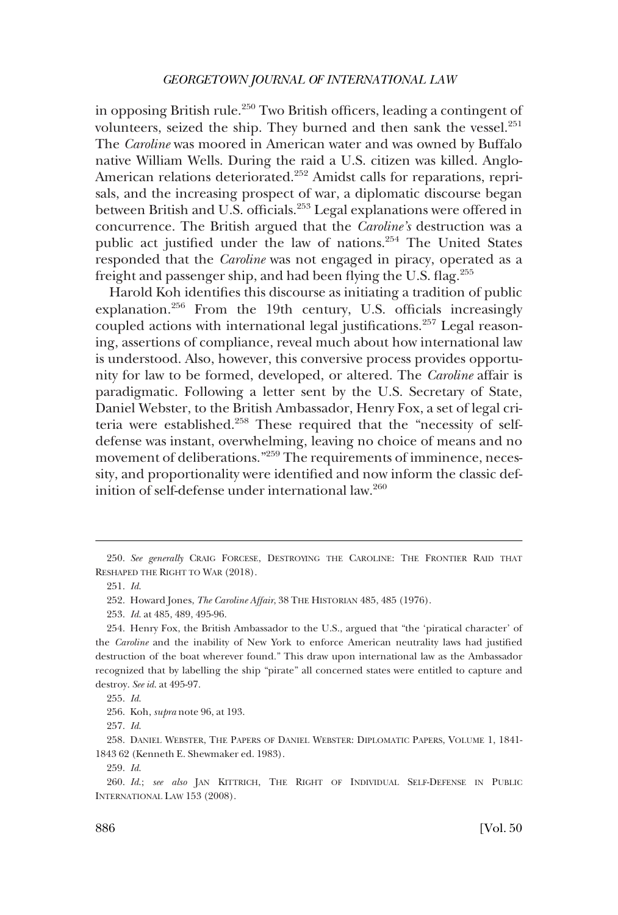in opposing British rule.<sup>250</sup> Two British officers, leading a contingent of volunteers, seized the ship. They burned and then sank the vessel.<sup>251</sup> The *Caroline* was moored in American water and was owned by Buffalo native William Wells. During the raid a U.S. citizen was killed. Anglo-American relations deteriorated.<sup>252</sup> Amidst calls for reparations, reprisals, and the increasing prospect of war, a diplomatic discourse began between British and U.S. officials.<sup>253</sup> Legal explanations were offered in concurrence. The British argued that the *Caroline's* destruction was a public act justified under the law of nations.<sup>254</sup> The United States responded that the *Caroline* was not engaged in piracy, operated as a freight and passenger ship, and had been flying the U.S. flag.<sup>255</sup>

Harold Koh identifes this discourse as initiating a tradition of public explanation.<sup>256</sup> From the 19th century, U.S. officials increasingly coupled actions with international legal justifications.<sup>257</sup> Legal reasoning, assertions of compliance, reveal much about how international law is understood. Also, however, this conversive process provides opportunity for law to be formed, developed, or altered. The *Caroline* affair is paradigmatic. Following a letter sent by the U.S. Secretary of State, Daniel Webster, to the British Ambassador, Henry Fox, a set of legal criteria were established.<sup>258</sup> These required that the "necessity of selfdefense was instant, overwhelming, leaving no choice of means and no movement of deliberations."<sup>259</sup> The requirements of imminence, necessity, and proportionality were identifed and now inform the classic definition of self-defense under international law.<sup>260</sup>

<sup>250.</sup> *See generally* CRAIG FORCESE, DESTROYING THE CAROLINE: THE FRONTIER RAID THAT RESHAPED THE RIGHT TO WAR (2018).

<sup>251.</sup> *Id*.

<sup>252.</sup> Howard Jones, *The Caroline Affair*, 38 THE HISTORIAN 485, 485 (1976).

<sup>253.</sup> *Id*. at 485, 489, 495-96.

<sup>254.</sup> Henry Fox, the British Ambassador to the U.S., argued that "the 'piratical character' of the *Caroline* and the inability of New York to enforce American neutrality laws had justifed destruction of the boat wherever found." This draw upon international law as the Ambassador recognized that by labelling the ship "pirate" all concerned states were entitled to capture and destroy. *See id*. at 495-97.

<sup>255.</sup> *Id*.

<sup>256.</sup> Koh, *supra* note 96, at 193.

<sup>257.</sup> *Id*.

<sup>258.</sup> DANIEL WEBSTER, THE PAPERS OF DANIEL WEBSTER: DIPLOMATIC PAPERS, VOLUME 1, 1841- 1843 62 (Kenneth E. Shewmaker ed. 1983).

<sup>259.</sup> *Id*.

<sup>260.</sup> *Id*.; *see also* JAN KITTRICH, THE RIGHT OF INDIVIDUAL SELF-DEFENSE IN PUBLIC INTERNATIONAL LAW 153 (2008).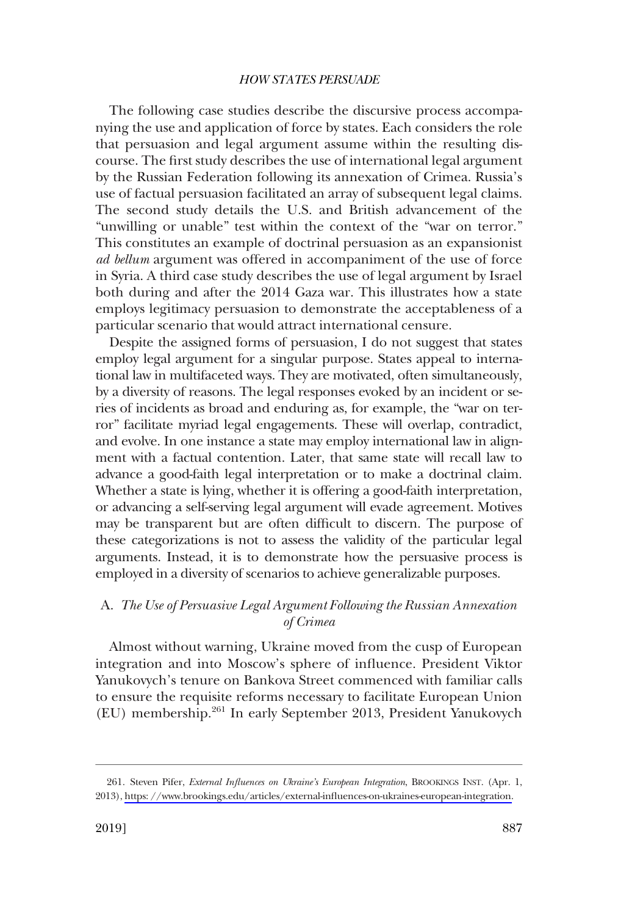The following case studies describe the discursive process accompanying the use and application of force by states. Each considers the role that persuasion and legal argument assume within the resulting discourse. The frst study describes the use of international legal argument by the Russian Federation following its annexation of Crimea. Russia's use of factual persuasion facilitated an array of subsequent legal claims. The second study details the U.S. and British advancement of the "unwilling or unable" test within the context of the "war on terror." This constitutes an example of doctrinal persuasion as an expansionist *ad bellum* argument was offered in accompaniment of the use of force in Syria. A third case study describes the use of legal argument by Israel both during and after the 2014 Gaza war. This illustrates how a state employs legitimacy persuasion to demonstrate the acceptableness of a particular scenario that would attract international censure.

Despite the assigned forms of persuasion, I do not suggest that states employ legal argument for a singular purpose. States appeal to international law in multifaceted ways. They are motivated, often simultaneously, by a diversity of reasons. The legal responses evoked by an incident or series of incidents as broad and enduring as, for example, the "war on terror" facilitate myriad legal engagements. These will overlap, contradict, and evolve. In one instance a state may employ international law in alignment with a factual contention. Later, that same state will recall law to advance a good-faith legal interpretation or to make a doctrinal claim. Whether a state is lying, whether it is offering a good-faith interpretation, or advancing a self-serving legal argument will evade agreement. Motives may be transparent but are often diffcult to discern. The purpose of these categorizations is not to assess the validity of the particular legal arguments. Instead, it is to demonstrate how the persuasive process is employed in a diversity of scenarios to achieve generalizable purposes.

# A. *The Use of Persuasive Legal Argument Following the Russian Annexation of Crimea*

Almost without warning, Ukraine moved from the cusp of European integration and into Moscow's sphere of infuence. President Viktor Yanukovych's tenure on Bankova Street commenced with familiar calls to ensure the requisite reforms necessary to facilitate European Union (EU) membership.261 In early September 2013, President Yanukovych

<sup>261.</sup> Steven Pifer, *External Influences on Ukraine's European Integration*, BROOKINGS INST. (Apr. 1, 2013), [https: //www.brookings.edu/articles/external-infuences-on-ukraines-european-integration](https://www.brookings.edu/articles/external-influences-on-ukraines-european-integration).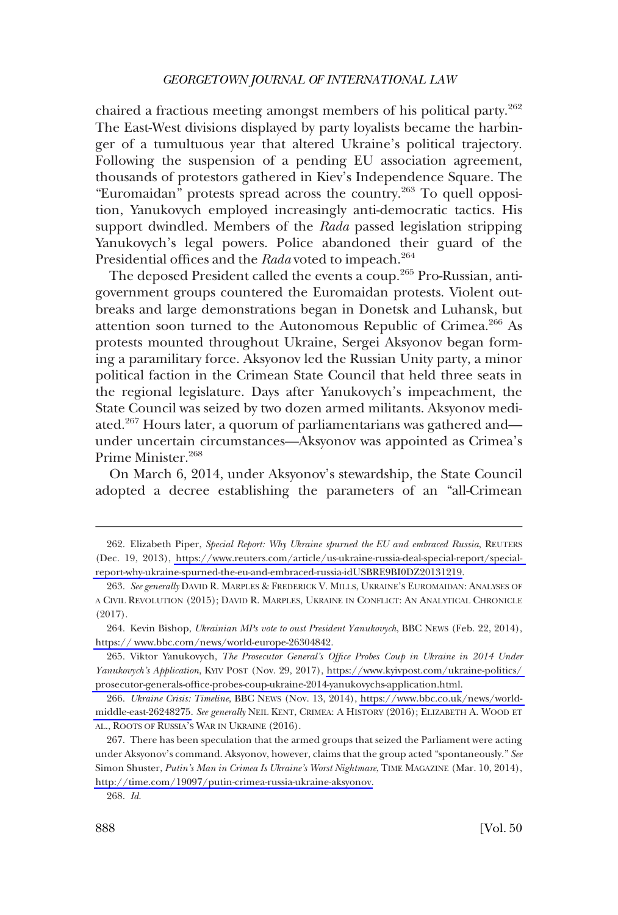chaired a fractious meeting amongst members of his political party.<sup>262</sup> The East-West divisions displayed by party loyalists became the harbinger of a tumultuous year that altered Ukraine's political trajectory. Following the suspension of a pending EU association agreement, thousands of protestors gathered in Kiev's Independence Square. The "Euromaidan" protests spread across the country.263 To quell opposition, Yanukovych employed increasingly anti-democratic tactics. His support dwindled. Members of the *Rada* passed legislation stripping Yanukovych's legal powers. Police abandoned their guard of the Presidential offices and the *Rada* voted to impeach.<sup>264</sup>

The deposed President called the events a coup.<sup>265</sup> Pro-Russian, antigovernment groups countered the Euromaidan protests. Violent outbreaks and large demonstrations began in Donetsk and Luhansk, but attention soon turned to the Autonomous Republic of Crimea.<sup>266</sup> As protests mounted throughout Ukraine, Sergei Aksyonov began forming a paramilitary force. Aksyonov led the Russian Unity party, a minor political faction in the Crimean State Council that held three seats in the regional legislature. Days after Yanukovych's impeachment, the State Council was seized by two dozen armed militants. Aksyonov mediated. $2^{67}$  Hours later, a quorum of parliamentarians was gathered and under uncertain circumstances—Aksyonov was appointed as Crimea's Prime Minister.268

On March 6, 2014, under Aksyonov's stewardship, the State Council adopted a decree establishing the parameters of an "all-Crimean

Elizabeth Piper, *Special Report: Why Ukraine spurned the EU and embraced Russia*, REUTERS 262. (Dec. 19, 2013), [https://www.reuters.com/article/us-ukraine-russia-deal-special-report/special](https://www.reuters.com/article/us-ukraine-russia-deal-special-report/special-report-why-ukraine-spurned-the-eu-and-embraced-russia-idUSBRE9BI0DZ20131219)[report-why-ukraine-spurned-the-eu-and-embraced-russia-idUSBRE9BI0DZ20131219.](https://www.reuters.com/article/us-ukraine-russia-deal-special-report/special-report-why-ukraine-spurned-the-eu-and-embraced-russia-idUSBRE9BI0DZ20131219)

<sup>263.</sup> *See generally* DAVID R. MARPLES & FREDERICK V. MILLS, UKRAINE'S EUROMAIDAN: ANALYSES OF A CIVIL REVOLUTION (2015); DAVID R. MARPLES, UKRAINE IN CONFLICT: AN ANALYTICAL CHRONICLE (2017).

<sup>264.</sup> Kevin Bishop, *Ukrainian MPs vote to oust President Yanukovych*, BBC NEWS (Feb. 22, 2014), [https:// www.bbc.com/news/world-europe-26304842](http://www.bbc.com/news/world-europe-26304842).

<sup>265.</sup> Viktor Yanukovych, *The Prosecutor General's Office Probes Coup in Ukraine in 2014 Under Yanukovych's Application*, KYIV POST (Nov. 29, 2017), [https://www.kyivpost.com/ukraine-politics/](https://www.kyivpost.com/ukraine-politics/prosecutor-generals-office-probes-coup-ukraine-2014-yanukovychs-application.html)  [prosecutor-generals-offce-probes-coup-ukraine-2014-yanukovychs-application.html.](https://www.kyivpost.com/ukraine-politics/prosecutor-generals-office-probes-coup-ukraine-2014-yanukovychs-application.html)

*Ukraine Crisis: Timeline*, BBC NEWS (Nov. 13, 2014), [https://www.bbc.co.uk/news/world-](https://www.bbc.co.uk/news/world-middle-east-26248275)266. [middle-east-26248275.](https://www.bbc.co.uk/news/world-middle-east-26248275) *See generally* NEIL KENT, CRIMEA: A HISTORY (2016); ELIZABETH A. WOOD ET AL., ROOTS OF RUSSIA'S WAR IN UKRAINE (2016).

<sup>267.</sup> There has been speculation that the armed groups that seized the Parliament were acting under Aksyonov's command. Aksyonov, however, claims that the group acted "spontaneously." *See*  Simon Shuster, *Putin's Man in Crimea Is Ukraine's Worst Nightmare*, TIME MAGAZINE (Mar. 10, 2014), [http://time.com/19097/putin-crimea-russia-ukraine-aksyonov.](http://time.com/19097/putin-crimea-russia-ukraine-aksyonov)

<sup>268.</sup> *Id*.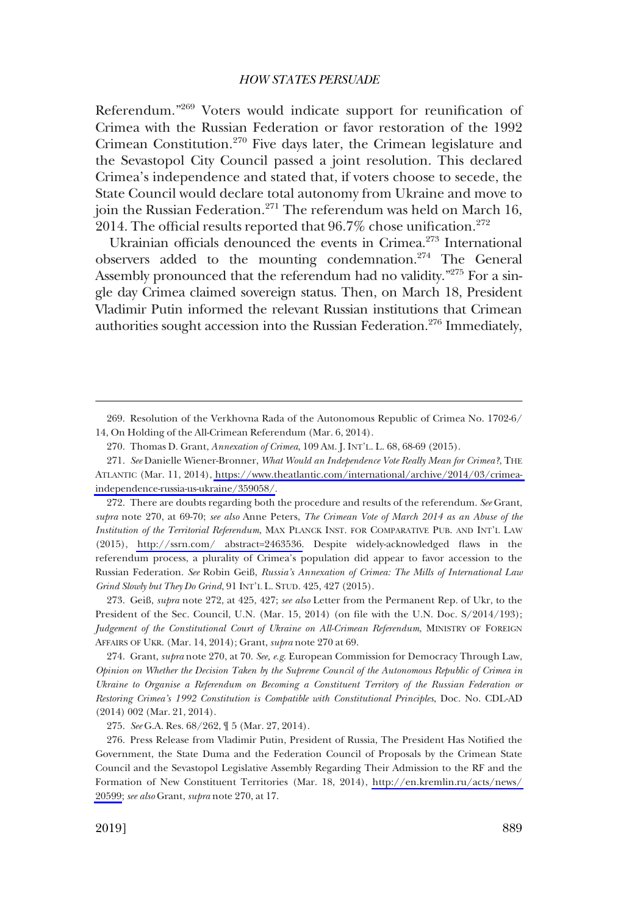Referendum."269 Voters would indicate support for reunifcation of Crimea with the Russian Federation or favor restoration of the 1992 Crimean Constitution.270 Five days later, the Crimean legislature and the Sevastopol City Council passed a joint resolution. This declared Crimea's independence and stated that, if voters choose to secede, the State Council would declare total autonomy from Ukraine and move to join the Russian Federation.<sup>271</sup> The referendum was held on March 16, 2014. The official results reported that  $96.7\%$  chose unification.<sup>272</sup>

Ukrainian officials denounced the events in Crimea.<sup>273</sup> International observers added to the mounting condemnation.<sup>274</sup> The General Assembly pronounced that the referendum had no validity.<sup>"275</sup> For a single day Crimea claimed sovereign status. Then, on March 18, President Vladimir Putin informed the relevant Russian institutions that Crimean authorities sought accession into the Russian Federation.<sup>276</sup> Immediately,

272. There are doubts regarding both the procedure and results of the referendum. See Grant, *supra* note 270, at 69-70; *see also* Anne Peters, *The Crimean Vote of March 2014 as an Abuse of the Institution of the Territorial Referendum*, MAX PLANCK INST. FOR COMPARATIVE PUB. AND INT'L LAW (2015), [http://ssrn.com/ abstract=2463536.](http://ssrn.com/ abstract=2463536) Despite widely-acknowledged faws in the referendum process, a plurality of Crimea's population did appear to favor accession to the Russian Federation. *See* Robin Geiß, *Russia's Annexation of Crimea: The Mills of International Law Grind Slowly but They Do Grind*, 91 INT'L L. STUD. 425, 427 (2015).

273. Geiß, *supra* note 272, at 425, 427; *see also* Letter from the Permanent Rep. of Ukr, to the President of the Sec. Council, U.N. (Mar. 15, 2014) (on fle with the U.N. Doc. S/2014/193); *Judgement of the Constitutional Court of Ukraine on All-Crimean Referendum*, MINISTRY OF FOREIGN AFFAIRS OF UKR. (Mar. 14, 2014); Grant, *supra* note 270 at 69.

274. Grant, *supra* note 270, at 70. *See, e.g*. European Commission for Democracy Through Law, *Opinion on Whether the Decision Taken by the Supreme Council of the Autonomous Republic of Crimea in Ukraine to Organise a Referendum on Becoming a Constituent Territory of the Russian Federation or Restoring Crimea's 1992 Constitution is Compatible with Constitutional Principles*, Doc. No. CDL-AD (2014) 002 (Mar. 21, 2014).

275. *See* G.A. Res. 68/262, ¶ 5 (Mar. 27, 2014).

276. Press Release from Vladimir Putin, President of Russia, The President Has Notified the Government, the State Duma and the Federation Council of Proposals by the Crimean State Council and the Sevastopol Legislative Assembly Regarding Their Admission to the RF and the Formation of New Constituent Territories (Mar. 18, 2014), [http://en.kremlin.ru/acts/news/](http://en.kremlin.ru/acts/news/20599)  [20599;](http://en.kremlin.ru/acts/news/20599) *see also* Grant, *supra* note 270, at 17.

<sup>269.</sup> Resolution of the Verkhovna Rada of the Autonomous Republic of Crimea No. 1702-6/ 14, On Holding of the All-Crimean Referendum (Mar. 6, 2014).

<sup>270.</sup> Thomas D. Grant, *Annexation of Crimea*, 109 AM. J. INT'L. L. 68, 68-69 (2015).

*See* Danielle Wiener-Bronner, *What Would an Independence Vote Really Mean for Crimea?*, THE 271. ATLANTIC (Mar. 11, 2014), [https://www.theatlantic.com/international/archive/2014/03/crimea](https://www.theatlantic.com/international/archive/2014/03/crimea-independence-russia-us-ukraine/359058/)[independence-russia-us-ukraine/359058/.](https://www.theatlantic.com/international/archive/2014/03/crimea-independence-russia-us-ukraine/359058/)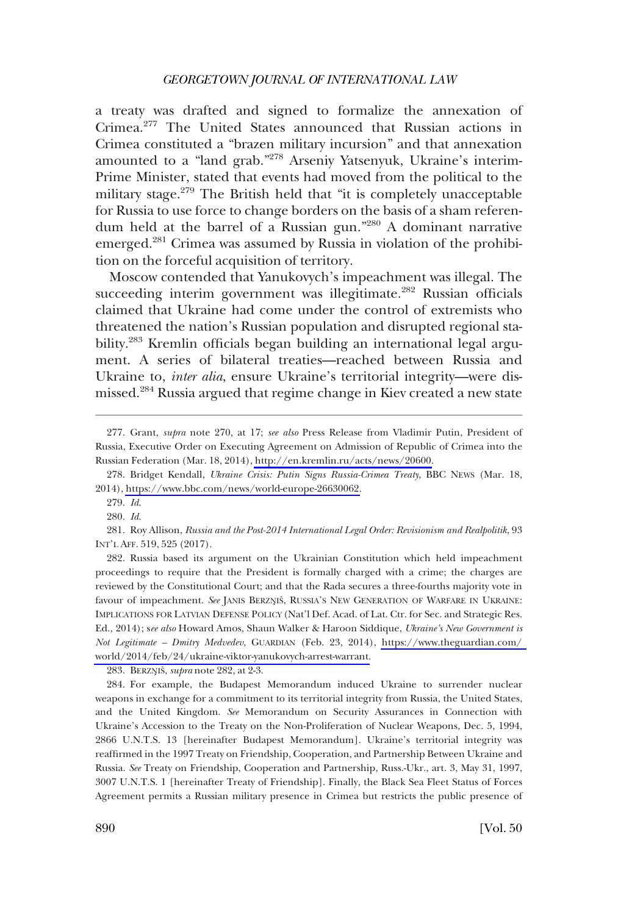a treaty was drafted and signed to formalize the annexation of Crimea.<sup>277</sup> The United States announced that Russian actions in Crimea constituted a "brazen military incursion" and that annexation amounted to a "land grab."<sup>278</sup> Arseniy Yatsenyuk, Ukraine's interim-Prime Minister, stated that events had moved from the political to the military stage.<sup>279</sup> The British held that "it is completely unacceptable for Russia to use force to change borders on the basis of a sham referendum held at the barrel of a Russian gun."280 A dominant narrative emerged.281 Crimea was assumed by Russia in violation of the prohibition on the forceful acquisition of territory.

Moscow contended that Yanukovych's impeachment was illegal. The succeeding interim government was illegitimate.<sup>282</sup> Russian officials claimed that Ukraine had come under the control of extremists who threatened the nation's Russian population and disrupted regional stability.<sup>283</sup> Kremlin officials began building an international legal argument. A series of bilateral treaties—reached between Russia and Ukraine to, *inter alia*, ensure Ukraine's territorial integrity—were dismissed.284 Russia argued that regime change in Kiev created a new state

282. Russia based its argument on the Ukrainian Constitution which held impeachment proceedings to require that the President is formally charged with a crime; the charges are reviewed by the Constitutional Court; and that the Rada secures a three-fourths majority vote in favour of impeachment. See JANIS BERZNIŠ, RUSSIA'S NEW GENERATION OF WARFARE IN UKRAINE: IMPLICATIONS FOR LATVIAN DEFENSE POLICY (Nat'l Def. Acad. of Lat. Ctr. for Sec. and Strategic Res. Ed., 2014); s*ee also* Howard Amos, Shaun Walker & Haroon Siddique, *Ukraine's New Government is Not Legitimate – Dmitry Medvedev*, GUARDIAN (Feb. 23, 2014), [https://www.theguardian.com/](https://www.theguardian.com/world/2014/feb/24/ukraine-viktor-yanukovych-arrest-warrant)  [world/2014/feb/24/ukraine-viktor-yanukovych-arrest-warrant.](https://www.theguardian.com/world/2014/feb/24/ukraine-viktor-yanukovych-arrest-warrant)

283. BERZN**�**ISˇ, *supra* note 282, at 2-3.

284. For example, the Budapest Memorandum induced Ukraine to surrender nuclear weapons in exchange for a commitment to its territorial integrity from Russia, the United States, and the United Kingdom. *See* Memorandum on Security Assurances in Connection with Ukraine's Accession to the Treaty on the Non-Proliferation of Nuclear Weapons, Dec. 5, 1994, 2866 U.N.T.S. 13 [hereinafter Budapest Memorandum]. Ukraine's territorial integrity was reaffrmed in the 1997 Treaty on Friendship, Cooperation, and Partnership Between Ukraine and Russia. *See* Treaty on Friendship, Cooperation and Partnership, Russ.-Ukr., art. 3, May 31, 1997, 3007 U.N.T.S. 1 [hereinafter Treaty of Friendship]. Finally, the Black Sea Fleet Status of Forces Agreement permits a Russian military presence in Crimea but restricts the public presence of

<sup>277.</sup> Grant, *supra* note 270, at 17; *see also* Press Release from Vladimir Putin, President of Russia, Executive Order on Executing Agreement on Admission of Republic of Crimea into the Russian Federation (Mar. 18, 2014), [http://en.kremlin.ru/acts/news/20600.](http://en.kremlin.ru/acts/news/20600)

Bridget Kendall, *Ukraine Crisis: Putin Signs Russia-Crimea Treaty*, BBC NEWS (Mar. 18, 278. 2014), [https://www.bbc.com/news/world-europe-26630062.](https://www.bbc.com/news/world-europe-26630062)

<sup>279.</sup> *Id*.

<sup>280.</sup> *Id*.

<sup>281.</sup> Roy Allison, *Russia and the Post-2014 International Legal Order: Revisionism and Realpolitik*, 93 INT'L AFF. 519, 525 (2017).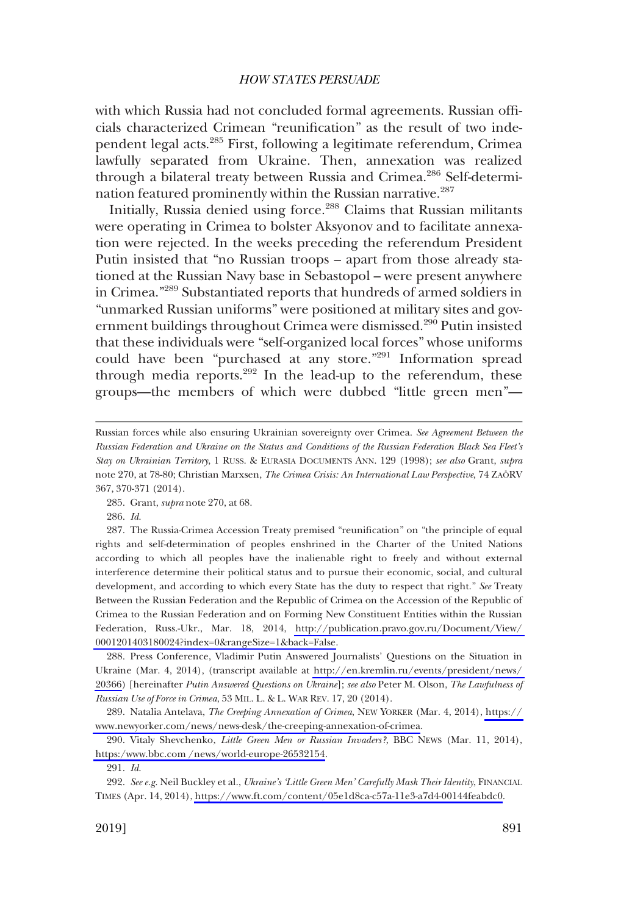with which Russia had not concluded formal agreements. Russian offcials characterized Crimean "reunifcation" as the result of two independent legal acts.285 First, following a legitimate referendum, Crimea lawfully separated from Ukraine. Then, annexation was realized through a bilateral treaty between Russia and Crimea.<sup>286</sup> Self-determination featured prominently within the Russian narrative.<sup>287</sup>

Initially, Russia denied using force.<sup>288</sup> Claims that Russian militants were operating in Crimea to bolster Aksyonov and to facilitate annexation were rejected. In the weeks preceding the referendum President Putin insisted that "no Russian troops – apart from those already stationed at the Russian Navy base in Sebastopol – were present anywhere in Crimea."289 Substantiated reports that hundreds of armed soldiers in "unmarked Russian uniforms" were positioned at military sites and government buildings throughout Crimea were dismissed.<sup>290</sup> Putin insisted that these individuals were "self-organized local forces" whose uniforms could have been "purchased at any store."291 Information spread through media reports.<sup>292</sup> In the lead-up to the referendum, these groups—the members of which were dubbed "little green men"—

285. Grant, *supra* note 270, at 68.

286. *Id*.

288. Press Conference, Vladimir Putin Answered Journalists' Questions on the Situation in Ukraine (Mar. 4, 2014), (transcript available at [http://en.kremlin.ru/events/president/news/](http://en.kremlin.ru/events/president/news/20366)  [20366\)](http://en.kremlin.ru/events/president/news/20366) [hereinafter *Putin Answered Questions on Ukraine*]; *see also* Peter M. Olson, *The Lawfulness of Russian Use of Force in Crimea*, 53 MIL. L. & L. WAR REV. 17, 20 (2014).

289. Natalia Antelava, *The Creeping Annexation of Crimea*, NEW YORKER (Mar. 4, 2014), https:// [www.newyorker.com/news/news-desk/the-creeping-annexation-of-crimea.](https://www.newyorker.com/news/news-desk/the-creeping-annexation-of-crimea)

290. Vitaly Shevchenko, *Little Green Men or Russian Invaders?*, BBC NEWS (Mar. 11, 2014), [https:/www.bbc.com /news/world-europe-26532154.](https://www.bbc.com/news/world-europe-26532154)

291. *Id*.

*See e.g*. Neil Buckley et al., *Ukraine's 'Little Green Men' Carefully Mask Their Identity*, FINANCIAL 292. TIMES (Apr. 14, 2014), [https://www.ft.com/content/05e1d8ca-c57a-11e3-a7d4-00144feabdc0.](https://www.ft.com/content/05e1d8ca-c57a-11e3-a7d4-00144feabdc0)

Russian forces while also ensuring Ukrainian sovereignty over Crimea. *See Agreement Between the Russian Federation and Ukraine on the Status and Conditions of the Russian Federation Black Sea Fleet's Stay on Ukrainian Territory*, 1 RUSS. & EURASIA DOCUMENTS ANN. 129 (1998); *see also* Grant, *supra*  note 270, at 78-80; Christian Marxsen, *The Crimea Crisis: An International Law Perspective*, 74 ZAÖRV 367, 370-371 (2014).

<sup>287.</sup> The Russia-Crimea Accession Treaty premised "reunification" on "the principle of equal rights and self-determination of peoples enshrined in the Charter of the United Nations according to which all peoples have the inalienable right to freely and without external interference determine their political status and to pursue their economic, social, and cultural development, and according to which every State has the duty to respect that right." *See* Treaty Between the Russian Federation and the Republic of Crimea on the Accession of the Republic of Crimea to the Russian Federation and on Forming New Constituent Entities within the Russian Federation, Russ.-Ukr., Mar. 18, 2014, [http://publication.pravo.gov.ru/Document/View/](http://publication.pravo.gov.ru/Document/View/0001201403180024?index=0&rangeSize=1&back=False)  [0001201403180024?index=0&rangeSize=1&back=False](http://publication.pravo.gov.ru/Document/View/0001201403180024?index=0&rangeSize=1&back=False).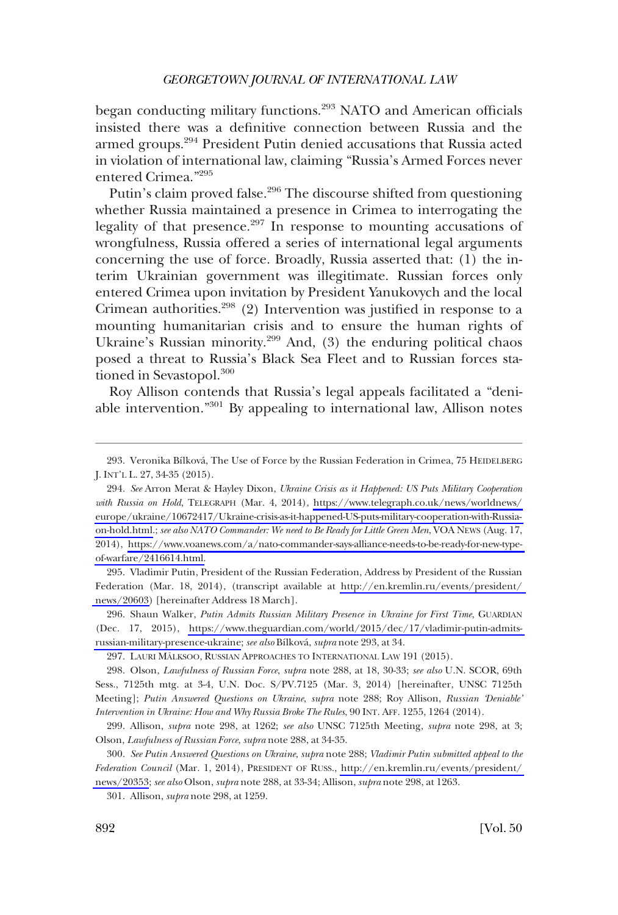began conducting military functions.<sup>293</sup> NATO and American officials insisted there was a defnitive connection between Russia and the armed groups.<sup>294</sup> President Putin denied accusations that Russia acted in violation of international law, claiming "Russia's Armed Forces never entered Crimea."295

Putin's claim proved false.<sup>296</sup> The discourse shifted from questioning whether Russia maintained a presence in Crimea to interrogating the legality of that presence. $297$  In response to mounting accusations of wrongfulness, Russia offered a series of international legal arguments concerning the use of force. Broadly, Russia asserted that: (1) the interim Ukrainian government was illegitimate. Russian forces only entered Crimea upon invitation by President Yanukovych and the local Crimean authorities. $298$  (2) Intervention was justified in response to a mounting humanitarian crisis and to ensure the human rights of Ukraine's Russian minority.<sup>299</sup> And, (3) the enduring political chaos posed a threat to Russia's Black Sea Fleet and to Russian forces stationed in Sevastopol.<sup>300</sup>

Roy Allison contends that Russia's legal appeals facilitated a "deniable intervention."301 By appealing to international law, Allison notes

295. Vladimir Putin, President of the Russian Federation, Address by President of the Russian Federation (Mar. 18, 2014), (transcript available at [http://en.kremlin.ru/events/president/](http://en.kremlin.ru/events/president/news/20603)  [news/20603\)](http://en.kremlin.ru/events/president/news/20603) [hereinafter Address 18 March].

296. Shaun Walker, *Putin Admits Russian Military Presence in Ukraine for First Time*, GUARDIAN (Dec. 17, 2015), [https://www.theguardian.com/world/2015/dec/17/vladimir-putin-admits](https://www.theguardian.com/world/2015/dec/17/vladimir-putin-admits-russian-military-presence-ukraine)[russian-military-presence-ukraine](https://www.theguardian.com/world/2015/dec/17/vladimir-putin-admits-russian-military-presence-ukraine); *see also* Bı´lkova´, *supra* note 293, at 34.

297. LAURI MÄLKSOO, RUSSIAN APPROACHES TO INTERNATIONAL LAW 191 (2015).

298. Olson, *Lawfulness of Russian Force*, *supra* note 288, at 18, 30-33; *see also* U.N. SCOR, 69th Sess., 7125th mtg. at 3-4, U.N. Doc. S/PV.7125 (Mar. 3, 2014) [hereinafter, UNSC 7125th Meeting]; *Putin Answered Questions on Ukraine*, *supra* note 288; Roy Allison, *Russian 'Deniable' Intervention in Ukraine: How and Why Russia Broke The Rules*, 90 INT. AFF. 1255, 1264 (2014).

299. Allison, *supra* note 298, at 1262; *see also* UNSC 7125th Meeting, *supra* note 298, at 3; Olson, *Lawfulness of Russian Force*, *supra* note 288, at 34-35.

*See Putin Answered Questions on Ukraine*, *supra* note 288; *Vladimir Putin submitted appeal to the*  300. *Federation Council* (Mar. 1, 2014), PRESIDENT OF RUSS., [http://en.kremlin.ru/events/president/](http://en.kremlin.ru/events/president/news/20353)  [news/20353](http://en.kremlin.ru/events/president/news/20353); *see also* Olson, *supra* note 288, at 33-34; Allison, *supra* note 298, at 1263.

301. Allison, *supra* note 298, at 1259.

<sup>293.</sup> Veronika Bílková, The Use of Force by the Russian Federation in Crimea, 75 HEIDELBERG J. INT'L L. 27, 34-35 (2015).

*See* Arron Merat & Hayley Dixon, *Ukraine Crisis as it Happened: US Puts Military Cooperation*  294. *with Russia on Hold*, TELEGRAPH (Mar. 4, 2014), [https://www.telegraph.co.uk/news/worldnews/](https://www.telegraph.co.uk/news/worldnews/europe/ukraine/10672417/Ukraine-crisis-as-it-happened-US-puts-military-cooperation-with-Russia-on-hold.html)  [europe/ukraine/10672417/Ukraine-crisis-as-it-happened-US-puts-military-cooperation-with-Russia](https://www.telegraph.co.uk/news/worldnews/europe/ukraine/10672417/Ukraine-crisis-as-it-happened-US-puts-military-cooperation-with-Russia-on-hold.html)[on-hold.html.](https://www.telegraph.co.uk/news/worldnews/europe/ukraine/10672417/Ukraine-crisis-as-it-happened-US-puts-military-cooperation-with-Russia-on-hold.html); *see also NATO Commander: We need to Be Ready for Little Green Men*, VOA NEWS (Aug. 17, 2014), [https://www.voanews.com/a/nato-commander-says-alliance-needs-to-be-ready-for-new-type](https://www.voanews.com/a/nato-commander-says-alliance-needs-to-be-ready-for-new-type-of-warfare/2416614.html)[of-warfare/2416614.html.](https://www.voanews.com/a/nato-commander-says-alliance-needs-to-be-ready-for-new-type-of-warfare/2416614.html)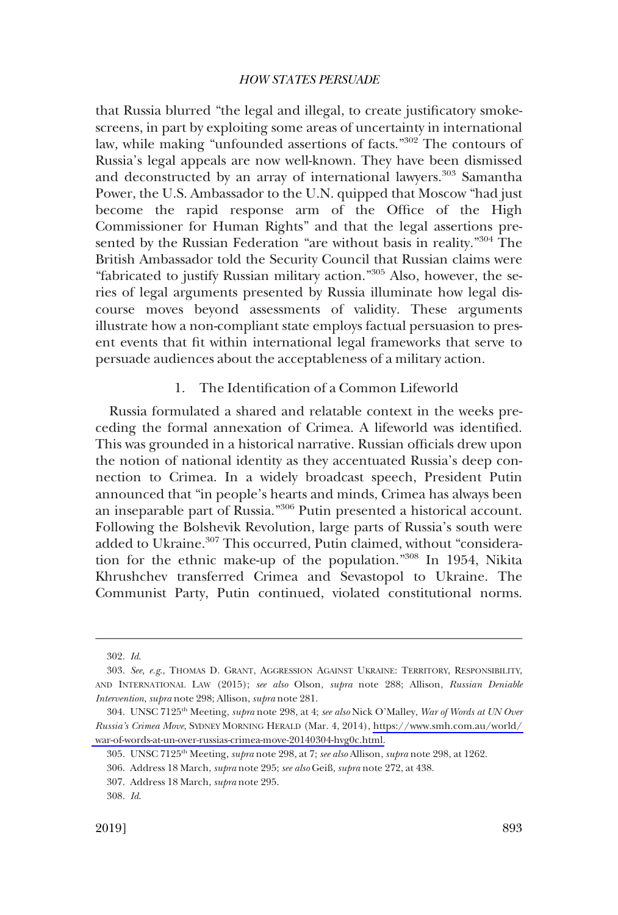that Russia blurred "the legal and illegal, to create justifcatory smokescreens, in part by exploiting some areas of uncertainty in international law, while making "unfounded assertions of facts."302 The contours of Russia's legal appeals are now well-known. They have been dismissed and deconstructed by an array of international lawyers.<sup>303</sup> Samantha Power, the U.S. Ambassador to the U.N. quipped that Moscow "had just become the rapid response arm of the Office of the High Commissioner for Human Rights" and that the legal assertions presented by the Russian Federation "are without basis in reality."<sup>304</sup> The British Ambassador told the Security Council that Russian claims were "fabricated to justify Russian military action."305 Also, however, the series of legal arguments presented by Russia illuminate how legal discourse moves beyond assessments of validity. These arguments illustrate how a non-compliant state employs factual persuasion to present events that ft within international legal frameworks that serve to persuade audiences about the acceptableness of a military action.

## 1. The Identifcation of a Common Lifeworld

Russia formulated a shared and relatable context in the weeks preceding the formal annexation of Crimea. A lifeworld was identifed. This was grounded in a historical narrative. Russian offcials drew upon the notion of national identity as they accentuated Russia's deep connection to Crimea. In a widely broadcast speech, President Putin announced that "in people's hearts and minds, Crimea has always been an inseparable part of Russia."306 Putin presented a historical account. Following the Bolshevik Revolution, large parts of Russia's south were added to Ukraine.<sup>307</sup> This occurred, Putin claimed, without "consideration for the ethnic make-up of the population."308 In 1954, Nikita Khrushchev transferred Crimea and Sevastopol to Ukraine. The Communist Party, Putin continued, violated constitutional norms.

<sup>302.</sup> *Id*.

<sup>303.</sup> *See, e.g*., THOMAS D. GRANT, AGGRESSION AGAINST UKRAINE: TERRITORY, RESPONSIBILITY, AND INTERNATIONAL LAW (2015); *see also* Olson, *supra* note 288; Allison, *Russian Deniable Intervention*, *supra* note 298; Allison, *supra* note 281.

UNSC 7125th Meeting, *supra* note 298, at 4; *see also* Nick O'Malley, *War of Words at UN Over*  304. *Russia's Crimea Move*, SYDNEY MORNING HERALD (Mar. 4, 2014), [https://www.smh.com.au/world/](https://www.smh.com.au/world/war-of-words-at-un-over-russias-crimea-move-20140304-hvg0c.html)  [war-of-words-at-un-over-russias-crimea-move-20140304-hvg0c.html.](https://www.smh.com.au/world/war-of-words-at-un-over-russias-crimea-move-20140304-hvg0c.html)

<sup>305.</sup> UNSC 7125<sup>th</sup> Meeting, *supra* note 298, at 7; *see also Allison, supra* note 298, at 1262.

<sup>306.</sup> Address 18 March, *supra* note 295; *see also* Geiß, *supra* note 272, at 438.

<sup>307.</sup> Address 18 March, *supra* note 295.

<sup>308.</sup> *Id*.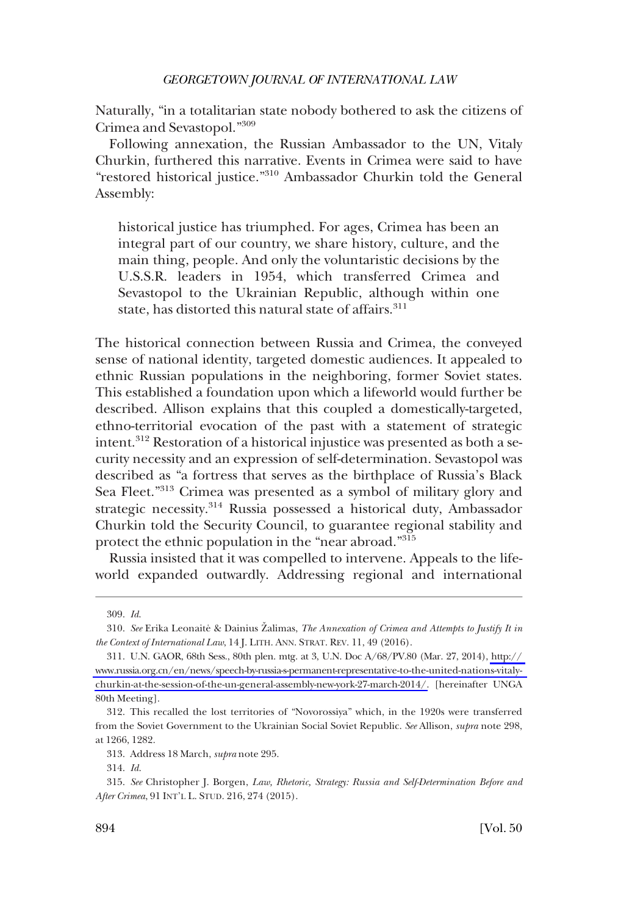Naturally, "in a totalitarian state nobody bothered to ask the citizens of Crimea and Sevastopol."<sup>309</sup>

Following annexation, the Russian Ambassador to the UN, Vitaly Churkin, furthered this narrative. Events in Crimea were said to have "restored historical justice."310 Ambassador Churkin told the General Assembly:

historical justice has triumphed. For ages, Crimea has been an integral part of our country, we share history, culture, and the main thing, people. And only the voluntaristic decisions by the U.S.S.R. leaders in 1954, which transferred Crimea and Sevastopol to the Ukrainian Republic, although within one state, has distorted this natural state of affairs.<sup>311</sup>

The historical connection between Russia and Crimea, the conveyed sense of national identity, targeted domestic audiences. It appealed to ethnic Russian populations in the neighboring, former Soviet states. This established a foundation upon which a lifeworld would further be described. Allison explains that this coupled a domestically-targeted, ethno-territorial evocation of the past with a statement of strategic intent.<sup>312</sup> Restoration of a historical injustice was presented as both a security necessity and an expression of self-determination. Sevastopol was described as "a fortress that serves as the birthplace of Russia's Black Sea Fleet."<sup>313</sup> Crimea was presented as a symbol of military glory and strategic necessity.314 Russia possessed a historical duty, Ambassador Churkin told the Security Council, to guarantee regional stability and protect the ethnic population in the "near abroad."<sup>315</sup>

Russia insisted that it was compelled to intervene. Appeals to the lifeworld expanded outwardly. Addressing regional and international

<sup>309.</sup> *Id*.

<sup>310.</sup> See Erika Leonaite & Dainius Žalimas, *The Annexation of Crimea and Attempts to Justify It in the Context of International Law*, 14 J. LITH. ANN. STRAT. REV. 11, 49 (2016).

U.N. GAOR, 68th Sess., 80th plen. mtg. at 3, U.N. Doc A/68/PV.80 (Mar. 27, 2014), [http://](http://www.russia.org.cn/en/news/speech-by-russia-s-permanent-representative-to-the-united-nations-vitaly-churkin-at-the-session-of-the-un-general-assembly-new-york-27-march-2014/)  311. [www.russia.org.cn/en/news/speech-by-russia-s-permanent-representative-to-the-united-nations-vitaly](http://www.russia.org.cn/en/news/speech-by-russia-s-permanent-representative-to-the-united-nations-vitaly-churkin-at-the-session-of-the-un-general-assembly-new-york-27-march-2014/)[churkin-at-the-session-of-the-un-general-assembly-new-york-27-march-2014/.](http://www.russia.org.cn/en/news/speech-by-russia-s-permanent-representative-to-the-united-nations-vitaly-churkin-at-the-session-of-the-un-general-assembly-new-york-27-march-2014/) [hereinafter UNGA 80th Meeting].

<sup>312.</sup> This recalled the lost territories of "Novorossiya" which, in the 1920s were transferred from the Soviet Government to the Ukrainian Social Soviet Republic. *See* Allison, *supra* note 298, at 1266, 1282.

<sup>313.</sup> Address 18 March, *supra* note 295.

<sup>314.</sup> *Id*.

<sup>315.</sup> *See* Christopher J. Borgen, *Law, Rhetoric, Strategy: Russia and Self-Determination Before and After Crimea*, 91 INT'L L. STUD. 216, 274 (2015).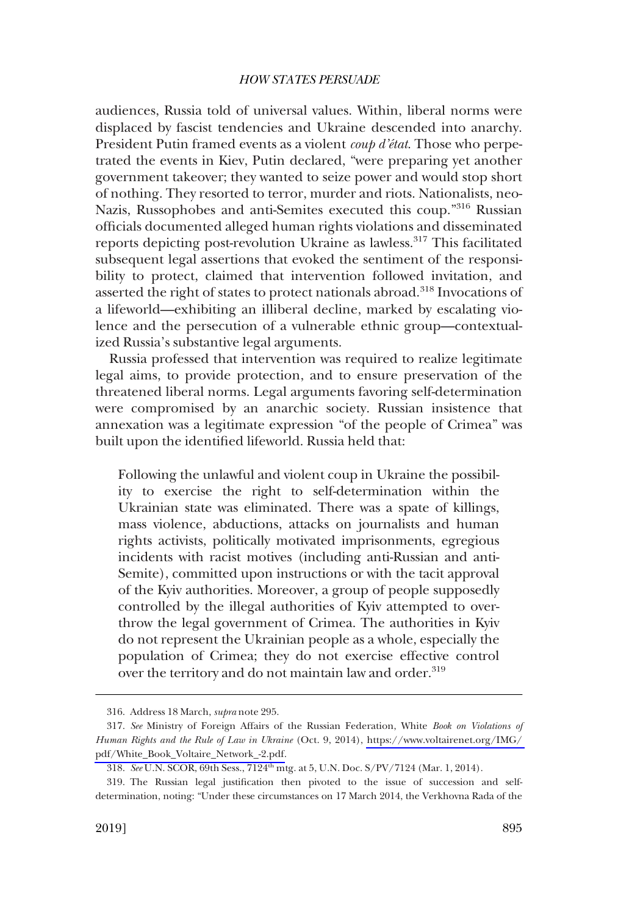audiences, Russia told of universal values. Within, liberal norms were displaced by fascist tendencies and Ukraine descended into anarchy. President Putin framed events as a violent *coup d'état*. Those who perpetrated the events in Kiev, Putin declared, "were preparing yet another government takeover; they wanted to seize power and would stop short of nothing. They resorted to terror, murder and riots. Nationalists, neo-Nazis, Russophobes and anti-Semites executed this coup."316 Russian offcials documented alleged human rights violations and disseminated reports depicting post-revolution Ukraine as lawless.<sup>317</sup> This facilitated subsequent legal assertions that evoked the sentiment of the responsibility to protect, claimed that intervention followed invitation, and asserted the right of states to protect nationals abroad.318 Invocations of a lifeworld—exhibiting an illiberal decline, marked by escalating violence and the persecution of a vulnerable ethnic group—contextualized Russia's substantive legal arguments.

Russia professed that intervention was required to realize legitimate legal aims, to provide protection, and to ensure preservation of the threatened liberal norms. Legal arguments favoring self-determination were compromised by an anarchic society. Russian insistence that annexation was a legitimate expression "of the people of Crimea" was built upon the identifed lifeworld. Russia held that:

Following the unlawful and violent coup in Ukraine the possibility to exercise the right to self-determination within the Ukrainian state was eliminated. There was a spate of killings, mass violence, abductions, attacks on journalists and human rights activists, politically motivated imprisonments, egregious incidents with racist motives (including anti-Russian and anti-Semite), committed upon instructions or with the tacit approval of the Kyiv authorities. Moreover, a group of people supposedly controlled by the illegal authorities of Kyiv attempted to overthrow the legal government of Crimea. The authorities in Kyiv do not represent the Ukrainian people as a whole, especially the population of Crimea; they do not exercise effective control over the territory and do not maintain law and order.<sup>319</sup>

<sup>316.</sup> Address 18 March, *supra* note 295.

*See* Ministry of Foreign Affairs of the Russian Federation, White *Book on Violations of*  317. *Human Rights and the Rule of Law in Ukraine* (Oct. 9, 2014), [https://www.voltairenet.org/IMG/](https://www.voltairenet.org/IMG/pdf/White_Book_Voltaire_Network_-2.pdf)  [pdf/White\\_Book\\_Voltaire\\_Network\\_-2.pdf.](https://www.voltairenet.org/IMG/pdf/White_Book_Voltaire_Network_-2.pdf)

<sup>318.</sup> *See* U.N. SCOR, 69th Sess., 7124th mtg. at 5, U.N. Doc. S/PV/7124 (Mar. 1, 2014).

<sup>319.</sup> The Russian legal justifcation then pivoted to the issue of succession and selfdetermination, noting: "Under these circumstances on 17 March 2014, the Verkhovna Rada of the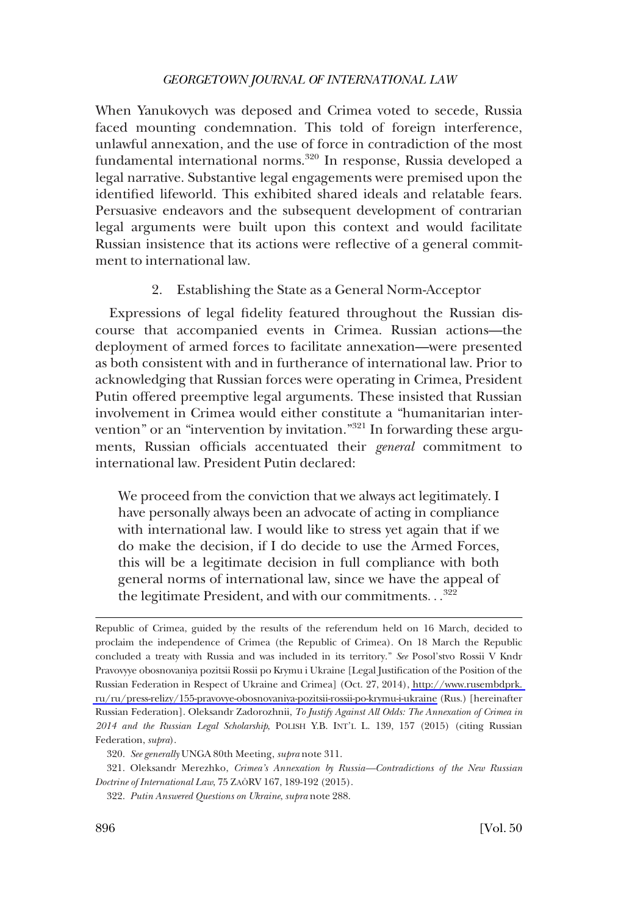When Yanukovych was deposed and Crimea voted to secede, Russia faced mounting condemnation. This told of foreign interference, unlawful annexation, and the use of force in contradiction of the most fundamental international norms.<sup>320</sup> In response, Russia developed a legal narrative. Substantive legal engagements were premised upon the identifed lifeworld. This exhibited shared ideals and relatable fears. Persuasive endeavors and the subsequent development of contrarian legal arguments were built upon this context and would facilitate Russian insistence that its actions were refective of a general commitment to international law.

## 2. Establishing the State as a General Norm-Acceptor

Expressions of legal fdelity featured throughout the Russian discourse that accompanied events in Crimea. Russian actions—the deployment of armed forces to facilitate annexation—were presented as both consistent with and in furtherance of international law. Prior to acknowledging that Russian forces were operating in Crimea, President Putin offered preemptive legal arguments. These insisted that Russian involvement in Crimea would either constitute a "humanitarian intervention" or an "intervention by invitation."321 In forwarding these arguments, Russian offcials accentuated their *general* commitment to international law. President Putin declared:

We proceed from the conviction that we always act legitimately. I have personally always been an advocate of acting in compliance with international law. I would like to stress yet again that if we do make the decision, if I do decide to use the Armed Forces, this will be a legitimate decision in full compliance with both general norms of international law, since we have the appeal of the legitimate President, and with our commitments. . .<sup>322</sup>

Republic of Crimea, guided by the results of the referendum held on 16 March, decided to proclaim the independence of Crimea (the Republic of Crimea). On 18 March the Republic concluded a treaty with Russia and was included in its territory." *See* Posol'stvo Rossii V Kndr Pravovyye obosnovaniya pozitsii Rossii po Krymu i Ukraine [Legal Justifcation of the Position of the Russian Federation in Respect of Ukraine and Crimea] (Oct. 27, 2014), [http://www.rusembdprk.](http://www.rusembdprk.ru/ru/press-relizy/155-pravovye-obosnovaniya-pozitsii-rossii-po-krymu-i-ukraine)  [ru/ru/press-relizy/155-pravovye-obosnovaniya-pozitsii-rossii-po-krymu-i-ukraine](http://www.rusembdprk.ru/ru/press-relizy/155-pravovye-obosnovaniya-pozitsii-rossii-po-krymu-i-ukraine) (Rus.) [hereinafter Russian Federation]. Oleksandr Zadorozhnii, *To Justify Against All Odds: The Annexation of Crimea in 2014 and the Russian Legal Scholarship*, POLISH Y.B. INT'L L. 139, 157 (2015) (citing Russian Federation, *supra*).

<sup>320.</sup> *See generally* UNGA 80th Meeting, *supra* note 311.

<sup>321.</sup> Oleksandr Merezhko, *Crimea's Annexation by Russia—Contradictions of the New Russian Doctrine of International Law*, 75 ZAÖRV 167, 189-192 (2015).

<sup>322.</sup> *Putin Answered Questions on Ukraine*, *supra* note 288.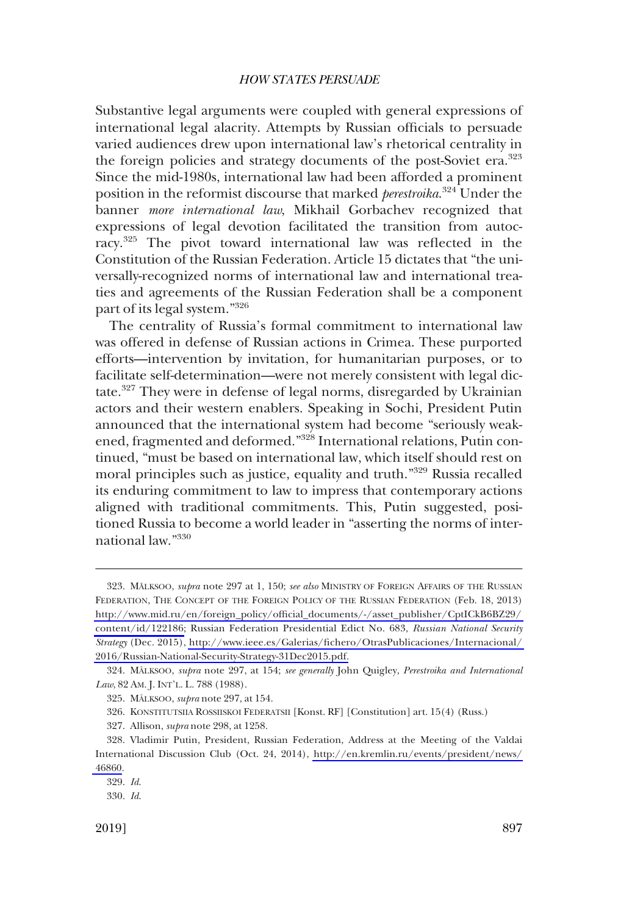Substantive legal arguments were coupled with general expressions of international legal alacrity. Attempts by Russian officials to persuade varied audiences drew upon international law's rhetorical centrality in the foreign policies and strategy documents of the post-Soviet era.<sup>323</sup> Since the mid-1980s, international law had been afforded a prominent position in the reformist discourse that marked *perestroika*. 324 Under the banner *more international law*, Mikhail Gorbachev recognized that expressions of legal devotion facilitated the transition from autocracy.325 The pivot toward international law was refected in the Constitution of the Russian Federation. Article 15 dictates that "the universally-recognized norms of international law and international treaties and agreements of the Russian Federation shall be a component part of its legal system."326

The centrality of Russia's formal commitment to international law was offered in defense of Russian actions in Crimea. These purported efforts—intervention by invitation, for humanitarian purposes, or to facilitate self-determination—were not merely consistent with legal dictate.327 They were in defense of legal norms, disregarded by Ukrainian actors and their western enablers. Speaking in Sochi, President Putin announced that the international system had become "seriously weakened, fragmented and deformed."<sup>328</sup> International relations, Putin continued, "must be based on international law, which itself should rest on moral principles such as justice, equality and truth."329 Russia recalled its enduring commitment to law to impress that contemporary actions aligned with traditional commitments. This, Putin suggested, positioned Russia to become a world leader in "asserting the norms of international law."330

<sup>323.</sup> MÄLKSOO, *supra* note 297 at 1, 150; *see also* MINISTRY OF FOREIGN AFFAIRS OF THE RUSSIAN FEDERATION, THE CONCEPT OF THE FOREIGN POLICY OF THE RUSSIAN FEDERATION (Feb. 18, 2013) [http://www.mid.ru/en/foreign\\_policy/offcial\\_documents/-/asset\\_publisher/CptICkB6BZ29/](http://www.mid.ru/en/foreign_policy/official_documents/-/asset_publisher/CptICkB6BZ29/content/id/122186)  [content/id/122186;](http://www.mid.ru/en/foreign_policy/official_documents/-/asset_publisher/CptICkB6BZ29/content/id/122186) Russian Federation Presidential Edict No. 683, *Russian National Security Strategy* (Dec. 2015), [http://www.ieee.es/Galerias/fchero/OtrasPublicaciones/Internacional/](http://www.ieee.es/Galerias/fichero/OtrasPublicaciones/Internacional/2016/Russian-National-Security-Strategy-31Dec2015.pdf)  [2016/Russian-National-Security-Strategy-31Dec2015.pdf.](http://www.ieee.es/Galerias/fichero/OtrasPublicaciones/Internacional/2016/Russian-National-Security-Strategy-31Dec2015.pdf)

<sup>324.</sup> MA¨LKSOO, *supra* note 297, at 154; *see generally* John Quigley, *Perestroika and International Law*, 82 AM. J. INT'L. L. 788 (1988).

<sup>325.</sup> MÄLKSOO, *supra* note 297, at 154.

<sup>326.</sup> KONSTITUTSIIA ROSSIISKOI FEDERATSII [Konst. RF] [Constitution] art. 15(4) (Russ.)

<sup>327.</sup> Allison, *supra* note 298, at 1258.

<sup>328.</sup> Vladimir Putin, President, Russian Federation, Address at the Meeting of the Valdai International Discussion Club (Oct. 24, 2014), [http://en.kremlin.ru/events/president/news/](http://en.kremlin.ru/events/president/news/46860) [46860.](http://en.kremlin.ru/events/president/news/46860)

<sup>329.</sup> *Id*.

<sup>330.</sup> *Id*.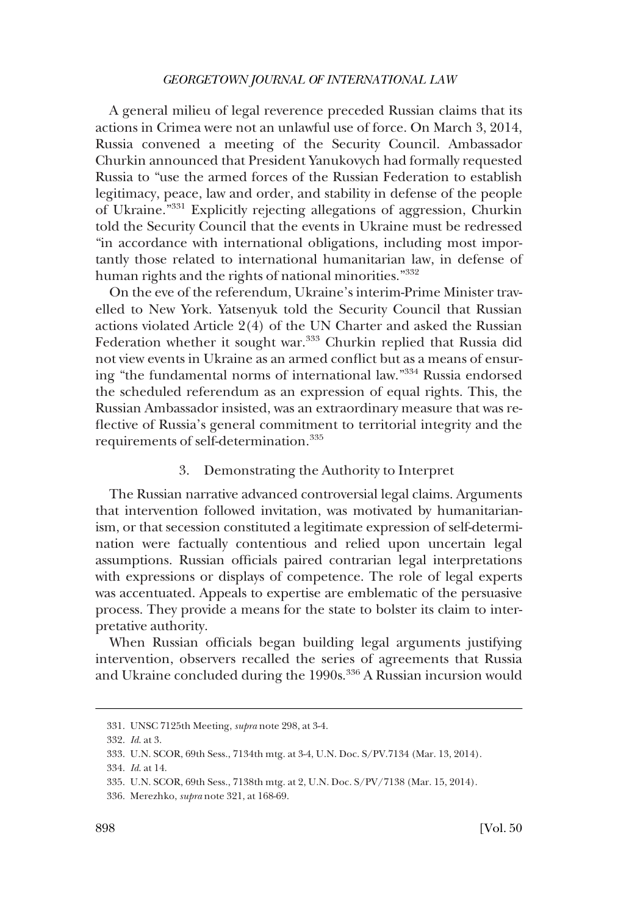A general milieu of legal reverence preceded Russian claims that its actions in Crimea were not an unlawful use of force. On March 3, 2014, Russia convened a meeting of the Security Council. Ambassador Churkin announced that President Yanukovych had formally requested Russia to "use the armed forces of the Russian Federation to establish legitimacy, peace, law and order, and stability in defense of the people of Ukraine."331 Explicitly rejecting allegations of aggression, Churkin told the Security Council that the events in Ukraine must be redressed "in accordance with international obligations, including most importantly those related to international humanitarian law, in defense of human rights and the rights of national minorities."<sup>332</sup>

On the eve of the referendum, Ukraine's interim-Prime Minister travelled to New York. Yatsenyuk told the Security Council that Russian actions violated Article 2(4) of the UN Charter and asked the Russian Federation whether it sought war.<sup>333</sup> Churkin replied that Russia did not view events in Ukraine as an armed confict but as a means of ensuring "the fundamental norms of international law."334 Russia endorsed the scheduled referendum as an expression of equal rights. This, the Russian Ambassador insisted, was an extraordinary measure that was refective of Russia's general commitment to territorial integrity and the requirements of self-determination.<sup>335</sup>

## 3. Demonstrating the Authority to Interpret

The Russian narrative advanced controversial legal claims. Arguments that intervention followed invitation, was motivated by humanitarianism, or that secession constituted a legitimate expression of self-determination were factually contentious and relied upon uncertain legal assumptions. Russian officials paired contrarian legal interpretations with expressions or displays of competence. The role of legal experts was accentuated. Appeals to expertise are emblematic of the persuasive process. They provide a means for the state to bolster its claim to interpretative authority.

When Russian officials began building legal arguments justifying intervention, observers recalled the series of agreements that Russia and Ukraine concluded during the 1990s.<sup>336</sup> A Russian incursion would

<sup>331.</sup> UNSC 7125th Meeting, *supra* note 298, at 3-4.

<sup>332.</sup> *Id*. at 3.

<sup>333.</sup> U.N. SCOR, 69th Sess., 7134th mtg. at 3-4, U.N. Doc. S/PV.7134 (Mar. 13, 2014).

<sup>334.</sup> *Id*. at 14.

<sup>335.</sup> U.N. SCOR, 69th Sess., 7138th mtg. at 2, U.N. Doc. S/PV/7138 (Mar. 15, 2014).

<sup>336.</sup> Merezhko, *supra* note 321, at 168-69.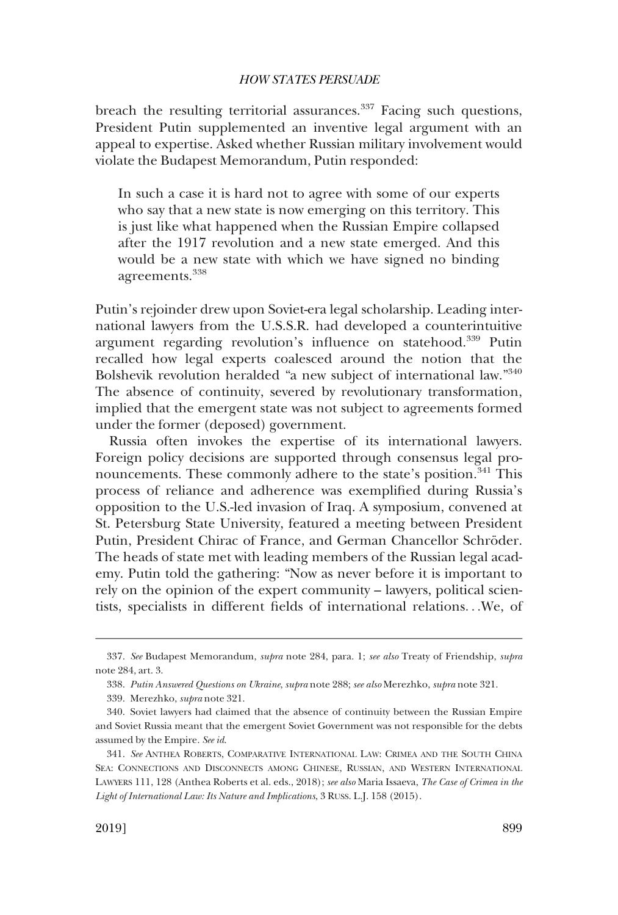breach the resulting territorial assurances.<sup>337</sup> Facing such questions, President Putin supplemented an inventive legal argument with an appeal to expertise. Asked whether Russian military involvement would violate the Budapest Memorandum, Putin responded:

In such a case it is hard not to agree with some of our experts who say that a new state is now emerging on this territory. This is just like what happened when the Russian Empire collapsed after the 1917 revolution and a new state emerged. And this would be a new state with which we have signed no binding agreements.<sup>338</sup>

Putin's rejoinder drew upon Soviet-era legal scholarship. Leading international lawyers from the U.S.S.R. had developed a counterintuitive argument regarding revolution's infuence on statehood.339 Putin recalled how legal experts coalesced around the notion that the Bolshevik revolution heralded "a new subject of international law."340 The absence of continuity, severed by revolutionary transformation, implied that the emergent state was not subject to agreements formed under the former (deposed) government.

Russia often invokes the expertise of its international lawyers. Foreign policy decisions are supported through consensus legal pronouncements. These commonly adhere to the state's position.<sup>341</sup> This process of reliance and adherence was exemplifed during Russia's opposition to the U.S.-led invasion of Iraq. A symposium, convened at St. Petersburg State University, featured a meeting between President Putin, President Chirac of France, and German Chancellor Schröder. The heads of state met with leading members of the Russian legal academy. Putin told the gathering: "Now as never before it is important to rely on the opinion of the expert community – lawyers, political scientists, specialists in different felds of international relations. . .We, of

<sup>337.</sup> *See* Budapest Memorandum, *supra* note 284, para. 1; *see also* Treaty of Friendship, *supra*  note 284, art. 3.

<sup>338.</sup> *Putin Answered Questions on Ukraine*, *supra* note 288; *see also* Merezhko, *supra* note 321.

<sup>339.</sup> Merezhko, *supra* note 321.

<sup>340.</sup> Soviet lawyers had claimed that the absence of continuity between the Russian Empire and Soviet Russia meant that the emergent Soviet Government was not responsible for the debts assumed by the Empire. *See id*.

<sup>341.</sup> *See* ANTHEA ROBERTS, COMPARATIVE INTERNATIONAL LAW: CRIMEA AND THE SOUTH CHINA SEA: CONNECTIONS AND DISCONNECTS AMONG CHINESE, RUSSIAN, AND WESTERN INTERNATIONAL LAWYERS 111, 128 (Anthea Roberts et al. eds., 2018); *see also* Maria Issaeva, *The Case of Crimea in the Light of International Law: Its Nature and Implications*, 3 RUSS. L.J. 158 (2015).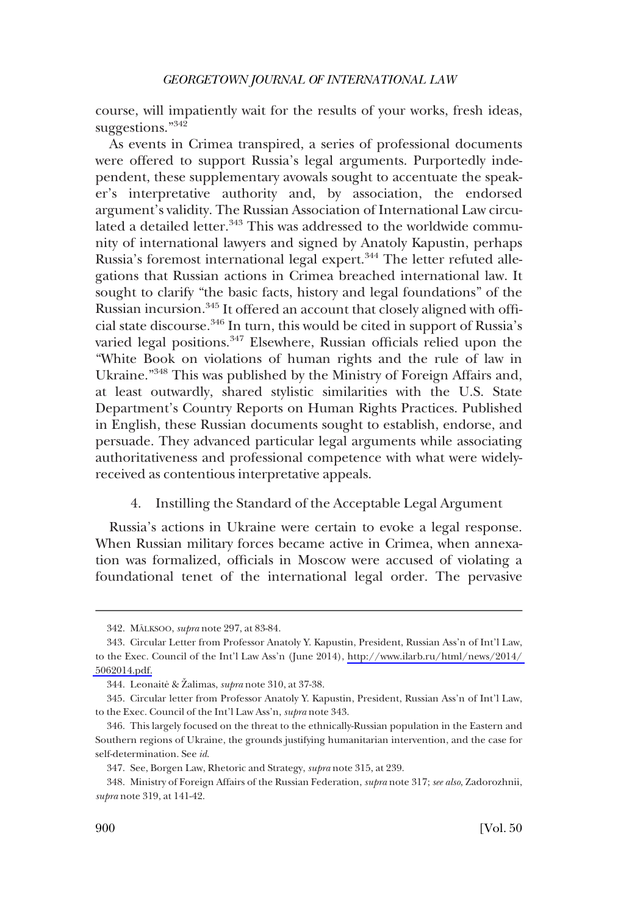course, will impatiently wait for the results of your works, fresh ideas, suggestions."<sup>342</sup>

As events in Crimea transpired, a series of professional documents were offered to support Russia's legal arguments. Purportedly independent, these supplementary avowals sought to accentuate the speaker's interpretative authority and, by association, the endorsed argument's validity. The Russian Association of International Law circulated a detailed letter.<sup>343</sup> This was addressed to the worldwide community of international lawyers and signed by Anatoly Kapustin, perhaps Russia's foremost international legal expert.<sup>344</sup> The letter refuted allegations that Russian actions in Crimea breached international law. It sought to clarify "the basic facts, history and legal foundations" of the Russian incursion.<sup>345</sup> It offered an account that closely aligned with official state discourse.346 In turn, this would be cited in support of Russia's varied legal positions.<sup>347</sup> Elsewhere, Russian officials relied upon the "White Book on violations of human rights and the rule of law in Ukraine."348 This was published by the Ministry of Foreign Affairs and, at least outwardly, shared stylistic similarities with the U.S. State Department's Country Reports on Human Rights Practices. Published in English, these Russian documents sought to establish, endorse, and persuade. They advanced particular legal arguments while associating authoritativeness and professional competence with what were widelyreceived as contentious interpretative appeals.

## 4. Instilling the Standard of the Acceptable Legal Argument

Russia's actions in Ukraine were certain to evoke a legal response. When Russian military forces became active in Crimea, when annexation was formalized, offcials in Moscow were accused of violating a foundational tenet of the international legal order. The pervasive

<sup>342.</sup> MA¨LKSOO, *supra* note 297, at 83-84.

<sup>343.</sup> Circular Letter from Professor Anatoly Y. Kapustin, President, Russian Ass'n of Int'l Law, to the Exec. Council of the Int'l Law Ass'n (June 2014), [http://www.ilarb.ru/html/news/2014/](http://www.ilarb.ru/html/news/2014/5062014.pdf)  [5062014.pdf.](http://www.ilarb.ru/html/news/2014/5062014.pdf)

<sup>344.</sup> Leonaite<sup>s</sup> & Žalimas, *supra* note 310, at 37-38.

<sup>345.</sup> Circular letter from Professor Anatoly Y. Kapustin, President, Russian Ass'n of Int'l Law, to the Exec. Council of the Int'l Law Ass'n, *supra* note 343.

<sup>346.</sup> This largely focused on the threat to the ethnically-Russian population in the Eastern and Southern regions of Ukraine, the grounds justifying humanitarian intervention, and the case for self-determination. See *id*.

<sup>347.</sup> See, Borgen Law, Rhetoric and Strategy, *supra* note 315, at 239.

<sup>348.</sup> Ministry of Foreign Affairs of the Russian Federation, *supra* note 317; *see also*, Zadorozhnii, *supra* note 319, at 141-42.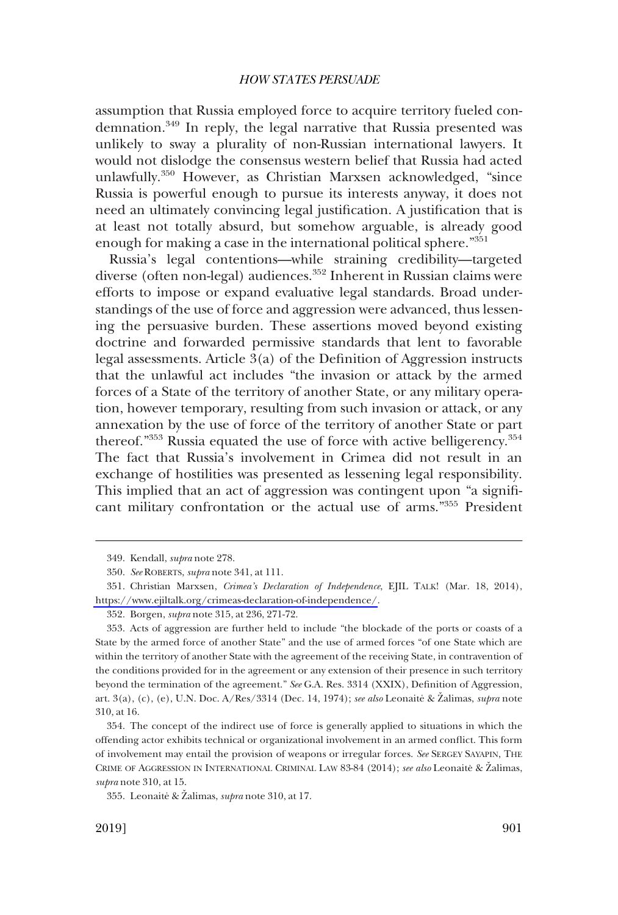assumption that Russia employed force to acquire territory fueled condemnation.349 In reply, the legal narrative that Russia presented was unlikely to sway a plurality of non-Russian international lawyers. It would not dislodge the consensus western belief that Russia had acted unlawfully.350 However, as Christian Marxsen acknowledged, "since Russia is powerful enough to pursue its interests anyway, it does not need an ultimately convincing legal justifcation. A justifcation that is at least not totally absurd, but somehow arguable, is already good enough for making a case in the international political sphere."351

Russia's legal contentions—while straining credibility—targeted diverse (often non-legal) audiences.<sup>352</sup> Inherent in Russian claims were efforts to impose or expand evaluative legal standards. Broad understandings of the use of force and aggression were advanced, thus lessening the persuasive burden. These assertions moved beyond existing doctrine and forwarded permissive standards that lent to favorable legal assessments. Article 3(a) of the Defnition of Aggression instructs that the unlawful act includes "the invasion or attack by the armed forces of a State of the territory of another State, or any military operation, however temporary, resulting from such invasion or attack, or any annexation by the use of force of the territory of another State or part thereof."353 Russia equated the use of force with active belligerency.<sup>354</sup> The fact that Russia's involvement in Crimea did not result in an exchange of hostilities was presented as lessening legal responsibility. This implied that an act of aggression was contingent upon "a signifcant military confrontation or the actual use of arms."355 President

<sup>349.</sup> Kendall, *supra* note 278.

<sup>350.</sup> *See* ROBERTS, *supra* note 341, at 111.

<sup>351.</sup> Christian Marxsen, *Crimea's Declaration of Independence*, EJIL TALK! (Mar. 18, 2014), [https://www.ejiltalk.org/crimeas-declaration-of-independence/.](https://www.ejiltalk.org/crimeas-declaration-of-independence/)

<sup>352.</sup> Borgen, *supra* note 315, at 236, 271-72.

<sup>353.</sup> Acts of aggression are further held to include "the blockade of the ports or coasts of a State by the armed force of another State" and the use of armed forces "of one State which are within the territory of another State with the agreement of the receiving State, in contravention of the conditions provided for in the agreement or any extension of their presence in such territory beyond the termination of the agreement." *See* G.A. Res. 3314 (XXIX), Defnition of Aggression, art. 3(a), (c), (e), U.N. Doc. A/Res/3314 (Dec. 14, 1974); *see also* Leonaite & Zalimas, *supra* note 310, at 16.

<sup>354.</sup> The concept of the indirect use of force is generally applied to situations in which the offending actor exhibits technical or organizational involvement in an armed confict. This form of involvement may entail the provision of weapons or irregular forces. *See* SERGEY SAYAPIN, THE CRIME OF AGGRESSION IN INTERNATIONAL CRIMINAL LAW 83-84 (2014); *see also* Leonaite & Žalimas, *supra* note 310, at 15.

<sup>355.</sup> Leonaite<sup>\*</sup> & Zalimas, *supra* note 310, at 17.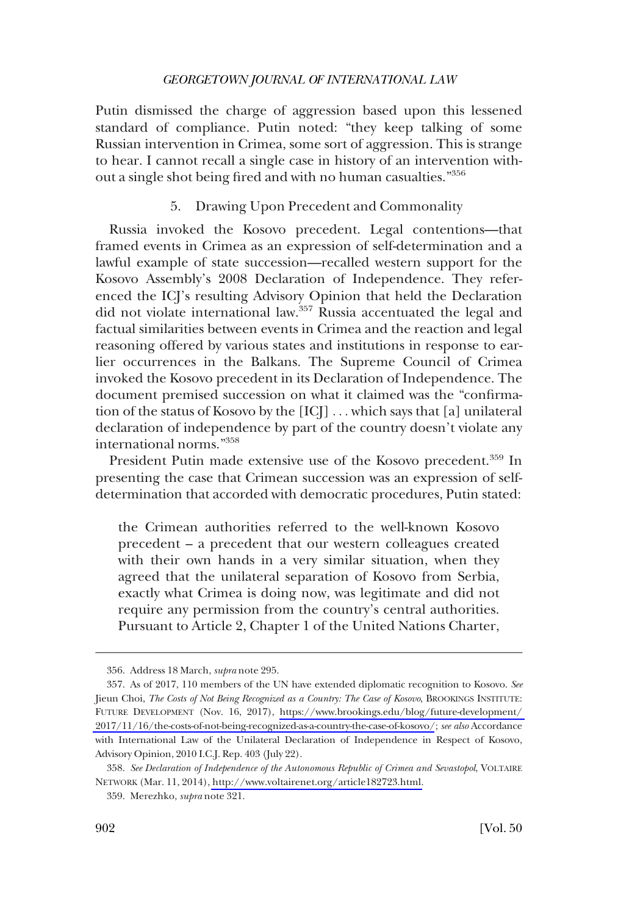Putin dismissed the charge of aggression based upon this lessened standard of compliance. Putin noted: "they keep talking of some Russian intervention in Crimea, some sort of aggression. This is strange to hear. I cannot recall a single case in history of an intervention without a single shot being fred and with no human casualties."356

## 5. Drawing Upon Precedent and Commonality

Russia invoked the Kosovo precedent. Legal contentions—that framed events in Crimea as an expression of self-determination and a lawful example of state succession—recalled western support for the Kosovo Assembly's 2008 Declaration of Independence. They referenced the ICJ's resulting Advisory Opinion that held the Declaration did not violate international law.<sup>357</sup> Russia accentuated the legal and factual similarities between events in Crimea and the reaction and legal reasoning offered by various states and institutions in response to earlier occurrences in the Balkans. The Supreme Council of Crimea invoked the Kosovo precedent in its Declaration of Independence. The document premised succession on what it claimed was the "confrmation of the status of Kosovo by the [ICJ] . . . which says that [a] unilateral declaration of independence by part of the country doesn't violate any international norms."358

President Putin made extensive use of the Kosovo precedent.<sup>359</sup> In presenting the case that Crimean succession was an expression of selfdetermination that accorded with democratic procedures, Putin stated:

the Crimean authorities referred to the well-known Kosovo precedent – a precedent that our western colleagues created with their own hands in a very similar situation, when they agreed that the unilateral separation of Kosovo from Serbia, exactly what Crimea is doing now, was legitimate and did not require any permission from the country's central authorities. Pursuant to Article 2, Chapter 1 of the United Nations Charter,

<sup>356.</sup> Address 18 March, *supra* note 295.

As of 2017, 110 members of the UN have extended diplomatic recognition to Kosovo. *See*  357. Jieun Choi, *The Costs of Not Being Recognized as a Country: The Case of Kosovo*, BROOKINGS INSTITUTE: FUTURE DEVELOPMENT (Nov. 16, 2017), [https://www.brookings.edu/blog/future-development/](https://www.brookings.edu/blog/future-development/2017/11/16/the-costs-of-not-being-recognized-as-a-country-the-case-of-kosovo/)  [2017/11/16/the-costs-of-not-being-recognized-as-a-country-the-case-of-kosovo/](https://www.brookings.edu/blog/future-development/2017/11/16/the-costs-of-not-being-recognized-as-a-country-the-case-of-kosovo/); *see also* Accordance with International Law of the Unilateral Declaration of Independence in Respect of Kosovo, Advisory Opinion, 2010 I.C.J. Rep. 403 (July 22).

*See Declaration of Independence of the Autonomous Republic of Crimea and Sevastopol*, VOLTAIRE 358. NETWORK (Mar. 11, 2014), [http://www.voltairenet.org/article182723.html.](http://www.voltairenet.org/article182723.html)

<sup>359.</sup> Merezhko, *supra* note 321.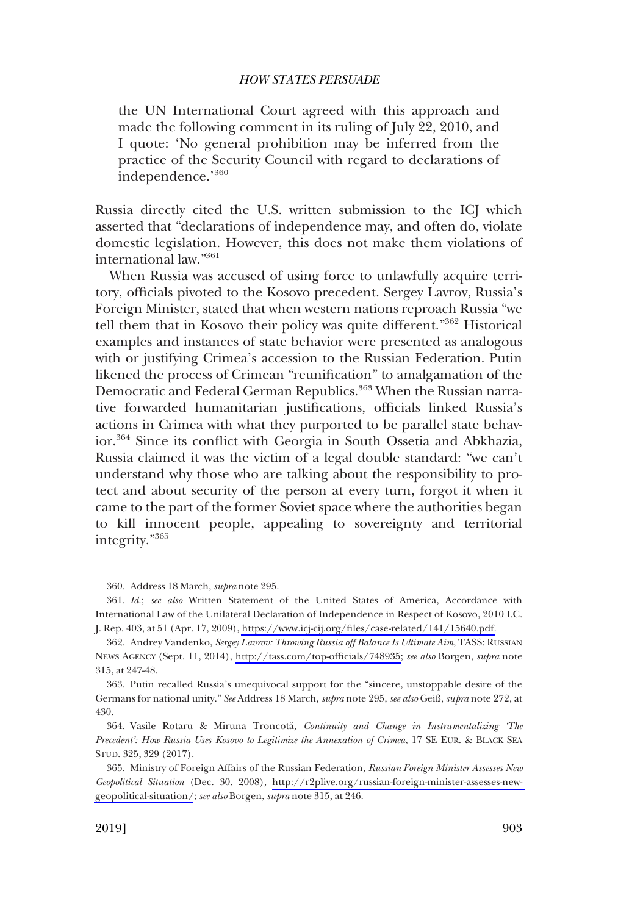the UN International Court agreed with this approach and made the following comment in its ruling of July 22, 2010, and I quote: 'No general prohibition may be inferred from the practice of the Security Council with regard to declarations of independence.'<sup>360</sup>

Russia directly cited the U.S. written submission to the ICJ which asserted that "declarations of independence may, and often do, violate domestic legislation. However, this does not make them violations of international law."361

When Russia was accused of using force to unlawfully acquire territory, officials pivoted to the Kosovo precedent. Sergey Lavrov, Russia's Foreign Minister, stated that when western nations reproach Russia "we tell them that in Kosovo their policy was quite different."362 Historical examples and instances of state behavior were presented as analogous with or justifying Crimea's accession to the Russian Federation. Putin likened the process of Crimean "reunifcation" to amalgamation of the Democratic and Federal German Republics.<sup>363</sup> When the Russian narrative forwarded humanitarian justifications, officials linked Russia's actions in Crimea with what they purported to be parallel state behavior.364 Since its confict with Georgia in South Ossetia and Abkhazia, Russia claimed it was the victim of a legal double standard: "we can't understand why those who are talking about the responsibility to protect and about security of the person at every turn, forgot it when it came to the part of the former Soviet space where the authorities began to kill innocent people, appealing to sovereignty and territorial integrity."<sup>365</sup>

<sup>360.</sup> Address 18 March, *supra* note 295.

*Id*.; *see also* Written Statement of the United States of America, Accordance with 361. International Law of the Unilateral Declaration of Independence in Respect of Kosovo, 2010 I.C. J. Rep. 403, at 51 (Apr. 17, 2009), [https://www.icj-cij.org/fles/case-related/141/15640.pdf.](https://www.icj-cij.org/files/case-related/141/15640.pdf)

Andrey Vandenko, *Sergey Lavrov: Throwing Russia off Balance Is Ultimate Aim*, TASS: RUSSIAN 362. NEWS AGENCY (Sept. 11, 2014), [http://tass.com/top-offcials/748935](http://tass.com/top-officials/748935); *see also* Borgen, *supra* note 315, at 247-48.

<sup>363.</sup> Putin recalled Russia's unequivocal support for the "sincere, unstoppable desire of the Germans for national unity." *See* Address 18 March, *supra* note 295, *see also* Geiß, *supra* note 272, at 430.

<sup>364.</sup> Vasile Rotaru & Miruna Troncota˘, *Continuity and Change in Instrumentalizing 'The Precedent': How Russia Uses Kosovo to Legitimize the Annexation of Crimea*, 17 SE EUR. & BLACK SEA STUD. 325, 329 (2017).

<sup>365.</sup> Ministry of Foreign Affairs of the Russian Federation, *Russian Foreign Minister Assesses New Geopolitical Situation* (Dec. 30, 2008), [http://r2plive.org/russian-foreign-minister-assesses-new](http://r2plive.org/russian-foreign-minister-assesses-new-geopolitical-situation/)[geopolitical-situation/](http://r2plive.org/russian-foreign-minister-assesses-new-geopolitical-situation/); *see also* Borgen, *supra* note 315, at 246.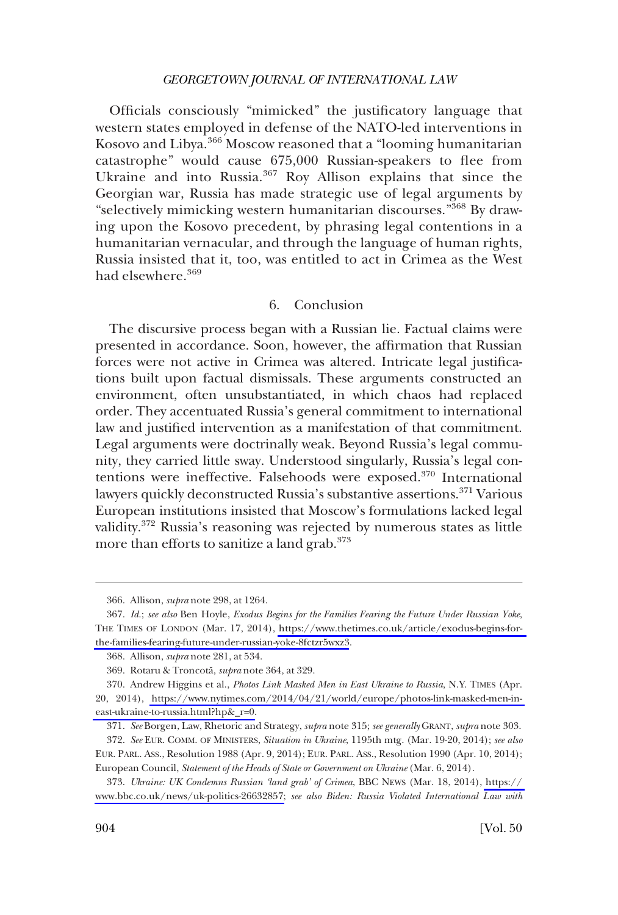Officials consciously "mimicked" the justificatory language that western states employed in defense of the NATO-led interventions in Kosovo and Libya.366 Moscow reasoned that a "looming humanitarian catastrophe" would cause 675,000 Russian-speakers to flee from Ukraine and into Russia.<sup>367</sup> Roy Allison explains that since the Georgian war, Russia has made strategic use of legal arguments by "selectively mimicking western humanitarian discourses."368 By drawing upon the Kosovo precedent, by phrasing legal contentions in a humanitarian vernacular, and through the language of human rights, Russia insisted that it, too, was entitled to act in Crimea as the West had elsewhere.<sup>369</sup>

## 6. Conclusion

The discursive process began with a Russian lie. Factual claims were presented in accordance. Soon, however, the affrmation that Russian forces were not active in Crimea was altered. Intricate legal justifcations built upon factual dismissals. These arguments constructed an environment, often unsubstantiated, in which chaos had replaced order. They accentuated Russia's general commitment to international law and justifed intervention as a manifestation of that commitment. Legal arguments were doctrinally weak. Beyond Russia's legal community, they carried little sway. Understood singularly, Russia's legal contentions were ineffective. Falsehoods were exposed.<sup>370</sup> International lawyers quickly deconstructed Russia's substantive assertions.<sup>371</sup> Various European institutions insisted that Moscow's formulations lacked legal validity.372 Russia's reasoning was rejected by numerous states as little more than efforts to sanitize a land grab.<sup>373</sup>

<sup>366.</sup> Allison, *supra* note 298, at 1264.

*Id*.; *see also* Ben Hoyle, *Exodus Begins for the Families Fearing the Future Under Russian Yoke*, 367. THE TIMES OF LONDON (Mar. 17, 2014), [https://www.thetimes.co.uk/article/exodus-begins-for](https://www.thetimes.co.uk/article/exodus-begins-for-the-families-fearing-future-under-russian-yoke-8fctzr5wxz3)[the-families-fearing-future-under-russian-yoke-8fctzr5wxz3](https://www.thetimes.co.uk/article/exodus-begins-for-the-families-fearing-future-under-russian-yoke-8fctzr5wxz3).

<sup>368.</sup> Allison, *supra* note 281, at 534.

<sup>369.</sup> Rotaru & Troncota˘, *supra* note 364, at 329.

Andrew Higgins et al., *Photos Link Masked Men in East Ukraine to Russia*, N.Y. TIMES (Apr. 370. 20, 2014), [https://www.nytimes.com/2014/04/21/world/europe/photos-link-masked-men-in](https://www.nytimes.com/2014/04/21/world/europe/photos-link-masked-men-in-east-ukraine-to-russia.html?hp&_r=0)[east-ukraine-to-russia.html?hp&\\_r=0.](https://www.nytimes.com/2014/04/21/world/europe/photos-link-masked-men-in-east-ukraine-to-russia.html?hp&_r=0)

<sup>371.</sup> *See* Borgen, Law, Rhetoric and Strategy, *supra* note 315; *see generally* GRANT, *supra* note 303.

<sup>372.</sup> *See* EUR. COMM. OF MINISTERS, *Situation in Ukraine*, 1195th mtg. (Mar. 19-20, 2014); *see also*  EUR. PARL. ASS., Resolution 1988 (Apr. 9, 2014); EUR. PARL. ASS., Resolution 1990 (Apr. 10, 2014); European Council, *Statement of the Heads of State or Government on Ukraine* (Mar. 6, 2014).

<sup>373.</sup> *Ukraine: UK Condemns Russian 'land grab' of Crimea*, BBC NEWS (Mar. 18, 2014), [https://](https://www.bbc.co.uk/news/uk-politics-26632857)  [www.bbc.co.uk/news/uk-politics-26632857;](https://www.bbc.co.uk/news/uk-politics-26632857) *see also Biden: Russia Violated International Law with*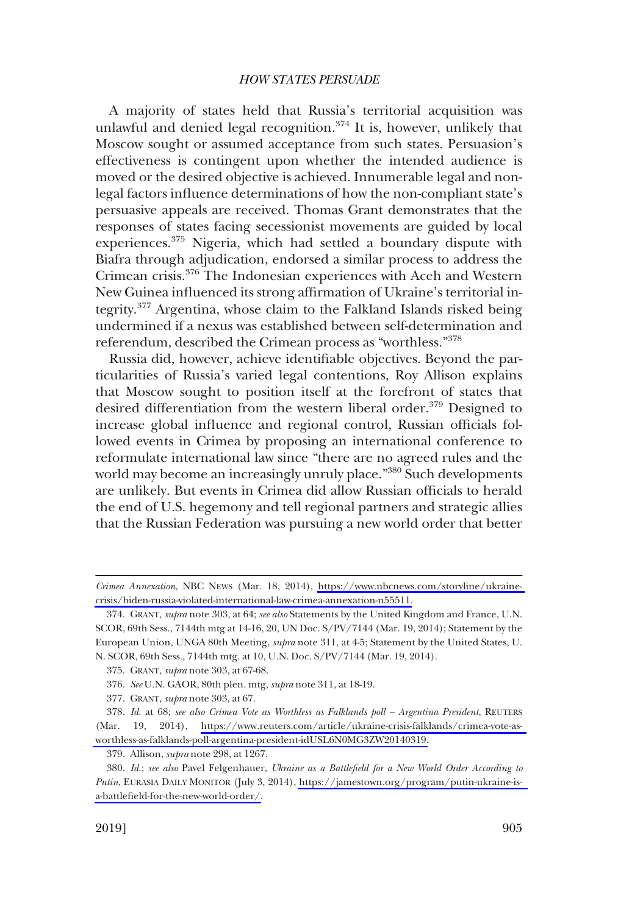A majority of states held that Russia's territorial acquisition was unlawful and denied legal recognition.374 It is, however, unlikely that Moscow sought or assumed acceptance from such states. Persuasion's effectiveness is contingent upon whether the intended audience is moved or the desired objective is achieved. Innumerable legal and nonlegal factors infuence determinations of how the non-compliant state's persuasive appeals are received. Thomas Grant demonstrates that the responses of states facing secessionist movements are guided by local experiences.375 Nigeria, which had settled a boundary dispute with Biafra through adjudication, endorsed a similar process to address the Crimean crisis.376 The Indonesian experiences with Aceh and Western New Guinea infuenced its strong affrmation of Ukraine's territorial integrity.377 Argentina, whose claim to the Falkland Islands risked being undermined if a nexus was established between self-determination and referendum, described the Crimean process as "worthless."<sup>378</sup>

Russia did, however, achieve identifable objectives. Beyond the particularities of Russia's varied legal contentions, Roy Allison explains that Moscow sought to position itself at the forefront of states that desired differentiation from the western liberal order.<sup>379</sup> Designed to increase global influence and regional control, Russian officials followed events in Crimea by proposing an international conference to reformulate international law since "there are no agreed rules and the world may become an increasingly unruly place."<sup>380</sup> Such developments are unlikely. But events in Crimea did allow Russian offcials to herald the end of U.S. hegemony and tell regional partners and strategic allies that the Russian Federation was pursuing a new world order that better

379. Allison, *supra* note 298, at 1267.

*Crimea Annexation*, NBC NEWS (Mar. 18, 2014), [https://www.nbcnews.com/storyline/ukraine](https://www.nbcnews.com/storyline/ukraine-crisis/biden-russia-violated-international-law-crimea-annexation-n55511)[crisis/biden-russia-violated-international-law-crimea-annexation-n55511.](https://www.nbcnews.com/storyline/ukraine-crisis/biden-russia-violated-international-law-crimea-annexation-n55511)

<sup>374.</sup> GRANT, *supra* note 303, at 64; *see also* Statements by the United Kingdom and France, U.N. SCOR, 69th Sess., 7144th mtg at 14-16, 20, UN Doc. S/PV/7144 (Mar. 19, 2014); Statement by the European Union, UNGA 80th Meeting, *supra* note 311, at 4-5; Statement by the United States, U. N. SCOR, 69th Sess., 7144th mtg. at 10, U.N. Doc. S/PV/7144 (Mar. 19, 2014).

<sup>375.</sup> GRANT, *supra* note 303, at 67-68.

<sup>376.</sup> *See* U.N. GAOR, 80th plen. mtg, *supra* note 311, at 18-19.

<sup>377.</sup> GRANT, *supra* note 303, at 67.

<sup>378.</sup>  *Id*. at 68; *see also Crimea Vote as Worthless as Falklands poll – Argentina President*, REUTERS (Mar. 19, 2014), [https://www.reuters.com/article/ukraine-crisis-falklands/crimea-vote-as](https://www.reuters.com/article/ukraine-crisis-falklands/crimea-vote-as-worthless-as-falklands-poll-argentina-president-idUSL6N0MG3ZW20140319)[worthless-as-falklands-poll-argentina-president-idUSL6N0MG3ZW20140319.](https://www.reuters.com/article/ukraine-crisis-falklands/crimea-vote-as-worthless-as-falklands-poll-argentina-president-idUSL6N0MG3ZW20140319)

*Id*.; *see also* Pavel Felgenhauer, *Ukraine as a Battlefeld for a New World Order According to*  380. *Putin*, EURASIA DAILY MONITOR (July 3, 2014), [https://jamestown.org/program/putin-ukraine-is](https://jamestown.org/program/putin-ukraine-is-a-battlefield-for-the-new-world-order/)[a-battlefeld-for-the-new-world-order/.](https://jamestown.org/program/putin-ukraine-is-a-battlefield-for-the-new-world-order/)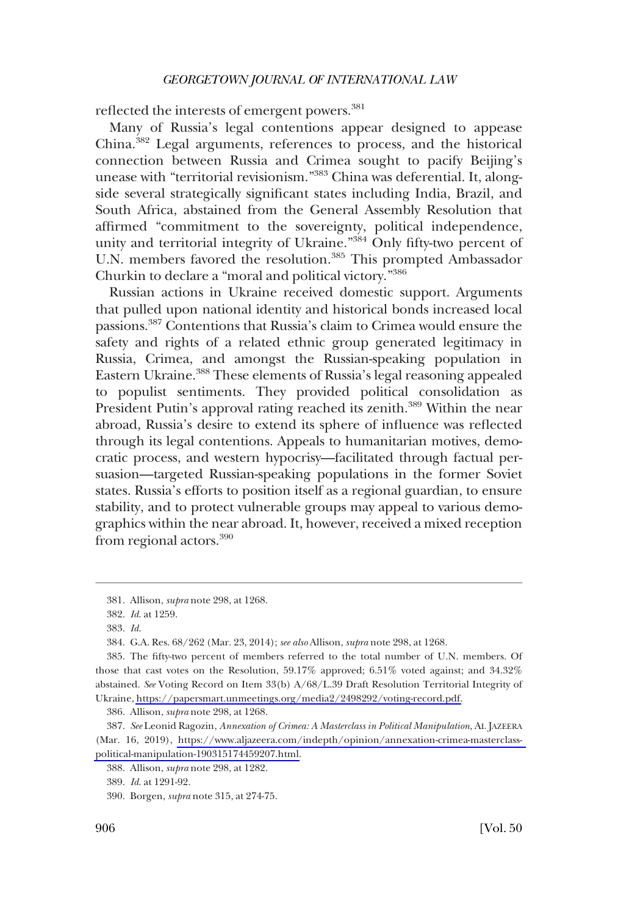reflected the interests of emergent powers.<sup>381</sup>

Many of Russia's legal contentions appear designed to appease China.382 Legal arguments, references to process, and the historical connection between Russia and Crimea sought to pacify Beijing's unease with "territorial revisionism."383 China was deferential. It, alongside several strategically signifcant states including India, Brazil, and South Africa, abstained from the General Assembly Resolution that affrmed "commitment to the sovereignty, political independence, unity and territorial integrity of Ukraine."<sup>384</sup> Only fifty-two percent of U.N. members favored the resolution.<sup>385</sup> This prompted Ambassador Churkin to declare a "moral and political victory."386

Russian actions in Ukraine received domestic support. Arguments that pulled upon national identity and historical bonds increased local passions.387 Contentions that Russia's claim to Crimea would ensure the safety and rights of a related ethnic group generated legitimacy in Russia, Crimea, and amongst the Russian-speaking population in Eastern Ukraine.<sup>388</sup> These elements of Russia's legal reasoning appealed to populist sentiments. They provided political consolidation as President Putin's approval rating reached its zenith.<sup>389</sup> Within the near abroad, Russia's desire to extend its sphere of infuence was refected through its legal contentions. Appeals to humanitarian motives, democratic process, and western hypocrisy—facilitated through factual persuasion—targeted Russian-speaking populations in the former Soviet states. Russia's efforts to position itself as a regional guardian, to ensure stability, and to protect vulnerable groups may appeal to various demographics within the near abroad. It, however, received a mixed reception from regional actors.390

<sup>381.</sup> Allison, *supra* note 298, at 1268.

<sup>382.</sup> *Id*. at 1259.

<sup>383.</sup> *Id*.

<sup>384.</sup> G.A. Res. 68/262 (Mar. 23, 2014); *see also* Allison, *supra* note 298, at 1268.

<sup>385.</sup> The fifty-two percent of members referred to the total number of U.N. members. Of those that cast votes on the Resolution, 59.17% approved; 6.51% voted against; and 34.32% abstained. *See* Voting Record on Item 33(b) A/68/L.39 Draft Resolution Territorial Integrity of Ukraine, [https://papersmart.unmeetings.org/media2/2498292/voting-record.pdf.](https://papersmart.unmeetings.org/media2/2498292/voting-record.pdf)

<sup>386.</sup> Allison, *supra* note 298, at 1268.

*See* Leonid Ragozin, *Annexation of Crimea: A Masterclass in Political Manipulation*, AL JAZEERA 387. (Mar. 16, 2019), [https://www.aljazeera.com/indepth/opinion/annexation-crimea-masterclass](https://www.aljazeera.com/indepth/opinion/annexation-crimea-masterclass-political-manipulation-190315174459207.html)[political-manipulation-190315174459207.html](https://www.aljazeera.com/indepth/opinion/annexation-crimea-masterclass-political-manipulation-190315174459207.html).

<sup>388.</sup> Allison, *supra* note 298, at 1282.

<sup>389.</sup> *Id*. at 1291-92.

<sup>390.</sup> Borgen, *supra* note 315, at 274-75.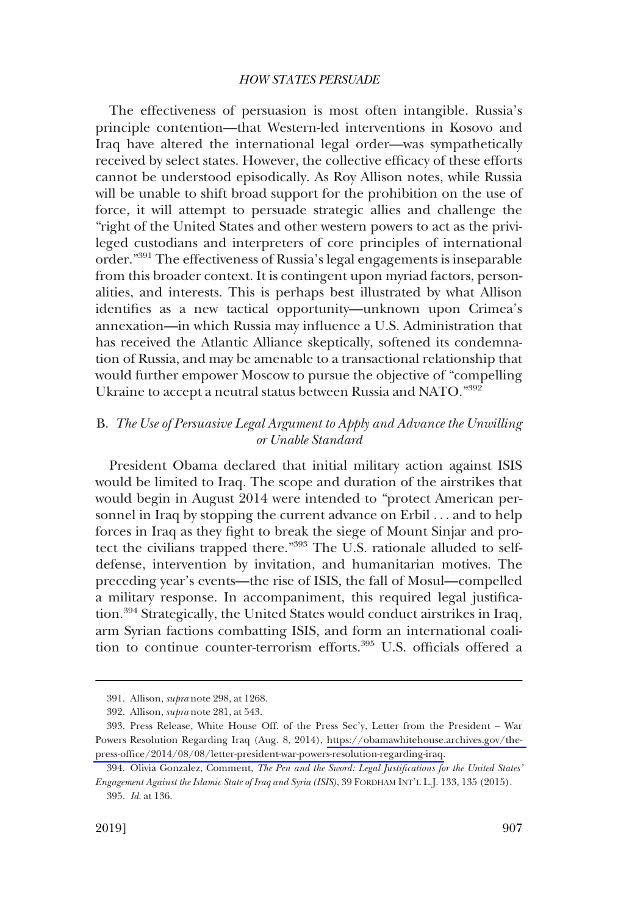The effectiveness of persuasion is most often intangible. Russia's principle contention—that Western-led interventions in Kosovo and Iraq have altered the international legal order—was sympathetically received by select states. However, the collective efficacy of these efforts cannot be understood episodically. As Roy Allison notes, while Russia will be unable to shift broad support for the prohibition on the use of force, it will attempt to persuade strategic allies and challenge the "right of the United States and other western powers to act as the privileged custodians and interpreters of core principles of international order."391 The effectiveness of Russia's legal engagements is inseparable from this broader context. It is contingent upon myriad factors, personalities, and interests. This is perhaps best illustrated by what Allison identifes as a new tactical opportunity—unknown upon Crimea's annexation—in which Russia may infuence a U.S. Administration that has received the Atlantic Alliance skeptically, softened its condemnation of Russia, and may be amenable to a transactional relationship that would further empower Moscow to pursue the objective of "compelling Ukraine to accept a neutral status between Russia and NATO."392

## B. *The Use of Persuasive Legal Argument to Apply and Advance the Unwilling or Unable Standard*

President Obama declared that initial military action against ISIS would be limited to Iraq. The scope and duration of the airstrikes that would begin in August 2014 were intended to "protect American personnel in Iraq by stopping the current advance on Erbil . . . and to help forces in Iraq as they fght to break the siege of Mount Sinjar and protect the civilians trapped there."393 The U.S. rationale alluded to selfdefense, intervention by invitation, and humanitarian motives. The preceding year's events—the rise of ISIS, the fall of Mosul—compelled a military response. In accompaniment, this required legal justifcation.394 Strategically, the United States would conduct airstrikes in Iraq, arm Syrian factions combatting ISIS, and form an international coalition to continue counter-terrorism efforts.<sup>395</sup> U.S. officials offered a

<sup>391.</sup> Allison, *supra* note 298, at 1268.

<sup>392.</sup> Allison, *supra* note 281, at 543.

<sup>393.</sup> Press Release, White House Off. of the Press Sec'y, Letter from the President - War Powers Resolution Regarding Iraq (Aug. 8, 2014), [https://obamawhitehouse.archives.gov/the](https://obamawhitehouse.archives.gov/the-press-office/2014/08/08/letter-president-war-powers-resolution-regarding-iraq)press-office/2014/08/08/letter-president-war-powers-resolution-regarding-iraq.

<sup>394.</sup> Olivia Gonzalez, Comment, *The Pen and the Sword: Legal Justifcations for the United States' Engagement Against the Islamic State of Iraq and Syria (ISIS)*, 39 FORDHAM INT'L L.J. 133, 135 (2015). 395. *Id*. at 136.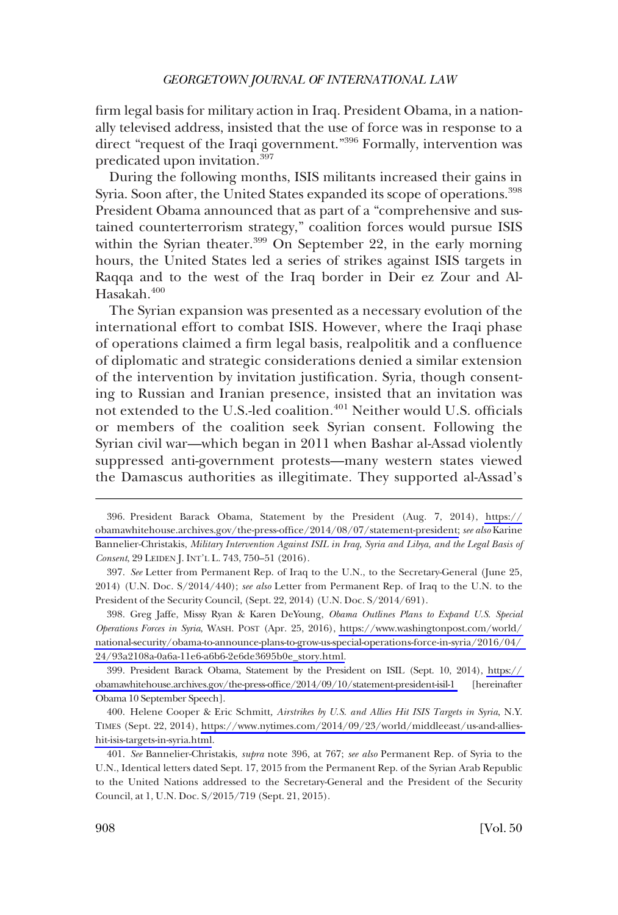frm legal basis for military action in Iraq. President Obama, in a nationally televised address, insisted that the use of force was in response to a direct "request of the Iraqi government."<sup>396</sup> Formally, intervention was predicated upon invitation.397

During the following months, ISIS militants increased their gains in Syria. Soon after, the United States expanded its scope of operations.<sup>398</sup> President Obama announced that as part of a "comprehensive and sustained counterterrorism strategy," coalition forces would pursue ISIS within the Syrian theater. $399$  On September 22, in the early morning hours, the United States led a series of strikes against ISIS targets in Raqqa and to the west of the Iraq border in Deir ez Zour and Al-Hasakah.<sup>400</sup>

The Syrian expansion was presented as a necessary evolution of the international effort to combat ISIS. However, where the Iraqi phase of operations claimed a frm legal basis, realpolitik and a confuence of diplomatic and strategic considerations denied a similar extension of the intervention by invitation justifcation. Syria, though consenting to Russian and Iranian presence, insisted that an invitation was not extended to the U.S.-led coalition.<sup>401</sup> Neither would U.S. officials or members of the coalition seek Syrian consent. Following the Syrian civil war—which began in 2011 when Bashar al-Assad violently suppressed anti-government protests—many western states viewed the Damascus authorities as illegitimate. They supported al-Assad's

President Barack Obama, Statement by the President (Aug. 7, 2014), [https://](https://obamawhitehouse.archives.gov/the-press-office/2014/08/07/statement-president) 396. [obamawhitehouse.archives.gov/the-press-offce/2014/08/07/statement-president;](https://obamawhitehouse.archives.gov/the-press-office/2014/08/07/statement-president) *see also* Karine Bannelier-Christakis, *Military Intervention Against ISIL in Iraq, Syria and Libya, and the Legal Basis of Consent*, 29 LEIDEN J. INT'L L. 743, 750–51 (2016).

<sup>397.</sup> *See* Letter from Permanent Rep. of Iraq to the U.N., to the Secretary-General (June 25, 2014) (U.N. Doc. S/2014/440); *see also* Letter from Permanent Rep. of Iraq to the U.N. to the President of the Security Council, (Sept. 22, 2014) (U.N. Doc. S/2014/691).

Greg Jaffe, Missy Ryan & Karen DeYoung, *Obama Outlines Plans to Expand U.S. Special*  398. *Operations Forces in Syria*, WASH. POST (Apr. 25, 2016), [https://www.washingtonpost.com/world/](https://www.washingtonpost.com/world/national-security/obama-to-announce-plans-to-grow-us-special-operations-force-in-syria/2016/04/24/93a2108a-0a6a-11e6-a6b6-2e6de3695b0e_story.html)  [national-security/obama-to-announce-plans-to-grow-us-special-operations-force-in-syria/2016/04/](https://www.washingtonpost.com/world/national-security/obama-to-announce-plans-to-grow-us-special-operations-force-in-syria/2016/04/24/93a2108a-0a6a-11e6-a6b6-2e6de3695b0e_story.html)  [24/93a2108a-0a6a-11e6-a6b6-2e6de3695b0e\\_story.html.](https://www.washingtonpost.com/world/national-security/obama-to-announce-plans-to-grow-us-special-operations-force-in-syria/2016/04/24/93a2108a-0a6a-11e6-a6b6-2e6de3695b0e_story.html)

President Barack Obama, Statement by the President on ISIL (Sept. 10, 2014), [https://](https://obamawhitehouse.archives.gov/the-press-office/2014/09/10/statement-president-isil-1)  399. obamawhitehouse.archives.gov/the-press-office/2014/09/10/statement-president-isil-1 [hereinafter Obama 10 September Speech].

Helene Cooper & Eric Schmitt*, Airstrikes by U.S. and Allies Hit ISIS Targets in Syria*, N.Y. 400. TIMES (Sept. 22, 2014), [https://www.nytimes.com/2014/09/23/world/middleeast/us-and-allies](https://www.nytimes.com/2014/09/23/world/middleeast/us-and-allies-hit-isis-targets-in-syria.html)[hit-isis-targets-in-syria.html.](https://www.nytimes.com/2014/09/23/world/middleeast/us-and-allies-hit-isis-targets-in-syria.html)

<sup>401.</sup> *See* Bannelier-Christakis, *supra* note 396, at 767; *see also* Permanent Rep. of Syria to the U.N., Identical letters dated Sept. 17, 2015 from the Permanent Rep. of the Syrian Arab Republic to the United Nations addressed to the Secretary-General and the President of the Security Council, at 1, U.N. Doc. S/2015/719 (Sept. 21, 2015).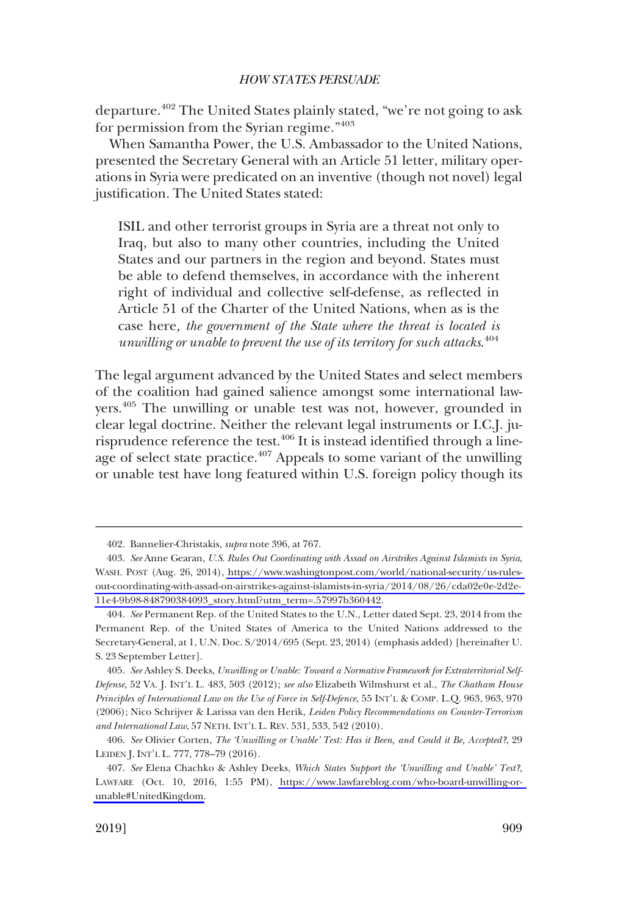departure.402 The United States plainly stated, "we're not going to ask for permission from the Syrian regime."<sup>403</sup>

When Samantha Power, the U.S. Ambassador to the United Nations, presented the Secretary General with an Article 51 letter, military operations in Syria were predicated on an inventive (though not novel) legal justifcation. The United States stated:

ISIL and other terrorist groups in Syria are a threat not only to Iraq, but also to many other countries, including the United States and our partners in the region and beyond. States must be able to defend themselves, in accordance with the inherent right of individual and collective self-defense, as refected in Article 51 of the Charter of the United Nations, when as is the case here*, the government of the State where the threat is located is unwilling or unable to prevent the use of its territory for such attacks*. 404

The legal argument advanced by the United States and select members of the coalition had gained salience amongst some international lawyers.405 The unwilling or unable test was not, however, grounded in clear legal doctrine. Neither the relevant legal instruments or I.C.J. jurisprudence reference the test.<sup>406</sup> It is instead identified through a lineage of select state practice.<sup>407</sup> Appeals to some variant of the unwilling or unable test have long featured within U.S. foreign policy though its

<sup>402.</sup> Bannelier-Christakis, *supra* note 396, at 767.

*See* Anne Gearan, *U.S. Rules Out Coordinating with Assad on Airstrikes Against Islamists in Syria*, 403. WASH. POST (Aug. 26, 2014), [https://www.washingtonpost.com/world/national-security/us-rules](https://www.washingtonpost.com/world/national-security/us-rules-out-coordinating-with-assad-on-airstrikes-against-islamists-in-syria/2014/08/26/cda02e0e-2d2e-11e4-9b98-848790384093_story.html?utm_term=.57997b360442)[out-coordinating-with-assad-on-airstrikes-against-islamists-in-syria/2014/08/26/cda02e0e-2d2e-](https://www.washingtonpost.com/world/national-security/us-rules-out-coordinating-with-assad-on-airstrikes-against-islamists-in-syria/2014/08/26/cda02e0e-2d2e-11e4-9b98-848790384093_story.html?utm_term=.57997b360442)[11e4-9b98-848790384093\\_story.html?utm\\_term=.57997b360442.](https://www.washingtonpost.com/world/national-security/us-rules-out-coordinating-with-assad-on-airstrikes-against-islamists-in-syria/2014/08/26/cda02e0e-2d2e-11e4-9b98-848790384093_story.html?utm_term=.57997b360442)

<sup>404.</sup> *See* Permanent Rep. of the United States to the U.N., Letter dated Sept. 23, 2014 from the Permanent Rep. of the United States of America to the United Nations addressed to the Secretary-General, at 1, U.N. Doc. S/2014/695 (Sept. 23, 2014) (emphasis added) [hereinafter U. S. 23 September Letter].

<sup>405.</sup> *See* Ashley S. Deeks, *Unwilling or Unable: Toward a Normative Framework for Extraterritorial Self-Defense*, 52 VA. J. INT'L L. 483, 503 (2012); *see also* Elizabeth Wilmshurst et al., *The Chatham House Principles of International Law on the Use of Force in Self-Defence*, 55 INT'L & COMP. L.Q. 963, 963, 970 (2006); Nico Schrijver & Larissa van den Herik, *Leiden Policy Recommendations on Counter-Terrorism and International Law*, 57 NETH. INT'L L. REV. 531, 533, 542 (2010).

<sup>406.</sup> *See* Olivier Corten, *The 'Unwilling or Unable' Test: Has it Been, and Could it Be, Accepted?*, 29 LEIDEN J. INT'L L. 777, 778–79 (2016).

*See* Elena Chachko & Ashley Deeks, *Which States Support the 'Unwilling and Unable' Test?*, 407. LAWFARE (Oct. 10, 2016, 1:55 PM), [https://www.lawfareblog.com/who-board-unwilling-or](https://www.lawfareblog.com/who-board-unwilling-or-unable#UnitedKingdom)[unable#UnitedKingdom.](https://www.lawfareblog.com/who-board-unwilling-or-unable#UnitedKingdom)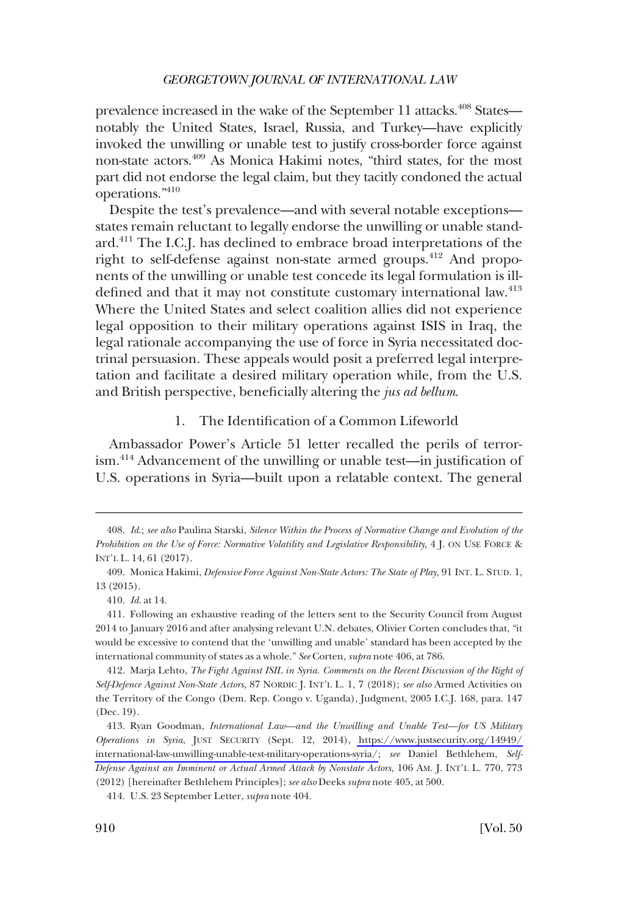prevalence increased in the wake of the September 11 attacks.<sup>408</sup> States notably the United States, Israel, Russia, and Turkey—have explicitly invoked the unwilling or unable test to justify cross-border force against non-state actors.409 As Monica Hakimi notes, "third states, for the most part did not endorse the legal claim, but they tacitly condoned the actual operations."410

Despite the test's prevalence—and with several notable exceptions states remain reluctant to legally endorse the unwilling or unable standard.411 The I.C.J. has declined to embrace broad interpretations of the right to self-defense against non-state armed groups.<sup>412</sup> And proponents of the unwilling or unable test concede its legal formulation is illdefined and that it may not constitute customary international law.<sup>413</sup> Where the United States and select coalition allies did not experience legal opposition to their military operations against ISIS in Iraq, the legal rationale accompanying the use of force in Syria necessitated doctrinal persuasion. These appeals would posit a preferred legal interpretation and facilitate a desired military operation while, from the U.S. and British perspective, benefcially altering the *jus ad bellum*.

## 1. The Identifcation of a Common Lifeworld

Ambassador Power's Article 51 letter recalled the perils of terrorism.414 Advancement of the unwilling or unable test—in justifcation of U.S. operations in Syria—built upon a relatable context. The general

<sup>408.</sup> *Id*.; *see also* Paulina Starski, *Silence Within the Process of Normative Change and Evolution of the Prohibition on the Use of Force: Normative Volatility and Legislative Responsibility*, 4 J. ON USE FORCE & INT'L L. 14, 61 (2017).

<sup>409.</sup> Monica Hakimi, *Defensive Force Against Non-State Actors: The State of Play*, 91 INT. L. STUD. 1, 13 (2015).

<sup>410.</sup> *Id*. at 14.

<sup>411.</sup> Following an exhaustive reading of the letters sent to the Security Council from August 2014 to January 2016 and after analysing relevant U.N. debates, Olivier Corten concludes that, "it would be excessive to contend that the 'unwilling and unable' standard has been accepted by the international community of states as a whole." *See* Corten, *supra* note 406, at 786.

<sup>412.</sup> Marja Lehto, *The Fight Against ISIL in Syria. Comments on the Recent Discussion of the Right of Self-Defence Against Non-State Actors*, 87 NORDIC J. INT'L L. 1, 7 (2018); *see also* Armed Activities on the Territory of the Congo (Dem. Rep. Congo v. Uganda), Judgment, 2005 I.C.J. 168, para. 147 (Dec. 19).

yan Goodman, *International Law—and the Unwilling and Unable Test—for US Military*  413. R *Operations in Syria*, JUST SECURITY (Sept. 12, 2014), [https://www.justsecurity.org/14949/](https://www.justsecurity.org/14949/international-law-unwilling-unable-test-military-operations-syria/;) [international-law-unwilling-unable-test-military-operations-syria/;](https://www.justsecurity.org/14949/international-law-unwilling-unable-test-military-operations-syria/;) *see* Daniel Bethlehem, *Self-Defense Against an Imminent or Actual Armed Attack by Nonstate Actors*, 106 AM. J. INT'L L. 770, 773 (2012) [hereinafter Bethlehem Principles]; *see also* Deeks *supra* note 405, at 500.

<sup>414.</sup> U.S. 23 September Letter, *supra* note 404.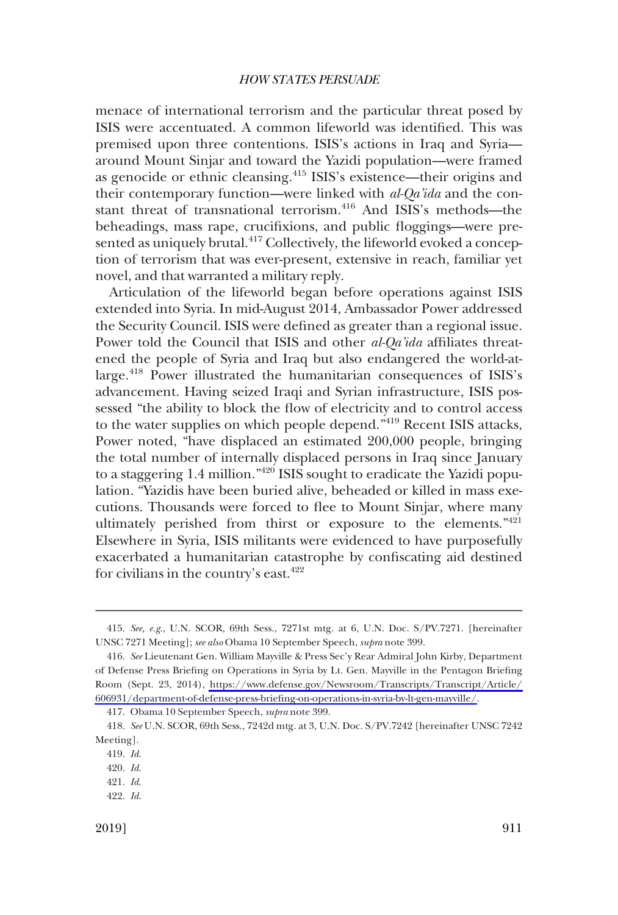menace of international terrorism and the particular threat posed by ISIS were accentuated. A common lifeworld was identifed. This was premised upon three contentions. ISIS's actions in Iraq and Syria around Mount Sinjar and toward the Yazidi population—were framed as genocide or ethnic cleansing.415 ISIS's existence—their origins and their contemporary function—were linked with *al-Qa'ida* and the constant threat of transnational terrorism.<sup>416</sup> And ISIS's methods—the beheadings, mass rape, crucifxions, and public foggings—were presented as uniquely brutal.<sup>417</sup> Collectively, the lifeworld evoked a conception of terrorism that was ever-present, extensive in reach, familiar yet novel, and that warranted a military reply.

Articulation of the lifeworld began before operations against ISIS extended into Syria. In mid-August 2014, Ambassador Power addressed the Security Council. ISIS were defned as greater than a regional issue. Power told the Council that ISIS and other *al-Qa'ida* affliates threatened the people of Syria and Iraq but also endangered the world-atlarge.<sup>418</sup> Power illustrated the humanitarian consequences of ISIS's advancement. Having seized Iraqi and Syrian infrastructure, ISIS possessed "the ability to block the flow of electricity and to control access to the water supplies on which people depend."419 Recent ISIS attacks, Power noted, "have displaced an estimated 200,000 people, bringing the total number of internally displaced persons in Iraq since January to a staggering 1.4 million."420 ISIS sought to eradicate the Yazidi population. "Yazidis have been buried alive, beheaded or killed in mass executions. Thousands were forced to flee to Mount Sinjar, where many ultimately perished from thirst or exposure to the elements."<sup>421</sup> Elsewhere in Syria, ISIS militants were evidenced to have purposefully exacerbated a humanitarian catastrophe by confscating aid destined for civilians in the country's east.422

<sup>415.</sup> *See, e.g*., U.N. SCOR, 69th Sess., 7271st mtg. at 6, U.N. Doc. S/PV.7271. [hereinafter UNSC 7271 Meeting]; *see also* Obama 10 September Speech, *supra* note 399.

*See* Lieutenant Gen. William Mayville & Press Sec'y Rear Admiral John Kirby, Department 416. of Defense Press Briefng on Operations in Syria by Lt. Gen. Mayville in the Pentagon Briefng Room (Sept. 23, 2014), [https://www.defense.gov/Newsroom/Transcripts/Transcript/Article/](https://www.defense.gov/Newsroom/Transcripts/Transcript/Article/606931/department-of-defense-press-briefing-on-operations-in-syria-by-lt-gen-mayville/)  [606931/department-of-defense-press-briefng-on-operations-in-syria-by-lt-gen-mayville/](https://www.defense.gov/Newsroom/Transcripts/Transcript/Article/606931/department-of-defense-press-briefing-on-operations-in-syria-by-lt-gen-mayville/).

<sup>417.</sup> Obama 10 September Speech, *supra* note 399.

<sup>418.</sup> *See* U.N. SCOR, 69th Sess., 7242d mtg. at 3, U.N. Doc. S/PV.7242 [hereinafter UNSC 7242 Meeting].

<sup>419.</sup> *Id*.

<sup>420.</sup> *Id*.

<sup>421.</sup> *Id*.

<sup>422.</sup> *Id*.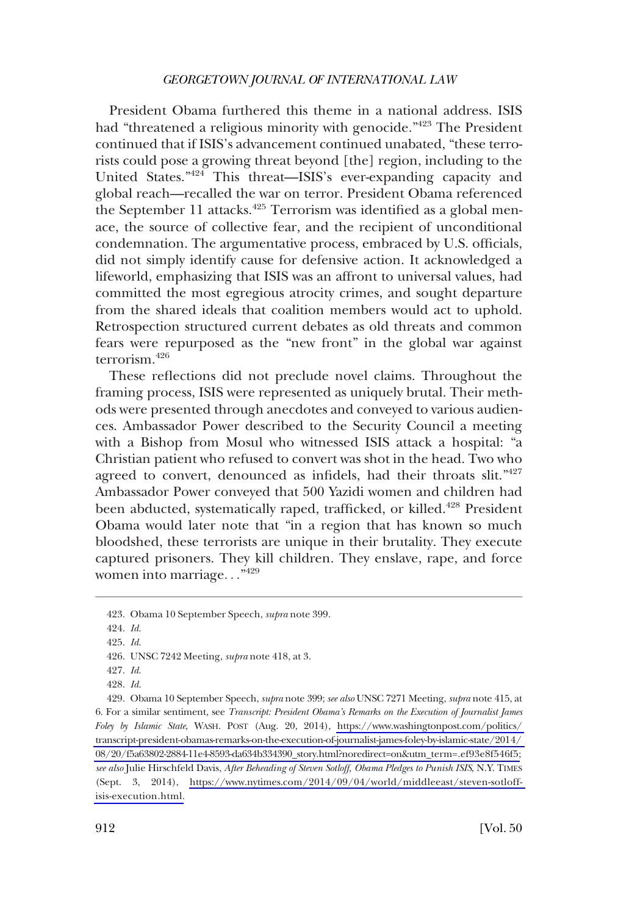President Obama furthered this theme in a national address. ISIS had "threatened a religious minority with genocide."<sup>423</sup> The President continued that if ISIS's advancement continued unabated, "these terrorists could pose a growing threat beyond [the] region, including to the United States."424 This threat—ISIS's ever-expanding capacity and global reach—recalled the war on terror. President Obama referenced the September 11 attacks.<sup>425</sup> Terrorism was identified as a global menace, the source of collective fear, and the recipient of unconditional condemnation. The argumentative process, embraced by U.S. officials, did not simply identify cause for defensive action. It acknowledged a lifeworld, emphasizing that ISIS was an affront to universal values, had committed the most egregious atrocity crimes, and sought departure from the shared ideals that coalition members would act to uphold. Retrospection structured current debates as old threats and common fears were repurposed as the "new front" in the global war against terrorism.426

These refections did not preclude novel claims. Throughout the framing process, ISIS were represented as uniquely brutal. Their methods were presented through anecdotes and conveyed to various audiences. Ambassador Power described to the Security Council a meeting with a Bishop from Mosul who witnessed ISIS attack a hospital: "a Christian patient who refused to convert was shot in the head. Two who agreed to convert, denounced as infidels, had their throats slit."<sup>427</sup> Ambassador Power conveyed that 500 Yazidi women and children had been abducted, systematically raped, trafficked, or killed.<sup>428</sup> President Obama would later note that "in a region that has known so much bloodshed, these terrorists are unique in their brutality. They execute captured prisoners. They kill children. They enslave, rape, and force women into marriage..."<sup>429</sup>

<sup>423.</sup> Obama 10 September Speech, *supra* note 399.

<sup>424.</sup> *Id*.

<sup>425.</sup> *Id*.

<sup>426.</sup> UNSC 7242 Meeting, *supra* note 418, at 3.

<sup>427.</sup> *Id*.

<sup>428.</sup> *Id*.

<sup>429.</sup>  Obama 10 September Speech, *supra* note 399; *see also* UNSC 7271 Meeting, *supra* note 415, at 6. For a similar sentiment, see *Transcript: President Obama's Remarks on the Execution of Journalist James Foley by Islamic State*, WASH. POST (Aug. 20, 2014), [https://www.washingtonpost.com/politics/](https://www.washingtonpost.com/politics/transcript-president-obamas-remarks-on-the-execution-of-journalist-james-foley-by-islamic-state/2014/08/20/f5a63802-2884-11e4-8593-da634b334390_story.html?noredirect=on&utm_term=.ef93e8f546f5)  [transcript-president-obamas-remarks-on-the-execution-of-journalist-james-foley-by-islamic-state/2014/](https://www.washingtonpost.com/politics/transcript-president-obamas-remarks-on-the-execution-of-journalist-james-foley-by-islamic-state/2014/08/20/f5a63802-2884-11e4-8593-da634b334390_story.html?noredirect=on&utm_term=.ef93e8f546f5)  [08/20/f5a63802-2884-11e4-8593-da634b334390\\_story.html?noredirect=on&utm\\_term=.ef93e8f546f5;](https://www.washingtonpost.com/politics/transcript-president-obamas-remarks-on-the-execution-of-journalist-james-foley-by-islamic-state/2014/08/20/f5a63802-2884-11e4-8593-da634b334390_story.html?noredirect=on&utm_term=.ef93e8f546f5) *see also* Julie Hirschfeld Davis, *After Beheading of Steven Sotloff, Obama Pledges to Punish ISIS*, N.Y. TIMES (Sept. 3, 2014), [https://www.nytimes.com/2014/09/04/world/middleeast/steven-sotloff](https://www.nytimes.com/2014/09/04/world/middleeast/steven-sotloff-isis-execution.html)[isis-execution.html.](https://www.nytimes.com/2014/09/04/world/middleeast/steven-sotloff-isis-execution.html)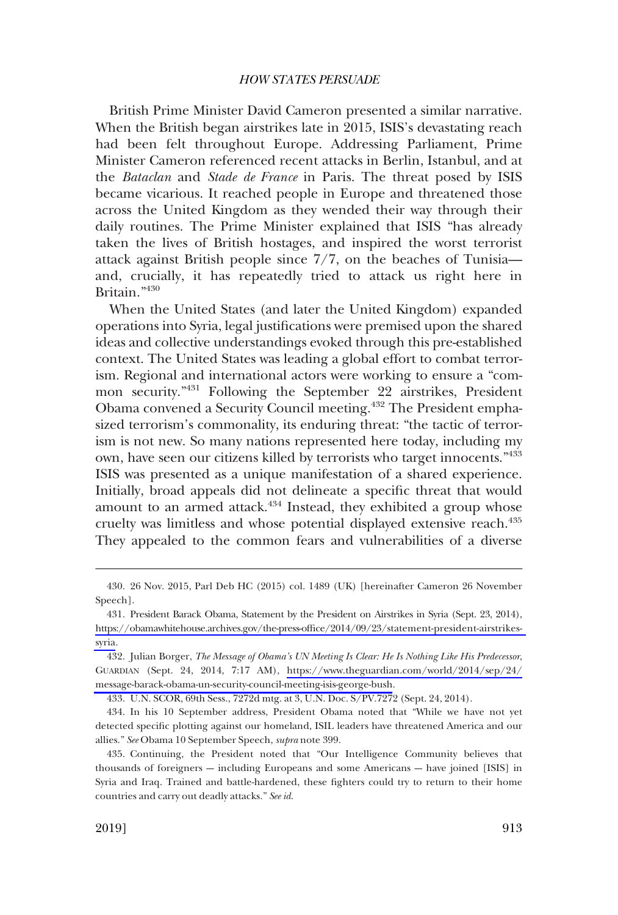British Prime Minister David Cameron presented a similar narrative. When the British began airstrikes late in 2015, ISIS's devastating reach had been felt throughout Europe. Addressing Parliament, Prime Minister Cameron referenced recent attacks in Berlin, Istanbul, and at the *Bataclan* and *Stade de France* in Paris. The threat posed by ISIS became vicarious. It reached people in Europe and threatened those across the United Kingdom as they wended their way through their daily routines. The Prime Minister explained that ISIS "has already taken the lives of British hostages, and inspired the worst terrorist attack against British people since 7/7, on the beaches of Tunisia and, crucially, it has repeatedly tried to attack us right here in Britain."430

When the United States (and later the United Kingdom) expanded operations into Syria, legal justifcations were premised upon the shared ideas and collective understandings evoked through this pre-established context. The United States was leading a global effort to combat terrorism. Regional and international actors were working to ensure a "common security."431 Following the September 22 airstrikes, President Obama convened a Security Council meeting.<sup>432</sup> The President emphasized terrorism's commonality, its enduring threat: "the tactic of terrorism is not new. So many nations represented here today, including my own, have seen our citizens killed by terrorists who target innocents."<sup>433</sup> ISIS was presented as a unique manifestation of a shared experience. Initially, broad appeals did not delineate a specifc threat that would amount to an armed attack.<sup>434</sup> Instead, they exhibited a group whose cruelty was limitless and whose potential displayed extensive reach.<sup>435</sup> They appealed to the common fears and vulnerabilities of a diverse

<sup>430. 26</sup> Nov. 2015, Parl Deb HC (2015) col. 1489 (UK) [hereinafter Cameron 26 November Speech].

<sup>431.</sup> President Barack Obama, Statement by the President on Airstrikes in Syria (Sept. 23, 2014), [https://obamawhitehouse.archives.gov/the-press-offce/2014/09/23/statement-president-airstrikes](https://obamawhitehouse.archives.gov/the-press-office/2014/09/23/statement-president-airstrikes-syria)[syria.](https://obamawhitehouse.archives.gov/the-press-office/2014/09/23/statement-president-airstrikes-syria)

<sup>432.</sup> Julian Borger, *The Message of Obama's UN Meeting Is Clear: He Is Nothing Like His Predecessor*, GUARDIAN (Sept. 24, 2014, 7:17 AM), [https://www.theguardian.com/world/2014/sep/24/](https://www.theguardian.com/world/2014/sep/24/message-barack-obama-un-security-council-meeting-isis-george-bush) [message-barack-obama-un-security-council-meeting-isis-george-bush.](https://www.theguardian.com/world/2014/sep/24/message-barack-obama-un-security-council-meeting-isis-george-bush)

<sup>433.</sup> U.N. SCOR, 69th Sess., 7272d mtg. at 3, U.N. Doc. S/PV.7272 (Sept. 24, 2014).

<sup>434.</sup> In his 10 September address, President Obama noted that "While we have not yet detected specifc plotting against our homeland, ISIL leaders have threatened America and our allies." *See* Obama 10 September Speech, *supra* note 399.

<sup>435.</sup> Continuing, the President noted that "Our Intelligence Community believes that thousands of foreigners -- including Europeans and some Americans -- have joined [ISIS] in Syria and Iraq. Trained and battle-hardened, these fghters could try to return to their home countries and carry out deadly attacks." *See id*.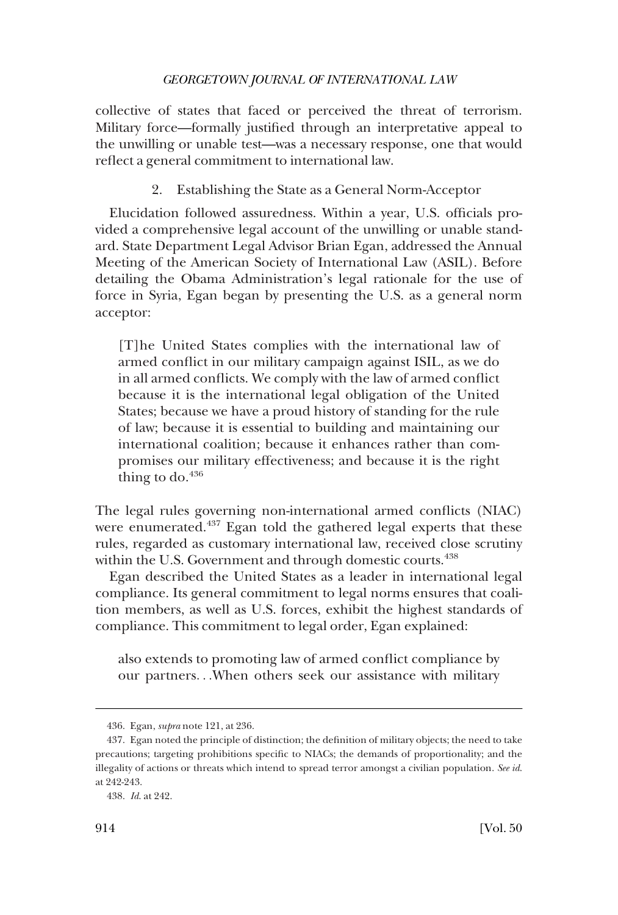collective of states that faced or perceived the threat of terrorism. Military force—formally justifed through an interpretative appeal to the unwilling or unable test—was a necessary response, one that would refect a general commitment to international law.

2. Establishing the State as a General Norm-Acceptor

Elucidation followed assuredness. Within a year, U.S. offcials provided a comprehensive legal account of the unwilling or unable standard. State Department Legal Advisor Brian Egan, addressed the Annual Meeting of the American Society of International Law (ASIL). Before detailing the Obama Administration's legal rationale for the use of force in Syria, Egan began by presenting the U.S. as a general norm acceptor:

[T]he United States complies with the international law of armed confict in our military campaign against ISIL, as we do in all armed conficts. We comply with the law of armed confict because it is the international legal obligation of the United States; because we have a proud history of standing for the rule of law; because it is essential to building and maintaining our international coalition; because it enhances rather than compromises our military effectiveness; and because it is the right thing to do. $436$ 

The legal rules governing non-international armed conficts (NIAC) were enumerated.<sup>437</sup> Egan told the gathered legal experts that these rules, regarded as customary international law, received close scrutiny within the U.S. Government and through domestic courts.<sup>438</sup>

Egan described the United States as a leader in international legal compliance. Its general commitment to legal norms ensures that coalition members, as well as U.S. forces, exhibit the highest standards of compliance. This commitment to legal order, Egan explained:

also extends to promoting law of armed confict compliance by our partners. . .When others seek our assistance with military

<sup>436.</sup> Egan, *supra* note 121, at 236.

<sup>437.</sup> Egan noted the principle of distinction; the defnition of military objects; the need to take precautions; targeting prohibitions specifc to NIACs; the demands of proportionality; and the illegality of actions or threats which intend to spread terror amongst a civilian population. *See id*. at 242-243.

<sup>438.</sup> *Id*. at 242.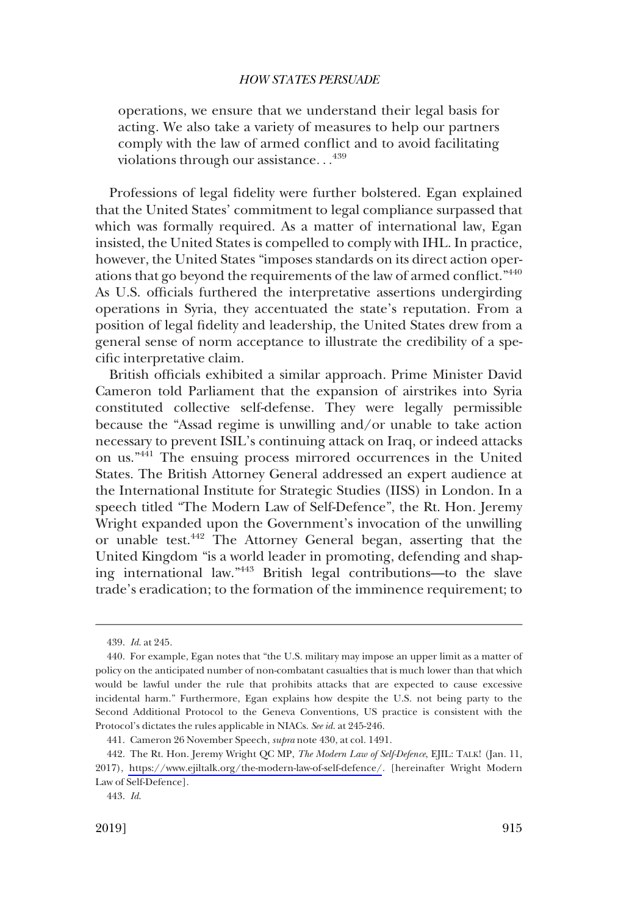operations, we ensure that we understand their legal basis for acting. We also take a variety of measures to help our partners comply with the law of armed confict and to avoid facilitating violations through our assistance...<sup>439</sup>

Professions of legal fdelity were further bolstered. Egan explained that the United States' commitment to legal compliance surpassed that which was formally required. As a matter of international law, Egan insisted, the United States is compelled to comply with IHL. In practice, however, the United States "imposes standards on its direct action operations that go beyond the requirements of the law of armed confict."440 As U.S. officials furthered the interpretative assertions undergirding operations in Syria, they accentuated the state's reputation. From a position of legal fdelity and leadership, the United States drew from a general sense of norm acceptance to illustrate the credibility of a specifc interpretative claim.

British officials exhibited a similar approach. Prime Minister David Cameron told Parliament that the expansion of airstrikes into Syria constituted collective self-defense. They were legally permissible because the "Assad regime is unwilling and/or unable to take action necessary to prevent ISIL's continuing attack on Iraq, or indeed attacks on us."441 The ensuing process mirrored occurrences in the United States. The British Attorney General addressed an expert audience at the International Institute for Strategic Studies (IISS) in London. In a speech titled "The Modern Law of Self-Defence", the Rt. Hon. Jeremy Wright expanded upon the Government's invocation of the unwilling or unable test.442 The Attorney General began, asserting that the United Kingdom "is a world leader in promoting, defending and shaping international law."443 British legal contributions—to the slave trade's eradication; to the formation of the imminence requirement; to

<sup>439.</sup> *Id*. at 245.

<sup>440.</sup> For example, Egan notes that "the U.S. military may impose an upper limit as a matter of policy on the anticipated number of non-combatant casualties that is much lower than that which would be lawful under the rule that prohibits attacks that are expected to cause excessive incidental harm." Furthermore, Egan explains how despite the U.S. not being party to the Second Additional Protocol to the Geneva Conventions, US practice is consistent with the Protocol's dictates the rules applicable in NIACs. *See id*. at 245-246.

<sup>441.</sup> Cameron 26 November Speech, *supra* note 430, at col. 1491.

The Rt. Hon. Jeremy Wright QC MP, *The Modern Law of Self-Defence*, EJIL: TALK! (Jan. 11, 442. 2017), <https://www.ejiltalk.org/the-modern-law-of-self-defence/>. [hereinafter Wright Modern Law of Self-Defence].

<sup>443.</sup> *Id*.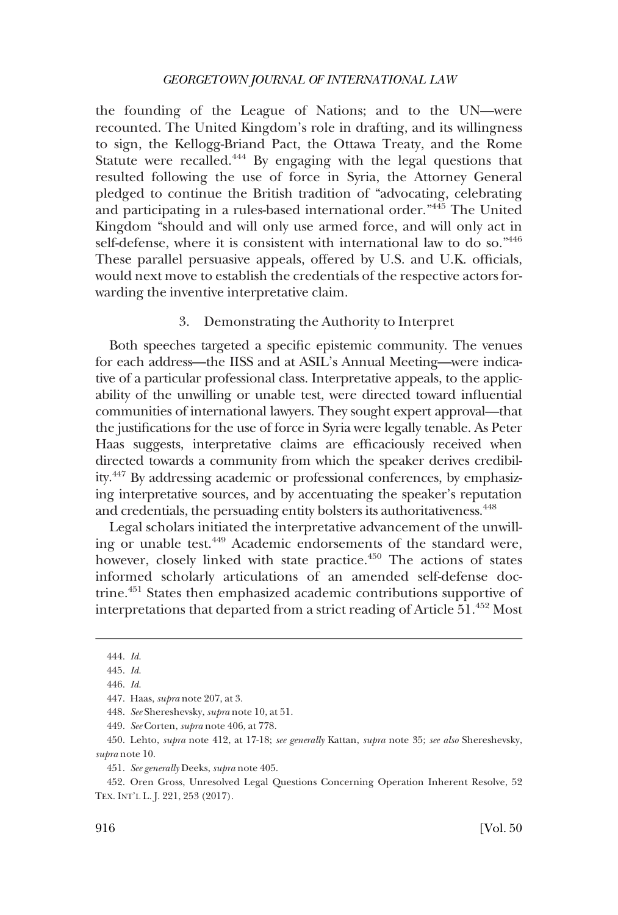the founding of the League of Nations; and to the UN—were recounted. The United Kingdom's role in drafting, and its willingness to sign, the Kellogg-Briand Pact, the Ottawa Treaty, and the Rome Statute were recalled.444 By engaging with the legal questions that resulted following the use of force in Syria, the Attorney General pledged to continue the British tradition of "advocating, celebrating and participating in a rules-based international order."445 The United Kingdom "should and will only use armed force, and will only act in self-defense, where it is consistent with international law to do so."446 These parallel persuasive appeals, offered by U.S. and U.K. officials, would next move to establish the credentials of the respective actors forwarding the inventive interpretative claim.

## 3. Demonstrating the Authority to Interpret

Both speeches targeted a specifc epistemic community. The venues for each address—the IISS and at ASIL's Annual Meeting—were indicative of a particular professional class. Interpretative appeals, to the applicability of the unwilling or unable test, were directed toward infuential communities of international lawyers. They sought expert approval—that the justifcations for the use of force in Syria were legally tenable. As Peter Haas suggests, interpretative claims are effcaciously received when directed towards a community from which the speaker derives credibility.447 By addressing academic or professional conferences, by emphasizing interpretative sources, and by accentuating the speaker's reputation and credentials, the persuading entity bolsters its authoritativeness.<sup>448</sup>

Legal scholars initiated the interpretative advancement of the unwilling or unable test.449 Academic endorsements of the standard were, however, closely linked with state practice.<sup>450</sup> The actions of states informed scholarly articulations of an amended self-defense doctrine.451 States then emphasized academic contributions supportive of interpretations that departed from a strict reading of Article  $51.^{452}$  Most

<sup>444.</sup> *Id*.

<sup>445.</sup> *Id*.

<sup>446.</sup> *Id*.

<sup>447.</sup> Haas, *supra* note 207, at 3.

<sup>448.</sup> *See* Shereshevsky, *supra* note 10, at 51.

<sup>449.</sup> *See* Corten, *supra* note 406, at 778.

<sup>450.</sup> Lehto, *supra* note 412, at 17-18; *see generally* Kattan, *supra* note 35; *see also* Shereshevsky, *supra* note 10.

<sup>451.</sup> *See generally* Deeks, *supra* note 405.

<sup>452.</sup> Oren Gross, Unresolved Legal Questions Concerning Operation Inherent Resolve, 52 TEX. INT'L L. J. 221, 253 (2017).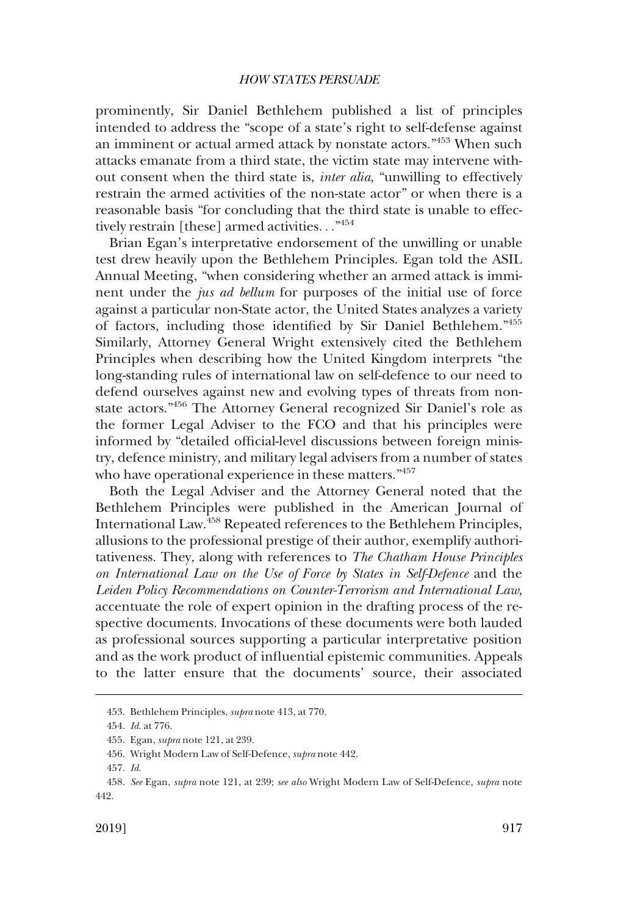prominently, Sir Daniel Bethlehem published a list of principles intended to address the "scope of a state's right to self-defense against an imminent or actual armed attack by nonstate actors."453 When such attacks emanate from a third state, the victim state may intervene without consent when the third state is, *inter alia*, "unwilling to effectively restrain the armed activities of the non-state actor" or when there is a reasonable basis "for concluding that the third state is unable to effectively restrain [these] armed activities. . ." 454

Brian Egan's interpretative endorsement of the unwilling or unable test drew heavily upon the Bethlehem Principles. Egan told the ASIL Annual Meeting, "when considering whether an armed attack is imminent under the *jus ad bellum* for purposes of the initial use of force against a particular non-State actor, the United States analyzes a variety of factors, including those identifed by Sir Daniel Bethlehem."455 Similarly, Attorney General Wright extensively cited the Bethlehem Principles when describing how the United Kingdom interprets "the long-standing rules of international law on self-defence to our need to defend ourselves against new and evolving types of threats from nonstate actors."456 The Attorney General recognized Sir Daniel's role as the former Legal Adviser to the FCO and that his principles were informed by "detailed official-level discussions between foreign ministry, defence ministry, and military legal advisers from a number of states who have operational experience in these matters."<sup>457</sup>

Both the Legal Adviser and the Attorney General noted that the Bethlehem Principles were published in the American Journal of International Law.458 Repeated references to the Bethlehem Principles, allusions to the professional prestige of their author, exemplify authoritativeness. They, along with references to *The Chatham House Principles on International Law on the Use of Force by States in Self-Defence* and the *Leiden Policy Recommendations on Counter-Terrorism and International Law*, accentuate the role of expert opinion in the drafting process of the respective documents. Invocations of these documents were both lauded as professional sources supporting a particular interpretative position and as the work product of infuential epistemic communities. Appeals to the latter ensure that the documents' source, their associated

<sup>453.</sup> Bethlehem Principles, *supra* note 413, at 770.

<sup>454.</sup> *Id*. at 776.

<sup>455.</sup> Egan, *supra* note 121, at 239.

<sup>456.</sup> Wright Modern Law of Self-Defence, *supra* note 442.

<sup>457.</sup> *Id*.

<sup>458.</sup> *See* Egan, *supra* note 121, at 239; *see also* Wright Modern Law of Self-Defence, *supra* note 442.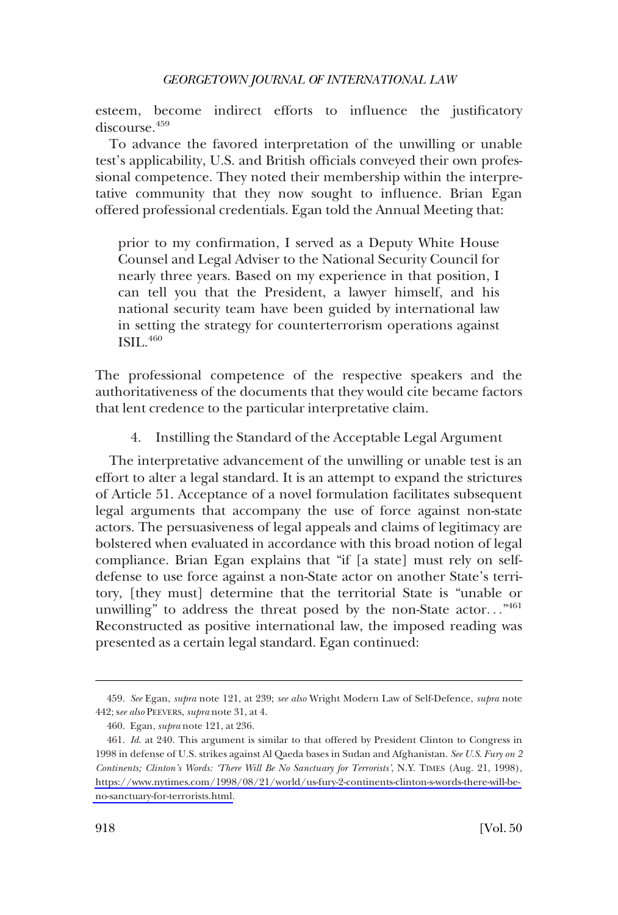esteem, become indirect efforts to infuence the justifcatory discourse.459

To advance the favored interpretation of the unwilling or unable test's applicability, U.S. and British officials conveyed their own professional competence. They noted their membership within the interpretative community that they now sought to infuence. Brian Egan offered professional credentials. Egan told the Annual Meeting that:

prior to my confrmation, I served as a Deputy White House Counsel and Legal Adviser to the National Security Council for nearly three years. Based on my experience in that position, I can tell you that the President, a lawyer himself, and his national security team have been guided by international law in setting the strategy for counterterrorism operations against ISIL.<sup>460</sup>

The professional competence of the respective speakers and the authoritativeness of the documents that they would cite became factors that lent credence to the particular interpretative claim.

4. Instilling the Standard of the Acceptable Legal Argument

The interpretative advancement of the unwilling or unable test is an effort to alter a legal standard. It is an attempt to expand the strictures of Article 51. Acceptance of a novel formulation facilitates subsequent legal arguments that accompany the use of force against non-state actors. The persuasiveness of legal appeals and claims of legitimacy are bolstered when evaluated in accordance with this broad notion of legal compliance. Brian Egan explains that "if [a state] must rely on selfdefense to use force against a non-State actor on another State's territory, [they must] determine that the territorial State is "unable or unwilling" to address the threat posed by the non-State actor..." $461$ Reconstructed as positive international law, the imposed reading was presented as a certain legal standard. Egan continued:

<sup>459.</sup> *See* Egan, *supra* note 121, at 239; *see also* Wright Modern Law of Self-Defence, *supra* note 442; s*ee also* PEEVERS, *supra* note 31, at 4.

<sup>460.</sup> Egan, *supra* note 121, at 236.

*Id*. at 240. This argument is similar to that offered by President Clinton to Congress in 461. 1998 in defense of U.S. strikes against Al Qaeda bases in Sudan and Afghanistan. *See U.S. Fury on 2 Continents; Clinton's Words: 'There Will Be No Sanctuary for Terrorists'*, N.Y. TIMES (Aug. 21, 1998), [https://www.nytimes.com/1998/08/21/world/us-fury-2-continents-clinton-s-words-there-will-be](https://www.nytimes.com/1998/08/21/world/us-fury-2-continents-clinton-s-words-there-will-be-no-sanctuary-for-terrorists.html)[no-sanctuary-for-terrorists.html.](https://www.nytimes.com/1998/08/21/world/us-fury-2-continents-clinton-s-words-there-will-be-no-sanctuary-for-terrorists.html)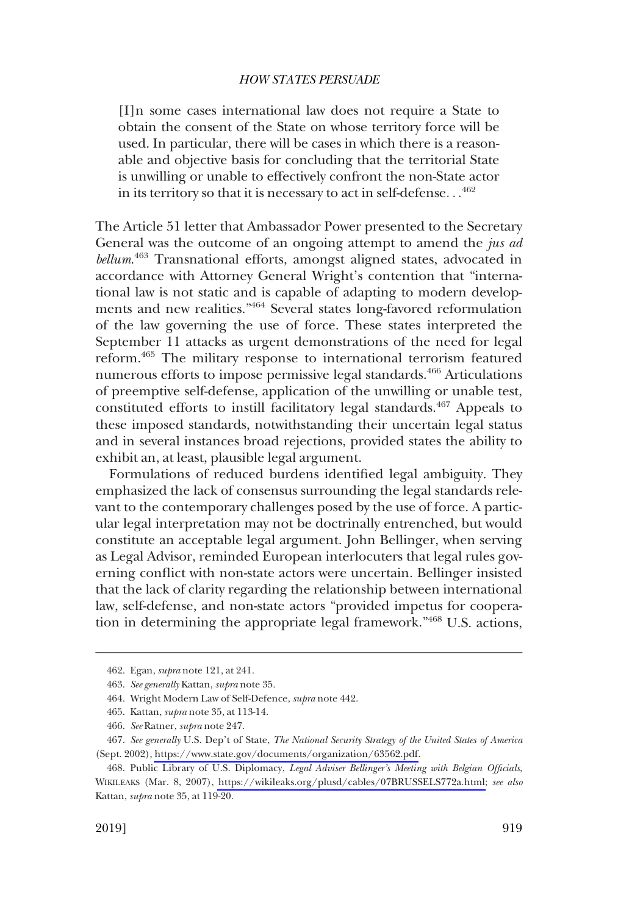[I]n some cases international law does not require a State to obtain the consent of the State on whose territory force will be used. In particular, there will be cases in which there is a reasonable and objective basis for concluding that the territorial State is unwilling or unable to effectively confront the non-State actor in its territory so that it is necessary to act in self-defense. . . 462

The Article 51 letter that Ambassador Power presented to the Secretary General was the outcome of an ongoing attempt to amend the *jus ad bellum*. 463 Transnational efforts, amongst aligned states, advocated in accordance with Attorney General Wright's contention that "international law is not static and is capable of adapting to modern developments and new realities."464 Several states long-favored reformulation of the law governing the use of force. These states interpreted the September 11 attacks as urgent demonstrations of the need for legal reform.465 The military response to international terrorism featured numerous efforts to impose permissive legal standards.<sup>466</sup> Articulations of preemptive self-defense, application of the unwilling or unable test, constituted efforts to instill facilitatory legal standards.<sup>467</sup> Appeals to these imposed standards, notwithstanding their uncertain legal status and in several instances broad rejections, provided states the ability to exhibit an, at least, plausible legal argument.

Formulations of reduced burdens identifed legal ambiguity. They emphasized the lack of consensus surrounding the legal standards relevant to the contemporary challenges posed by the use of force. A particular legal interpretation may not be doctrinally entrenched, but would constitute an acceptable legal argument. John Bellinger, when serving as Legal Advisor, reminded European interlocuters that legal rules governing confict with non-state actors were uncertain. Bellinger insisted that the lack of clarity regarding the relationship between international law, self-defense, and non-state actors "provided impetus for cooperation in determining the appropriate legal framework."<sup>468</sup> U.S. actions,

<sup>462.</sup> Egan, *supra* note 121, at 241.

<sup>463.</sup> *See generally* Kattan, *supra* note 35.

<sup>464.</sup> Wright Modern Law of Self-Defence, *supra* note 442.

<sup>465.</sup> Kattan, *supra* note 35, at 113-14.

<sup>466.</sup> *See* Ratner, *supra* note 247.

*See generally* U.S. Dep't of State, *The National Security Strategy of the United States of America*  467. (Sept. 2002), [https://www.state.gov/documents/organization/63562.pdf.](https://www.state.gov/documents/organization/63562.pdf)

Public Library of U.S. Diplomacy, *Legal Adviser Bellinger's Meeting with Belgian Offcials*, 468. WIKILEAKS (Mar. 8, 2007), [https://wikileaks.org/plusd/cables/07BRUSSELS772a.html;](https://wikileaks.org/plusd/cables/07BRUSSELS772a.html) *see also*  Kattan, *supra* note 35, at 119-20.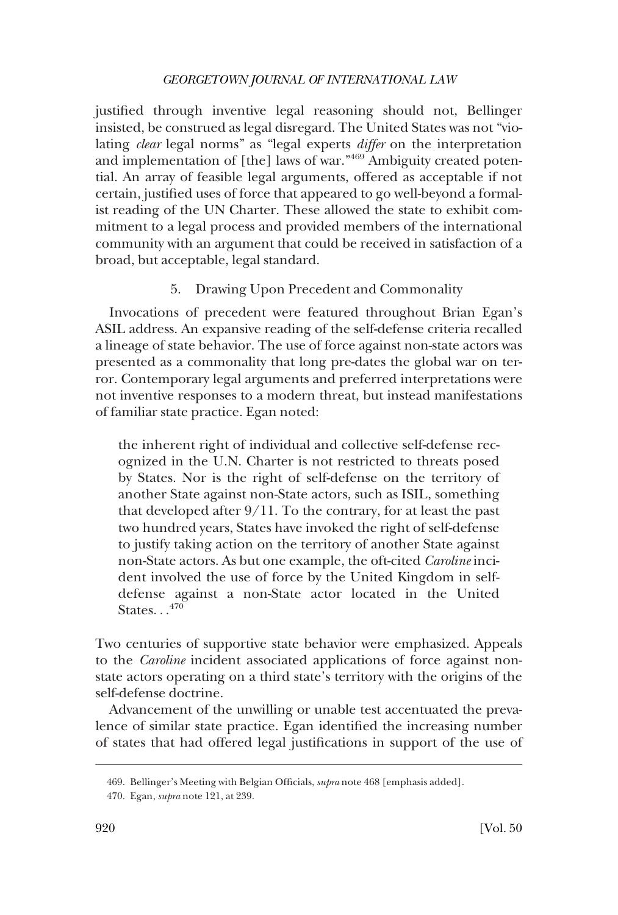justifed through inventive legal reasoning should not, Bellinger insisted, be construed as legal disregard. The United States was not "violating *clear* legal norms" as "legal experts *differ* on the interpretation and implementation of [the] laws of war."469 Ambiguity created potential. An array of feasible legal arguments, offered as acceptable if not certain, justifed uses of force that appeared to go well-beyond a formalist reading of the UN Charter. These allowed the state to exhibit commitment to a legal process and provided members of the international community with an argument that could be received in satisfaction of a broad, but acceptable, legal standard.

5. Drawing Upon Precedent and Commonality

Invocations of precedent were featured throughout Brian Egan's ASIL address. An expansive reading of the self-defense criteria recalled a lineage of state behavior. The use of force against non-state actors was presented as a commonality that long pre-dates the global war on terror. Contemporary legal arguments and preferred interpretations were not inventive responses to a modern threat, but instead manifestations of familiar state practice. Egan noted:

the inherent right of individual and collective self-defense recognized in the U.N. Charter is not restricted to threats posed by States. Nor is the right of self-defense on the territory of another State against non-State actors, such as ISIL, something that developed after 9/11. To the contrary, for at least the past two hundred years, States have invoked the right of self-defense to justify taking action on the territory of another State against non-State actors. As but one example, the oft-cited *Caroline* incident involved the use of force by the United Kingdom in selfdefense against a non-State actor located in the United States. . .<sup>470</sup>

Two centuries of supportive state behavior were emphasized. Appeals to the *Caroline* incident associated applications of force against nonstate actors operating on a third state's territory with the origins of the self-defense doctrine.

Advancement of the unwilling or unable test accentuated the prevalence of similar state practice. Egan identifed the increasing number of states that had offered legal justifcations in support of the use of

<sup>469.</sup> Bellinger's Meeting with Belgian Offcials, *supra* note 468 [emphasis added].

<sup>470.</sup> Egan, *supra* note 121, at 239.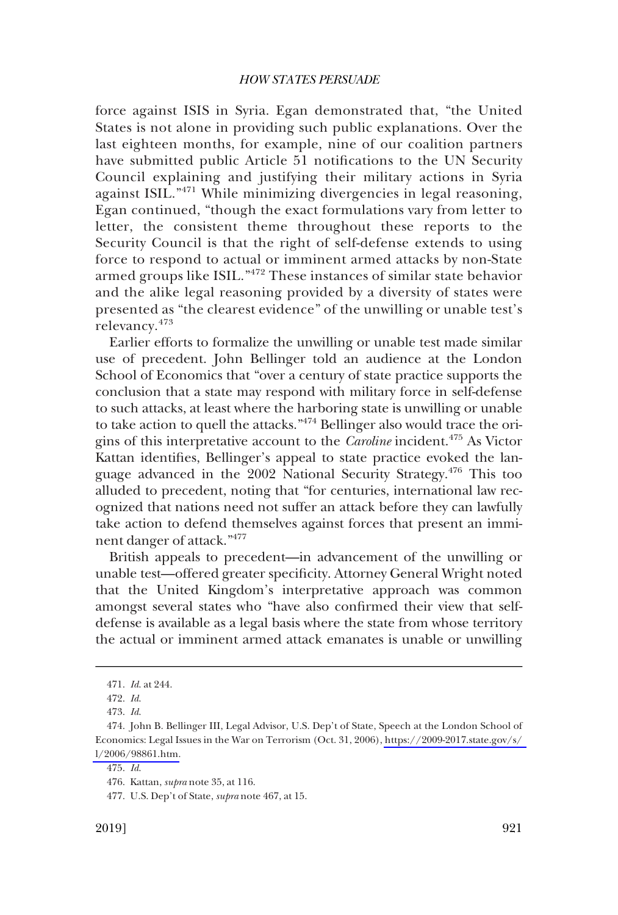force against ISIS in Syria. Egan demonstrated that, "the United States is not alone in providing such public explanations. Over the last eighteen months, for example, nine of our coalition partners have submitted public Article 51 notifcations to the UN Security Council explaining and justifying their military actions in Syria against ISIL."471 While minimizing divergencies in legal reasoning, Egan continued, "though the exact formulations vary from letter to letter, the consistent theme throughout these reports to the Security Council is that the right of self-defense extends to using force to respond to actual or imminent armed attacks by non-State armed groups like ISIL."472 These instances of similar state behavior and the alike legal reasoning provided by a diversity of states were presented as "the clearest evidence" of the unwilling or unable test's relevancy.<sup>473</sup>

Earlier efforts to formalize the unwilling or unable test made similar use of precedent. John Bellinger told an audience at the London School of Economics that "over a century of state practice supports the conclusion that a state may respond with military force in self-defense to such attacks, at least where the harboring state is unwilling or unable to take action to quell the attacks." $474$  Bellinger also would trace the origins of this interpretative account to the *Caroline* incident.475 As Victor Kattan identifes, Bellinger's appeal to state practice evoked the language advanced in the 2002 National Security Strategy.476 This too alluded to precedent, noting that "for centuries, international law recognized that nations need not suffer an attack before they can lawfully take action to defend themselves against forces that present an imminent danger of attack."477

British appeals to precedent—in advancement of the unwilling or unable test—offered greater specifcity. Attorney General Wright noted that the United Kingdom's interpretative approach was common amongst several states who "have also confrmed their view that selfdefense is available as a legal basis where the state from whose territory the actual or imminent armed attack emanates is unable or unwilling

<sup>471.</sup> *Id*. at 244.

<sup>472.</sup> *Id*.

<sup>473.</sup> *Id*.

<sup>474.</sup> John B. Bellinger III, Legal Advisor, U.S. Dep't of State, Speech at the London School of Economics: Legal Issues in the War on Terrorism (Oct. 31, 2006), [https://2009-2017.state.gov/s/](https://2009-2017.state.gov/s/l/2006/98861.htm)  [l/2006/98861.htm.](https://2009-2017.state.gov/s/l/2006/98861.htm)

<sup>475.</sup> *Id*.

<sup>476.</sup> Kattan, *supra* note 35, at 116.

<sup>477.</sup> U.S. Dep't of State, *supra* note 467, at 15.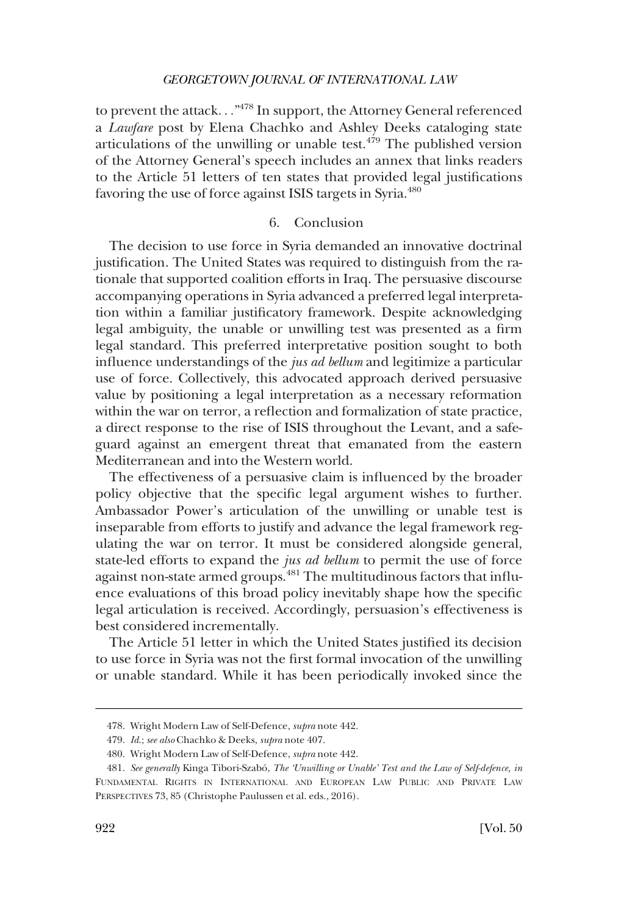to prevent the attack..."<sup>478</sup> In support, the Attorney General referenced a *Lawfare* post by Elena Chachko and Ashley Deeks cataloging state articulations of the unwilling or unable test. $479$  The published version of the Attorney General's speech includes an annex that links readers to the Article 51 letters of ten states that provided legal justifcations favoring the use of force against ISIS targets in Syria.<sup>480</sup>

# 6. Conclusion

The decision to use force in Syria demanded an innovative doctrinal justifcation. The United States was required to distinguish from the rationale that supported coalition efforts in Iraq. The persuasive discourse accompanying operations in Syria advanced a preferred legal interpretation within a familiar justifcatory framework. Despite acknowledging legal ambiguity, the unable or unwilling test was presented as a frm legal standard. This preferred interpretative position sought to both infuence understandings of the *jus ad bellum* and legitimize a particular use of force. Collectively, this advocated approach derived persuasive value by positioning a legal interpretation as a necessary reformation within the war on terror, a refection and formalization of state practice, a direct response to the rise of ISIS throughout the Levant, and a safeguard against an emergent threat that emanated from the eastern Mediterranean and into the Western world.

The effectiveness of a persuasive claim is infuenced by the broader policy objective that the specifc legal argument wishes to further. Ambassador Power's articulation of the unwilling or unable test is inseparable from efforts to justify and advance the legal framework regulating the war on terror. It must be considered alongside general, state-led efforts to expand the *jus ad bellum* to permit the use of force against non-state armed groups.<sup>481</sup> The multitudinous factors that influence evaluations of this broad policy inevitably shape how the specifc legal articulation is received. Accordingly, persuasion's effectiveness is best considered incrementally.

The Article 51 letter in which the United States justifed its decision to use force in Syria was not the frst formal invocation of the unwilling or unable standard. While it has been periodically invoked since the

<sup>478.</sup> Wright Modern Law of Self-Defence, *supra* note 442.

<sup>479.</sup> *Id*.; *see also* Chachko & Deeks, *supra* note 407.

<sup>480.</sup> Wright Modern Law of Self-Defence, *supra* note 442.

<sup>481.</sup> *See generally* Kinga Tibori-Szabo´, *The 'Unwilling or Unable' Test and the Law of Self-defence, in*  FUNDAMENTAL RIGHTS IN INTERNATIONAL AND EUROPEAN LAW PUBLIC AND PRIVATE LAW PERSPECTIVES 73, 85 (Christophe Paulussen et al. eds., 2016).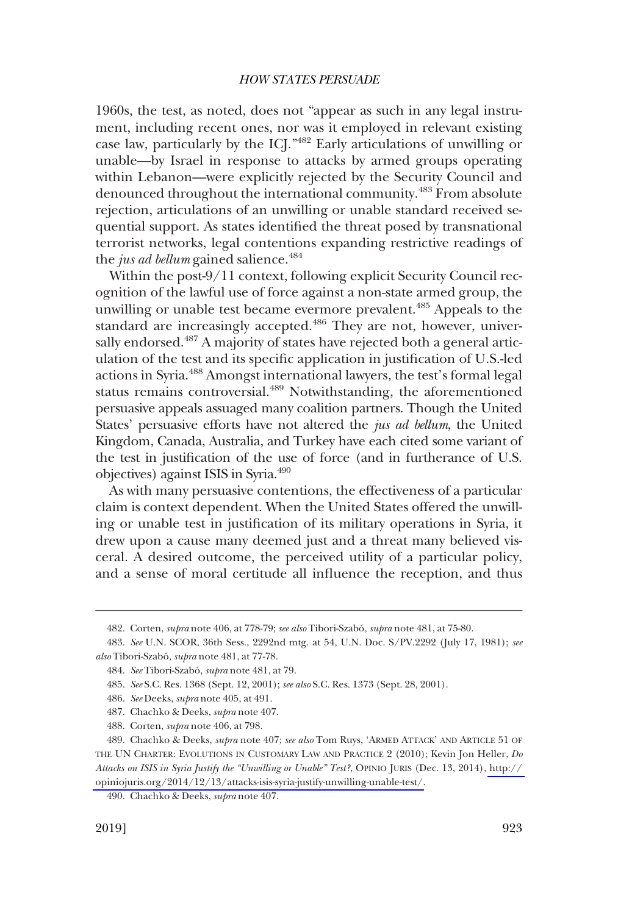1960s, the test, as noted, does not "appear as such in any legal instrument, including recent ones, nor was it employed in relevant existing case law, particularly by the ICJ."482 Early articulations of unwilling or unable—by Israel in response to attacks by armed groups operating within Lebanon—were explicitly rejected by the Security Council and denounced throughout the international community.483 From absolute rejection, articulations of an unwilling or unable standard received sequential support. As states identifed the threat posed by transnational terrorist networks, legal contentions expanding restrictive readings of the *jus ad bellum* gained salience.<sup>484</sup>

Within the post-9/11 context, following explicit Security Council recognition of the lawful use of force against a non-state armed group, the unwilling or unable test became evermore prevalent.<sup>485</sup> Appeals to the standard are increasingly accepted.<sup>486</sup> They are not, however, universally endorsed.<sup>487</sup> A majority of states have rejected both a general articulation of the test and its specifc application in justifcation of U.S.-led actions in Syria.488 Amongst international lawyers, the test's formal legal status remains controversial.<sup>489</sup> Notwithstanding, the aforementioned persuasive appeals assuaged many coalition partners. Though the United States' persuasive efforts have not altered the *jus ad bellum*, the United Kingdom, Canada, Australia, and Turkey have each cited some variant of the test in justifcation of the use of force (and in furtherance of U.S. objectives) against ISIS in Syria.490

As with many persuasive contentions, the effectiveness of a particular claim is context dependent. When the United States offered the unwilling or unable test in justifcation of its military operations in Syria, it drew upon a cause many deemed just and a threat many believed visceral. A desired outcome, the perceived utility of a particular policy, and a sense of moral certitude all infuence the reception, and thus

<sup>482.</sup> Corten, *supra* note 406, at 778-79; *see also* Tibori-Szabo´, *supra* note 481, at 75-80.

<sup>483.</sup> *See* U.N. SCOR, 36th Sess., 2292nd mtg. at 54, U.N. Doc. S/PV.2292 (July 17, 1981); *see also* Tibori-Szabo´, *supra* note 481, at 77-78.

<sup>484.</sup> *See* Tibori-Szabo´, *supra* note 481, at 79.

<sup>485.</sup> *See* S.C. Res. 1368 (Sept. 12, 2001); *see also* S.C. Res. 1373 (Sept. 28, 2001).

<sup>486.</sup> *See* Deeks, *supra* note 405, at 491.

<sup>487.</sup> Chachko & Deeks, *supra* note 407.

<sup>488.</sup> Corten, *supra* note 406, at 798.

Chachko & Deeks, *supra* note 407; *see also* Tom Ruys, 'ARMED ATTACK' AND ARTICLE 51 OF 489. THE UN CHARTER: EVOLUTIONS IN CUSTOMARY LAW AND PRACTICE 2 (2010); Kevin Jon Heller, *Do Attacks on ISIS in Syria Justify the "Unwilling or Unable" Test?*, OPINIO JURIS (Dec. 13, 2014), [http://](http://opiniojuris.org/2014/12/13/attacks-isis-syria-justify-unwilling-unable-test/)  [opiniojuris.org/2014/12/13/attacks-isis-syria-justify-unwilling-unable-test/.](http://opiniojuris.org/2014/12/13/attacks-isis-syria-justify-unwilling-unable-test/)

<sup>490.</sup> Chachko & Deeks, *supra* note 407.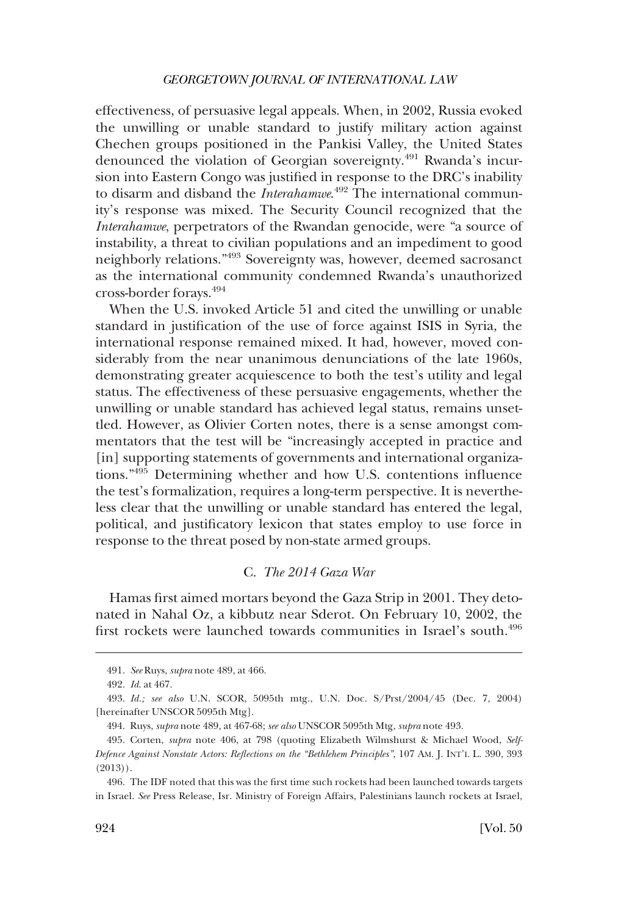effectiveness, of persuasive legal appeals. When, in 2002, Russia evoked the unwilling or unable standard to justify military action against Chechen groups positioned in the Pankisi Valley, the United States denounced the violation of Georgian sovereignty.<sup>491</sup> Rwanda's incursion into Eastern Congo was justifed in response to the DRC's inability to disarm and disband the *Interahamwe*. 492 The international community's response was mixed. The Security Council recognized that the *Interahamwe*, perpetrators of the Rwandan genocide, were "a source of instability, a threat to civilian populations and an impediment to good neighborly relations."493 Sovereignty was, however, deemed sacrosanct as the international community condemned Rwanda's unauthorized cross-border forays.494

When the U.S. invoked Article 51 and cited the unwilling or unable standard in justifcation of the use of force against ISIS in Syria, the international response remained mixed. It had, however, moved considerably from the near unanimous denunciations of the late 1960s, demonstrating greater acquiescence to both the test's utility and legal status. The effectiveness of these persuasive engagements, whether the unwilling or unable standard has achieved legal status, remains unsettled. However, as Olivier Corten notes, there is a sense amongst commentators that the test will be "increasingly accepted in practice and [in] supporting statements of governments and international organizations."495 Determining whether and how U.S. contentions infuence the test's formalization, requires a long-term perspective. It is nevertheless clear that the unwilling or unable standard has entered the legal, political, and justifcatory lexicon that states employ to use force in response to the threat posed by non-state armed groups.

## C. *The 2014 Gaza War*

Hamas frst aimed mortars beyond the Gaza Strip in 2001. They detonated in Nahal Oz, a kibbutz near Sderot. On February 10, 2002, the first rockets were launched towards communities in Israel's south.<sup>496</sup>

<sup>491.</sup> *See* Ruys, *supra* note 489, at 466.

<sup>492.</sup> *Id*. at 467.

<sup>493.</sup> *Id.; see also* U.N. SCOR, 5095th mtg., U.N. Doc. S/Prst/2004/45 (Dec. 7, 2004) [hereinafter UNSCOR 5095th Mtg].

<sup>494.</sup> Ruys, *supra* note 489, at 467-68; *see also* UNSCOR 5095th Mtg, *supra* note 493.

<sup>495.</sup> Corten, *supra* note 406, at 798 (quoting Elizabeth Wilmshurst & Michael Wood, *Self-Defence Against Nonstate Actors: Refections on the "Bethlehem Principles"*, 107 AM. J. INT'L L. 390, 393 (2013)).

<sup>496.</sup> The IDF noted that this was the frst time such rockets had been launched towards targets in Israel. *See* Press Release, Isr. Ministry of Foreign Affairs, Palestinians launch rockets at Israel,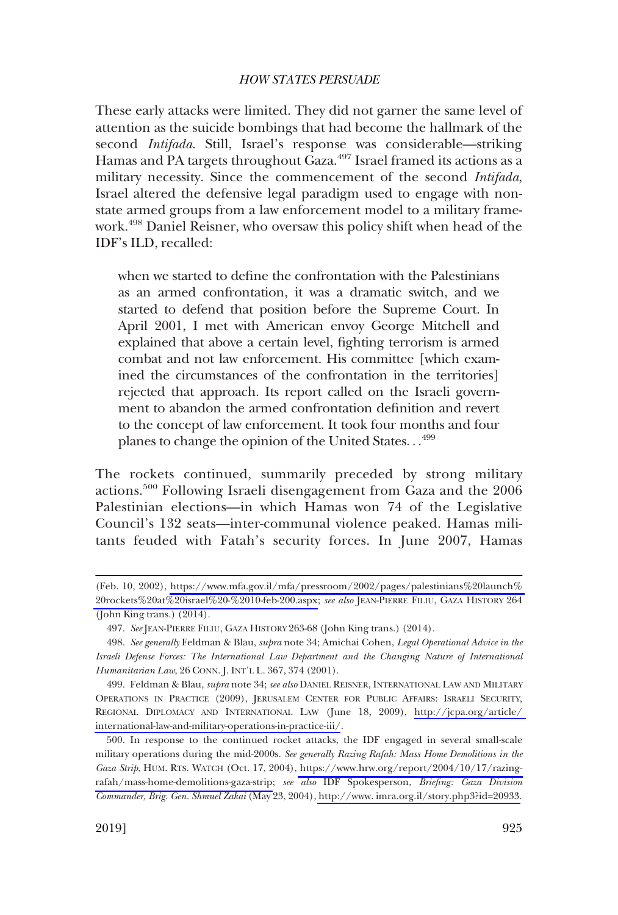These early attacks were limited. They did not garner the same level of attention as the suicide bombings that had become the hallmark of the second *Intifada*. Still, Israel's response was considerable—striking Hamas and PA targets throughout Gaza.<sup>497</sup> Israel framed its actions as a military necessity. Since the commencement of the second *Intifada*, Israel altered the defensive legal paradigm used to engage with nonstate armed groups from a law enforcement model to a military framework.498 Daniel Reisner, who oversaw this policy shift when head of the IDF's ILD, recalled:

when we started to defne the confrontation with the Palestinians as an armed confrontation, it was a dramatic switch, and we started to defend that position before the Supreme Court. In April 2001, I met with American envoy George Mitchell and explained that above a certain level, fghting terrorism is armed combat and not law enforcement. His committee [which examined the circumstances of the confrontation in the territories] rejected that approach. Its report called on the Israeli government to abandon the armed confrontation defnition and revert to the concept of law enforcement. It took four months and four planes to change the opinion of the United States. . .<sup>499</sup>

The rockets continued, summarily preceded by strong military actions.<sup>500</sup> Following Israeli disengagement from Gaza and the 2006 Palestinian elections—in which Hamas won 74 of the Legislative Council's 132 seats—inter-communal violence peaked. Hamas militants feuded with Fatah's security forces. In June 2007, Hamas

<sup>(</sup>Feb. 10, 2002), [https://www.mfa.gov.il/mfa/pressroom/2002/pages/palestinians%20launch%](https://www.mfa.gov.il/mfa/pressroom/2002/pages/palestinians%20launch%20rockets%20at%20israel%20-%2010-feb-200.aspx)  [20rockets%20at%20israel%20-%2010-feb-200.aspx;](https://www.mfa.gov.il/mfa/pressroom/2002/pages/palestinians%20launch%20rockets%20at%20israel%20-%2010-feb-200.aspx) *see also* JEAN-PIERRE FILIU, GAZA HISTORY 264 (John King trans.) (2014).

<sup>497.</sup> *See* JEAN-PIERRE FILIU, GAZA HISTORY 263-68 (John King trans.) (2014).

<sup>498.</sup> *See generally* Feldman & Blau, *supra* note 34; Amichai Cohen, *Legal Operational Advice in the Israeli Defense Forces: The International Law Department and the Changing Nature of International Humanitarian Law*, 26 CONN. J. INT'L L. 367, 374 (2001).

<sup>499.</sup>  Feldman & Blau, *supra* note 34; *see also* DANIEL REISNER, INTERNATIONAL LAW AND MILITARY OPERATIONS IN PRACTICE (2009), JERUSALEM CENTER FOR PUBLIC AFFAIRS: ISRAELI SECURITY, REGIONAL DIPLOMACY AND INTERNATIONAL LAW (June 18, 2009), [http://jcpa.org/article/](http://jcpa.org/article/international-law-and-military-operations-in-practice-iii/)  [international-law-and-military-operations-in-practice-iii/](http://jcpa.org/article/international-law-and-military-operations-in-practice-iii/).

<sup>500.</sup> In response to the continued rocket attacks, the IDF engaged in several small-scale military operations during the mid-2000s. *See generally Razing Rafah: Mass Home Demolitions in the Gaza Strip*, HUM. RTS. WATCH (Oct. 17, 2004), [https://www.hrw.org/report/2004/10/17/razing](https://www.hrw.org/report/2004/10/17/razing-rafah/mass-home-demolitions-gaza-strip)[rafah/mass-home-demolitions-gaza-strip;](https://www.hrw.org/report/2004/10/17/razing-rafah/mass-home-demolitions-gaza-strip) *see also* IDF Spokesperson, *Briefng: Gaza Division Commander, Brig. Gen. Shmuel Zakai* (May 23, 2004), [http://www. imra.org.il/story.php3?id=20933.](http://www.imra.org.il/story.php3?id=20933)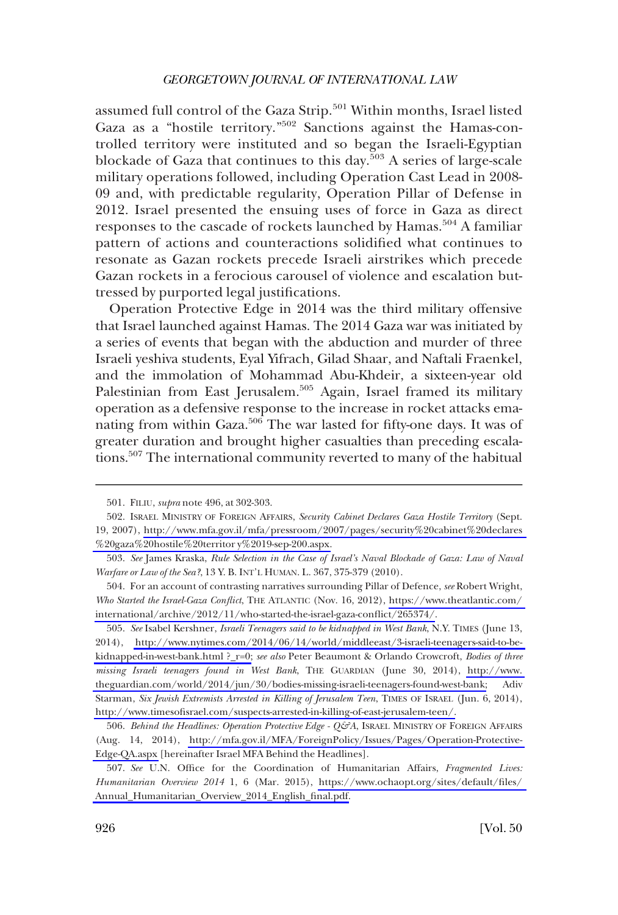assumed full control of the Gaza Strip.<sup>501</sup> Within months, Israel listed Gaza as a "hostile territory."<sup>502</sup> Sanctions against the Hamas-controlled territory were instituted and so began the Israeli-Egyptian blockade of Gaza that continues to this day.<sup>503</sup> A series of large-scale military operations followed, including Operation Cast Lead in 2008- 09 and, with predictable regularity, Operation Pillar of Defense in 2012. Israel presented the ensuing uses of force in Gaza as direct responses to the cascade of rockets launched by Hamas.<sup>504</sup> A familiar pattern of actions and counteractions solidifed what continues to resonate as Gazan rockets precede Israeli airstrikes which precede Gazan rockets in a ferocious carousel of violence and escalation buttressed by purported legal justifcations.

Operation Protective Edge in 2014 was the third military offensive that Israel launched against Hamas. The 2014 Gaza war was initiated by a series of events that began with the abduction and murder of three Israeli yeshiva students, Eyal Yifrach, Gilad Shaar, and Naftali Fraenkel, and the immolation of Mohammad Abu-Khdeir, a sixteen-year old Palestinian from East Jerusalem.<sup>505</sup> Again, Israel framed its military operation as a defensive response to the increase in rocket attacks emanating from within Gaza.<sup>506</sup> The war lasted for fifty-one days. It was of greater duration and brought higher casualties than preceding escalations.<sup>507</sup> The international community reverted to many of the habitual

<sup>501.</sup> FILIU, *supra* note 496, at 302-303.

<sup>502.</sup> ISRAEL MINISTRY OF FOREIGN AFFAIRS, *Security Cabinet Declares Gaza Hostile Territory* (Sept. 19, 2007), [http://www.mfa.gov.il/mfa/pressroom/2007/pages/security%20cabinet%20declares](http://www.mfa.gov.il/mfa/pressroom/2007/pages/security%20cabinet%20declares%20gaza%20hostile%20territory%2019-sep-200.aspx)  [%20gaza%20hostile%20territor y%2019-sep-200.aspx.](http://www.mfa.gov.il/mfa/pressroom/2007/pages/security%20cabinet%20declares%20gaza%20hostile%20territory%2019-sep-200.aspx)

<sup>503.</sup> *See* James Kraska, *Rule Selection in the Case of Israel's Naval Blockade of Gaza: Law of Naval Warfare or Law of the Sea?*, 13 Y. B. INT'L HUMAN. L. 367, 375-379 (2010).

For an account of contrasting narratives surrounding Pillar of Defence, *see* Robert Wright, 504. *Who Started the Israel-Gaza Confict*, THE ATLANTIC (Nov. 16, 2012), [https://www.theatlantic.com/](https://www.theatlantic.com/international/archive/2012/11/who-started-the-israel-gaza-conflict/265374/)  [international/archive/2012/11/who-started-the-israel-gaza-confict/265374/](https://www.theatlantic.com/international/archive/2012/11/who-started-the-israel-gaza-conflict/265374/).

*See* Isabel Kershner, *Israeli Teenagers said to be kidnapped in West Bank*, N.Y. TIMES (June 13, 505. 2014), [http://www.nytimes.com/2014/06/14/world/middleeast/3-israeli-teenagers-said-to-be](http://www.nytimes.com/2014/06/14/world/middleeast/3-israeli-teenagers-said-to-be-kidnapped-in-west-bank.html)[kidnapped-in-west-bank.html ?\\_r=0;](http://www.nytimes.com/2014/06/14/world/middleeast/3-israeli-teenagers-said-to-be-kidnapped-in-west-bank.html) see also Peter Beaumont & Orlando Crowcroft, *Bodies of three missing Israeli teenagers found in West Bank*, THE GUARDIAN (June 30, 2014), [http://www.](http://www.theguardian.com/world/2014/jun/30/bodies-missing-israeli-teenagers-found-west-bank)  [theguardian.com/world/2014/jun/30/bodies-missing-israeli-teenagers-found-west-bank;](http://www.theguardian.com/world/2014/jun/30/bodies-missing-israeli-teenagers-found-west-bank) Adiv Starman, *Six Jewish Extremists Arrested in Killing of Jerusalem Teen*, TIMES OF ISRAEL (Jun. 6, 2014), [http://www.timesofsrael.com/suspects-arrested-in-killing-of-east-jerusalem-teen/.](http://www.timesofisrael.com/suspects-arrested-in-killing-of-east-jerusalem-teen/)

<sup>506.</sup> Behind the Headlines: Operation Protective Edge - Q&A, ISRAEL MINISTRY OF FOREIGN AFFAIRS (Aug. 14, 2014), [http://mfa.gov.il/MFA/ForeignPolicy/Issues/Pages/Operation-Protective-](http://mfa.gov.il/MFA/ForeignPolicy/Issues/Pages/Operation-Protective-Edge-QA.aspx)[Edge-QA.aspx](http://mfa.gov.il/MFA/ForeignPolicy/Issues/Pages/Operation-Protective-Edge-QA.aspx) [hereinafter Israel MFA Behind the Headlines].

<sup>507.</sup> *See* U.N. Offce for the Coordination of Humanitarian Affairs, *Fragmented Lives: Humanitarian Overview 2014* 1, 6 (Mar. 2015), [https://www.ochaopt.org/sites/default/fles/](https://www.ochaopt.org/sites/default/files/Annual_Humanitarian_Overview_2014_English_final.pdf)  [Annual\\_Humanitarian\\_Overview\\_2014\\_English\\_fnal.pdf.](https://www.ochaopt.org/sites/default/files/Annual_Humanitarian_Overview_2014_English_final.pdf)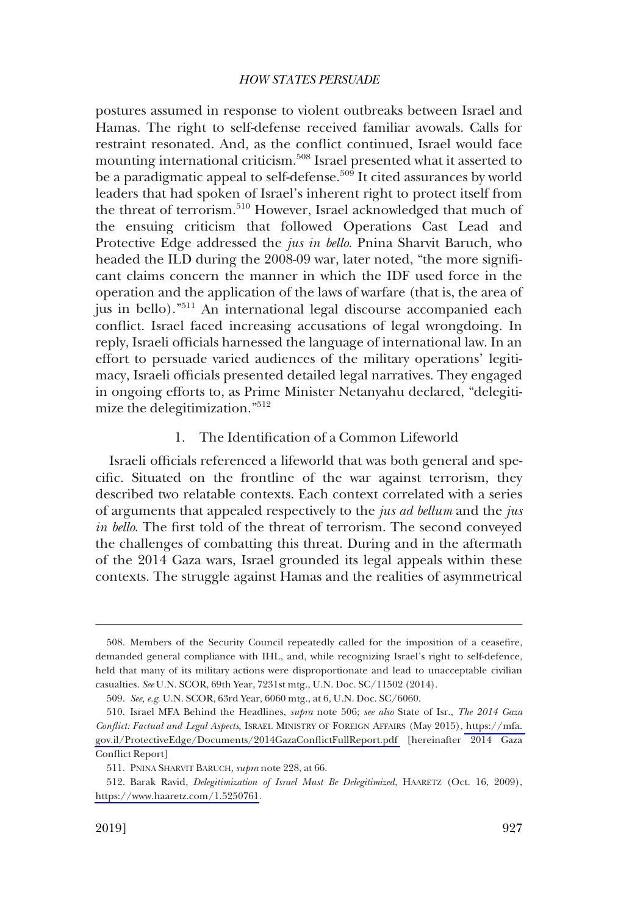postures assumed in response to violent outbreaks between Israel and Hamas. The right to self-defense received familiar avowals. Calls for restraint resonated. And, as the confict continued, Israel would face mounting international criticism.<sup>508</sup> Israel presented what it asserted to be a paradigmatic appeal to self-defense.<sup>509</sup> It cited assurances by world leaders that had spoken of Israel's inherent right to protect itself from the threat of terrorism.<sup>510</sup> However, Israel acknowledged that much of the ensuing criticism that followed Operations Cast Lead and Protective Edge addressed the *jus in bello*. Pnina Sharvit Baruch, who headed the ILD during the 2008-09 war, later noted, "the more signifcant claims concern the manner in which the IDF used force in the operation and the application of the laws of warfare (that is, the area of jus in bello)."511 An international legal discourse accompanied each confict. Israel faced increasing accusations of legal wrongdoing. In reply, Israeli officials harnessed the language of international law. In an effort to persuade varied audiences of the military operations' legitimacy, Israeli officials presented detailed legal narratives. They engaged in ongoing efforts to, as Prime Minister Netanyahu declared, "delegitimize the delegitimization."<sup>512</sup>

## 1. The Identifcation of a Common Lifeworld

Israeli officials referenced a lifeworld that was both general and specifc. Situated on the frontline of the war against terrorism, they described two relatable contexts. Each context correlated with a series of arguments that appealed respectively to the *jus ad bellum* and the *jus in bello*. The frst told of the threat of terrorism. The second conveyed the challenges of combatting this threat. During and in the aftermath of the 2014 Gaza wars, Israel grounded its legal appeals within these contexts. The struggle against Hamas and the realities of asymmetrical

<sup>508.</sup> Members of the Security Council repeatedly called for the imposition of a ceasefre, demanded general compliance with IHL, and, while recognizing Israel's right to self-defence, held that many of its military actions were disproportionate and lead to unacceptable civilian casualties. *See* U.N. SCOR, 69th Year, 7231st mtg., U.N. Doc. SC/11502 (2014).

<sup>509.</sup> *See, e.g*. U.N. SCOR, 63rd Year, 6060 mtg., at 6, U.N. Doc. SC/6060.

Israel MFA Behind the Headlines, *supra* note 506; *see also* State of Isr., *The 2014 Gaza*  510. *Confict: Factual and Legal Aspects*, ISRAEL MINISTRY OF FOREIGN AFFAIRS (May 2015), [https://mfa.](https://mfa.gov.il/ProtectiveEdge/Documents/2014GazaConflictFullReport.pdf)  [gov.il/ProtectiveEdge/Documents/2014GazaConfictFullReport.pdf](https://mfa.gov.il/ProtectiveEdge/Documents/2014GazaConflictFullReport.pdf) [hereinafter 2014 Gaza Confict Report]

<sup>511.</sup> PNINA SHARVIT BARUCH, *supra* note 228, at 66.

<sup>512.</sup> Barak Ravid, *Delegitimization of Israel Must Be Delegitimized*, HAARETZ (Oct. 16, 2009), [https://www.haaretz.com/1.5250761.](https://www.haaretz.com/1.5250761)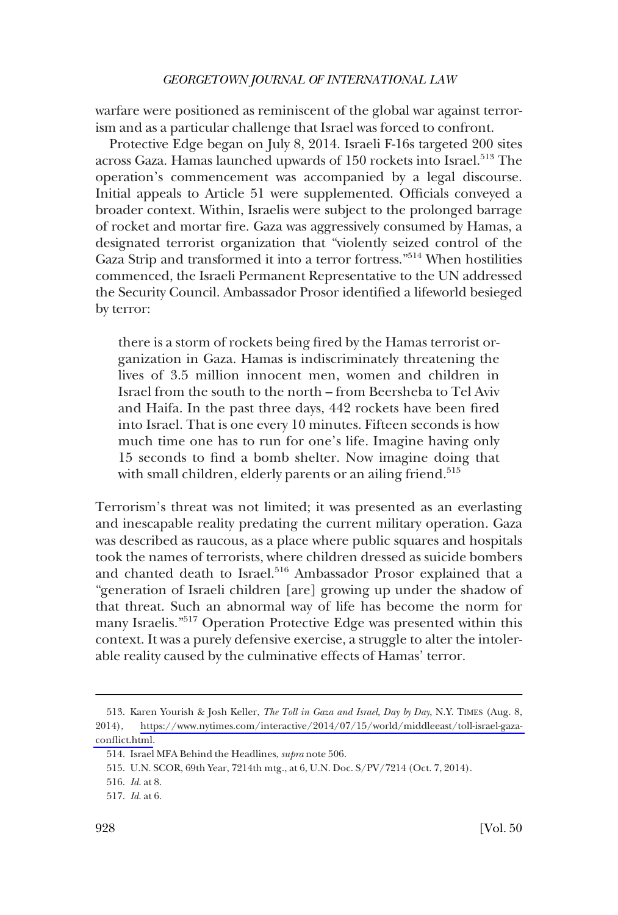warfare were positioned as reminiscent of the global war against terrorism and as a particular challenge that Israel was forced to confront.

Protective Edge began on July 8, 2014. Israeli F-16s targeted 200 sites across Gaza. Hamas launched upwards of  $150$  rockets into Israel.<sup>513</sup> The operation's commencement was accompanied by a legal discourse. Initial appeals to Article 51 were supplemented. Officials conveyed a broader context. Within, Israelis were subject to the prolonged barrage of rocket and mortar fre. Gaza was aggressively consumed by Hamas, a designated terrorist organization that "violently seized control of the Gaza Strip and transformed it into a terror fortress."514 When hostilities commenced, the Israeli Permanent Representative to the UN addressed the Security Council. Ambassador Prosor identifed a lifeworld besieged by terror:

there is a storm of rockets being fred by the Hamas terrorist organization in Gaza. Hamas is indiscriminately threatening the lives of 3.5 million innocent men, women and children in Israel from the south to the north – from Beersheba to Tel Aviv and Haifa. In the past three days, 442 rockets have been fred into Israel. That is one every 10 minutes. Fifteen seconds is how much time one has to run for one's life. Imagine having only 15 seconds to fnd a bomb shelter. Now imagine doing that with small children, elderly parents or an ailing friend.<sup>515</sup>

Terrorism's threat was not limited; it was presented as an everlasting and inescapable reality predating the current military operation. Gaza was described as raucous, as a place where public squares and hospitals took the names of terrorists, where children dressed as suicide bombers and chanted death to Israel.<sup>516</sup> Ambassador Prosor explained that a "generation of Israeli children [are] growing up under the shadow of that threat. Such an abnormal way of life has become the norm for many Israelis."517 Operation Protective Edge was presented within this context. It was a purely defensive exercise, a struggle to alter the intolerable reality caused by the culminative effects of Hamas' terror.

<sup>513.</sup> Karen Yourish & Josh Keller, *The Toll in Gaza and Israel, Day by Day*, N.Y. TIMES (Aug. 8, 2014), [https://www.nytimes.com/interactive/2014/07/15/world/middleeast/toll-israel-gaza](https://www.nytimes.com/interactive/2014/07/15/world/middleeast/toll-israel-gaza-conflict.html)[confict.html](https://www.nytimes.com/interactive/2014/07/15/world/middleeast/toll-israel-gaza-conflict.html).

<sup>514.</sup> Israel MFA Behind the Headlines, *supra* note 506.

<sup>515.</sup> U.N. SCOR, 69th Year, 7214th mtg., at 6, U.N. Doc. S/PV/7214 (Oct. 7, 2014).

<sup>516.</sup> *Id*. at 8.

<sup>517.</sup> *Id*. at 6.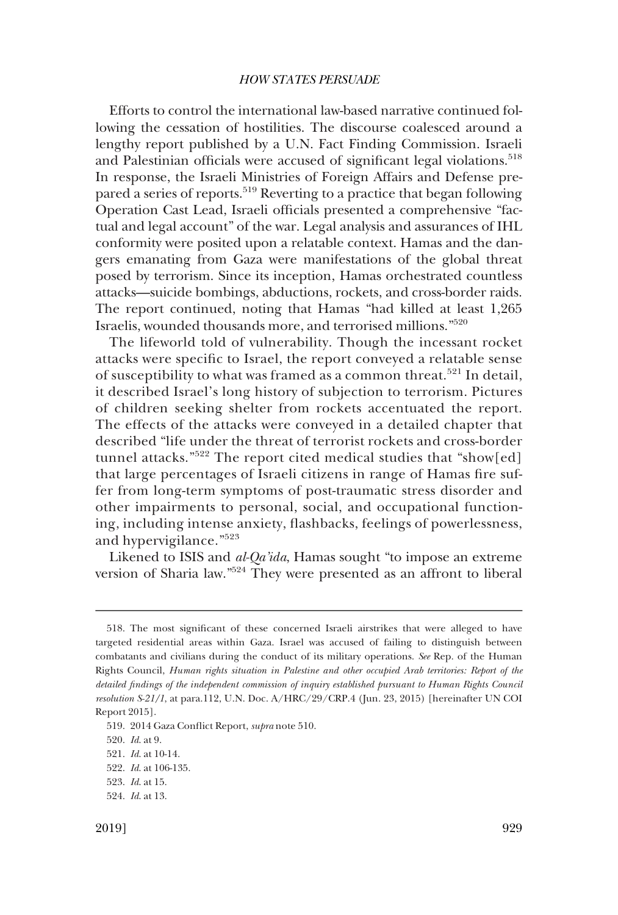Efforts to control the international law-based narrative continued following the cessation of hostilities. The discourse coalesced around a lengthy report published by a U.N. Fact Finding Commission. Israeli and Palestinian officials were accused of significant legal violations.<sup>518</sup> In response, the Israeli Ministries of Foreign Affairs and Defense prepared a series of reports.<sup>519</sup> Reverting to a practice that began following Operation Cast Lead, Israeli officials presented a comprehensive "factual and legal account" of the war. Legal analysis and assurances of IHL conformity were posited upon a relatable context. Hamas and the dangers emanating from Gaza were manifestations of the global threat posed by terrorism. Since its inception, Hamas orchestrated countless attacks—suicide bombings, abductions, rockets, and cross-border raids. The report continued, noting that Hamas "had killed at least 1,265 Israelis, wounded thousands more, and terrorised millions."<sup>520</sup>

The lifeworld told of vulnerability. Though the incessant rocket attacks were specifc to Israel, the report conveyed a relatable sense of susceptibility to what was framed as a common threat.<sup>521</sup> In detail, it described Israel's long history of subjection to terrorism. Pictures of children seeking shelter from rockets accentuated the report. The effects of the attacks were conveyed in a detailed chapter that described "life under the threat of terrorist rockets and cross-border tunnel attacks."522 The report cited medical studies that "show[ed] that large percentages of Israeli citizens in range of Hamas fre suffer from long-term symptoms of post-traumatic stress disorder and other impairments to personal, social, and occupational functioning, including intense anxiety, fashbacks, feelings of powerlessness, and hypervigilance."<sup>523</sup>

Likened to ISIS and *al-Qa'ida*, Hamas sought "to impose an extreme version of Sharia law."524 They were presented as an affront to liberal

<sup>518.</sup> The most signifcant of these concerned Israeli airstrikes that were alleged to have targeted residential areas within Gaza. Israel was accused of failing to distinguish between combatants and civilians during the conduct of its military operations. *See* Rep. of the Human Rights Council, *Human rights situation in Palestine and other occupied Arab territories: Report of the detailed fndings of the independent commission of inquiry established pursuant to Human Rights Council resolution S-21/1*, at para.112, U.N. Doc. A/HRC/29/CRP.4 (Jun. 23, 2015) [hereinafter UN COI Report 2015].

<sup>519. 2014</sup> Gaza Confict Report, *supra* note 510.

<sup>520.</sup> *Id*. at 9.

<sup>521.</sup> *Id*. at 10-14.

<sup>522.</sup> *Id*. at 106-135.

<sup>523.</sup> *Id*. at 15.

<sup>524.</sup> *Id*. at 13.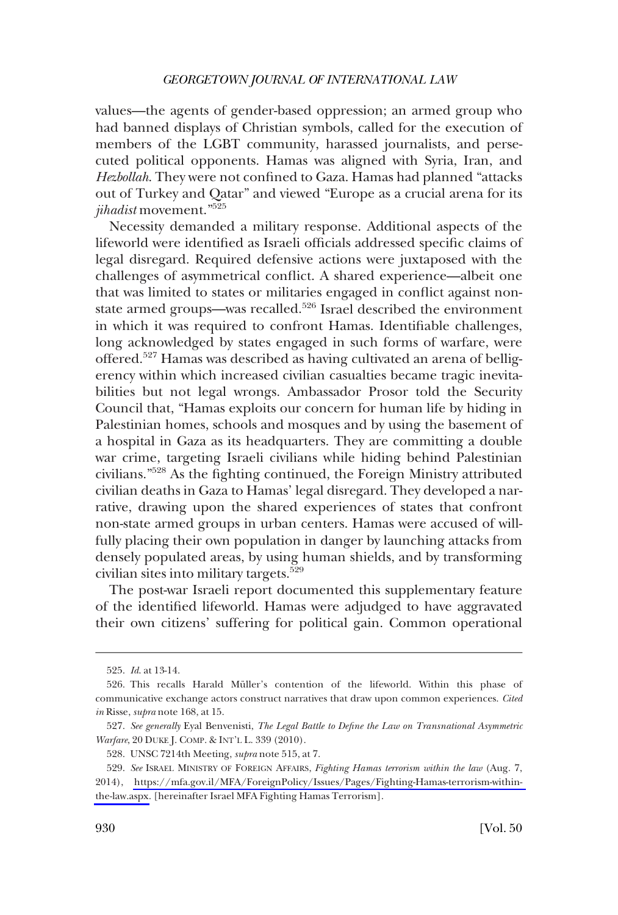values—the agents of gender-based oppression; an armed group who had banned displays of Christian symbols, called for the execution of members of the LGBT community, harassed journalists, and persecuted political opponents. Hamas was aligned with Syria, Iran, and *Hezbollah*. They were not confned to Gaza. Hamas had planned "attacks out of Turkey and Qatar" and viewed "Europe as a crucial arena for its *jihadist* movement."525

Necessity demanded a military response. Additional aspects of the lifeworld were identifed as Israeli offcials addressed specifc claims of legal disregard. Required defensive actions were juxtaposed with the challenges of asymmetrical confict. A shared experience—albeit one that was limited to states or militaries engaged in confict against nonstate armed groups—was recalled.<sup>526</sup> Israel described the environment in which it was required to confront Hamas. Identifable challenges, long acknowledged by states engaged in such forms of warfare, were offered.527 Hamas was described as having cultivated an arena of belligerency within which increased civilian casualties became tragic inevitabilities but not legal wrongs. Ambassador Prosor told the Security Council that, "Hamas exploits our concern for human life by hiding in Palestinian homes, schools and mosques and by using the basement of a hospital in Gaza as its headquarters. They are committing a double war crime, targeting Israeli civilians while hiding behind Palestinian civilians."528 As the fghting continued, the Foreign Ministry attributed civilian deaths in Gaza to Hamas' legal disregard. They developed a narrative, drawing upon the shared experiences of states that confront non-state armed groups in urban centers. Hamas were accused of willfully placing their own population in danger by launching attacks from densely populated areas, by using human shields, and by transforming civilian sites into military targets.<sup>529</sup>

The post-war Israeli report documented this supplementary feature of the identifed lifeworld. Hamas were adjudged to have aggravated their own citizens' suffering for political gain. Common operational

<sup>525.</sup> *Id*. at 13-14.

<sup>526.</sup> This recalls Harald Müller's contention of the lifeworld. Within this phase of communicative exchange actors construct narratives that draw upon common experiences. *Cited in* Risse, *supra* note 168, at 15.

<sup>527.</sup> *See generally* Eyal Benvenisti, *The Legal Battle to Defne the Law on Transnational Asymmetric Warfare*, 20 DUKE J. COMP. & INT'L L. 339 (2010).

<sup>528.</sup> UNSC 7214th Meeting, *supra* note 515, at 7.

*See* ISRAEL MINISTRY OF FOREIGN AFFAIRS, *Fighting Hamas terrorism within the law* (Aug. 7, 529. 2014), [https://mfa.gov.il/MFA/ForeignPolicy/Issues/Pages/Fighting-Hamas-terrorism-within](https://mfa.gov.il/MFA/ForeignPolicy/Issues/Pages/Fighting-Hamas-terrorism-within-the-law.aspx)[the-law.aspx.](https://mfa.gov.il/MFA/ForeignPolicy/Issues/Pages/Fighting-Hamas-terrorism-within-the-law.aspx) [hereinafter Israel MFA Fighting Hamas Terrorism].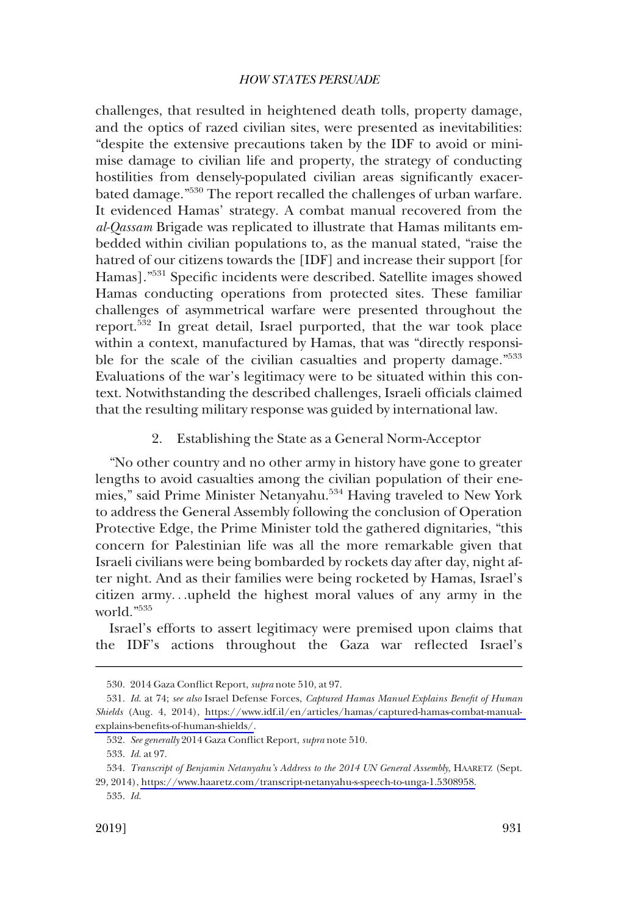challenges, that resulted in heightened death tolls, property damage, and the optics of razed civilian sites, were presented as inevitabilities: "despite the extensive precautions taken by the IDF to avoid or minimise damage to civilian life and property, the strategy of conducting hostilities from densely-populated civilian areas signifcantly exacerbated damage."530 The report recalled the challenges of urban warfare. It evidenced Hamas' strategy. A combat manual recovered from the *al-Qassam* Brigade was replicated to illustrate that Hamas militants embedded within civilian populations to, as the manual stated, "raise the hatred of our citizens towards the [IDF] and increase their support [for Hamas]."<sup>531</sup> Specific incidents were described. Satellite images showed Hamas conducting operations from protected sites. These familiar challenges of asymmetrical warfare were presented throughout the report.532 In great detail, Israel purported, that the war took place within a context, manufactured by Hamas, that was "directly responsible for the scale of the civilian casualties and property damage.<sup>"533</sup> Evaluations of the war's legitimacy were to be situated within this context. Notwithstanding the described challenges, Israeli offcials claimed that the resulting military response was guided by international law.

## 2. Establishing the State as a General Norm-Acceptor

"No other country and no other army in history have gone to greater lengths to avoid casualties among the civilian population of their enemies," said Prime Minister Netanyahu.<sup>534</sup> Having traveled to New York to address the General Assembly following the conclusion of Operation Protective Edge, the Prime Minister told the gathered dignitaries, "this concern for Palestinian life was all the more remarkable given that Israeli civilians were being bombarded by rockets day after day, night after night. And as their families were being rocketed by Hamas, Israel's citizen army. . .upheld the highest moral values of any army in the world."535

Israel's efforts to assert legitimacy were premised upon claims that the IDF's actions throughout the Gaza war refected Israel's

<sup>530. 2014</sup> Gaza Confict Report, *supra* note 510, at 97.

*Id*. at 74; *see also* Israel Defense Forces, *Captured Hamas Manuel Explains Beneft of Human*  531. *Shields* (Aug. 4, 2014), [https://www.idf.il/en/articles/hamas/captured-hamas-combat-manual](https://www.idf.il/en/articles/hamas/captured-hamas-combat-manual-explains-benefits-of-human-shields/)[explains-benefts-of-human-shields/.](https://www.idf.il/en/articles/hamas/captured-hamas-combat-manual-explains-benefits-of-human-shields/)

<sup>532.</sup> *See generally* 2014 Gaza Confict Report, *supra* note 510.

<sup>533.</sup> *Id*. at 97.

*Transcript of Benjamin Netanyahu's Address to the 2014 UN General Assembly*, HAARETZ (Sept. 534. 29, 2014), [https://www.haaretz.com/transcript-netanyahu-s-speech-to-unga-1.5308958.](https://www.haaretz.com/transcript-netanyahu-s-speech-to-unga-1.5308958)

<sup>535.</sup> *Id*.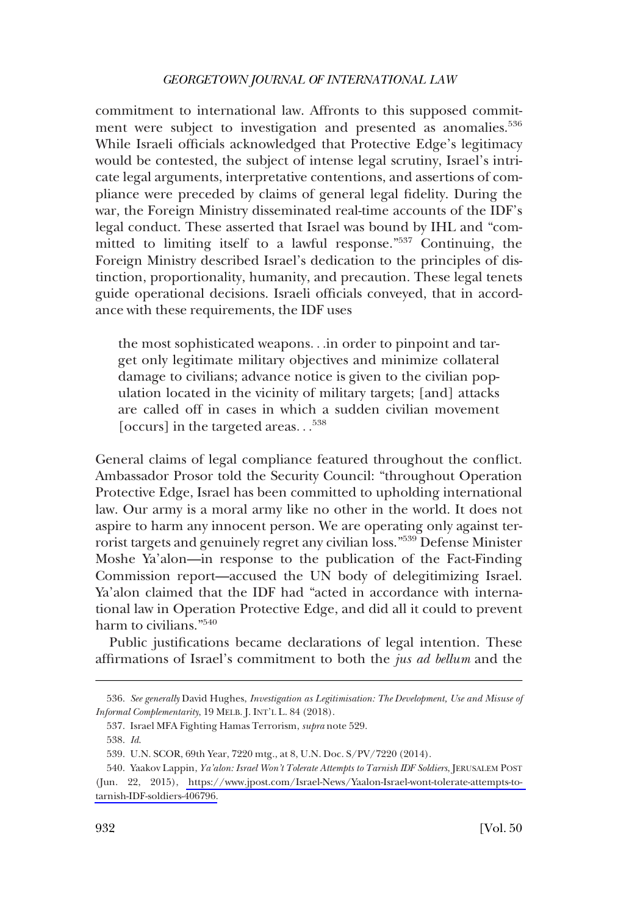commitment to international law. Affronts to this supposed commitment were subject to investigation and presented as anomalies.<sup>536</sup> While Israeli officials acknowledged that Protective Edge's legitimacy would be contested, the subject of intense legal scrutiny, Israel's intricate legal arguments, interpretative contentions, and assertions of compliance were preceded by claims of general legal fdelity. During the war, the Foreign Ministry disseminated real-time accounts of the IDF's legal conduct. These asserted that Israel was bound by IHL and "committed to limiting itself to a lawful response."537 Continuing, the Foreign Ministry described Israel's dedication to the principles of distinction, proportionality, humanity, and precaution. These legal tenets guide operational decisions. Israeli officials conveyed, that in accordance with these requirements, the IDF uses

the most sophisticated weapons. . .in order to pinpoint and target only legitimate military objectives and minimize collateral damage to civilians; advance notice is given to the civilian population located in the vicinity of military targets; [and] attacks are called off in cases in which a sudden civilian movement [occurs] in the targeted areas. . . 538

General claims of legal compliance featured throughout the confict. Ambassador Prosor told the Security Council: "throughout Operation Protective Edge, Israel has been committed to upholding international law. Our army is a moral army like no other in the world. It does not aspire to harm any innocent person. We are operating only against terrorist targets and genuinely regret any civilian loss."539 Defense Minister Moshe Ya'alon—in response to the publication of the Fact-Finding Commission report—accused the UN body of delegitimizing Israel. Ya'alon claimed that the IDF had "acted in accordance with international law in Operation Protective Edge, and did all it could to prevent harm to civilians."540

Public justifcations became declarations of legal intention. These affrmations of Israel's commitment to both the *jus ad bellum* and the

<sup>536.</sup> *See generally* David Hughes, *Investigation as Legitimisation: The Development, Use and Misuse of Informal Complementarity*, 19 MELB. J. INT'L L. 84 (2018).

<sup>537.</sup> Israel MFA Fighting Hamas Terrorism, *supra* note 529.

<sup>538.</sup> *Id*.

<sup>539.</sup> U.N. SCOR, 69th Year, 7220 mtg., at 8, U.N. Doc. S/PV/7220 (2014).

<sup>540.</sup> Yaakov Lappin, *Ya'alon: Israel Won't Tolerate Attempts to Tarnish IDF Soldiers*, [ERUSALEM POST (Jun. 22, 2015), [https://www.jpost.com/Israel-News/Yaalon-Israel-wont-tolerate-attempts-to](https://www.jpost.com/Israel-News/Yaalon-Israel-wont-tolerate-attempts-to-tarnish-IDF-soldiers-406796)[tarnish-IDF-soldiers-406796.](https://www.jpost.com/Israel-News/Yaalon-Israel-wont-tolerate-attempts-to-tarnish-IDF-soldiers-406796)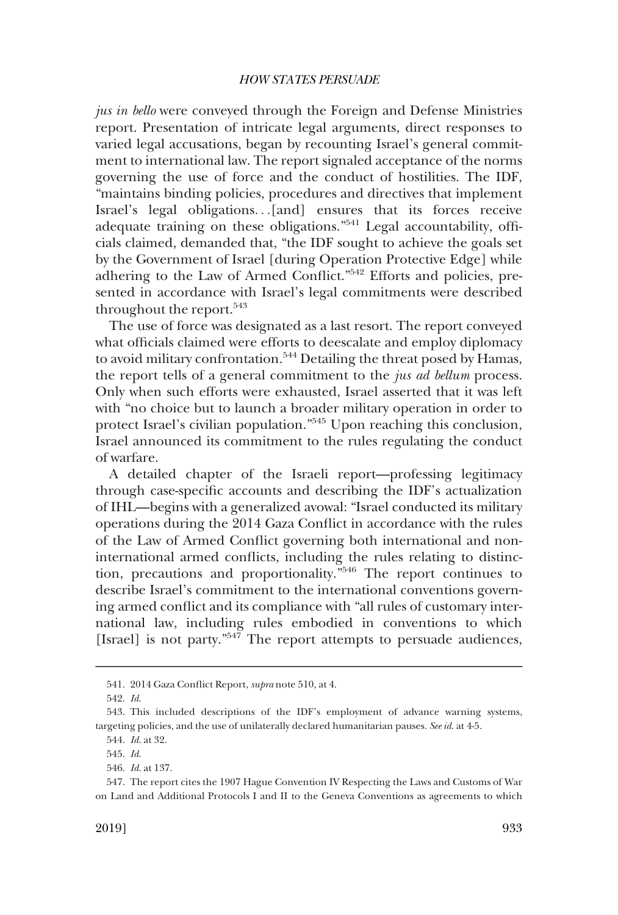*jus in bello* were conveyed through the Foreign and Defense Ministries report. Presentation of intricate legal arguments, direct responses to varied legal accusations, began by recounting Israel's general commitment to international law. The report signaled acceptance of the norms governing the use of force and the conduct of hostilities. The IDF, "maintains binding policies, procedures and directives that implement Israel's legal obligations. . .[and] ensures that its forces receive adequate training on these obligations."<sup>541</sup> Legal accountability, officials claimed, demanded that, "the IDF sought to achieve the goals set by the Government of Israel [during Operation Protective Edge] while adhering to the Law of Armed Confict."542 Efforts and policies, presented in accordance with Israel's legal commitments were described throughout the report.<sup>543</sup>

The use of force was designated as a last resort. The report conveyed what officials claimed were efforts to deescalate and employ diplomacy to avoid military confrontation.<sup>544</sup> Detailing the threat posed by Hamas, the report tells of a general commitment to the *jus ad bellum* process. Only when such efforts were exhausted, Israel asserted that it was left with "no choice but to launch a broader military operation in order to protect Israel's civilian population."545 Upon reaching this conclusion, Israel announced its commitment to the rules regulating the conduct of warfare.

A detailed chapter of the Israeli report—professing legitimacy through case-specifc accounts and describing the IDF's actualization of IHL—begins with a generalized avowal: "Israel conducted its military operations during the 2014 Gaza Confict in accordance with the rules of the Law of Armed Confict governing both international and noninternational armed conficts, including the rules relating to distinction, precautions and proportionality."546 The report continues to describe Israel's commitment to the international conventions governing armed confict and its compliance with "all rules of customary international law, including rules embodied in conventions to which [Israel] is not party."<sup>547</sup> The report attempts to persuade audiences,

<sup>541. 2014</sup> Gaza Confict Report, *supra* note 510, at 4.

<sup>542.</sup> *Id*.

<sup>543.</sup> This included descriptions of the IDF's employment of advance warning systems, targeting policies, and the use of unilaterally declared humanitarian pauses. *See id*. at 4-5.

<sup>544.</sup> *Id*. at 32.

<sup>545.</sup> *Id*.

<sup>546.</sup> *Id*. at 137.

<sup>547.</sup> The report cites the 1907 Hague Convention IV Respecting the Laws and Customs of War on Land and Additional Protocols I and II to the Geneva Conventions as agreements to which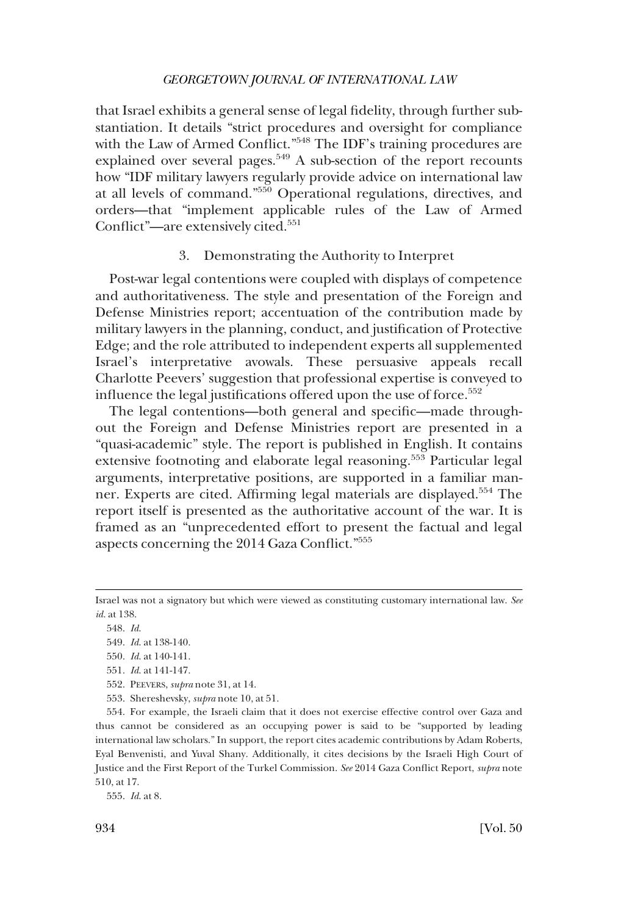that Israel exhibits a general sense of legal fdelity, through further substantiation. It details "strict procedures and oversight for compliance with the Law of Armed Conflict."<sup>548</sup> The IDF's training procedures are explained over several pages. $549$  A sub-section of the report recounts how "IDF military lawyers regularly provide advice on international law at all levels of command."550 Operational regulations, directives, and orders—that "implement applicable rules of the Law of Armed Conflict"—are extensively cited.<sup>551</sup>

### 3. Demonstrating the Authority to Interpret

Post-war legal contentions were coupled with displays of competence and authoritativeness. The style and presentation of the Foreign and Defense Ministries report; accentuation of the contribution made by military lawyers in the planning, conduct, and justifcation of Protective Edge; and the role attributed to independent experts all supplemented Israel's interpretative avowals. These persuasive appeals recall Charlotte Peevers' suggestion that professional expertise is conveyed to influence the legal justifications offered upon the use of force.<sup>552</sup>

The legal contentions—both general and specifc—made throughout the Foreign and Defense Ministries report are presented in a "quasi-academic" style. The report is published in English. It contains extensive footnoting and elaborate legal reasoning.553 Particular legal arguments, interpretative positions, are supported in a familiar manner. Experts are cited. Affrming legal materials are displayed.554 The report itself is presented as the authoritative account of the war. It is framed as an "unprecedented effort to present the factual and legal aspects concerning the 2014 Gaza Confict."<sup>555</sup>

553. Shereshevsky, *supra* note 10, at 51.

554. For example, the Israeli claim that it does not exercise effective control over Gaza and thus cannot be considered as an occupying power is said to be "supported by leading international law scholars." In support, the report cites academic contributions by Adam Roberts, Eyal Benvenisti, and Yuval Shany. Additionally, it cites decisions by the Israeli High Court of Justice and the First Report of the Turkel Commission. *See* 2014 Gaza Confict Report, *supra* note 510, at 17.

555. *Id*. at 8.

Israel was not a signatory but which were viewed as constituting customary international law. *See id*. at 138.

<sup>548.</sup> *Id*.

<sup>549.</sup> *Id*. at 138-140.

<sup>550.</sup> *Id*. at 140-141.

<sup>551.</sup> *Id*. at 141-147.

<sup>552.</sup> PEEVERS, *supra* note 31, at 14.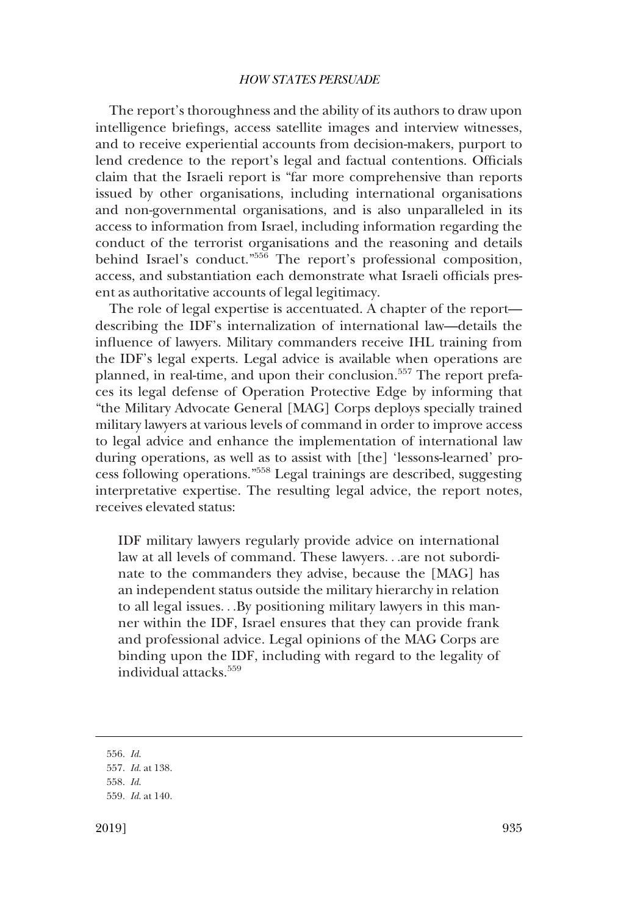The report's thoroughness and the ability of its authors to draw upon intelligence briefngs, access satellite images and interview witnesses, and to receive experiential accounts from decision-makers, purport to lend credence to the report's legal and factual contentions. Officials claim that the Israeli report is "far more comprehensive than reports issued by other organisations, including international organisations and non-governmental organisations, and is also unparalleled in its access to information from Israel, including information regarding the conduct of the terrorist organisations and the reasoning and details behind Israel's conduct."<sup>556</sup> The report's professional composition, access, and substantiation each demonstrate what Israeli offcials present as authoritative accounts of legal legitimacy.

The role of legal expertise is accentuated. A chapter of the report describing the IDF's internalization of international law—details the infuence of lawyers. Military commanders receive IHL training from the IDF's legal experts. Legal advice is available when operations are planned, in real-time, and upon their conclusion.557 The report prefaces its legal defense of Operation Protective Edge by informing that "the Military Advocate General [MAG] Corps deploys specially trained military lawyers at various levels of command in order to improve access to legal advice and enhance the implementation of international law during operations, as well as to assist with [the] 'lessons-learned' process following operations."558 Legal trainings are described, suggesting interpretative expertise. The resulting legal advice, the report notes, receives elevated status:

IDF military lawyers regularly provide advice on international law at all levels of command. These lawyers. . .are not subordinate to the commanders they advise, because the [MAG] has an independent status outside the military hierarchy in relation to all legal issues. . .By positioning military lawyers in this manner within the IDF, Israel ensures that they can provide frank and professional advice. Legal opinions of the MAG Corps are binding upon the IDF, including with regard to the legality of individual attacks.<sup>559</sup>

<sup>556.</sup> *Id*.

<sup>557.</sup> *Id*. at 138.

<sup>558.</sup> *Id*.

<sup>559.</sup> *Id*. at 140.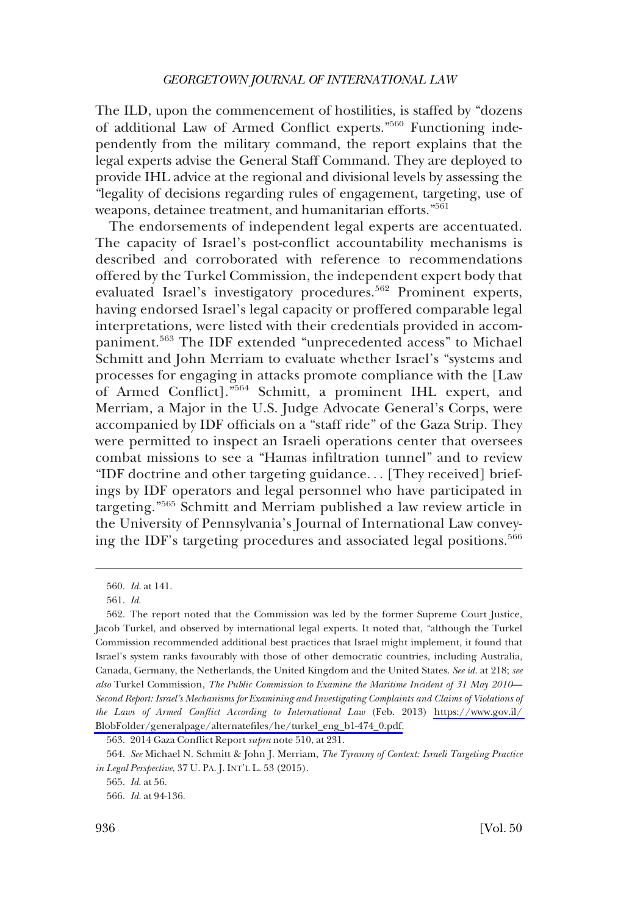The ILD, upon the commencement of hostilities, is staffed by "dozens of additional Law of Armed Confict experts."560 Functioning independently from the military command, the report explains that the legal experts advise the General Staff Command. They are deployed to provide IHL advice at the regional and divisional levels by assessing the "legality of decisions regarding rules of engagement, targeting, use of weapons, detainee treatment, and humanitarian efforts."<sup>561</sup>

The endorsements of independent legal experts are accentuated. The capacity of Israel's post-confict accountability mechanisms is described and corroborated with reference to recommendations offered by the Turkel Commission, the independent expert body that evaluated Israel's investigatory procedures.<sup>562</sup> Prominent experts, having endorsed Israel's legal capacity or proffered comparable legal interpretations, were listed with their credentials provided in accompaniment.563 The IDF extended "unprecedented access" to Michael Schmitt and John Merriam to evaluate whether Israel's "systems and processes for engaging in attacks promote compliance with the [Law of Armed Confict]."564 Schmitt, a prominent IHL expert, and Merriam, a Major in the U.S. Judge Advocate General's Corps, were accompanied by IDF officials on a "staff ride" of the Gaza Strip. They were permitted to inspect an Israeli operations center that oversees combat missions to see a "Hamas infltration tunnel" and to review "IDF doctrine and other targeting guidance. . . [They received] briefings by IDF operators and legal personnel who have participated in targeting."565 Schmitt and Merriam published a law review article in the University of Pennsylvania's Journal of International Law conveying the IDF's targeting procedures and associated legal positions.<sup>566</sup>

563. 2014 Gaza Confict Report *supra* note 510, at 231.

<sup>560.</sup> *Id*. at 141.

<sup>561.</sup> *Id*.

<sup>562.</sup> The report noted that the Commission was led by the former Supreme Court Justice, Jacob Turkel, and observed by international legal experts. It noted that, "although the Turkel Commission recommended additional best practices that Israel might implement, it found that Israel's system ranks favourably with those of other democratic countries, including Australia, Canada, Germany, the Netherlands, the United Kingdom and the United States. *See id*. at 218; *see also* Turkel Commission, *The Public Commission to Examine the Maritime Incident of 31 May 2010*— *Second Report: Israel's Mechanisms for Examining and Investigating Complaints and Claims of Violations of the Laws of Armed Confict According to International Law* (Feb. 2013) [https://www.gov.il/](https://www.gov.il/BlobFolder/generalpage/alternatefiles/he/turkel_eng_b1-474_0.pdf)  [BlobFolder/generalpage/alternatefles/he/turkel\\_eng\\_b1-474\\_0.pdf.](https://www.gov.il/BlobFolder/generalpage/alternatefiles/he/turkel_eng_b1-474_0.pdf)

<sup>564.</sup> *See* Michael N. Schmitt & John J. Merriam, *The Tyranny of Context: Israeli Targeting Practice in Legal Perspective*, 37 U. PA. J. INT'L L. 53 (2015).

<sup>565.</sup> *Id*. at 56.

<sup>566.</sup> *Id*. at 94-136.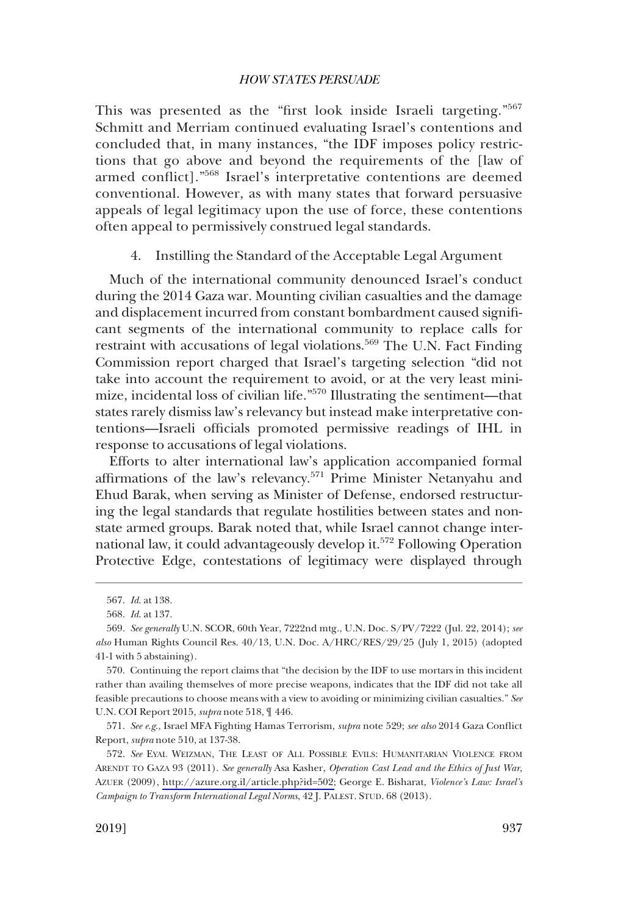This was presented as the "first look inside Israeli targeting."<sup>567</sup> Schmitt and Merriam continued evaluating Israel's contentions and concluded that, in many instances, "the IDF imposes policy restrictions that go above and beyond the requirements of the [law of armed confict]."568 Israel's interpretative contentions are deemed conventional. However, as with many states that forward persuasive appeals of legal legitimacy upon the use of force, these contentions often appeal to permissively construed legal standards.

4. Instilling the Standard of the Acceptable Legal Argument

Much of the international community denounced Israel's conduct during the 2014 Gaza war. Mounting civilian casualties and the damage and displacement incurred from constant bombardment caused signifcant segments of the international community to replace calls for restraint with accusations of legal violations.<sup>569</sup> The U.N. Fact Finding Commission report charged that Israel's targeting selection "did not take into account the requirement to avoid, or at the very least minimize, incidental loss of civilian life."570 Illustrating the sentiment—that states rarely dismiss law's relevancy but instead make interpretative contentions—Israeli offcials promoted permissive readings of IHL in response to accusations of legal violations.

Efforts to alter international law's application accompanied formal affrmations of the law's relevancy.571 Prime Minister Netanyahu and Ehud Barak, when serving as Minister of Defense, endorsed restructuring the legal standards that regulate hostilities between states and nonstate armed groups. Barak noted that, while Israel cannot change international law, it could advantageously develop it.<sup>572</sup> Following Operation Protective Edge, contestations of legitimacy were displayed through

571. *See e.g*., Israel MFA Fighting Hamas Terrorism, *supra* note 529; *see also* 2014 Gaza Confict Report, *supra* note 510, at 137-38.

<sup>567.</sup> *Id*. at 138.

<sup>568.</sup> *Id*. at 137.

<sup>569.</sup> *See generally* U.N. SCOR, 60th Year, 7222nd mtg., U.N. Doc. S/PV/7222 (Jul. 22, 2014); *see also* Human Rights Council Res. 40/13, U.N. Doc. A/HRC/RES/29/25 (July 1, 2015) (adopted 41-1 with 5 abstaining).

<sup>570.</sup> Continuing the report claims that "the decision by the IDF to use mortars in this incident rather than availing themselves of more precise weapons, indicates that the IDF did not take all feasible precautions to choose means with a view to avoiding or minimizing civilian casualties." *See*  U.N. COI Report 2015, *supra* note 518, ¶ 446.

<sup>572.</sup> See EYAL WEIZMAN, THE LEAST OF ALL POSSIBLE EVILS: HUMANITARIAN VIOLENCE FROM ARENDT TO GAZA 93 (2011). *See generally* Asa Kasher, *Operation Cast Lead and the Ethics of Just War*, AZUER (2009), [http://azure.org.il/article.php?id=502;](http://azure.org.il/article.php?id=502) George E. Bisharat, *Violence's Law: Israel's Campaign to Transform International Legal Norms*, 42 J. PALEST. STUD. 68 (2013).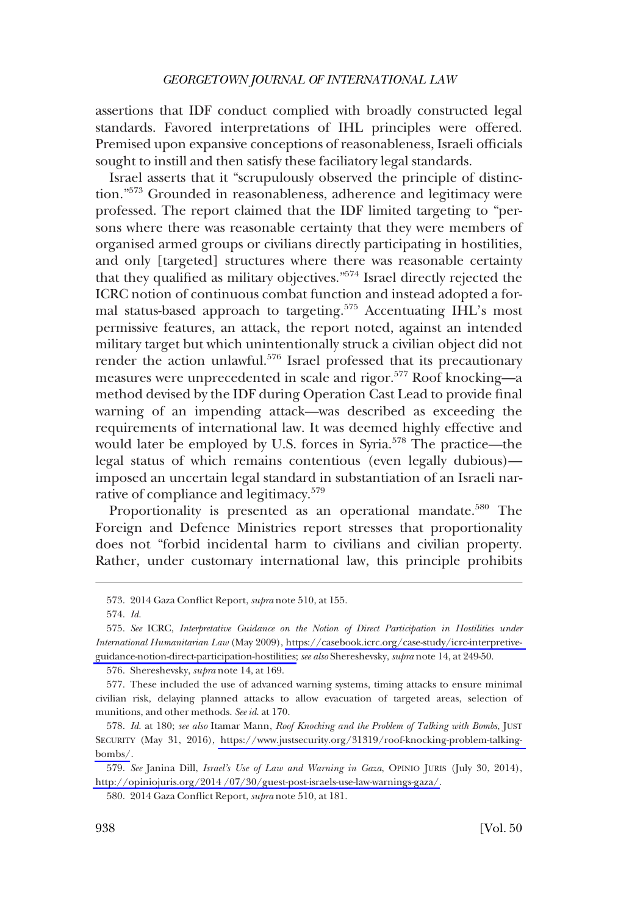assertions that IDF conduct complied with broadly constructed legal standards. Favored interpretations of IHL principles were offered. Premised upon expansive conceptions of reasonableness, Israeli officials sought to instill and then satisfy these faciliatory legal standards.

Israel asserts that it "scrupulously observed the principle of distinction."573 Grounded in reasonableness, adherence and legitimacy were professed. The report claimed that the IDF limited targeting to "persons where there was reasonable certainty that they were members of organised armed groups or civilians directly participating in hostilities, and only [targeted] structures where there was reasonable certainty that they qualifed as military objectives."574 Israel directly rejected the ICRC notion of continuous combat function and instead adopted a formal status-based approach to targeting.<sup>575</sup> Accentuating IHL's most permissive features, an attack, the report noted, against an intended military target but which unintentionally struck a civilian object did not render the action unlawful.<sup>576</sup> Israel professed that its precautionary measures were unprecedented in scale and rigor.577 Roof knocking—a method devised by the IDF during Operation Cast Lead to provide fnal warning of an impending attack—was described as exceeding the requirements of international law. It was deemed highly effective and would later be employed by U.S. forces in Syria.<sup>578</sup> The practice—the legal status of which remains contentious (even legally dubious) imposed an uncertain legal standard in substantiation of an Israeli narrative of compliance and legitimacy.<sup>579</sup>

Proportionality is presented as an operational mandate.<sup>580</sup> The Foreign and Defence Ministries report stresses that proportionality does not "forbid incidental harm to civilians and civilian property. Rather, under customary international law, this principle prohibits

<sup>573. 2014</sup> Gaza Confict Report, *supra* note 510, at 155.

<sup>574.</sup> *Id*.

<sup>575.</sup> See ICRC, *Interpretative Guidance on the Notion of Direct Participation in Hostilities under International Humanitarian Law* (May 2009), [https://casebook.icrc.org/case-study/icrc-interpretive](https://casebook.icrc.org/case-study/icrc-interpretive-guidance-notion-direct-participation-hostilities)[guidance-notion-direct-participation-hostilities;](https://casebook.icrc.org/case-study/icrc-interpretive-guidance-notion-direct-participation-hostilities) *see also* Shereshevsky, *supra* note 14, at 249-50.

<sup>576.</sup> Shereshevsky, *supra* note 14, at 169.

<sup>577.</sup> These included the use of advanced warning systems, timing attacks to ensure minimal civilian risk, delaying planned attacks to allow evacuation of targeted areas, selection of munitions, and other methods. *See id*. at 170.

<sup>578.</sup> Id. at 180; see also Itamar Mann, *Roof Knocking and the Problem of Talking with Bombs*, JUST SECURITY (May 31, 2016), [https://www.justsecurity.org/31319/roof-knocking-problem-talking](https://www.justsecurity.org/31319/roof-knocking-problem-talking-bombs/)[bombs/](https://www.justsecurity.org/31319/roof-knocking-problem-talking-bombs/).

*See* Janina Dill, *Israel's Use of Law and Warning in Gaza*, OPINIO JURIS (July 30, 2014), 579. [http://opiniojuris.org/2014 /07/30/guest-post-israels-use-law-warnings-gaza/.](http://opiniojuris.org/2014 /07/30/guest-post-israels-use-law-warnings-gaza/)

<sup>580. 2014</sup> Gaza Confict Report, *supra* note 510, at 181.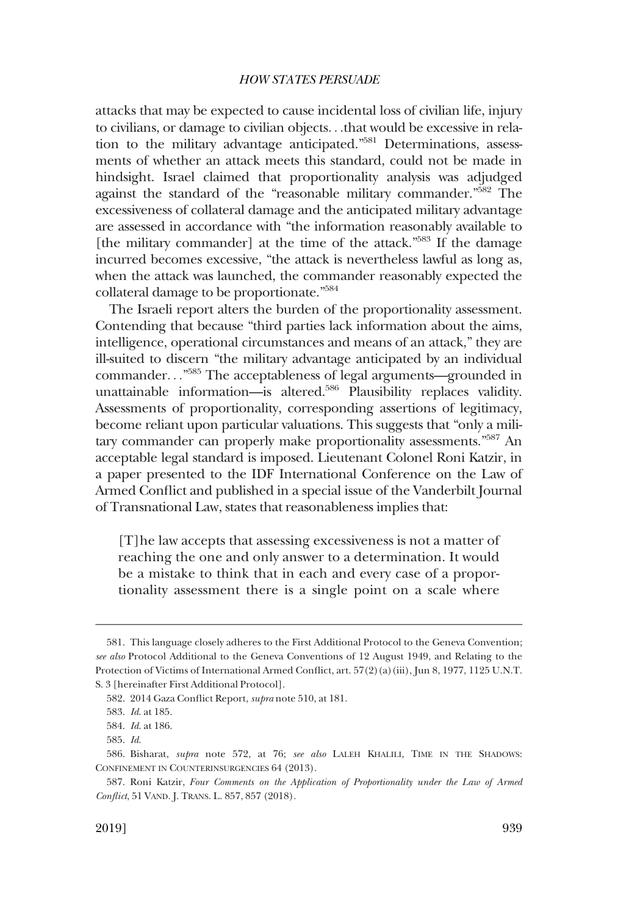attacks that may be expected to cause incidental loss of civilian life, injury to civilians, or damage to civilian objects. . .that would be excessive in relation to the military advantage anticipated."581 Determinations, assessments of whether an attack meets this standard, could not be made in hindsight. Israel claimed that proportionality analysis was adjudged against the standard of the "reasonable military commander."582 The excessiveness of collateral damage and the anticipated military advantage are assessed in accordance with "the information reasonably available to [the military commander] at the time of the attack."<sup>583</sup> If the damage incurred becomes excessive, "the attack is nevertheless lawful as long as, when the attack was launched, the commander reasonably expected the collateral damage to be proportionate."584

The Israeli report alters the burden of the proportionality assessment. Contending that because "third parties lack information about the aims, intelligence, operational circumstances and means of an attack," they are ill-suited to discern "the military advantage anticipated by an individual commander. . ." 585 The acceptableness of legal arguments—grounded in unattainable information—is altered.<sup>586</sup> Plausibility replaces validity. Assessments of proportionality, corresponding assertions of legitimacy, become reliant upon particular valuations. This suggests that "only a military commander can properly make proportionality assessments."587 An acceptable legal standard is imposed. Lieutenant Colonel Roni Katzir, in a paper presented to the IDF International Conference on the Law of Armed Confict and published in a special issue of the Vanderbilt Journal of Transnational Law, states that reasonableness implies that:

[T]he law accepts that assessing excessiveness is not a matter of reaching the one and only answer to a determination. It would be a mistake to think that in each and every case of a proportionality assessment there is a single point on a scale where

<sup>581.</sup> This language closely adheres to the First Additional Protocol to the Geneva Convention; *see also* Protocol Additional to the Geneva Conventions of 12 August 1949, and Relating to the Protection of Victims of International Armed Conflict, art. 57(2)(a)(iii), Jun 8, 1977, 1125 U.N.T. S. 3 [hereinafter First Additional Protocol].

<sup>582. 2014</sup> Gaza Confict Report, *supra* note 510, at 181.

<sup>583.</sup> *Id*. at 185.

<sup>584.</sup> *Id*. at 186.

<sup>585.</sup> *Id*.

<sup>586.</sup> Bisharat, *supra* note 572, at 76; *see also* LALEH KHALILI, TIME IN THE SHADOWS: CONFINEMENT IN COUNTERINSURGENCIES 64 (2013).

<sup>587.</sup> Roni Katzir, *Four Comments on the Application of Proportionality under the Law of Armed Confict*, 51 VAND. J. TRANS. L. 857, 857 (2018).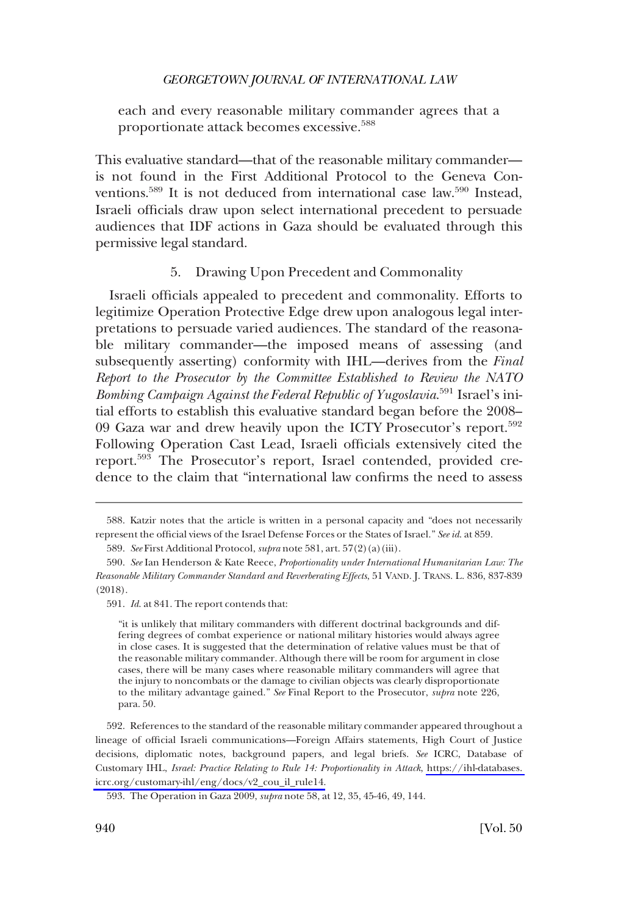each and every reasonable military commander agrees that a proportionate attack becomes excessive.<sup>588</sup>

This evaluative standard—that of the reasonable military commander is not found in the First Additional Protocol to the Geneva Conventions.<sup>589</sup> It is not deduced from international case law.<sup>590</sup> Instead, Israeli officials draw upon select international precedent to persuade audiences that IDF actions in Gaza should be evaluated through this permissive legal standard.

### 5. Drawing Upon Precedent and Commonality

Israeli officials appealed to precedent and commonality. Efforts to legitimize Operation Protective Edge drew upon analogous legal interpretations to persuade varied audiences. The standard of the reasonable military commander—the imposed means of assessing (and subsequently asserting) conformity with IHL—derives from the *Final Report to the Prosecutor by the Committee Established to Review the NATO Bombing Campaign Against the Federal Republic of Yugoslavia*. 591 Israel's initial efforts to establish this evaluative standard began before the 2008– 09 Gaza war and drew heavily upon the ICTY Prosecutor's report.<sup>592</sup> Following Operation Cast Lead, Israeli officials extensively cited the report.593 The Prosecutor's report, Israel contended, provided credence to the claim that "international law confrms the need to assess

592. References to the standard of the reasonable military commander appeared throughout a lineage of offcial Israeli communications—Foreign Affairs statements, High Court of Justice decisions, diplomatic notes, background papers, and legal briefs. *See* ICRC, Database of Customary IHL, *Israel: Practice Relating to Rule 14: Proportionality in Attack*, [https://ihl-databases.](https://ihl-databases.icrc.org/customary-ihl/eng/docs/v2_cou_il_rule14)  [icrc.org/customary-ihl/eng/docs/v2\\_cou\\_il\\_rule14.](https://ihl-databases.icrc.org/customary-ihl/eng/docs/v2_cou_il_rule14)

<sup>588.</sup> Katzir notes that the article is written in a personal capacity and "does not necessarily represent the offcial views of the Israel Defense Forces or the States of Israel." *See id*. at 859.

<sup>589.</sup> *See* First Additional Protocol, *supra* note 581, art. 57(2)(a)(iii).

<sup>590.</sup> *See* Ian Henderson & Kate Reece, *Proportionality under International Humanitarian Law: The Reasonable Military Commander Standard and Reverberating Effects*, 51 VAND. J. TRANS. L. 836, 837-839 (2018).

<sup>591.</sup> *Id*. at 841. The report contends that:

<sup>&</sup>quot;it is unlikely that military commanders with different doctrinal backgrounds and differing degrees of combat experience or national military histories would always agree in close cases. It is suggested that the determination of relative values must be that of the reasonable military commander. Although there will be room for argument in close cases, there will be many cases where reasonable military commanders will agree that the injury to noncombats or the damage to civilian objects was clearly disproportionate to the military advantage gained." *See* Final Report to the Prosecutor, *supra* note 226, para. 50.

<sup>593.</sup> The Operation in Gaza 2009, *supra* note 58, at 12, 35, 45-46, 49, 144.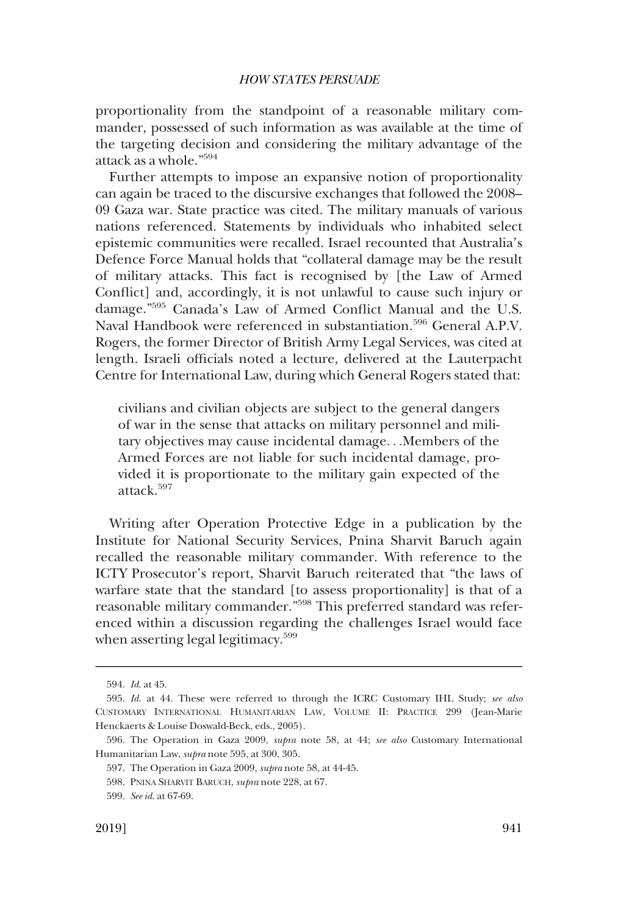proportionality from the standpoint of a reasonable military commander, possessed of such information as was available at the time of the targeting decision and considering the military advantage of the attack as a whole."594

Further attempts to impose an expansive notion of proportionality can again be traced to the discursive exchanges that followed the 2008– 09 Gaza war. State practice was cited. The military manuals of various nations referenced. Statements by individuals who inhabited select epistemic communities were recalled. Israel recounted that Australia's Defence Force Manual holds that "collateral damage may be the result of military attacks. This fact is recognised by [the Law of Armed Confict] and, accordingly, it is not unlawful to cause such injury or damage."595 Canada's Law of Armed Confict Manual and the U.S. Naval Handbook were referenced in substantiation.<sup>596</sup> General A.P.V. Rogers, the former Director of British Army Legal Services, was cited at length. Israeli officials noted a lecture, delivered at the Lauterpacht Centre for International Law, during which General Rogers stated that:

civilians and civilian objects are subject to the general dangers of war in the sense that attacks on military personnel and military objectives may cause incidental damage. . .Members of the Armed Forces are not liable for such incidental damage, provided it is proportionate to the military gain expected of the attack.<sup>597</sup>

Writing after Operation Protective Edge in a publication by the Institute for National Security Services, Pnina Sharvit Baruch again recalled the reasonable military commander. With reference to the ICTY Prosecutor's report, Sharvit Baruch reiterated that "the laws of warfare state that the standard [to assess proportionality] is that of a reasonable military commander."598 This preferred standard was referenced within a discussion regarding the challenges Israel would face when asserting legal legitimacy.<sup>599</sup>

<sup>594.</sup> *Id*. at 45.

<sup>595.</sup> *Id*. at 44. These were referred to through the ICRC Customary IHL Study; *see also*  CUSTOMARY INTERNATIONAL HUMANITARIAN LAW, VOLUME II: PRACTICE 299 (Jean-Marie Henckaerts & Louise Doswald-Beck, eds., 2005).

<sup>596.</sup> The Operation in Gaza 2009, *supra* note 58, at 44; *see also* Customary International Humanitarian Law, *supra* note 595, at 300, 305.

<sup>597.</sup> The Operation in Gaza 2009, *supra* note 58, at 44-45.

<sup>598.</sup> PNINA SHARVIT BARUCH, *supra* note 228, at 67.

<sup>599.</sup> *See id*. at 67-69.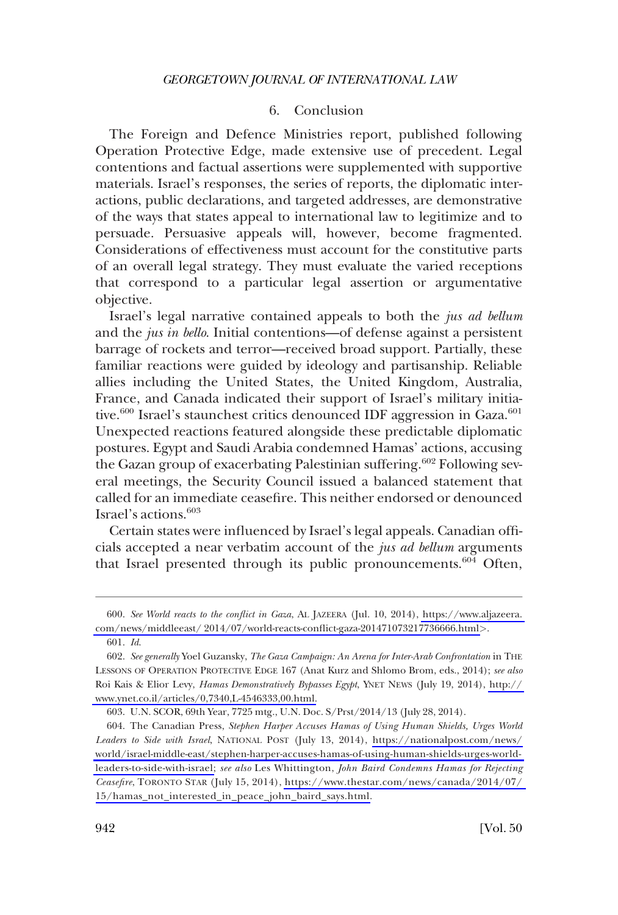# 6. Conclusion

The Foreign and Defence Ministries report, published following Operation Protective Edge, made extensive use of precedent. Legal contentions and factual assertions were supplemented with supportive materials. Israel's responses, the series of reports, the diplomatic interactions, public declarations, and targeted addresses, are demonstrative of the ways that states appeal to international law to legitimize and to persuade. Persuasive appeals will, however, become fragmented. Considerations of effectiveness must account for the constitutive parts of an overall legal strategy. They must evaluate the varied receptions that correspond to a particular legal assertion or argumentative objective.

Israel's legal narrative contained appeals to both the *jus ad bellum*  and the *jus in bello*. Initial contentions—of defense against a persistent barrage of rockets and terror—received broad support. Partially, these familiar reactions were guided by ideology and partisanship. Reliable allies including the United States, the United Kingdom, Australia, France, and Canada indicated their support of Israel's military initiative.<sup>600</sup> Israel's staunchest critics denounced IDF aggression in Gaza.<sup>601</sup> Unexpected reactions featured alongside these predictable diplomatic postures. Egypt and Saudi Arabia condemned Hamas' actions, accusing the Gazan group of exacerbating Palestinian suffering.<sup>602</sup> Following several meetings, the Security Council issued a balanced statement that called for an immediate ceasefre. This neither endorsed or denounced Israel's actions.603

Certain states were infuenced by Israel's legal appeals. Canadian offcials accepted a near verbatim account of the *jus ad bellum* arguments that Israel presented through its public pronouncements.<sup>604</sup> Often,

*See World reacts to the confict in Gaza*, AL JAZEERA (Jul. 10, 2014), [https://www.aljazeera.](https://www.aljazeera.com/news/middleeast/2014/07/world-reacts-conflict-gaza-201471073217736666.html)  600. [com/news/middleeast/ 2014/07/world-reacts-confict-gaza-201471073217736666.html](https://www.aljazeera.com/news/middleeast/2014/07/world-reacts-conflict-gaza-201471073217736666.html)*>*.

<sup>601.</sup> *Id*.

*See generally* Yoel Guzansky, *The Gaza Campaign: An Arena for Inter-Arab Confrontation* in THE 602. LESSONS OF OPERATION PROTECTIVE EDGE 167 (Anat Kurz and Shlomo Brom, eds., 2014); *see also*  Roi Kais & Elior Levy, *Hamas Demonstratively Bypasses Egypt*, YNET NEWS (July 19, 2014), [http://](http://www.ynet.co.il/articles/0,7340,L-4546333,00.html)  [www.ynet.co.il/articles/0,7340,L-4546333,00.html.](http://www.ynet.co.il/articles/0,7340,L-4546333,00.html)

<sup>603.</sup> U.N. SCOR, 69th Year, 7725 mtg., U.N. Doc. S/Prst/2014/13 (July 28, 2014).

<sup>604.</sup> The Canadian Press, Stephen Harper Accuses Hamas of Using Human Shields, Urges World *Leaders to Side with Israel*, NATIONAL POST (July 13, 2014), [https://nationalpost.com/news/](https://nationalpost.com/news/world/israel-middle-east/stephen-harper-accuses-hamas-of-using-human-shields-urges-world-leaders-to-side-with-israel;) [world/israel-middle-east/stephen-harper-accuses-hamas-of-using-human-shields-urges-world](https://nationalpost.com/news/world/israel-middle-east/stephen-harper-accuses-hamas-of-using-human-shields-urges-world-leaders-to-side-with-israel;)[leaders-to-side-with-israel;](https://nationalpost.com/news/world/israel-middle-east/stephen-harper-accuses-hamas-of-using-human-shields-urges-world-leaders-to-side-with-israel;) *see also* Les Whittington, *John Baird Condemns Hamas for Rejecting Ceasefre*, TORONTO STAR (July 15, 2014), [https://www.thestar.com/news/canada/2014/07/](https://www.thestar.com/news/canada/2014/07/15/hamas_not_interested_in_peace_john_baird_says.html)  [15/hamas\\_not\\_interested\\_in\\_peace\\_john\\_baird\\_says.html.](https://www.thestar.com/news/canada/2014/07/15/hamas_not_interested_in_peace_john_baird_says.html)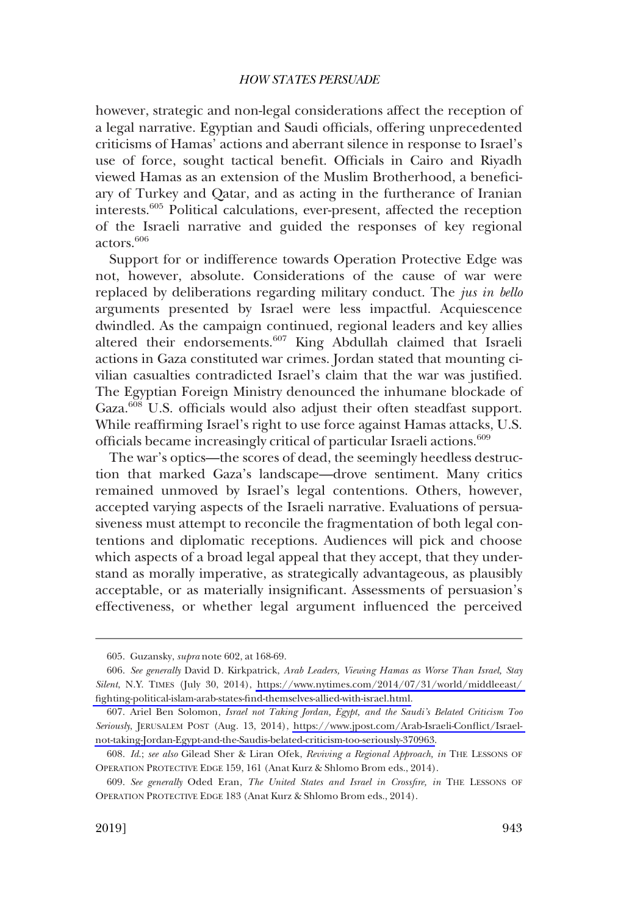however, strategic and non-legal considerations affect the reception of a legal narrative. Egyptian and Saudi offcials, offering unprecedented criticisms of Hamas' actions and aberrant silence in response to Israel's use of force, sought tactical benefit. Officials in Cairo and Riyadh viewed Hamas as an extension of the Muslim Brotherhood, a benefciary of Turkey and Qatar, and as acting in the furtherance of Iranian interests.605 Political calculations, ever-present, affected the reception of the Israeli narrative and guided the responses of key regional actors.606

Support for or indifference towards Operation Protective Edge was not, however, absolute. Considerations of the cause of war were replaced by deliberations regarding military conduct. The *jus in bello*  arguments presented by Israel were less impactful. Acquiescence dwindled. As the campaign continued, regional leaders and key allies altered their endorsements.<sup>607</sup> King Abdullah claimed that Israeli actions in Gaza constituted war crimes. Jordan stated that mounting civilian casualties contradicted Israel's claim that the war was justifed. The Egyptian Foreign Ministry denounced the inhumane blockade of Gaza.<sup>608</sup> U.S. officials would also adjust their often steadfast support. While reaffrming Israel's right to use force against Hamas attacks, U.S. officials became increasingly critical of particular Israeli actions.<sup>609</sup>

The war's optics—the scores of dead, the seemingly heedless destruction that marked Gaza's landscape—drove sentiment. Many critics remained unmoved by Israel's legal contentions. Others, however, accepted varying aspects of the Israeli narrative. Evaluations of persuasiveness must attempt to reconcile the fragmentation of both legal contentions and diplomatic receptions. Audiences will pick and choose which aspects of a broad legal appeal that they accept, that they understand as morally imperative, as strategically advantageous, as plausibly acceptable, or as materially insignifcant. Assessments of persuasion's effectiveness, or whether legal argument infuenced the perceived

<sup>605.</sup> Guzansky, *supra* note 602, at 168-69.

*See generally* David D. Kirkpatrick, *Arab Leaders, Viewing Hamas as Worse Than Israel, Stay*  606. *Silent*, N.Y. TIMES (July 30, 2014), [https://www.nytimes.com/2014/07/31/world/middleeast/](https://www.nytimes.com/2014/07/31/world/middleeast/fighting-political-islam-arab-states-find-themselves-allied-with-israel.html)  [fghting-political-islam-arab-states-fnd-themselves-allied-with-israel.html.](https://www.nytimes.com/2014/07/31/world/middleeast/fighting-political-islam-arab-states-find-themselves-allied-with-israel.html)

Ariel Ben Solomon, *Israel not Taking Jordan, Egypt, and the Saudi's Belated Criticism Too*  607. *Seriously*, JERUSALEM POST (Aug. 13, 2014), [https://www.jpost.com/Arab-Israeli-Confict/Israel](https://www.jpost.com/Arab-Israeli-Conflict/Israel-not-taking-Jordan-Egypt-and-the-Saudis-belated-criticism-too-seriously-370963)[not-taking-Jordan-Egypt-and-the-Saudis-belated-criticism-too-seriously-370963.](https://www.jpost.com/Arab-Israeli-Conflict/Israel-not-taking-Jordan-Egypt-and-the-Saudis-belated-criticism-too-seriously-370963)

<sup>608.</sup> *Id*.; *see also* Gilead Sher & Liran Ofek, *Reviving a Regional Approach, in* THE LESSONS OF OPERATION PROTECTIVE EDGE 159, 161 (Anat Kurz & Shlomo Brom eds., 2014).

<sup>609.</sup> *See generally* Oded Eran, *The United States and Israel in Crossfre, in* THE LESSONS OF OPERATION PROTECTIVE EDGE 183 (Anat Kurz & Shlomo Brom eds., 2014).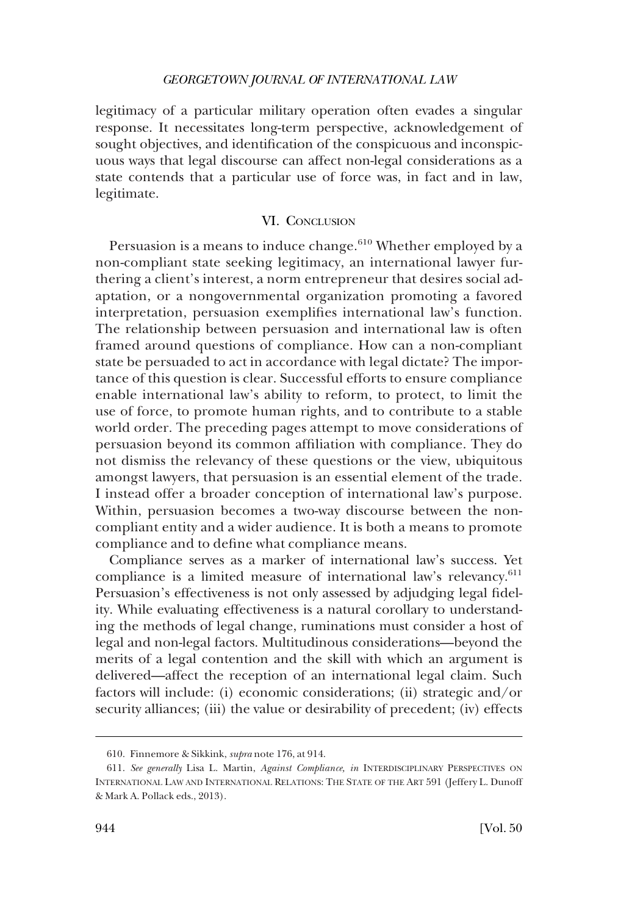legitimacy of a particular military operation often evades a singular response. It necessitates long-term perspective, acknowledgement of sought objectives, and identifcation of the conspicuous and inconspicuous ways that legal discourse can affect non-legal considerations as a state contends that a particular use of force was, in fact and in law, legitimate.

## VI. CONCLUSION

Persuasion is a means to induce change. $610$  Whether employed by a non-compliant state seeking legitimacy, an international lawyer furthering a client's interest, a norm entrepreneur that desires social adaptation, or a nongovernmental organization promoting a favored interpretation, persuasion exemplifes international law's function. The relationship between persuasion and international law is often framed around questions of compliance. How can a non-compliant state be persuaded to act in accordance with legal dictate? The importance of this question is clear. Successful efforts to ensure compliance enable international law's ability to reform, to protect, to limit the use of force, to promote human rights, and to contribute to a stable world order. The preceding pages attempt to move considerations of persuasion beyond its common affliation with compliance. They do not dismiss the relevancy of these questions or the view, ubiquitous amongst lawyers, that persuasion is an essential element of the trade. I instead offer a broader conception of international law's purpose. Within, persuasion becomes a two-way discourse between the noncompliant entity and a wider audience. It is both a means to promote compliance and to defne what compliance means.

Compliance serves as a marker of international law's success. Yet compliance is a limited measure of international law's relevancy.<sup>611</sup> Persuasion's effectiveness is not only assessed by adjudging legal fdelity. While evaluating effectiveness is a natural corollary to understanding the methods of legal change, ruminations must consider a host of legal and non-legal factors. Multitudinous considerations—beyond the merits of a legal contention and the skill with which an argument is delivered—affect the reception of an international legal claim. Such factors will include: (i) economic considerations; (ii) strategic and/or security alliances; (iii) the value or desirability of precedent; (iv) effects

<sup>610.</sup> Finnemore & Sikkink, *supra* note 176, at 914.

<sup>611.</sup> *See generally* Lisa L. Martin, *Against Compliance, in* INTERDISCIPLINARY PERSPECTIVES ON INTERNATIONAL LAW AND INTERNATIONAL RELATIONS: THE STATE OF THE ART 591 (Jeffery L. Dunoff & Mark A. Pollack eds., 2013).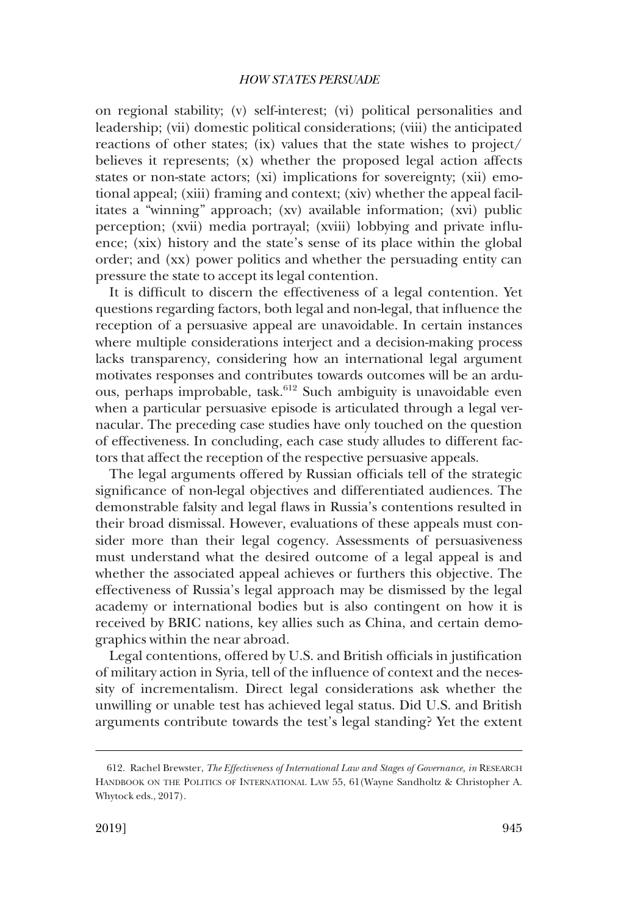on regional stability; (v) self-interest; (vi) political personalities and leadership; (vii) domestic political considerations; (viii) the anticipated reactions of other states; (ix) values that the state wishes to project/ believes it represents; (x) whether the proposed legal action affects states or non-state actors; (xi) implications for sovereignty; (xii) emotional appeal; (xiii) framing and context; (xiv) whether the appeal facilitates a "winning" approach; (xv) available information; (xvi) public perception; (xvii) media portrayal; (xviii) lobbying and private infuence; (xix) history and the state's sense of its place within the global order; and (xx) power politics and whether the persuading entity can pressure the state to accept its legal contention.

It is diffcult to discern the effectiveness of a legal contention. Yet questions regarding factors, both legal and non-legal, that infuence the reception of a persuasive appeal are unavoidable. In certain instances where multiple considerations interject and a decision-making process lacks transparency, considering how an international legal argument motivates responses and contributes towards outcomes will be an arduous, perhaps improbable, task.612 Such ambiguity is unavoidable even when a particular persuasive episode is articulated through a legal vernacular. The preceding case studies have only touched on the question of effectiveness. In concluding, each case study alludes to different factors that affect the reception of the respective persuasive appeals.

The legal arguments offered by Russian officials tell of the strategic signifcance of non-legal objectives and differentiated audiences. The demonstrable falsity and legal faws in Russia's contentions resulted in their broad dismissal. However, evaluations of these appeals must consider more than their legal cogency. Assessments of persuasiveness must understand what the desired outcome of a legal appeal is and whether the associated appeal achieves or furthers this objective. The effectiveness of Russia's legal approach may be dismissed by the legal academy or international bodies but is also contingent on how it is received by BRIC nations, key allies such as China, and certain demographics within the near abroad.

Legal contentions, offered by U.S. and British officials in justification of military action in Syria, tell of the infuence of context and the necessity of incrementalism. Direct legal considerations ask whether the unwilling or unable test has achieved legal status. Did U.S. and British arguments contribute towards the test's legal standing? Yet the extent

<sup>612.</sup> Rachel Brewster, *The Effectiveness of International Law and Stages of Governance, in* RESEARCH HANDBOOK ON THE POLITICS OF INTERNATIONAL LAW 55, 61(Wayne Sandholtz & Christopher A. Whytock eds., 2017).